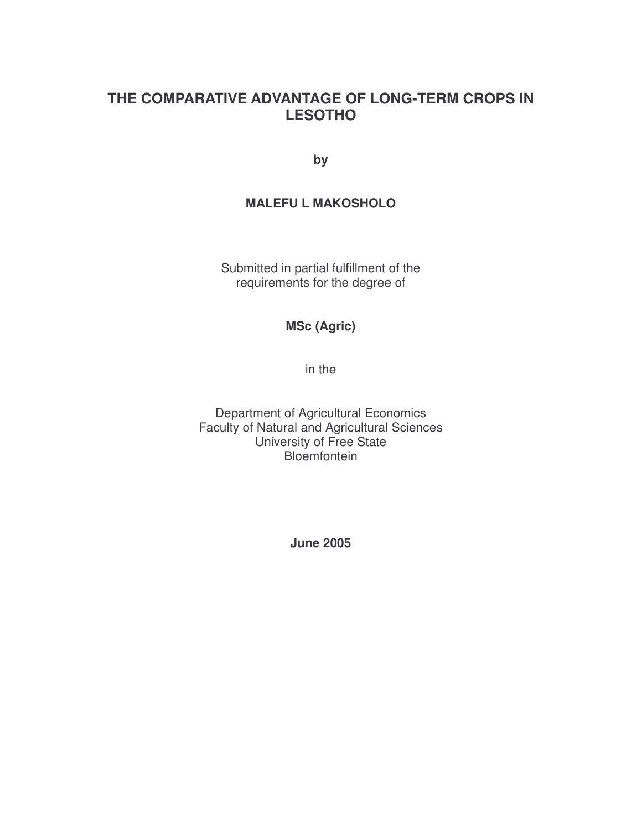## **THE COMPARATIVE ADVANTAGE OF LONG-TERM CROPS IN LESOTHO**

**by**

#### **MALEFU L MAKOSHOLO**

Submitted in partial fulfillment of the requirements for the degree of

#### **MSc (Agric)**

in the

Department of Agricultural Economics Faculty of Natural and Agricultural Sciences University of Free State **Bloemfontein** 

**June 2005**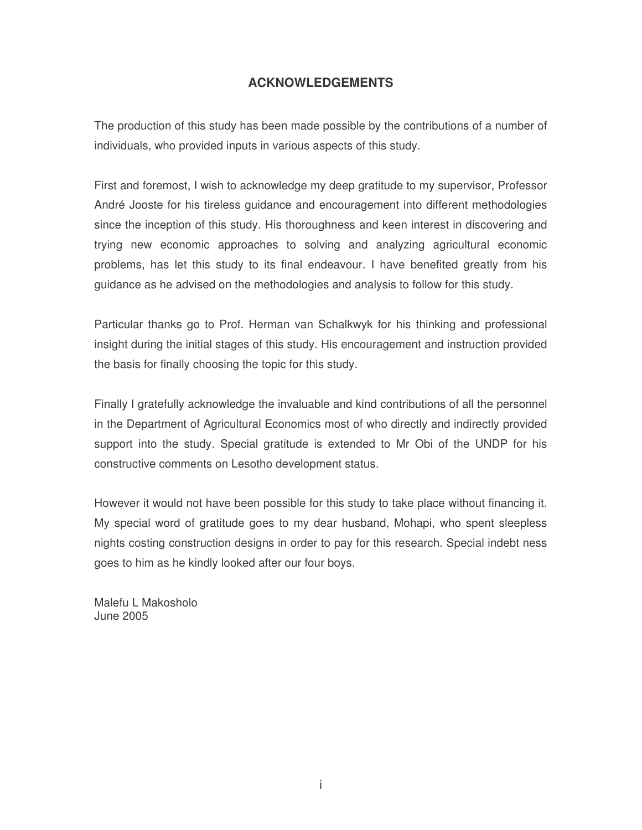#### **ACKNOWLEDGEMENTS**

The production of this study has been made possible by the contributions of a number of individuals, who provided inputs in various aspects of this study.

First and foremost, I wish to acknowledge my deep gratitude to my supervisor, Professor André Jooste for his tireless guidance and encouragement into different methodologies since the inception of this study. His thoroughness and keen interest in discovering and trying new economic approaches to solving and analyzing agricultural economic problems, has let this study to its final endeavour. I have benefited greatly from his guidance as he advised on the methodologies and analysis to follow for this study.

Particular thanks go to Prof. Herman van Schalkwyk for his thinking and professional insight during the initial stages of this study. His encouragement and instruction provided the basis for finally choosing the topic for this study.

Finally I gratefully acknowledge the invaluable and kind contributions of all the personnel in the Department of Agricultural Economics most of who directly and indirectly provided support into the study. Special gratitude is extended to Mr Obi of the UNDP for his constructive comments on Lesotho development status.

However it would not have been possible for this study to take place without financing it. My special word of gratitude goes to my dear husband, Mohapi, who spent sleepless nights costing construction designs in order to pay for this research. Special indebt ness goes to him as he kindly looked after our four boys.

Malefu L Makosholo June 2005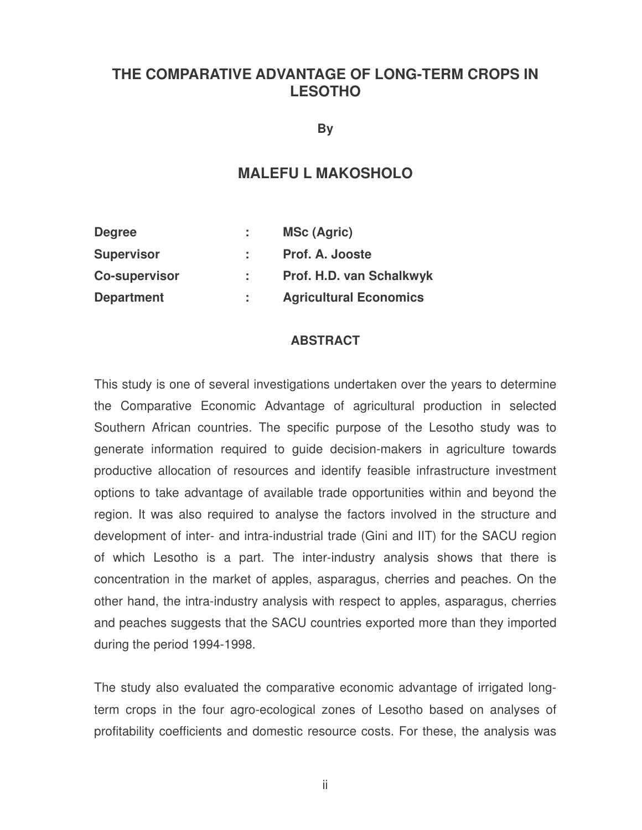## **THE COMPARATIVE ADVANTAGE OF LONG-TERM CROPS IN LESOTHO**

**By**

### **MALEFU L MAKOSHOLO**

| <b>Degree</b>        | ÷. | <b>MSc (Agric)</b>            |
|----------------------|----|-------------------------------|
| <b>Supervisor</b>    |    | Prof. A. Jooste               |
| <b>Co-supervisor</b> |    | Prof. H.D. van Schalkwyk      |
| <b>Department</b>    |    | <b>Agricultural Economics</b> |

#### **ABSTRACT**

This study is one of several investigations undertaken over the years to determine the Comparative Economic Advantage of agricultural production in selected Southern African countries. The specific purpose of the Lesotho study was to generate information required to guide decision-makers in agriculture towards productive allocation of resources and identify feasible infrastructure investment options to take advantage of available trade opportunities within and beyond the region. It was also required to analyse the factors involved in the structure and development of inter- and intra-industrial trade (Gini and IIT) for the SACU region of which Lesotho is a part. The inter-industry analysis shows that there is concentration in the market of apples, asparagus, cherries and peaches. On the other hand, the intra-industry analysis with respect to apples, asparagus, cherries and peaches suggests that the SACU countries exported more than they imported during the period 1994-1998.

The study also evaluated the comparative economic advantage of irrigated longterm crops in the four agro-ecological zones of Lesotho based on analyses of profitability coefficients and domestic resource costs. For these, the analysis was

ii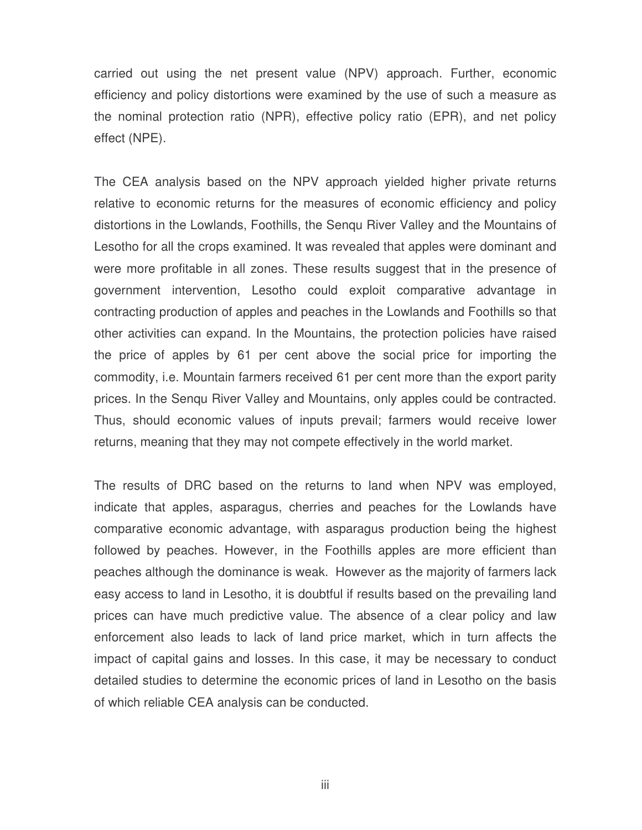carried out using the net present value (NPV) approach. Further, economic efficiency and policy distortions were examined by the use of such a measure as the nominal protection ratio (NPR), effective policy ratio (EPR), and net policy effect (NPE).

The CEA analysis based on the NPV approach yielded higher private returns relative to economic returns for the measures of economic efficiency and policy distortions in the Lowlands, Foothills, the Senqu River Valley and the Mountains of Lesotho for all the crops examined. It was revealed that apples were dominant and were more profitable in all zones. These results suggest that in the presence of government intervention, Lesotho could exploit comparative advantage in contracting production of apples and peaches in the Lowlands and Foothills so that other activities can expand. In the Mountains, the protection policies have raised the price of apples by 61 per cent above the social price for importing the commodity, i.e. Mountain farmers received 61 per cent more than the export parity prices. In the Senqu River Valley and Mountains, only apples could be contracted. Thus, should economic values of inputs prevail; farmers would receive lower returns, meaning that they may not compete effectively in the world market.

The results of DRC based on the returns to land when NPV was employed, indicate that apples, asparagus, cherries and peaches for the Lowlands have comparative economic advantage, with asparagus production being the highest followed by peaches. However, in the Foothills apples are more efficient than peaches although the dominance is weak. However as the majority of farmers lack easy access to land in Lesotho, it is doubtful if results based on the prevailing land prices can have much predictive value. The absence of a clear policy and law enforcement also leads to lack of land price market, which in turn affects the impact of capital gains and losses. In this case, it may be necessary to conduct detailed studies to determine the economic prices of land in Lesotho on the basis of which reliable CEA analysis can be conducted.

iii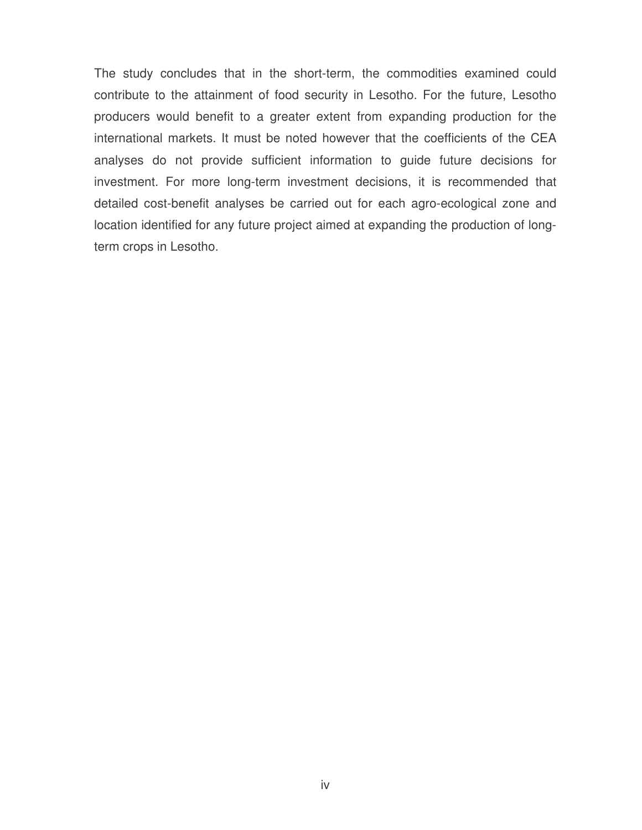The study concludes that in the short-term, the commodities examined could contribute to the attainment of food security in Lesotho. For the future, Lesotho producers would benefit to a greater extent from expanding production for the international markets. It must be noted however that the coefficients of the CEA analyses do not provide sufficient information to guide future decisions for investment. For more long-term investment decisions, it is recommended that detailed cost-benefit analyses be carried out for each agro-ecological zone and location identified for any future project aimed at expanding the production of longterm crops in Lesotho.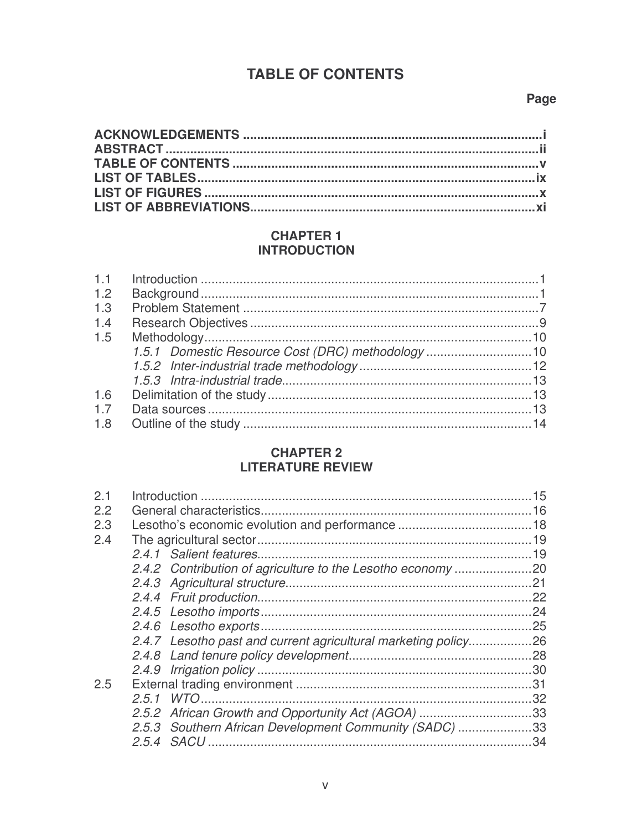## **TABLE OF CONTENTS**

#### Page

#### **CHAPTER 1 INTRODUCTION**

| 1.2 |  |
|-----|--|
| 1.3 |  |
| 1.4 |  |
| 1.5 |  |
|     |  |
|     |  |
|     |  |
| 1.6 |  |
| 1.7 |  |
| 1.8 |  |
|     |  |

## **CHAPTER 2 LITERATURE REVIEW**

| 2.1 |                                                                | 15 |
|-----|----------------------------------------------------------------|----|
| 2.2 |                                                                | 16 |
| 2.3 |                                                                |    |
| 2.4 |                                                                |    |
|     |                                                                |    |
|     |                                                                |    |
|     |                                                                |    |
|     |                                                                |    |
|     |                                                                |    |
|     |                                                                |    |
|     | 2.4.7 Lesotho past and current agricultural marketing policy26 |    |
|     |                                                                |    |
|     |                                                                |    |
| 2.5 |                                                                |    |
|     |                                                                | 32 |
|     | 2.5.2 African Growth and Opportunity Act (AGOA) 33             |    |
|     | 2.5.3 Southern African Development Community (SADC) 33         |    |
|     |                                                                |    |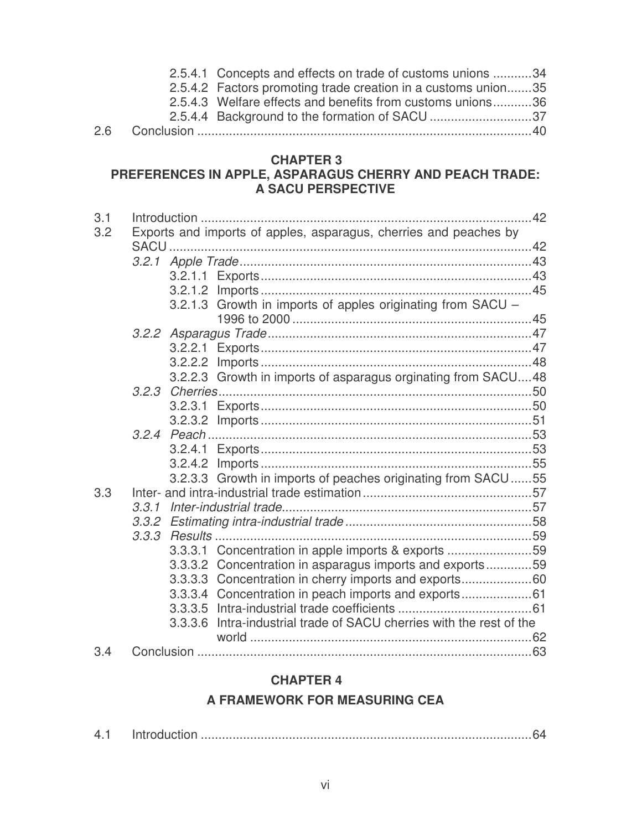|  | 2.5.4.1 Concepts and effects on trade of customs unions 34    |  |
|--|---------------------------------------------------------------|--|
|  | 2.5.4.2 Factors promoting trade creation in a customs union35 |  |
|  | 2.5.4.3 Welfare effects and benefits from customs unions36    |  |
|  | 2.5.4.4 Background to the formation of SACU 37                |  |
|  |                                                               |  |

#### **CHAPTER 3**

#### **PREFERENCES IN APPLE, ASPARAGUS CHERRY AND PEACH TRADE: A SACU PERSPECTIVE**

| 3.1 |       |         |                                                                      | 42 |
|-----|-------|---------|----------------------------------------------------------------------|----|
| 3.2 |       |         | Exports and imports of apples, asparagus, cherries and peaches by    |    |
|     |       |         |                                                                      |    |
|     |       |         |                                                                      |    |
|     |       | 3.2.1.2 |                                                                      |    |
|     |       |         | 3.2.1.3 Growth in imports of apples originating from SACU -          |    |
|     |       |         |                                                                      |    |
|     |       |         |                                                                      |    |
|     |       | 3.2.2.2 |                                                                      |    |
|     |       |         | 3.2.2.3 Growth in imports of asparagus orginating from SACU48        |    |
|     |       |         |                                                                      |    |
|     |       | 3.2.3.1 |                                                                      |    |
|     |       |         |                                                                      |    |
|     |       |         |                                                                      |    |
|     |       |         |                                                                      |    |
|     |       |         |                                                                      |    |
|     |       |         | 3.2.3.3 Growth in imports of peaches originating from SACU55         |    |
| 3.3 |       |         |                                                                      |    |
|     | 3.3.1 |         |                                                                      |    |
|     |       |         |                                                                      |    |
|     | 3.3.3 |         |                                                                      |    |
|     |       |         | 3.3.3.1 Concentration in apple imports & exports 59                  |    |
|     |       |         | 3.3.3.2 Concentration in asparagus imports and exports59             |    |
|     |       |         | 3.3.3.3 Concentration in cherry imports and exports60                |    |
|     |       |         | 3.3.3.4 Concentration in peach imports and exports61                 |    |
|     |       |         |                                                                      |    |
|     |       |         | 3.3.3.6 Intra-industrial trade of SACU cherries with the rest of the |    |
|     |       |         |                                                                      |    |
| 3.4 |       |         |                                                                      |    |

## **CHAPTER 4 A FRAMEWORK FOR MEASURING CEA**

| 4.1 |  |  |  |
|-----|--|--|--|
|-----|--|--|--|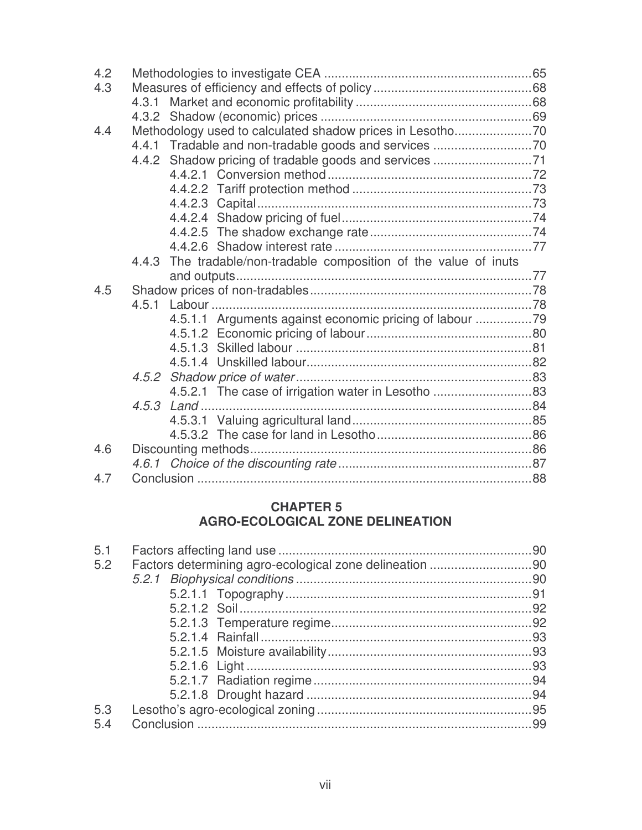| 4.3<br>4.3.1<br>4.4<br>4.4.3 The tradable/non-tradable composition of the value of inuts<br>4.5<br>4.5.1.1 Arguments against economic pricing of labour<br>4.5.2.1 The case of irrigation water in Lesotho 83<br>4.6<br>4.7 | 4.2 |  |  |
|-----------------------------------------------------------------------------------------------------------------------------------------------------------------------------------------------------------------------------|-----|--|--|
|                                                                                                                                                                                                                             |     |  |  |
|                                                                                                                                                                                                                             |     |  |  |
|                                                                                                                                                                                                                             |     |  |  |
|                                                                                                                                                                                                                             |     |  |  |
|                                                                                                                                                                                                                             |     |  |  |
|                                                                                                                                                                                                                             |     |  |  |
|                                                                                                                                                                                                                             |     |  |  |
|                                                                                                                                                                                                                             |     |  |  |
|                                                                                                                                                                                                                             |     |  |  |
|                                                                                                                                                                                                                             |     |  |  |
|                                                                                                                                                                                                                             |     |  |  |
|                                                                                                                                                                                                                             |     |  |  |
|                                                                                                                                                                                                                             |     |  |  |
|                                                                                                                                                                                                                             |     |  |  |
|                                                                                                                                                                                                                             |     |  |  |
|                                                                                                                                                                                                                             |     |  |  |
|                                                                                                                                                                                                                             |     |  |  |
|                                                                                                                                                                                                                             |     |  |  |
|                                                                                                                                                                                                                             |     |  |  |
|                                                                                                                                                                                                                             |     |  |  |
|                                                                                                                                                                                                                             |     |  |  |
|                                                                                                                                                                                                                             |     |  |  |
|                                                                                                                                                                                                                             |     |  |  |
|                                                                                                                                                                                                                             |     |  |  |
|                                                                                                                                                                                                                             |     |  |  |
|                                                                                                                                                                                                                             |     |  |  |
|                                                                                                                                                                                                                             |     |  |  |
|                                                                                                                                                                                                                             |     |  |  |

#### **CHAPTER 5 AGRO-ECOLOGICAL ZONE DELINEATION**

| 5.1 |  |
|-----|--|
| 5.2 |  |
|     |  |
|     |  |
|     |  |
|     |  |
|     |  |
|     |  |
|     |  |
|     |  |
|     |  |
| 5.3 |  |
| 5.4 |  |
|     |  |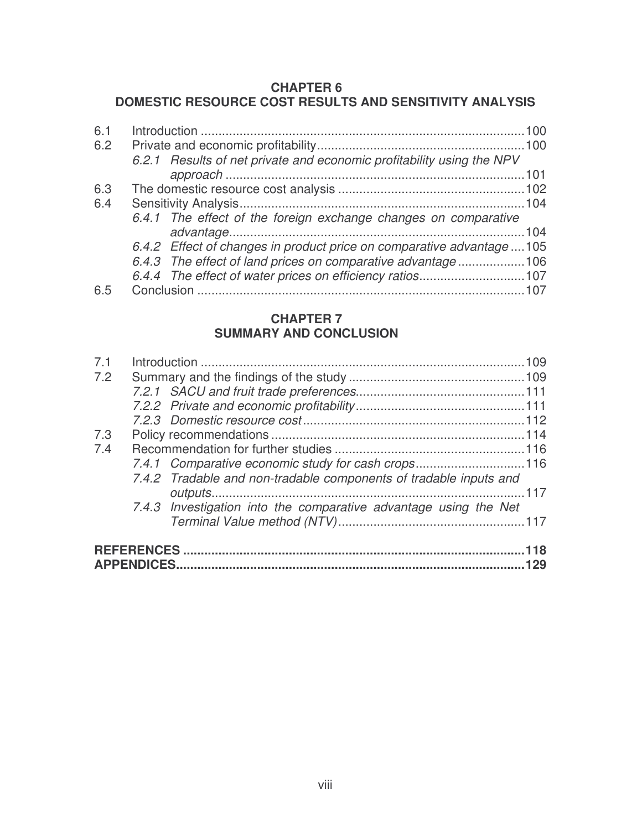#### **CHAPTER 6**

## **DOMESTIC RESOURCE COST RESULTS AND SENSITIVITY ANALYSIS**

| 6.2.1 Results of net private and economic profitability using the NPV  |      |
|------------------------------------------------------------------------|------|
|                                                                        |      |
|                                                                        |      |
|                                                                        |      |
| 6.4.1 The effect of the foreign exchange changes on comparative        |      |
|                                                                        | .104 |
| 6.4.2 Effect of changes in product price on comparative advantage  105 |      |
| 6.4.3 The effect of land prices on comparative advantage106            |      |
|                                                                        |      |
|                                                                        |      |
|                                                                        |      |

#### **CHAPTER 7 SUMMARY AND CONCLUSION**

| 7.1 |                                                                   |     |
|-----|-------------------------------------------------------------------|-----|
| 7.2 |                                                                   |     |
|     |                                                                   |     |
|     |                                                                   |     |
|     |                                                                   |     |
| 7.3 |                                                                   |     |
| 7.4 |                                                                   |     |
|     | 7.4.1 Comparative economic study for cash crops116                |     |
|     | 7.4.2 Tradable and non-tradable components of tradable inputs and |     |
|     |                                                                   |     |
|     | 7.4.3 Investigation into the comparative advantage using the Net  |     |
|     |                                                                   |     |
|     |                                                                   | 118 |
|     |                                                                   |     |
|     |                                                                   |     |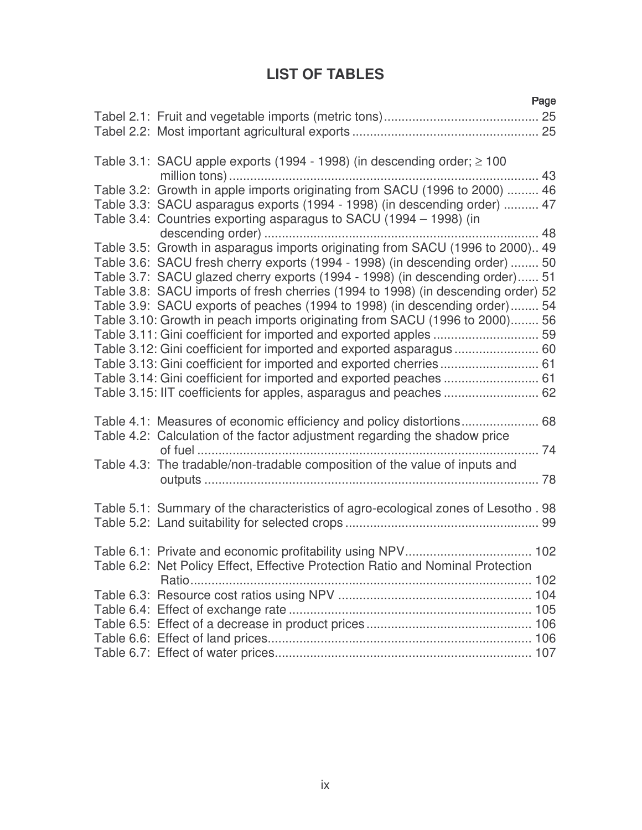# **LIST OF TABLES**

-

|                                                                                    | rage |
|------------------------------------------------------------------------------------|------|
|                                                                                    |      |
|                                                                                    |      |
|                                                                                    |      |
| Table 3.1: SACU apple exports (1994 - 1998) (in descending order; $\geq$ 100       |      |
|                                                                                    |      |
| Table 3.2: Growth in apple imports originating from SACU (1996 to 2000)  46        |      |
| Table 3.3: SACU asparagus exports (1994 - 1998) (in descending order)  47          |      |
|                                                                                    |      |
| Table 3.4: Countries exporting asparagus to SACU (1994 – 1998) (in                 |      |
|                                                                                    |      |
| Table 3.5: Growth in asparagus imports originating from SACU (1996 to 2000) 49     |      |
| Table 3.6: SACU fresh cherry exports (1994 - 1998) (in descending order)  50       |      |
| Table 3.7: SACU glazed cherry exports (1994 - 1998) (in descending order) 51       |      |
| Table 3.8: SACU imports of fresh cherries (1994 to 1998) (in descending order) 52  |      |
| Table 3.9: SACU exports of peaches (1994 to 1998) (in descending order) 54         |      |
| Table 3.10: Growth in peach imports originating from SACU (1996 to 2000) 56        |      |
|                                                                                    |      |
| Table 3.12: Gini coefficient for imported and exported asparagus  60               |      |
| Table 3.13: Gini coefficient for imported and exported cherries 61                 |      |
| Table 3.14: Gini coefficient for imported and exported peaches  61                 |      |
|                                                                                    |      |
|                                                                                    |      |
|                                                                                    |      |
| Table 4.2: Calculation of the factor adjustment regarding the shadow price         |      |
|                                                                                    |      |
| Table 4.3: The tradable/non-tradable composition of the value of inputs and        |      |
|                                                                                    |      |
|                                                                                    |      |
| Table 5.1: Summary of the characteristics of agro-ecological zones of Lesotho . 98 |      |
|                                                                                    |      |
|                                                                                    |      |
|                                                                                    |      |
| Table 6.2: Net Policy Effect, Effective Protection Ratio and Nominal Protection    |      |
|                                                                                    |      |
|                                                                                    |      |
|                                                                                    |      |
|                                                                                    |      |
|                                                                                    |      |
|                                                                                    |      |
|                                                                                    |      |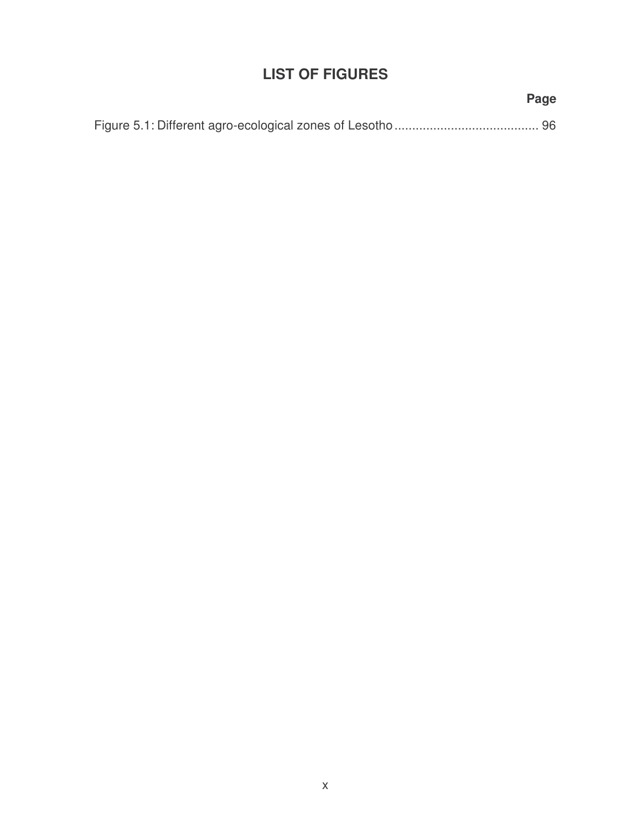# **LIST OF FIGURES**

# Figure 5.1: Different agro-ecological zones of Lesotho......................................... 96

#### **Page**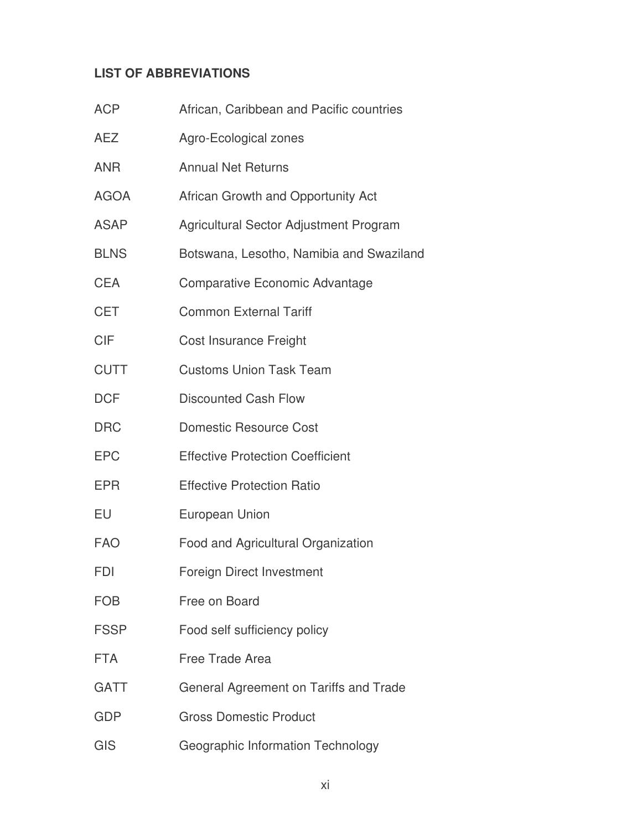## **LIST OF ABBREVIATIONS**

| <b>ACP</b>  | African, Caribbean and Pacific countries |
|-------------|------------------------------------------|
| AEZ         | Agro-Ecological zones                    |
| ANR         | <b>Annual Net Returns</b>                |
| AGOA        | African Growth and Opportunity Act       |
| ASAP        | Agricultural Sector Adjustment Program   |
| <b>BLNS</b> | Botswana, Lesotho, Namibia and Swaziland |
| CEA         | <b>Comparative Economic Advantage</b>    |
| CET         | <b>Common External Tariff</b>            |
| CIF         | Cost Insurance Freight                   |
| <b>CUTT</b> | <b>Customs Union Task Team</b>           |
| <b>DCF</b>  | <b>Discounted Cash Flow</b>              |
| <b>DRC</b>  | <b>Domestic Resource Cost</b>            |
| <b>EPC</b>  | <b>Effective Protection Coefficient</b>  |
| EPR         | <b>Effective Protection Ratio</b>        |
| EU          | <b>European Union</b>                    |
| FAO         | Food and Agricultural Organization       |
| FDI         | Foreign Direct Investment                |
| FOB         | Free on Board                            |
| FSSP        | Food self sufficiency policy             |
| FTA         | <b>Free Trade Area</b>                   |
| GATT        | General Agreement on Tariffs and Trade   |
| GDP         | <b>Gross Domestic Product</b>            |
| GIS         | Geographic Information Technology        |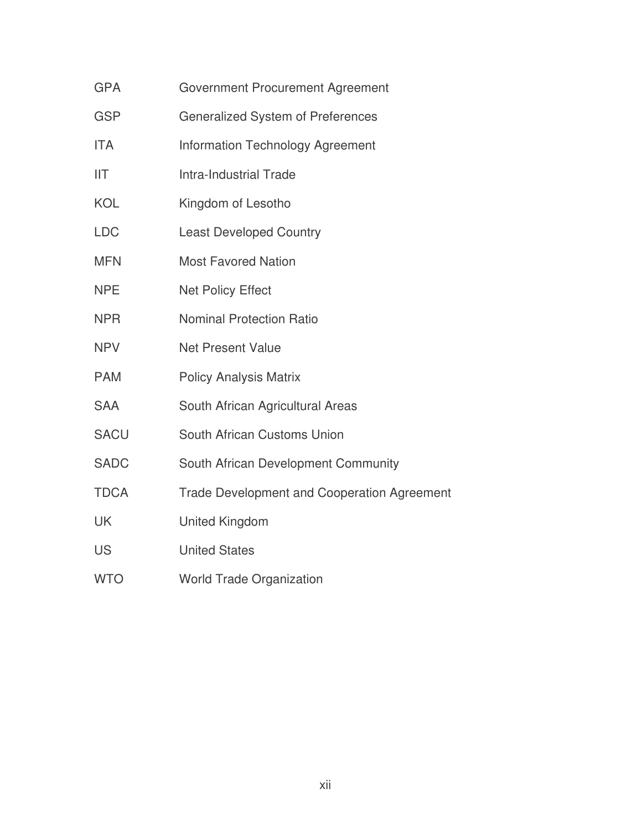- GPA Government Procurement Agreement
- GSP **Generalized System of Preferences**
- ITA Information Technology Agreement
- IIT Intra-Industrial Trade
- KOL Kingdom of Lesotho
- LDC Least Developed Country
- MFN Most Favored Nation
- NPE Net Policy Effect
- NPR Nominal Protection Ratio
- NPV Net Present Value
- PAM Policy Analysis Matrix
- SAA South African Agricultural Areas
- SACU South African Customs Union
- SADC South African Development Community
- TDCA Trade Development and Cooperation Agreement
- UK United Kingdom
- US United States
- WTO World Trade Organization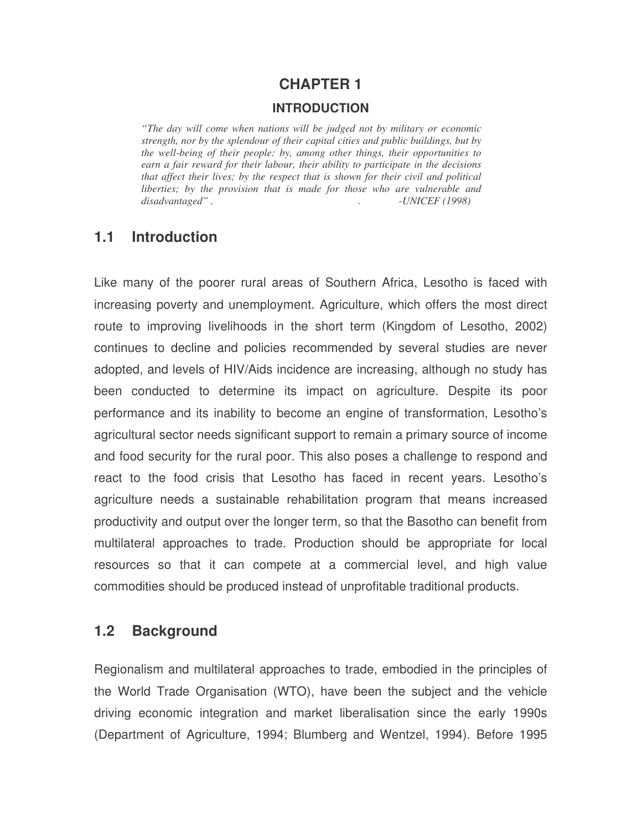# **CHAPTER 1 INTRODUCTION**

*"The day will come when nations will be judged not by military or economic strength, nor by the splendour of their capital cities and public buildings, but by the well-being of their people: by, among other things, their opportunities to earn a fair reward for their labour, their ability to participate in the decisions that affect their lives; by the respect that is shown for their civil and political liberties; by the provision that is made for those who are vulnerable and disadvantaged" . . -UNICEF (1998)*

## **1.1 Introduction**

Like many of the poorer rural areas of Southern Africa, Lesotho is faced with increasing poverty and unemployment. Agriculture, which offers the most direct route to improving livelihoods in the short term (Kingdom of Lesotho, 2002) continues to decline and policies recommended by several studies are never adopted, and levels of HIV/Aids incidence are increasing, although no study has been conducted to determine its impact on agriculture. Despite its poor performance and its inability to become an engine of transformation, Lesotho's agricultural sector needs significant support to remain a primary source of income and food security for the rural poor. This also poses a challenge to respond and react to the food crisis that Lesotho has faced in recent years. Lesotho's agriculture needs a sustainable rehabilitation program that means increased productivity and output over the longer term, so that the Basotho can benefit from multilateral approaches to trade. Production should be appropriate for local resources so that it can compete at a commercial level, and high value commodities should be produced instead of unprofitable traditional products.

## **1.2 Background**

Regionalism and multilateral approaches to trade, embodied in the principles of the World Trade Organisation (WTO), have been the subject and the vehicle driving economic integration and market liberalisation since the early 1990s (Department of Agriculture, 1994; Blumberg and Wentzel, 1994). Before 1995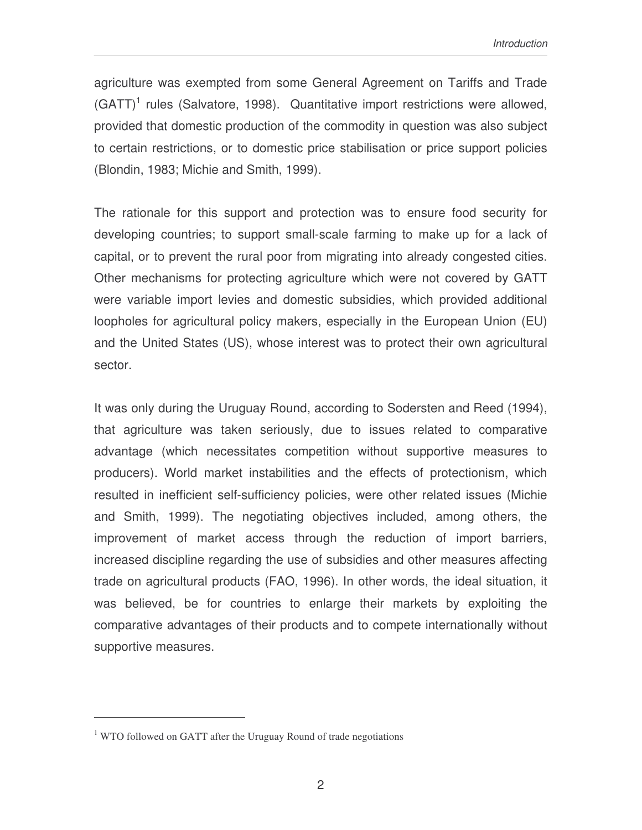agriculture was exempted from some General Agreement on Tariffs and Trade (GATT)<sup>1</sup> rules (Salvatore, 1998). Quantitative import restrictions were allowed, provided that domestic production of the commodity in question was also subject to certain restrictions, or to domestic price stabilisation or price support policies (Blondin, 1983; Michie and Smith, 1999).

The rationale for this support and protection was to ensure food security for developing countries; to support small-scale farming to make up for a lack of capital, or to prevent the rural poor from migrating into already congested cities. Other mechanisms for protecting agriculture which were not covered by GATT were variable import levies and domestic subsidies, which provided additional loopholes for agricultural policy makers, especially in the European Union (EU) and the United States (US), whose interest was to protect their own agricultural sector.

It was only during the Uruguay Round, according to Sodersten and Reed (1994), that agriculture was taken seriously, due to issues related to comparative advantage (which necessitates competition without supportive measures to producers). World market instabilities and the effects of protectionism, which resulted in inefficient self-sufficiency policies, were other related issues (Michie and Smith, 1999). The negotiating objectives included, among others, the improvement of market access through the reduction of import barriers, increased discipline regarding the use of subsidies and other measures affecting trade on agricultural products (FAO, 1996). In other words, the ideal situation, it was believed, be for countries to enlarge their markets by exploiting the comparative advantages of their products and to compete internationally without supportive measures.

 $1$  WTO followed on GATT after the Uruguay Round of trade negotiations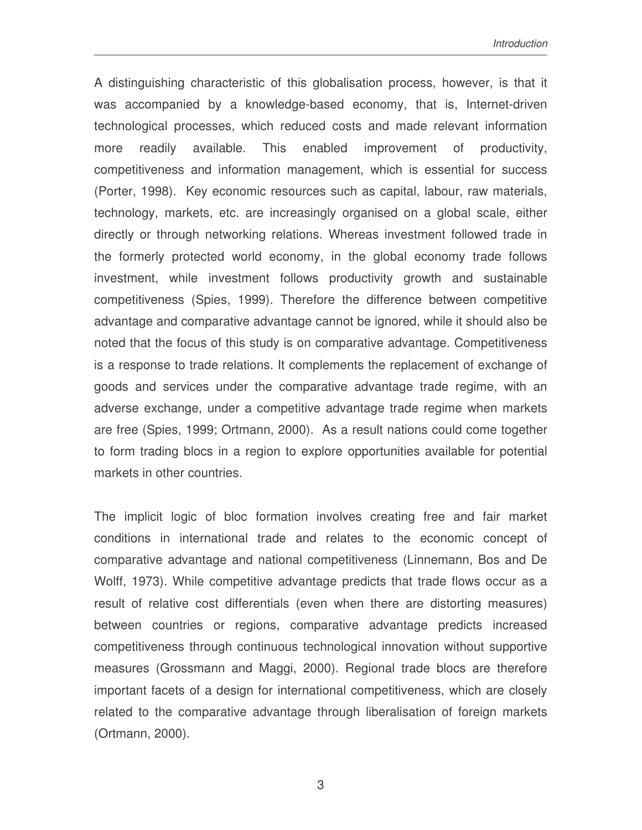A distinguishing characteristic of this globalisation process, however, is that it was accompanied by a knowledge-based economy, that is, Internet-driven technological processes, which reduced costs and made relevant information more readily available. This enabled improvement of productivity, competitiveness and information management, which is essential for success (Porter, 1998). Key economic resources such as capital, labour, raw materials, technology, markets, etc. are increasingly organised on a global scale, either directly or through networking relations. Whereas investment followed trade in the formerly protected world economy, in the global economy trade follows investment, while investment follows productivity growth and sustainable competitiveness (Spies, 1999). Therefore the difference between competitive advantage and comparative advantage cannot be ignored, while it should also be noted that the focus of this study is on comparative advantage. Competitiveness is a response to trade relations. It complements the replacement of exchange of goods and services under the comparative advantage trade regime, with an adverse exchange, under a competitive advantage trade regime when markets are free (Spies, 1999; Ortmann, 2000). As a result nations could come together to form trading blocs in a region to explore opportunities available for potential markets in other countries.

The implicit logic of bloc formation involves creating free and fair market conditions in international trade and relates to the economic concept of comparative advantage and national competitiveness (Linnemann, Bos and De Wolff, 1973). While competitive advantage predicts that trade flows occur as a result of relative cost differentials (even when there are distorting measures) between countries or regions, comparative advantage predicts increased competitiveness through continuous technological innovation without supportive measures (Grossmann and Maggi, 2000). Regional trade blocs are therefore important facets of a design for international competitiveness, which are closely related to the comparative advantage through liberalisation of foreign markets (Ortmann, 2000).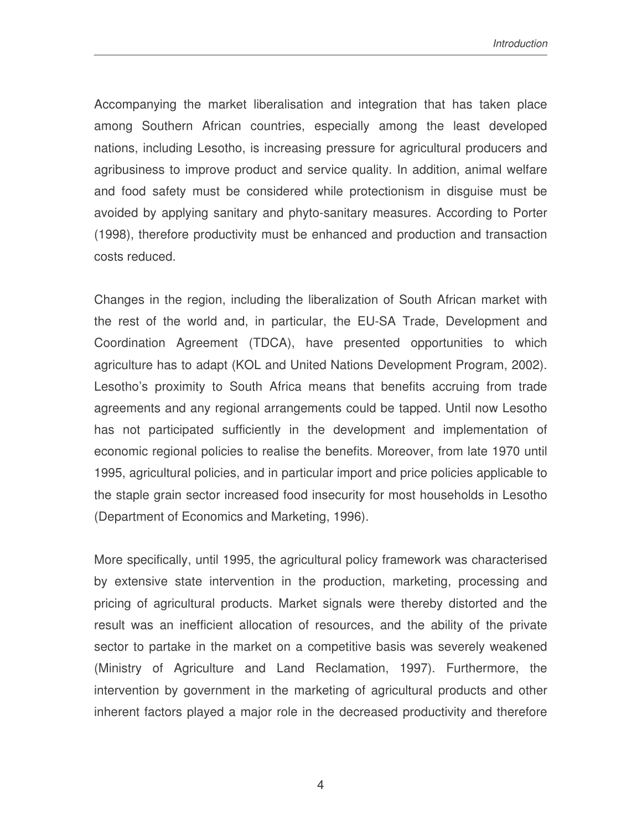*Introduction*

Accompanying the market liberalisation and integration that has taken place among Southern African countries, especially among the least developed nations, including Lesotho, is increasing pressure for agricultural producers and agribusiness to improve product and service quality. In addition, animal welfare and food safety must be considered while protectionism in disguise must be avoided by applying sanitary and phyto-sanitary measures. According to Porter (1998), therefore productivity must be enhanced and production and transaction costs reduced.

Changes in the region, including the liberalization of South African market with the rest of the world and, in particular, the EU-SA Trade, Development and Coordination Agreement (TDCA), have presented opportunities to which agriculture has to adapt (KOL and United Nations Development Program, 2002). Lesotho's proximity to South Africa means that benefits accruing from trade agreements and any regional arrangements could be tapped. Until now Lesotho has not participated sufficiently in the development and implementation of economic regional policies to realise the benefits. Moreover, from late 1970 until 1995, agricultural policies, and in particular import and price policies applicable to the staple grain sector increased food insecurity for most households in Lesotho (Department of Economics and Marketing, 1996).

More specifically, until 1995, the agricultural policy framework was characterised by extensive state intervention in the production, marketing, processing and pricing of agricultural products. Market signals were thereby distorted and the result was an inefficient allocation of resources, and the ability of the private sector to partake in the market on a competitive basis was severely weakened (Ministry of Agriculture and Land Reclamation, 1997). Furthermore, the intervention by government in the marketing of agricultural products and other inherent factors played a major role in the decreased productivity and therefore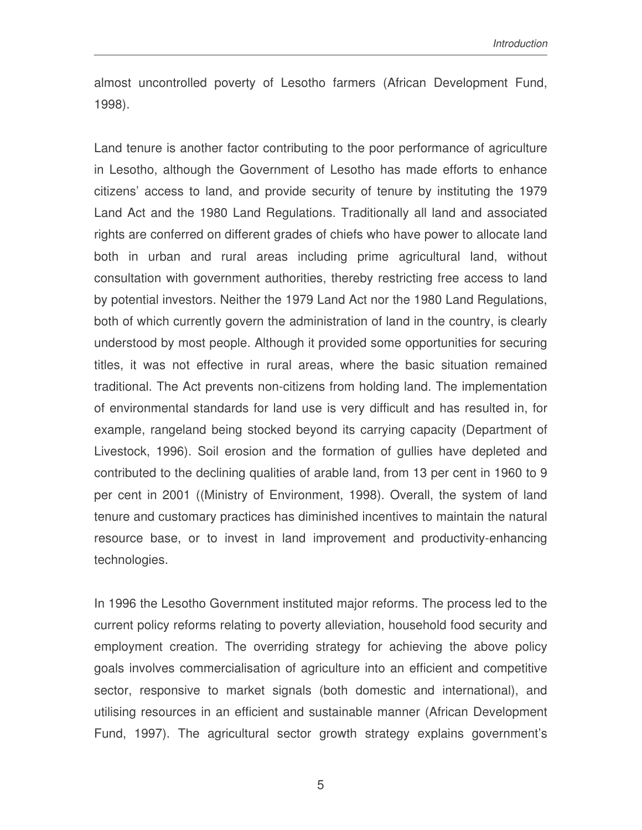almost uncontrolled poverty of Lesotho farmers (African Development Fund, 1998).

Land tenure is another factor contributing to the poor performance of agriculture in Lesotho, although the Government of Lesotho has made efforts to enhance citizens' access to land, and provide security of tenure by instituting the 1979 Land Act and the 1980 Land Regulations. Traditionally all land and associated rights are conferred on different grades of chiefs who have power to allocate land both in urban and rural areas including prime agricultural land, without consultation with government authorities, thereby restricting free access to land by potential investors. Neither the 1979 Land Act nor the 1980 Land Regulations, both of which currently govern the administration of land in the country, is clearly understood by most people. Although it provided some opportunities for securing titles, it was not effective in rural areas, where the basic situation remained traditional. The Act prevents non-citizens from holding land. The implementation of environmental standards for land use is very difficult and has resulted in, for example, rangeland being stocked beyond its carrying capacity (Department of Livestock, 1996). Soil erosion and the formation of gullies have depleted and contributed to the declining qualities of arable land, from 13 per cent in 1960 to 9 per cent in 2001 ((Ministry of Environment, 1998). Overall, the system of land tenure and customary practices has diminished incentives to maintain the natural resource base, or to invest in land improvement and productivity-enhancing technologies.

In 1996 the Lesotho Government instituted major reforms. The process led to the current policy reforms relating to poverty alleviation, household food security and employment creation. The overriding strategy for achieving the above policy goals involves commercialisation of agriculture into an efficient and competitive sector, responsive to market signals (both domestic and international), and utilising resources in an efficient and sustainable manner (African Development Fund, 1997). The agricultural sector growth strategy explains government's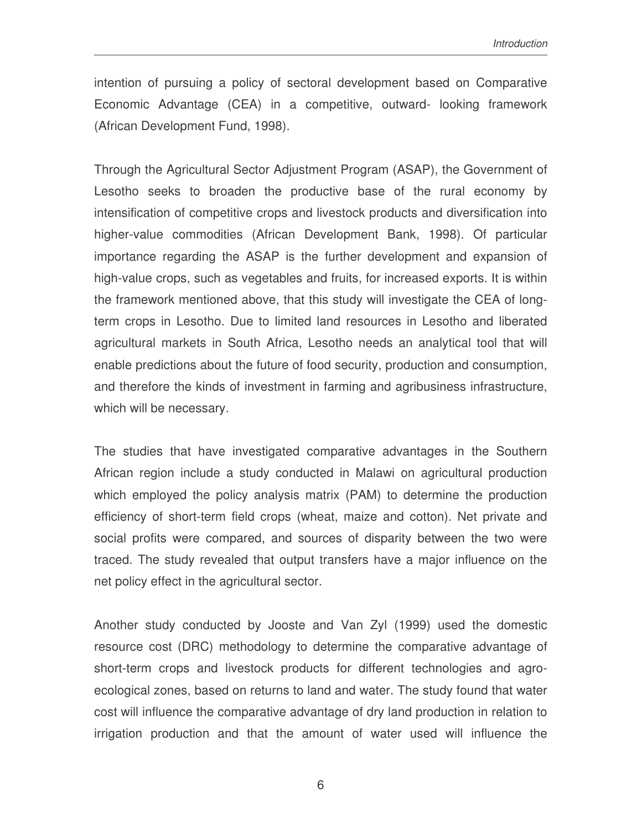intention of pursuing a policy of sectoral development based on Comparative Economic Advantage (CEA) in a competitive, outward- looking framework (African Development Fund, 1998).

Through the Agricultural Sector Adjustment Program (ASAP), the Government of Lesotho seeks to broaden the productive base of the rural economy by intensification of competitive crops and livestock products and diversification into higher-value commodities (African Development Bank, 1998). Of particular importance regarding the ASAP is the further development and expansion of high-value crops, such as vegetables and fruits, for increased exports. It is within the framework mentioned above, that this study will investigate the CEA of longterm crops in Lesotho. Due to limited land resources in Lesotho and liberated agricultural markets in South Africa, Lesotho needs an analytical tool that will enable predictions about the future of food security, production and consumption, and therefore the kinds of investment in farming and agribusiness infrastructure, which will be necessary.

The studies that have investigated comparative advantages in the Southern African region include a study conducted in Malawi on agricultural production which employed the policy analysis matrix (PAM) to determine the production efficiency of short-term field crops (wheat, maize and cotton). Net private and social profits were compared, and sources of disparity between the two were traced. The study revealed that output transfers have a major influence on the net policy effect in the agricultural sector.

Another study conducted by Jooste and Van Zyl (1999) used the domestic resource cost (DRC) methodology to determine the comparative advantage of short-term crops and livestock products for different technologies and agroecological zones, based on returns to land and water. The study found that water cost will influence the comparative advantage of dry land production in relation to irrigation production and that the amount of water used will influence the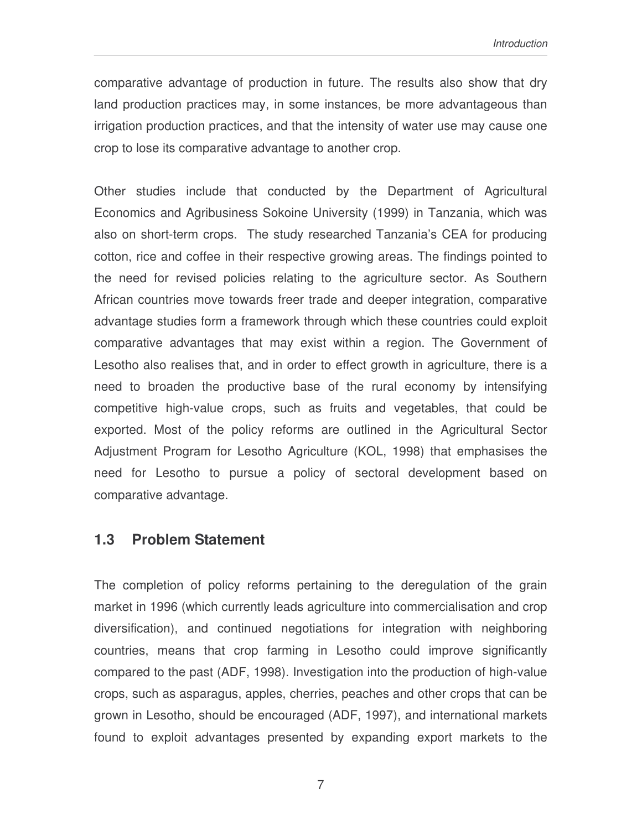comparative advantage of production in future. The results also show that dry land production practices may, in some instances, be more advantageous than irrigation production practices, and that the intensity of water use may cause one crop to lose its comparative advantage to another crop.

Other studies include that conducted by the Department of Agricultural Economics and Agribusiness Sokoine University (1999) in Tanzania, which was also on short-term crops. The study researched Tanzania's CEA for producing cotton, rice and coffee in their respective growing areas. The findings pointed to the need for revised policies relating to the agriculture sector. As Southern African countries move towards freer trade and deeper integration, comparative advantage studies form a framework through which these countries could exploit comparative advantages that may exist within a region. The Government of Lesotho also realises that, and in order to effect growth in agriculture, there is a need to broaden the productive base of the rural economy by intensifying competitive high-value crops, such as fruits and vegetables, that could be exported. Most of the policy reforms are outlined in the Agricultural Sector Adjustment Program for Lesotho Agriculture (KOL, 1998) that emphasises the need for Lesotho to pursue a policy of sectoral development based on comparative advantage.

#### **1.3 Problem Statement**

The completion of policy reforms pertaining to the deregulation of the grain market in 1996 (which currently leads agriculture into commercialisation and crop diversification), and continued negotiations for integration with neighboring countries, means that crop farming in Lesotho could improve significantly compared to the past (ADF, 1998). Investigation into the production of high-value crops, such as asparagus, apples, cherries, peaches and other crops that can be grown in Lesotho, should be encouraged (ADF, 1997), and international markets found to exploit advantages presented by expanding export markets to the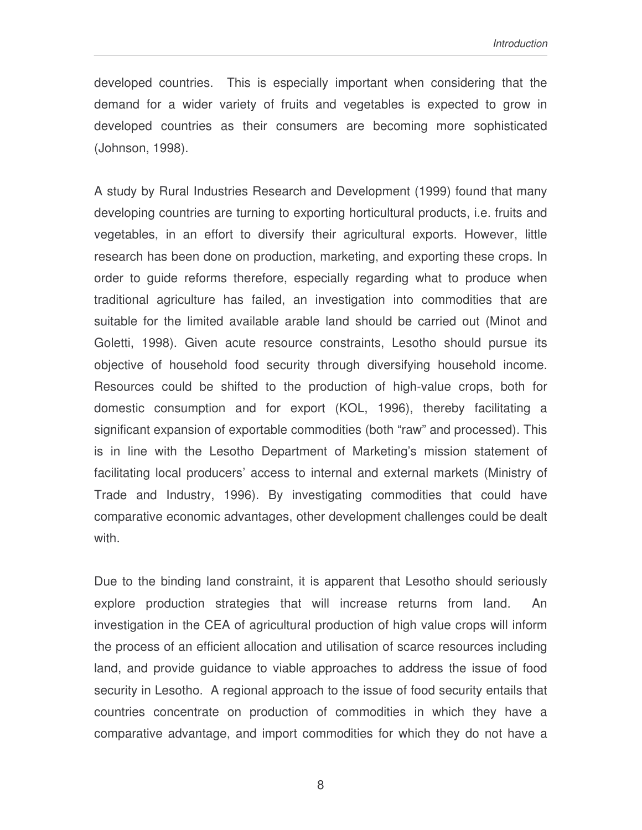developed countries. This is especially important when considering that the demand for a wider variety of fruits and vegetables is expected to grow in developed countries as their consumers are becoming more sophisticated (Johnson, 1998).

A study by Rural Industries Research and Development (1999) found that many developing countries are turning to exporting horticultural products, i.e. fruits and vegetables, in an effort to diversify their agricultural exports. However, little research has been done on production, marketing, and exporting these crops. In order to guide reforms therefore, especially regarding what to produce when traditional agriculture has failed, an investigation into commodities that are suitable for the limited available arable land should be carried out (Minot and Goletti, 1998). Given acute resource constraints, Lesotho should pursue its objective of household food security through diversifying household income. Resources could be shifted to the production of high-value crops, both for domestic consumption and for export (KOL, 1996), thereby facilitating a significant expansion of exportable commodities (both "raw" and processed). This is in line with the Lesotho Department of Marketing's mission statement of facilitating local producers' access to internal and external markets (Ministry of Trade and Industry, 1996). By investigating commodities that could have comparative economic advantages, other development challenges could be dealt with.

Due to the binding land constraint, it is apparent that Lesotho should seriously explore production strategies that will increase returns from land. An investigation in the CEA of agricultural production of high value crops will inform the process of an efficient allocation and utilisation of scarce resources including land, and provide guidance to viable approaches to address the issue of food security in Lesotho. A regional approach to the issue of food security entails that countries concentrate on production of commodities in which they have a comparative advantage, and import commodities for which they do not have a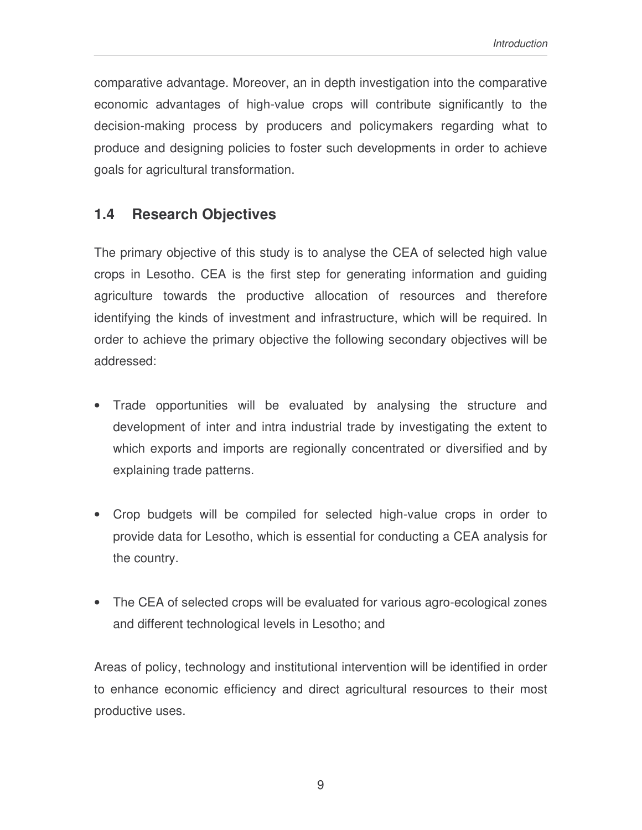comparative advantage. Moreover, an in depth investigation into the comparative economic advantages of high-value crops will contribute significantly to the decision-making process by producers and policymakers regarding what to produce and designing policies to foster such developments in order to achieve goals for agricultural transformation.

## **1.4 Research Objectives**

The primary objective of this study is to analyse the CEA of selected high value crops in Lesotho. CEA is the first step for generating information and guiding agriculture towards the productive allocation of resources and therefore identifying the kinds of investment and infrastructure, which will be required. In order to achieve the primary objective the following secondary objectives will be addressed:

- Trade opportunities will be evaluated by analysing the structure and development of inter and intra industrial trade by investigating the extent to which exports and imports are regionally concentrated or diversified and by explaining trade patterns.
- Crop budgets will be compiled for selected high-value crops in order to provide data for Lesotho, which is essential for conducting a CEA analysis for the country.
- The CEA of selected crops will be evaluated for various agro-ecological zones and different technological levels in Lesotho; and

Areas of policy, technology and institutional intervention will be identified in order to enhance economic efficiency and direct agricultural resources to their most productive uses.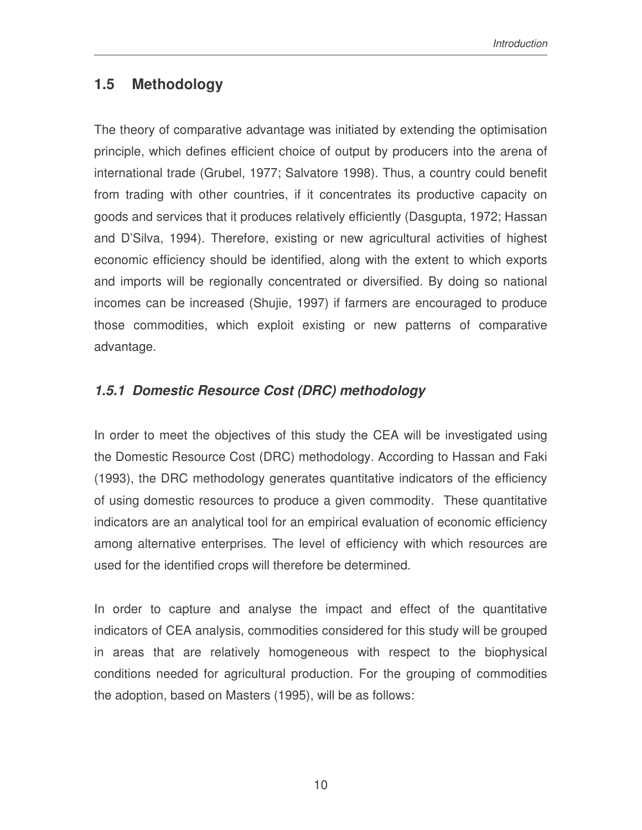## **1.5 Methodology**

The theory of comparative advantage was initiated by extending the optimisation principle, which defines efficient choice of output by producers into the arena of international trade (Grubel, 1977; Salvatore 1998). Thus, a country could benefit from trading with other countries, if it concentrates its productive capacity on goods and services that it produces relatively efficiently (Dasgupta, 1972; Hassan and D'Silva, 1994). Therefore, existing or new agricultural activities of highest economic efficiency should be identified, along with the extent to which exports and imports will be regionally concentrated or diversified. By doing so national incomes can be increased (Shujie, 1997) if farmers are encouraged to produce those commodities, which exploit existing or new patterns of comparative advantage.

## *1.5.1 Domestic Resource Cost (DRC) methodology*

In order to meet the objectives of this study the CEA will be investigated using the Domestic Resource Cost (DRC) methodology. According to Hassan and Faki (1993), the DRC methodology generates quantitative indicators of the efficiency of using domestic resources to produce a given commodity. These quantitative indicators are an analytical tool for an empirical evaluation of economic efficiency among alternative enterprises. The level of efficiency with which resources are used for the identified crops will therefore be determined.

In order to capture and analyse the impact and effect of the quantitative indicators of CEA analysis, commodities considered for this study will be grouped in areas that are relatively homogeneous with respect to the biophysical conditions needed for agricultural production. For the grouping of commodities the adoption, based on Masters (1995), will be as follows: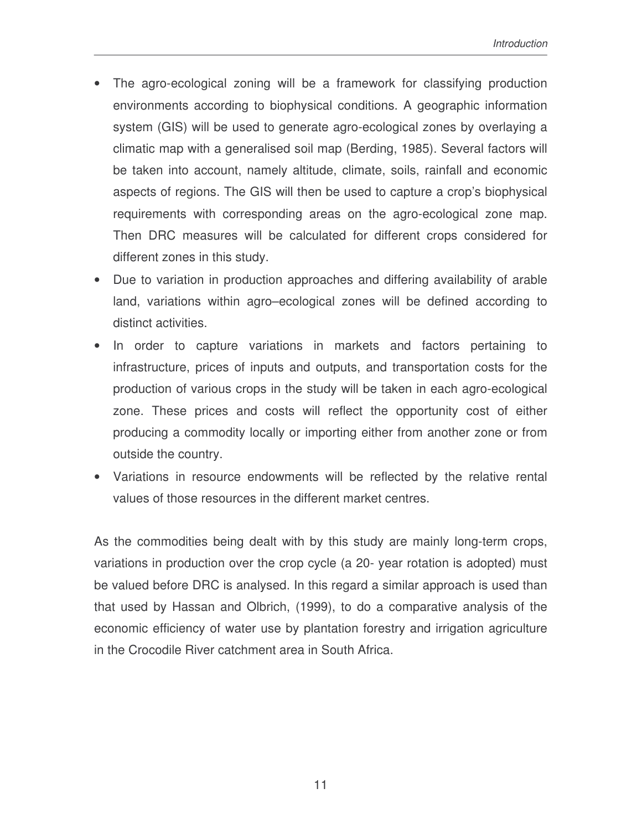- The agro-ecological zoning will be a framework for classifying production environments according to biophysical conditions. A geographic information system (GIS) will be used to generate agro-ecological zones by overlaying a climatic map with a generalised soil map (Berding, 1985). Several factors will be taken into account, namely altitude, climate, soils, rainfall and economic aspects of regions. The GIS will then be used to capture a crop's biophysical requirements with corresponding areas on the agro-ecological zone map. Then DRC measures will be calculated for different crops considered for different zones in this study.
- Due to variation in production approaches and differing availability of arable land, variations within agro–ecological zones will be defined according to distinct activities.
- In order to capture variations in markets and factors pertaining to infrastructure, prices of inputs and outputs, and transportation costs for the production of various crops in the study will be taken in each agro-ecological zone. These prices and costs will reflect the opportunity cost of either producing a commodity locally or importing either from another zone or from outside the country.
- Variations in resource endowments will be reflected by the relative rental values of those resources in the different market centres.

As the commodities being dealt with by this study are mainly long-term crops, variations in production over the crop cycle (a 20- year rotation is adopted) must be valued before DRC is analysed. In this regard a similar approach is used than that used by Hassan and Olbrich, (1999), to do a comparative analysis of the economic efficiency of water use by plantation forestry and irrigation agriculture in the Crocodile River catchment area in South Africa.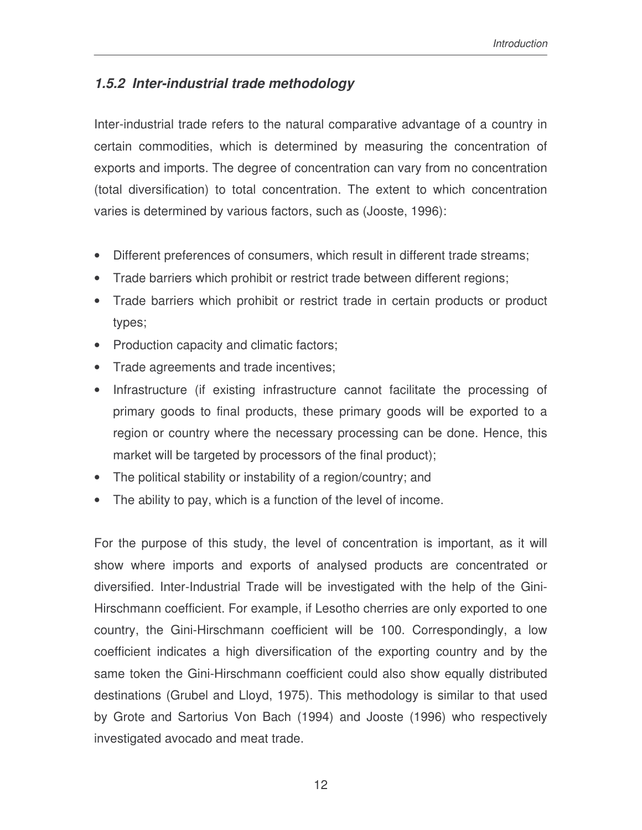## *1.5.2 Inter-industrial trade methodology*

Inter-industrial trade refers to the natural comparative advantage of a country in certain commodities, which is determined by measuring the concentration of exports and imports. The degree of concentration can vary from no concentration (total diversification) to total concentration. The extent to which concentration varies is determined by various factors, such as (Jooste, 1996):

- Different preferences of consumers, which result in different trade streams;
- Trade barriers which prohibit or restrict trade between different regions;
- Trade barriers which prohibit or restrict trade in certain products or product types;
- Production capacity and climatic factors;
- Trade agreements and trade incentives;
- Infrastructure (if existing infrastructure cannot facilitate the processing of primary goods to final products, these primary goods will be exported to a region or country where the necessary processing can be done. Hence, this market will be targeted by processors of the final product);
- The political stability or instability of a region/country; and
- The ability to pay, which is a function of the level of income.

For the purpose of this study, the level of concentration is important, as it will show where imports and exports of analysed products are concentrated or diversified. Inter-Industrial Trade will be investigated with the help of the Gini-Hirschmann coefficient. For example, if Lesotho cherries are only exported to one country, the Gini-Hirschmann coefficient will be 100. Correspondingly, a low coefficient indicates a high diversification of the exporting country and by the same token the Gini-Hirschmann coefficient could also show equally distributed destinations (Grubel and Lloyd, 1975). This methodology is similar to that used by Grote and Sartorius Von Bach (1994) and Jooste (1996) who respectively investigated avocado and meat trade.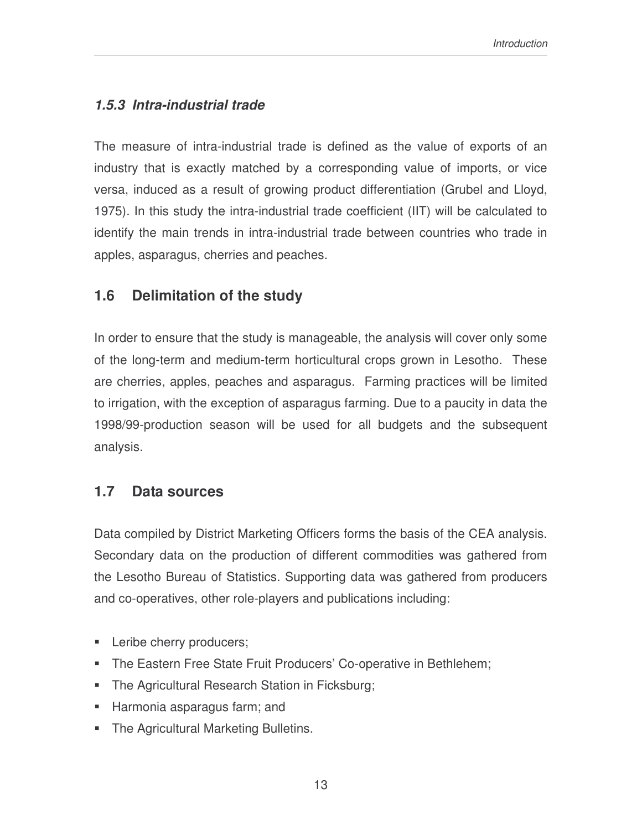## *1.5.3 Intra-industrial trade*

The measure of intra-industrial trade is defined as the value of exports of an industry that is exactly matched by a corresponding value of imports, or vice versa, induced as a result of growing product differentiation (Grubel and Lloyd, 1975). In this study the intra-industrial trade coefficient (IIT) will be calculated to identify the main trends in intra-industrial trade between countries who trade in apples, asparagus, cherries and peaches.

## **1.6 Delimitation of the study**

In order to ensure that the study is manageable, the analysis will cover only some of the long-term and medium-term horticultural crops grown in Lesotho. These are cherries, apples, peaches and asparagus. Farming practices will be limited to irrigation, with the exception of asparagus farming. Due to a paucity in data the 1998/99-production season will be used for all budgets and the subsequent analysis.

## **1.7 Data sources**

Data compiled by District Marketing Officers forms the basis of the CEA analysis. Secondary data on the production of different commodities was gathered from the Lesotho Bureau of Statistics. Supporting data was gathered from producers and co-operatives, other role-players and publications including:

- **Leribe cherry producers;**
- **The Eastern Free State Fruit Producers' Co-operative in Bethlehem;**
- **The Agricultural Research Station in Ficksburg;**
- Harmonia asparagus farm; and
- **The Agricultural Marketing Bulletins.**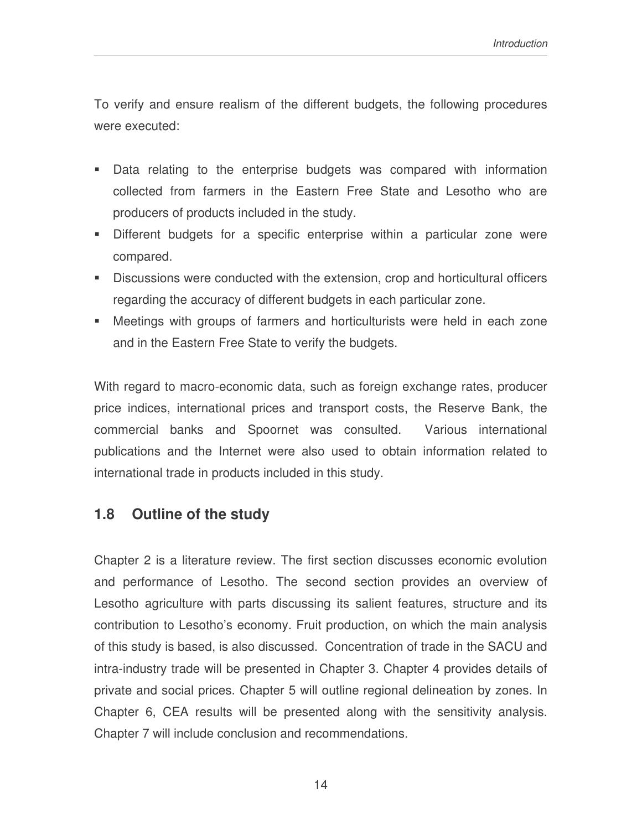To verify and ensure realism of the different budgets, the following procedures were executed:

- Data relating to the enterprise budgets was compared with information collected from farmers in the Eastern Free State and Lesotho who are producers of products included in the study.
- Different budgets for a specific enterprise within a particular zone were compared.
- Discussions were conducted with the extension, crop and horticultural officers regarding the accuracy of different budgets in each particular zone.
- Meetings with groups of farmers and horticulturists were held in each zone and in the Eastern Free State to verify the budgets.

With regard to macro-economic data, such as foreign exchange rates, producer price indices, international prices and transport costs, the Reserve Bank, the commercial banks and Spoornet was consulted. Various international publications and the Internet were also used to obtain information related to international trade in products included in this study.

## **1.8 Outline of the study**

Chapter 2 is a literature review. The first section discusses economic evolution and performance of Lesotho. The second section provides an overview of Lesotho agriculture with parts discussing its salient features, structure and its contribution to Lesotho's economy. Fruit production, on which the main analysis of this study is based, is also discussed. Concentration of trade in the SACU and intra-industry trade will be presented in Chapter 3. Chapter 4 provides details of private and social prices. Chapter 5 will outline regional delineation by zones. In Chapter 6, CEA results will be presented along with the sensitivity analysis. Chapter 7 will include conclusion and recommendations.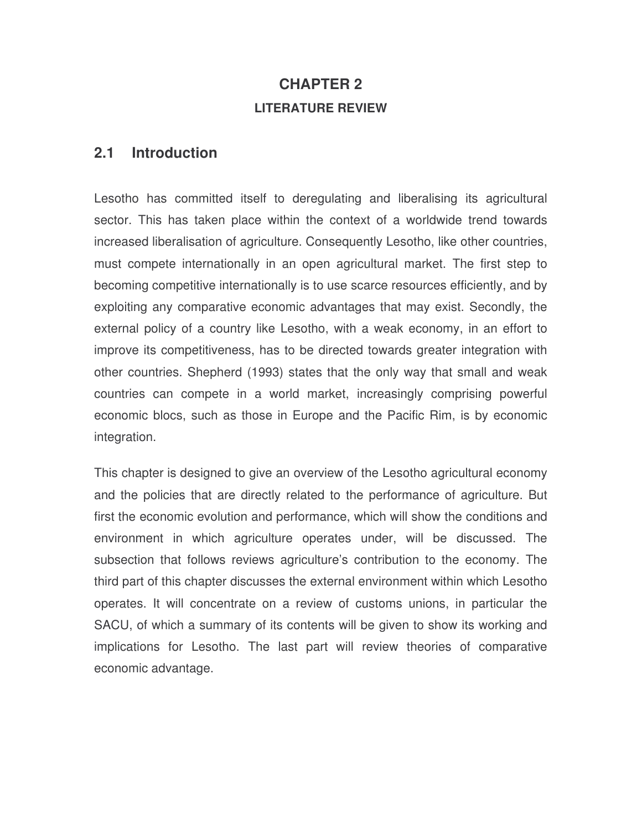# **CHAPTER 2 LITERATURE REVIEW**

### **2.1 Introduction**

Lesotho has committed itself to deregulating and liberalising its agricultural sector. This has taken place within the context of a worldwide trend towards increased liberalisation of agriculture. Consequently Lesotho, like other countries, must compete internationally in an open agricultural market. The first step to becoming competitive internationally is to use scarce resources efficiently, and by exploiting any comparative economic advantages that may exist. Secondly, the external policy of a country like Lesotho, with a weak economy, in an effort to improve its competitiveness, has to be directed towards greater integration with other countries. Shepherd (1993) states that the only way that small and weak countries can compete in a world market, increasingly comprising powerful economic blocs, such as those in Europe and the Pacific Rim, is by economic integration.

This chapter is designed to give an overview of the Lesotho agricultural economy and the policies that are directly related to the performance of agriculture. But first the economic evolution and performance, which will show the conditions and environment in which agriculture operates under, will be discussed. The subsection that follows reviews agriculture's contribution to the economy. The third part of this chapter discusses the external environment within which Lesotho operates. It will concentrate on a review of customs unions, in particular the SACU, of which a summary of its contents will be given to show its working and implications for Lesotho. The last part will review theories of comparative economic advantage.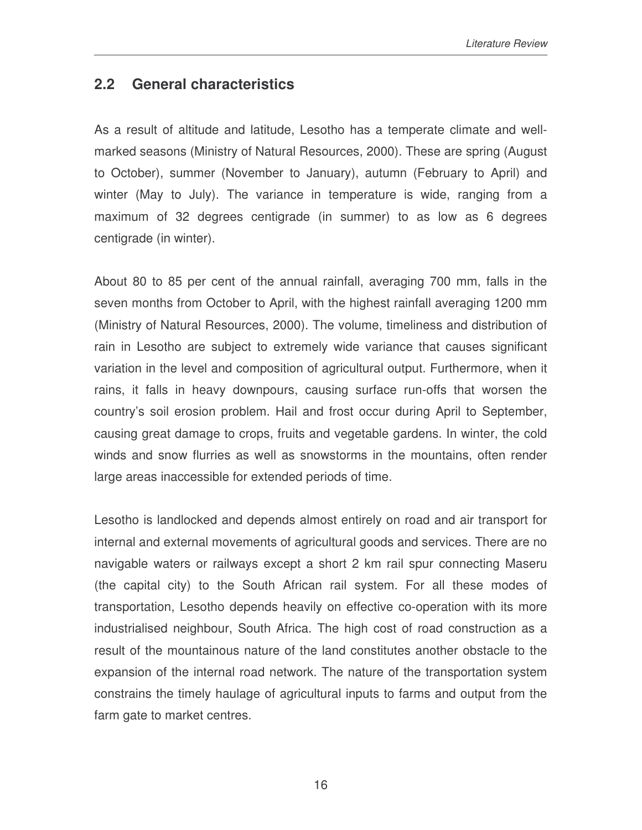## **2.2 General characteristics**

As a result of altitude and latitude, Lesotho has a temperate climate and wellmarked seasons (Ministry of Natural Resources, 2000). These are spring (August to October), summer (November to January), autumn (February to April) and winter (May to July). The variance in temperature is wide, ranging from a maximum of 32 degrees centigrade (in summer) to as low as 6 degrees centigrade (in winter).

About 80 to 85 per cent of the annual rainfall, averaging 700 mm, falls in the seven months from October to April, with the highest rainfall averaging 1200 mm (Ministry of Natural Resources, 2000). The volume, timeliness and distribution of rain in Lesotho are subject to extremely wide variance that causes significant variation in the level and composition of agricultural output. Furthermore, when it rains, it falls in heavy downpours, causing surface run-offs that worsen the country's soil erosion problem. Hail and frost occur during April to September, causing great damage to crops, fruits and vegetable gardens. In winter, the cold winds and snow flurries as well as snowstorms in the mountains, often render large areas inaccessible for extended periods of time.

Lesotho is landlocked and depends almost entirely on road and air transport for internal and external movements of agricultural goods and services. There are no navigable waters or railways except a short 2 km rail spur connecting Maseru (the capital city) to the South African rail system. For all these modes of transportation, Lesotho depends heavily on effective co-operation with its more industrialised neighbour, South Africa. The high cost of road construction as a result of the mountainous nature of the land constitutes another obstacle to the expansion of the internal road network. The nature of the transportation system constrains the timely haulage of agricultural inputs to farms and output from the farm gate to market centres.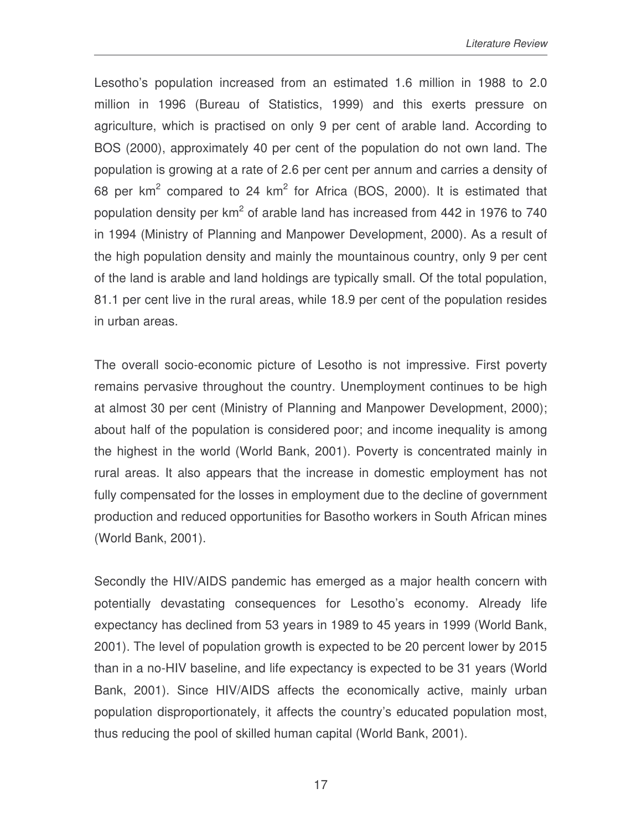Lesotho's population increased from an estimated 1.6 million in 1988 to 2.0 million in 1996 (Bureau of Statistics, 1999) and this exerts pressure on agriculture, which is practised on only 9 per cent of arable land. According to BOS (2000), approximately 40 per cent of the population do not own land. The population is growing at a rate of 2.6 per cent per annum and carries a density of 68 per  $km^2$  compared to 24  $km^2$  for Africa (BOS, 2000). It is estimated that population density per km<sup>2</sup> of arable land has increased from 442 in 1976 to 740 in 1994 (Ministry of Planning and Manpower Development, 2000). As a result of the high population density and mainly the mountainous country, only 9 per cent of the land is arable and land holdings are typically small. Of the total population, 81.1 per cent live in the rural areas, while 18.9 per cent of the population resides in urban areas.

The overall socio-economic picture of Lesotho is not impressive. First poverty remains pervasive throughout the country. Unemployment continues to be high at almost 30 per cent (Ministry of Planning and Manpower Development, 2000); about half of the population is considered poor; and income inequality is among the highest in the world (World Bank, 2001). Poverty is concentrated mainly in rural areas. It also appears that the increase in domestic employment has not fully compensated for the losses in employment due to the decline of government production and reduced opportunities for Basotho workers in South African mines (World Bank, 2001).

Secondly the HIV/AIDS pandemic has emerged as a major health concern with potentially devastating consequences for Lesotho's economy. Already life expectancy has declined from 53 years in 1989 to 45 years in 1999 (World Bank, 2001). The level of population growth is expected to be 20 percent lower by 2015 than in a no-HIV baseline, and life expectancy is expected to be 31 years (World Bank, 2001). Since HIV/AIDS affects the economically active, mainly urban population disproportionately, it affects the country's educated population most, thus reducing the pool of skilled human capital (World Bank, 2001).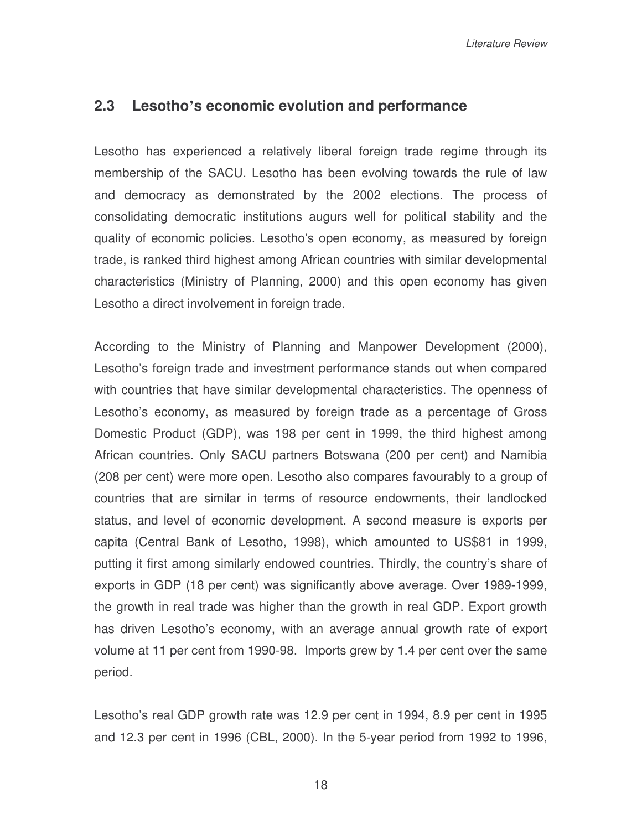## **2.3 Lesotho's economic evolution and performance**

Lesotho has experienced a relatively liberal foreign trade regime through its membership of the SACU. Lesotho has been evolving towards the rule of law and democracy as demonstrated by the 2002 elections. The process of consolidating democratic institutions augurs well for political stability and the quality of economic policies. Lesotho's open economy, as measured by foreign trade, is ranked third highest among African countries with similar developmental characteristics (Ministry of Planning, 2000) and this open economy has given Lesotho a direct involvement in foreign trade.

According to the Ministry of Planning and Manpower Development (2000), Lesotho's foreign trade and investment performance stands out when compared with countries that have similar developmental characteristics. The openness of Lesotho's economy, as measured by foreign trade as a percentage of Gross Domestic Product (GDP), was 198 per cent in 1999, the third highest among African countries. Only SACU partners Botswana (200 per cent) and Namibia (208 per cent) were more open. Lesotho also compares favourably to a group of countries that are similar in terms of resource endowments, their landlocked status, and level of economic development. A second measure is exports per capita (Central Bank of Lesotho, 1998), which amounted to US\$81 in 1999, putting it first among similarly endowed countries. Thirdly, the country's share of exports in GDP (18 per cent) was significantly above average. Over 1989-1999, the growth in real trade was higher than the growth in real GDP. Export growth has driven Lesotho's economy, with an average annual growth rate of export volume at 11 per cent from 1990-98. Imports grew by 1.4 per cent over the same period.

Lesotho's real GDP growth rate was 12.9 per cent in 1994, 8.9 per cent in 1995 and 12.3 per cent in 1996 (CBL, 2000). In the 5-year period from 1992 to 1996,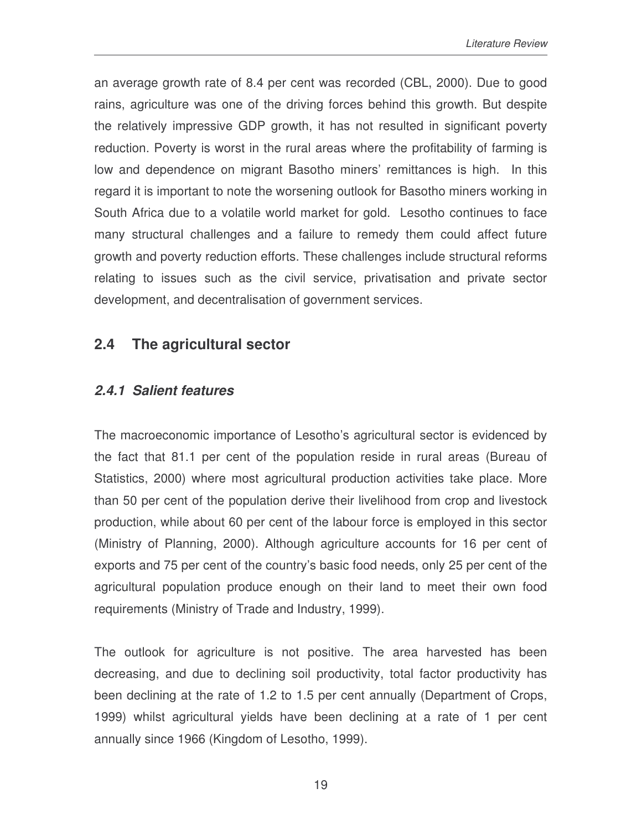an average growth rate of 8.4 per cent was recorded (CBL, 2000). Due to good rains, agriculture was one of the driving forces behind this growth. But despite the relatively impressive GDP growth, it has not resulted in significant poverty reduction. Poverty is worst in the rural areas where the profitability of farming is low and dependence on migrant Basotho miners' remittances is high. In this regard it is important to note the worsening outlook for Basotho miners working in South Africa due to a volatile world market for gold. Lesotho continues to face many structural challenges and a failure to remedy them could affect future growth and poverty reduction efforts. These challenges include structural reforms relating to issues such as the civil service, privatisation and private sector development, and decentralisation of government services.

## **2.4 The agricultural sector**

## *2.4.1 Salient features*

The macroeconomic importance of Lesotho's agricultural sector is evidenced by the fact that 81.1 per cent of the population reside in rural areas (Bureau of Statistics, 2000) where most agricultural production activities take place. More than 50 per cent of the population derive their livelihood from crop and livestock production, while about 60 per cent of the labour force is employed in this sector (Ministry of Planning, 2000). Although agriculture accounts for 16 per cent of exports and 75 per cent of the country's basic food needs, only 25 per cent of the agricultural population produce enough on their land to meet their own food requirements (Ministry of Trade and Industry, 1999).

The outlook for agriculture is not positive. The area harvested has been decreasing, and due to declining soil productivity, total factor productivity has been declining at the rate of 1.2 to 1.5 per cent annually (Department of Crops, 1999) whilst agricultural yields have been declining at a rate of 1 per cent annually since 1966 (Kingdom of Lesotho, 1999).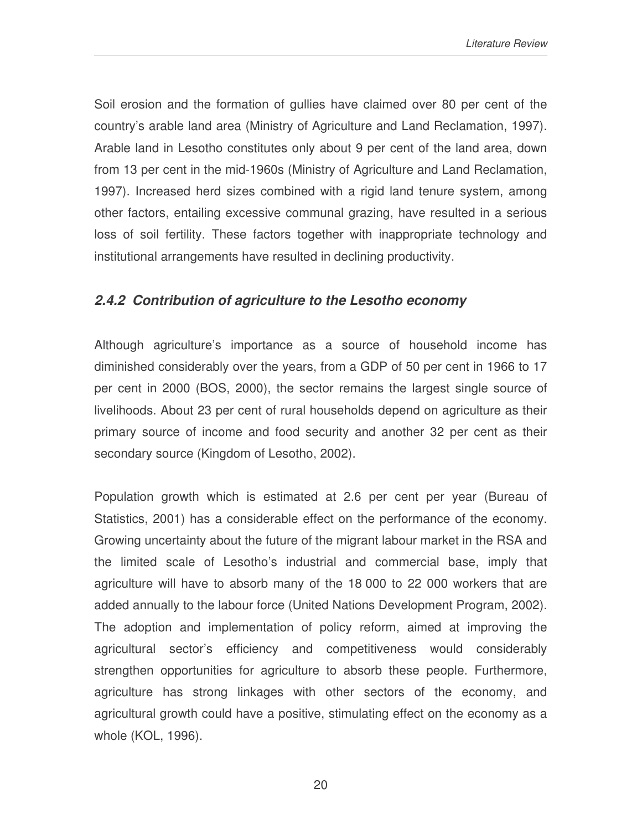Soil erosion and the formation of gullies have claimed over 80 per cent of the country's arable land area (Ministry of Agriculture and Land Reclamation, 1997). Arable land in Lesotho constitutes only about 9 per cent of the land area, down from 13 per cent in the mid-1960s (Ministry of Agriculture and Land Reclamation, 1997). Increased herd sizes combined with a rigid land tenure system, among other factors, entailing excessive communal grazing, have resulted in a serious loss of soil fertility. These factors together with inappropriate technology and institutional arrangements have resulted in declining productivity.

## *2.4.2 Contribution of agriculture to the Lesotho economy*

Although agriculture's importance as a source of household income has diminished considerably over the years, from a GDP of 50 per cent in 1966 to 17 per cent in 2000 (BOS, 2000), the sector remains the largest single source of livelihoods. About 23 per cent of rural households depend on agriculture as their primary source of income and food security and another 32 per cent as their secondary source (Kingdom of Lesotho, 2002).

Population growth which is estimated at 2.6 per cent per year (Bureau of Statistics, 2001) has a considerable effect on the performance of the economy. Growing uncertainty about the future of the migrant labour market in the RSA and the limited scale of Lesotho's industrial and commercial base, imply that agriculture will have to absorb many of the 18 000 to 22 000 workers that are added annually to the labour force (United Nations Development Program, 2002). The adoption and implementation of policy reform, aimed at improving the agricultural sector's efficiency and competitiveness would considerably strengthen opportunities for agriculture to absorb these people. Furthermore, agriculture has strong linkages with other sectors of the economy, and agricultural growth could have a positive, stimulating effect on the economy as a whole (KOL, 1996).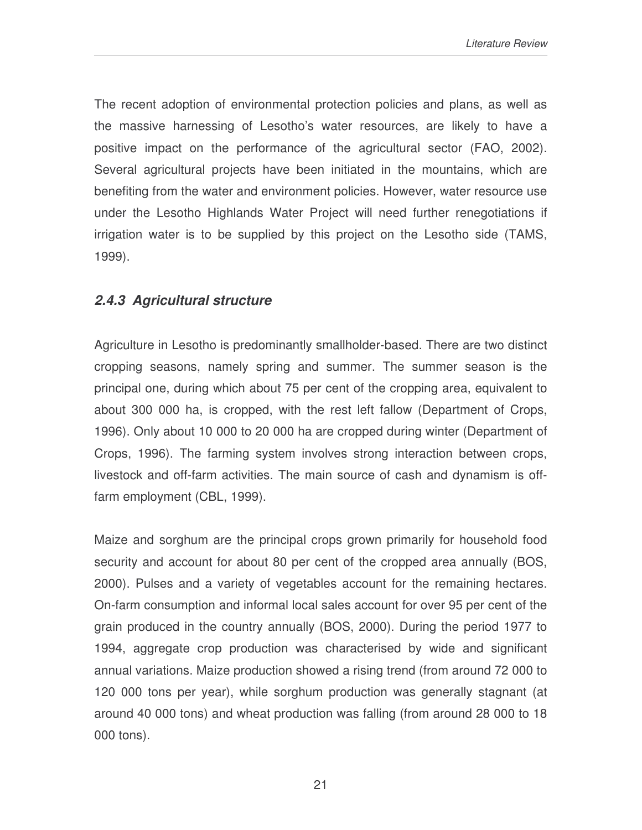The recent adoption of environmental protection policies and plans, as well as the massive harnessing of Lesotho's water resources, are likely to have a positive impact on the performance of the agricultural sector (FAO, 2002). Several agricultural projects have been initiated in the mountains, which are benefiting from the water and environment policies. However, water resource use under the Lesotho Highlands Water Project will need further renegotiations if irrigation water is to be supplied by this project on the Lesotho side (TAMS, 1999).

## *2.4.3 Agricultural structure*

Agriculture in Lesotho is predominantly smallholder-based. There are two distinct cropping seasons, namely spring and summer. The summer season is the principal one, during which about 75 per cent of the cropping area, equivalent to about 300 000 ha, is cropped, with the rest left fallow (Department of Crops, 1996). Only about 10 000 to 20 000 ha are cropped during winter (Department of Crops, 1996). The farming system involves strong interaction between crops, livestock and off-farm activities. The main source of cash and dynamism is offfarm employment (CBL, 1999).

Maize and sorghum are the principal crops grown primarily for household food security and account for about 80 per cent of the cropped area annually (BOS, 2000). Pulses and a variety of vegetables account for the remaining hectares. On-farm consumption and informal local sales account for over 95 per cent of the grain produced in the country annually (BOS, 2000). During the period 1977 to 1994, aggregate crop production was characterised by wide and significant annual variations. Maize production showed a rising trend (from around 72 000 to 120 000 tons per year), while sorghum production was generally stagnant (at around 40 000 tons) and wheat production was falling (from around 28 000 to 18 000 tons).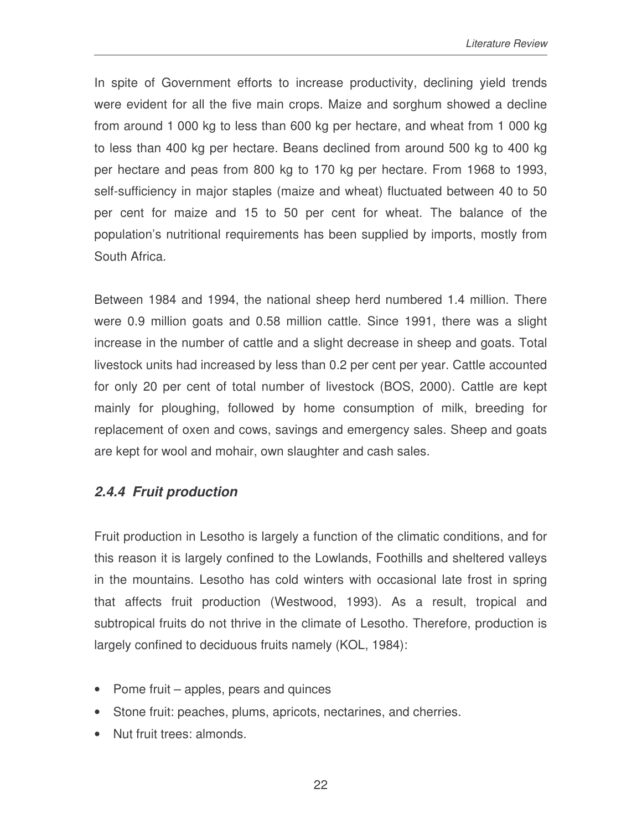In spite of Government efforts to increase productivity, declining yield trends were evident for all the five main crops. Maize and sorghum showed a decline from around 1 000 kg to less than 600 kg per hectare, and wheat from 1 000 kg to less than 400 kg per hectare. Beans declined from around 500 kg to 400 kg per hectare and peas from 800 kg to 170 kg per hectare. From 1968 to 1993, self-sufficiency in major staples (maize and wheat) fluctuated between 40 to 50 per cent for maize and 15 to 50 per cent for wheat. The balance of the population's nutritional requirements has been supplied by imports, mostly from South Africa.

Between 1984 and 1994, the national sheep herd numbered 1.4 million. There were 0.9 million goats and 0.58 million cattle. Since 1991, there was a slight increase in the number of cattle and a slight decrease in sheep and goats. Total livestock units had increased by less than 0.2 per cent per year. Cattle accounted for only 20 per cent of total number of livestock (BOS, 2000). Cattle are kept mainly for ploughing, followed by home consumption of milk, breeding for replacement of oxen and cows, savings and emergency sales. Sheep and goats are kept for wool and mohair, own slaughter and cash sales.

## *2.4.4 Fruit production*

Fruit production in Lesotho is largely a function of the climatic conditions, and for this reason it is largely confined to the Lowlands, Foothills and sheltered valleys in the mountains. Lesotho has cold winters with occasional late frost in spring that affects fruit production (Westwood, 1993). As a result, tropical and subtropical fruits do not thrive in the climate of Lesotho. Therefore, production is largely confined to deciduous fruits namely (KOL, 1984):

- Pome fruit apples, pears and quinces
- Stone fruit: peaches, plums, apricots, nectarines, and cherries.
- Nut fruit trees: almonds.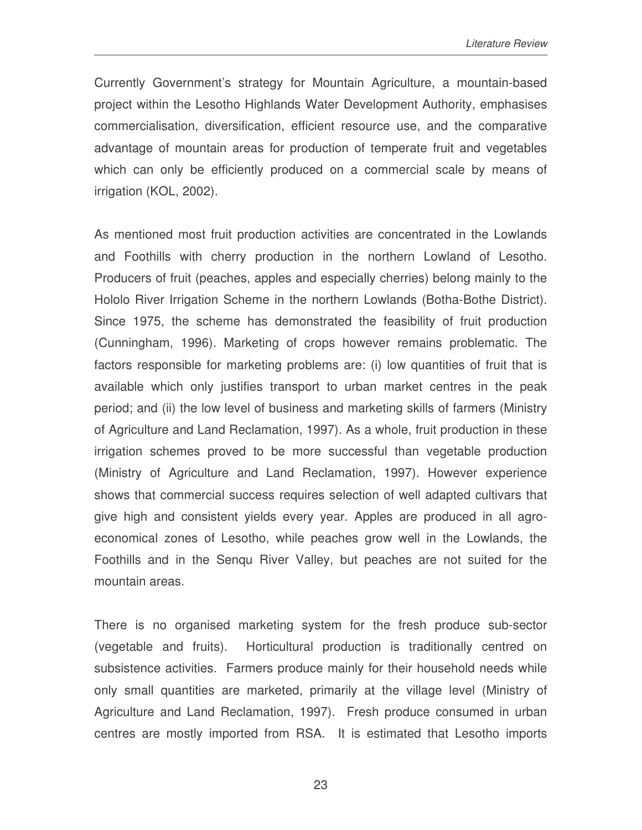Currently Government's strategy for Mountain Agriculture, a mountain-based project within the Lesotho Highlands Water Development Authority, emphasises commercialisation, diversification, efficient resource use, and the comparative advantage of mountain areas for production of temperate fruit and vegetables which can only be efficiently produced on a commercial scale by means of irrigation (KOL, 2002).

As mentioned most fruit production activities are concentrated in the Lowlands and Foothills with cherry production in the northern Lowland of Lesotho. Producers of fruit (peaches, apples and especially cherries) belong mainly to the Hololo River Irrigation Scheme in the northern Lowlands (Botha-Bothe District). Since 1975, the scheme has demonstrated the feasibility of fruit production (Cunningham, 1996). Marketing of crops however remains problematic. The factors responsible for marketing problems are: (i) low quantities of fruit that is available which only justifies transport to urban market centres in the peak period; and (ii) the low level of business and marketing skills of farmers (Ministry of Agriculture and Land Reclamation, 1997). As a whole, fruit production in these irrigation schemes proved to be more successful than vegetable production (Ministry of Agriculture and Land Reclamation, 1997). However experience shows that commercial success requires selection of well adapted cultivars that give high and consistent yields every year. Apples are produced in all agroeconomical zones of Lesotho, while peaches grow well in the Lowlands, the Foothills and in the Senqu River Valley, but peaches are not suited for the mountain areas.

There is no organised marketing system for the fresh produce sub-sector (vegetable and fruits). Horticultural production is traditionally centred on subsistence activities. Farmers produce mainly for their household needs while only small quantities are marketed, primarily at the village level (Ministry of Agriculture and Land Reclamation, 1997). Fresh produce consumed in urban centres are mostly imported from RSA. It is estimated that Lesotho imports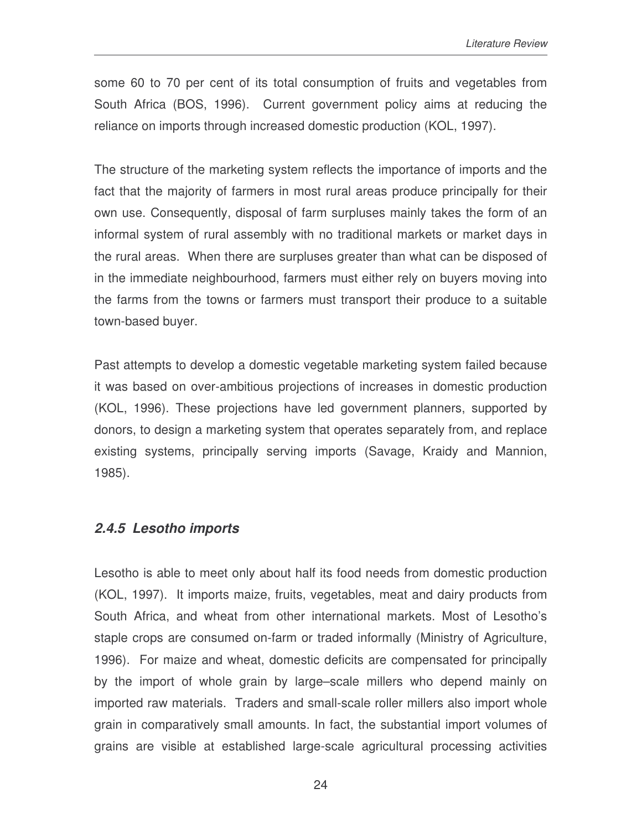some 60 to 70 per cent of its total consumption of fruits and vegetables from South Africa (BOS, 1996). Current government policy aims at reducing the reliance on imports through increased domestic production (KOL, 1997).

The structure of the marketing system reflects the importance of imports and the fact that the majority of farmers in most rural areas produce principally for their own use. Consequently, disposal of farm surpluses mainly takes the form of an informal system of rural assembly with no traditional markets or market days in the rural areas. When there are surpluses greater than what can be disposed of in the immediate neighbourhood, farmers must either rely on buyers moving into the farms from the towns or farmers must transport their produce to a suitable town-based buyer.

Past attempts to develop a domestic vegetable marketing system failed because it was based on over-ambitious projections of increases in domestic production (KOL, 1996). These projections have led government planners, supported by donors, to design a marketing system that operates separately from, and replace existing systems, principally serving imports (Savage, Kraidy and Mannion, 1985).

### *2.4.5 Lesotho imports*

Lesotho is able to meet only about half its food needs from domestic production (KOL, 1997). It imports maize, fruits, vegetables, meat and dairy products from South Africa, and wheat from other international markets. Most of Lesotho's staple crops are consumed on-farm or traded informally (Ministry of Agriculture, 1996). For maize and wheat, domestic deficits are compensated for principally by the import of whole grain by large–scale millers who depend mainly on imported raw materials. Traders and small-scale roller millers also import whole grain in comparatively small amounts. In fact, the substantial import volumes of grains are visible at established large-scale agricultural processing activities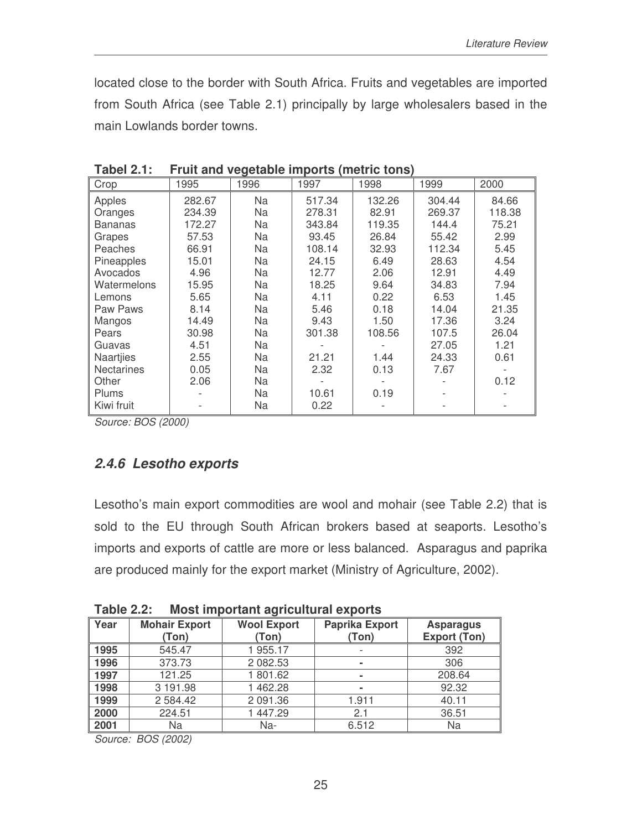located close to the border with South Africa. Fruits and vegetables are imported from South Africa (see Table 2.1) principally by large wholesalers based in the main Lowlands border towns.

| Crop              | 1995   | 1996      | 1997   | 1998   | 1999   | 2000   |
|-------------------|--------|-----------|--------|--------|--------|--------|
| Apples            | 282.67 | <b>Na</b> | 517.34 | 132.26 | 304.44 | 84.66  |
| Oranges           | 234.39 | Na        | 278.31 | 82.91  | 269.37 | 118.38 |
| <b>Bananas</b>    | 172.27 | Na        | 343.84 | 119.35 | 144.4  | 75.21  |
| Grapes            | 57.53  | <b>Na</b> | 93.45  | 26.84  | 55.42  | 2.99   |
| Peaches           | 66.91  | Na        | 108.14 | 32.93  | 112.34 | 5.45   |
| Pineapples        | 15.01  | Na        | 24.15  | 6.49   | 28.63  | 4.54   |
| Avocados          | 4.96   | <b>Na</b> | 12.77  | 2.06   | 12.91  | 4.49   |
| Watermelons       | 15.95  | Na        | 18.25  | 9.64   | 34.83  | 7.94   |
| Lemons            | 5.65   | Na        | 4.11   | 0.22   | 6.53   | 1.45   |
| Paw Paws          | 8.14   | Na        | 5.46   | 0.18   | 14.04  | 21.35  |
| Mangos            | 14.49  | Na        | 9.43   | 1.50   | 17.36  | 3.24   |
| Pears             | 30.98  | Na        | 301.38 | 108.56 | 107.5  | 26.04  |
| Guavas            | 4.51   | Na        |        |        | 27.05  | 1.21   |
| Naartjies         | 2.55   | Na        | 21.21  | 1.44   | 24.33  | 0.61   |
| <b>Nectarines</b> | 0.05   | Na        | 2.32   | 0.13   | 7.67   |        |
| Other             | 2.06   | Na        |        |        |        | 0.12   |
| Plums             |        | Na        | 10.61  | 0.19   |        |        |
| Kiwi fruit        |        | Na        | 0.22   |        |        |        |

**Tabel 2.1: Fruit and vegetable imports (metric tons)**

*Source: BOS (2000)*

### *2.4.6 Lesotho exports*

Lesotho's main export commodities are wool and mohair (see Table 2.2) that is sold to the EU through South African brokers based at seaports. Lesotho's imports and exports of cattle are more or less balanced. Asparagus and paprika are produced mainly for the export market (Ministry of Agriculture, 2002).

**Table 2.2: Most important agricultural exports**

| Year   | <b>Mohair Export</b><br>(Ton) | <b>Wool Export</b><br>(Ton) | <b>Paprika Export</b><br>(Ton) | <b>Asparagus</b><br><b>Export (Ton)</b> |
|--------|-------------------------------|-----------------------------|--------------------------------|-----------------------------------------|
| ∥ 1995 | 545.47                        | 1 955.17                    |                                | 392                                     |
| ∥ 1996 | 373.73                        | 2 082.53                    | $\blacksquare$                 | 306                                     |
| 1997   | 121.25                        | 1 801.62                    | $\blacksquare$                 | 208.64                                  |
| ∥ 1998 | 3 191.98                      | 462.28                      | $\blacksquare$                 | 92.32                                   |
| 1999   | 2 5 8 4 . 4 2                 | 2 091.36                    | 1.911                          | 40.11                                   |
| 2000   | 224.51                        | 447.29                      | 2.1                            | 36.51                                   |
| 2001   | Na                            | Na-                         | 6.512                          | Na                                      |

*Source: BOS (2002)*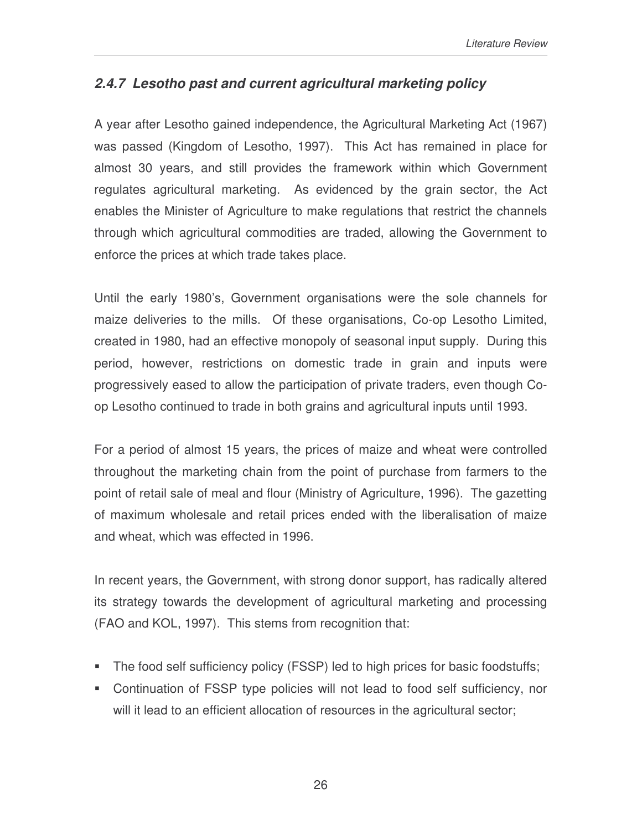## *2.4.7 Lesotho past and current agricultural marketing policy*

A year after Lesotho gained independence, the Agricultural Marketing Act (1967) was passed (Kingdom of Lesotho, 1997). This Act has remained in place for almost 30 years, and still provides the framework within which Government regulates agricultural marketing. As evidenced by the grain sector, the Act enables the Minister of Agriculture to make regulations that restrict the channels through which agricultural commodities are traded, allowing the Government to enforce the prices at which trade takes place.

Until the early 1980's, Government organisations were the sole channels for maize deliveries to the mills. Of these organisations, Co-op Lesotho Limited, created in 1980, had an effective monopoly of seasonal input supply. During this period, however, restrictions on domestic trade in grain and inputs were progressively eased to allow the participation of private traders, even though Coop Lesotho continued to trade in both grains and agricultural inputs until 1993.

For a period of almost 15 years, the prices of maize and wheat were controlled throughout the marketing chain from the point of purchase from farmers to the point of retail sale of meal and flour (Ministry of Agriculture, 1996). The gazetting of maximum wholesale and retail prices ended with the liberalisation of maize and wheat, which was effected in 1996.

In recent years, the Government, with strong donor support, has radically altered its strategy towards the development of agricultural marketing and processing (FAO and KOL, 1997). This stems from recognition that:

- The food self sufficiency policy (FSSP) led to high prices for basic foodstuffs;
- Continuation of FSSP type policies will not lead to food self sufficiency, nor will it lead to an efficient allocation of resources in the agricultural sector;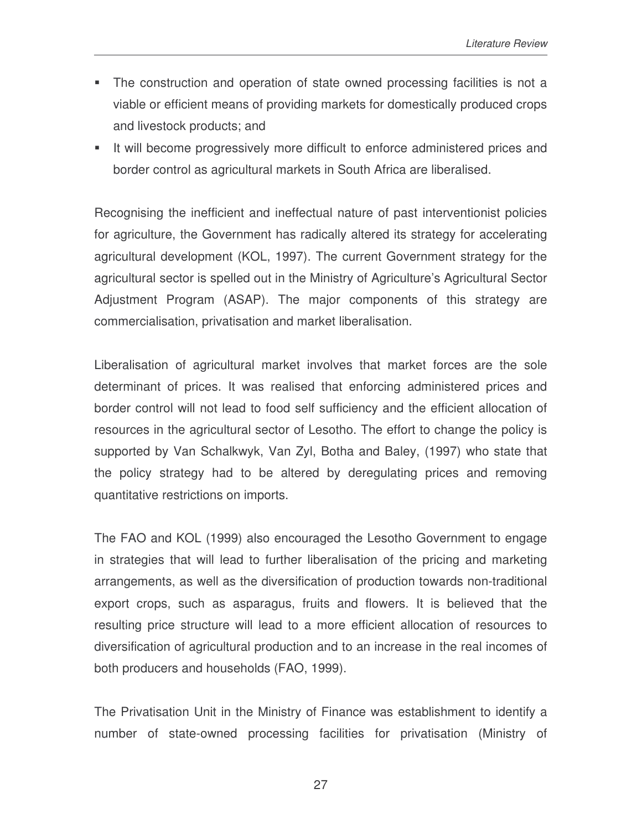- The construction and operation of state owned processing facilities is not a viable or efficient means of providing markets for domestically produced crops and livestock products; and
- It will become progressively more difficult to enforce administered prices and border control as agricultural markets in South Africa are liberalised.

Recognising the inefficient and ineffectual nature of past interventionist policies for agriculture, the Government has radically altered its strategy for accelerating agricultural development (KOL, 1997). The current Government strategy for the agricultural sector is spelled out in the Ministry of Agriculture's Agricultural Sector Adjustment Program (ASAP). The major components of this strategy are commercialisation, privatisation and market liberalisation.

Liberalisation of agricultural market involves that market forces are the sole determinant of prices. It was realised that enforcing administered prices and border control will not lead to food self sufficiency and the efficient allocation of resources in the agricultural sector of Lesotho. The effort to change the policy is supported by Van Schalkwyk, Van Zyl, Botha and Baley, (1997) who state that the policy strategy had to be altered by deregulating prices and removing quantitative restrictions on imports.

The FAO and KOL (1999) also encouraged the Lesotho Government to engage in strategies that will lead to further liberalisation of the pricing and marketing arrangements, as well as the diversification of production towards non-traditional export crops, such as asparagus, fruits and flowers. It is believed that the resulting price structure will lead to a more efficient allocation of resources to diversification of agricultural production and to an increase in the real incomes of both producers and households (FAO, 1999).

The Privatisation Unit in the Ministry of Finance was establishment to identify a number of state-owned processing facilities for privatisation (Ministry of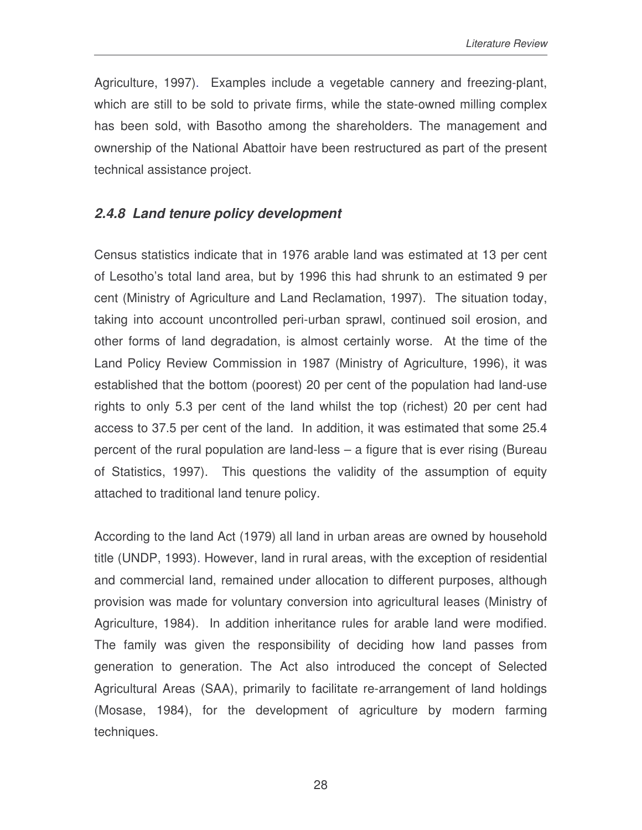Agriculture, 1997). Examples include a vegetable cannery and freezing-plant, which are still to be sold to private firms, while the state-owned milling complex has been sold, with Basotho among the shareholders. The management and ownership of the National Abattoir have been restructured as part of the present technical assistance project.

### *2.4.8 Land tenure policy development*

Census statistics indicate that in 1976 arable land was estimated at 13 per cent of Lesotho's total land area, but by 1996 this had shrunk to an estimated 9 per cent (Ministry of Agriculture and Land Reclamation, 1997). The situation today, taking into account uncontrolled peri-urban sprawl, continued soil erosion, and other forms of land degradation, is almost certainly worse. At the time of the Land Policy Review Commission in 1987 (Ministry of Agriculture, 1996), it was established that the bottom (poorest) 20 per cent of the population had land-use rights to only 5.3 per cent of the land whilst the top (richest) 20 per cent had access to 37.5 per cent of the land. In addition, it was estimated that some 25.4 percent of the rural population are land-less – a figure that is ever rising (Bureau of Statistics, 1997). This questions the validity of the assumption of equity attached to traditional land tenure policy.

According to the land Act (1979) all land in urban areas are owned by household title (UNDP, 1993). However, land in rural areas, with the exception of residential and commercial land, remained under allocation to different purposes, although provision was made for voluntary conversion into agricultural leases (Ministry of Agriculture, 1984). In addition inheritance rules for arable land were modified. The family was given the responsibility of deciding how land passes from generation to generation. The Act also introduced the concept of Selected Agricultural Areas (SAA), primarily to facilitate re-arrangement of land holdings (Mosase, 1984), for the development of agriculture by modern farming techniques.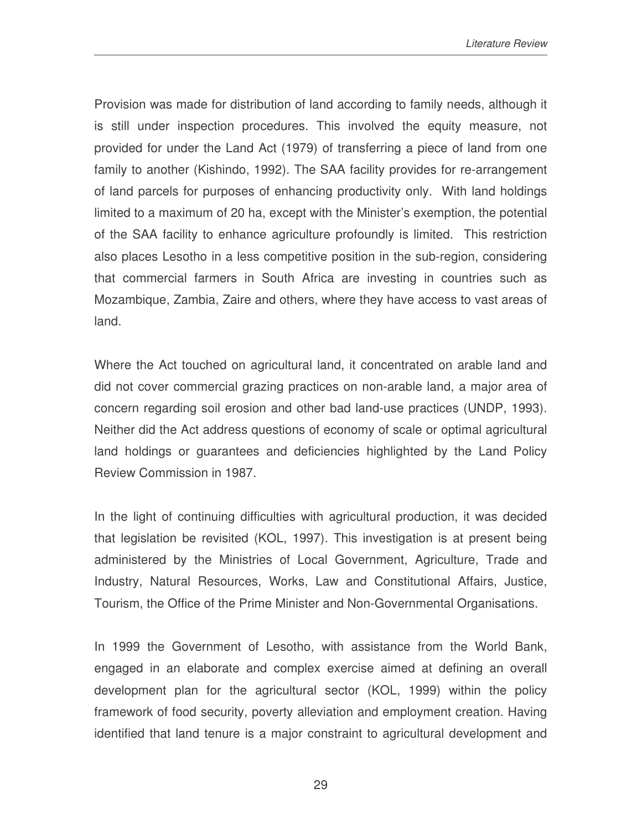Provision was made for distribution of land according to family needs, although it is still under inspection procedures. This involved the equity measure, not provided for under the Land Act (1979) of transferring a piece of land from one family to another (Kishindo, 1992). The SAA facility provides for re-arrangement of land parcels for purposes of enhancing productivity only. With land holdings limited to a maximum of 20 ha, except with the Minister's exemption, the potential of the SAA facility to enhance agriculture profoundly is limited. This restriction also places Lesotho in a less competitive position in the sub-region, considering that commercial farmers in South Africa are investing in countries such as Mozambique, Zambia, Zaire and others, where they have access to vast areas of land.

Where the Act touched on agricultural land, it concentrated on arable land and did not cover commercial grazing practices on non-arable land, a major area of concern regarding soil erosion and other bad land-use practices (UNDP, 1993). Neither did the Act address questions of economy of scale or optimal agricultural land holdings or guarantees and deficiencies highlighted by the Land Policy Review Commission in 1987.

In the light of continuing difficulties with agricultural production, it was decided that legislation be revisited (KOL, 1997). This investigation is at present being administered by the Ministries of Local Government, Agriculture, Trade and Industry, Natural Resources, Works, Law and Constitutional Affairs, Justice, Tourism, the Office of the Prime Minister and Non-Governmental Organisations.

In 1999 the Government of Lesotho, with assistance from the World Bank, engaged in an elaborate and complex exercise aimed at defining an overall development plan for the agricultural sector (KOL, 1999) within the policy framework of food security, poverty alleviation and employment creation. Having identified that land tenure is a major constraint to agricultural development and

29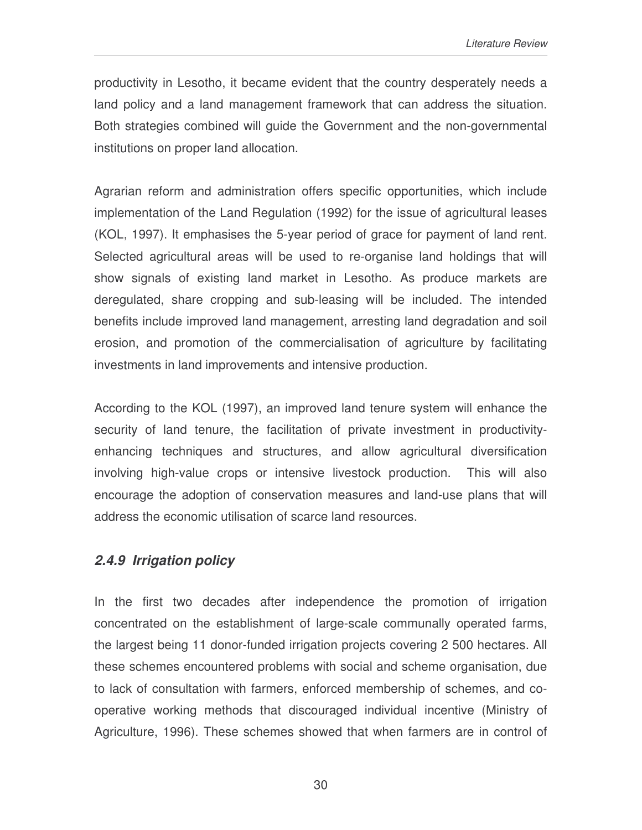productivity in Lesotho, it became evident that the country desperately needs a land policy and a land management framework that can address the situation. Both strategies combined will guide the Government and the non-governmental institutions on proper land allocation.

Agrarian reform and administration offers specific opportunities, which include implementation of the Land Regulation (1992) for the issue of agricultural leases (KOL, 1997). It emphasises the 5-year period of grace for payment of land rent. Selected agricultural areas will be used to re-organise land holdings that will show signals of existing land market in Lesotho. As produce markets are deregulated, share cropping and sub-leasing will be included. The intended benefits include improved land management, arresting land degradation and soil erosion, and promotion of the commercialisation of agriculture by facilitating investments in land improvements and intensive production.

According to the KOL (1997), an improved land tenure system will enhance the security of land tenure, the facilitation of private investment in productivityenhancing techniques and structures, and allow agricultural diversification involving high-value crops or intensive livestock production. This will also encourage the adoption of conservation measures and land-use plans that will address the economic utilisation of scarce land resources.

### *2.4.9 Irrigation policy*

In the first two decades after independence the promotion of irrigation concentrated on the establishment of large-scale communally operated farms, the largest being 11 donor-funded irrigation projects covering 2 500 hectares. All these schemes encountered problems with social and scheme organisation, due to lack of consultation with farmers, enforced membership of schemes, and cooperative working methods that discouraged individual incentive (Ministry of Agriculture, 1996). These schemes showed that when farmers are in control of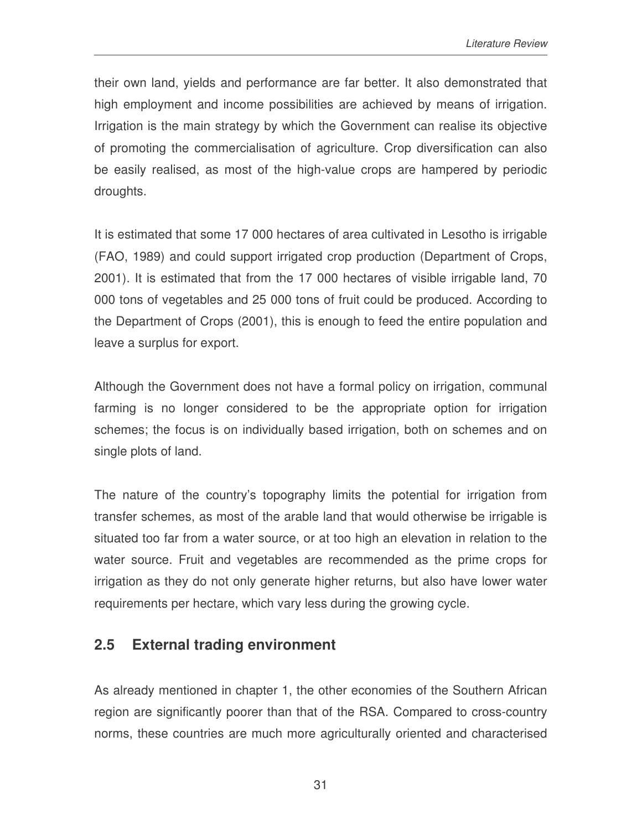their own land, yields and performance are far better. It also demonstrated that high employment and income possibilities are achieved by means of irrigation. Irrigation is the main strategy by which the Government can realise its objective of promoting the commercialisation of agriculture. Crop diversification can also be easily realised, as most of the high-value crops are hampered by periodic droughts.

It is estimated that some 17 000 hectares of area cultivated in Lesotho is irrigable (FAO, 1989) and could support irrigated crop production (Department of Crops, 2001). It is estimated that from the 17 000 hectares of visible irrigable land, 70 000 tons of vegetables and 25 000 tons of fruit could be produced. According to the Department of Crops (2001), this is enough to feed the entire population and leave a surplus for export.

Although the Government does not have a formal policy on irrigation, communal farming is no longer considered to be the appropriate option for irrigation schemes; the focus is on individually based irrigation, both on schemes and on single plots of land.

The nature of the country's topography limits the potential for irrigation from transfer schemes, as most of the arable land that would otherwise be irrigable is situated too far from a water source, or at too high an elevation in relation to the water source. Fruit and vegetables are recommended as the prime crops for irrigation as they do not only generate higher returns, but also have lower water requirements per hectare, which vary less during the growing cycle.

## **2.5 External trading environment**

As already mentioned in chapter 1, the other economies of the Southern African region are significantly poorer than that of the RSA. Compared to cross-country norms, these countries are much more agriculturally oriented and characterised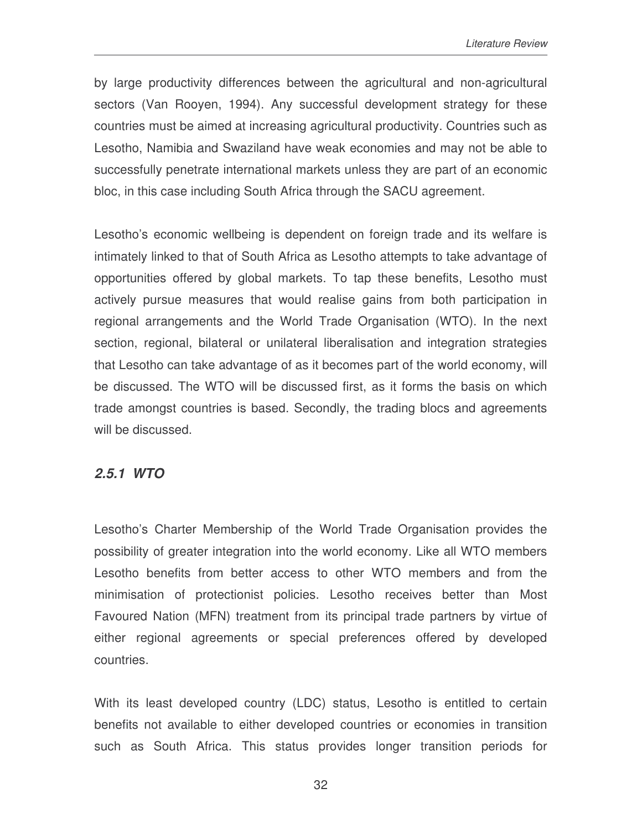by large productivity differences between the agricultural and non-agricultural sectors (Van Rooyen, 1994). Any successful development strategy for these countries must be aimed at increasing agricultural productivity. Countries such as Lesotho, Namibia and Swaziland have weak economies and may not be able to successfully penetrate international markets unless they are part of an economic bloc, in this case including South Africa through the SACU agreement.

Lesotho's economic wellbeing is dependent on foreign trade and its welfare is intimately linked to that of South Africa as Lesotho attempts to take advantage of opportunities offered by global markets. To tap these benefits, Lesotho must actively pursue measures that would realise gains from both participation in regional arrangements and the World Trade Organisation (WTO). In the next section, regional, bilateral or unilateral liberalisation and integration strategies that Lesotho can take advantage of as it becomes part of the world economy, will be discussed. The WTO will be discussed first, as it forms the basis on which trade amongst countries is based. Secondly, the trading blocs and agreements will be discussed.

#### *2.5.1 WTO*

Lesotho's Charter Membership of the World Trade Organisation provides the possibility of greater integration into the world economy. Like all WTO members Lesotho benefits from better access to other WTO members and from the minimisation of protectionist policies. Lesotho receives better than Most Favoured Nation (MFN) treatment from its principal trade partners by virtue of either regional agreements or special preferences offered by developed countries.

With its least developed country (LDC) status, Lesotho is entitled to certain benefits not available to either developed countries or economies in transition such as South Africa. This status provides longer transition periods for

32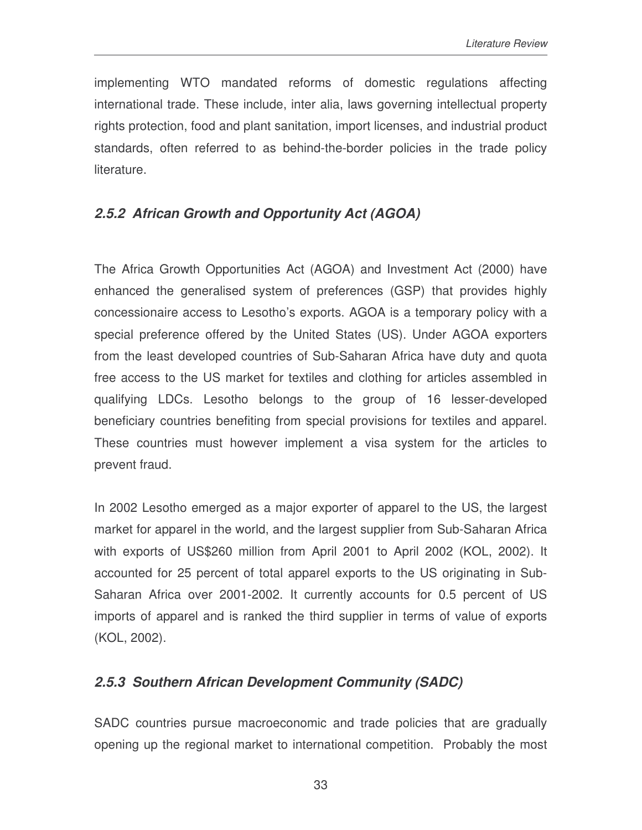implementing WTO mandated reforms of domestic regulations affecting international trade. These include, inter alia, laws governing intellectual property rights protection, food and plant sanitation, import licenses, and industrial product standards, often referred to as behind-the-border policies in the trade policy literature.

### *2.5.2 African Growth and Opportunity Act (AGOA)*

The Africa Growth Opportunities Act (AGOA) and Investment Act (2000) have enhanced the generalised system of preferences (GSP) that provides highly concessionaire access to Lesotho's exports. AGOA is a temporary policy with a special preference offered by the United States (US). Under AGOA exporters from the least developed countries of Sub-Saharan Africa have duty and quota free access to the US market for textiles and clothing for articles assembled in qualifying LDCs. Lesotho belongs to the group of 16 lesser-developed beneficiary countries benefiting from special provisions for textiles and apparel. These countries must however implement a visa system for the articles to prevent fraud.

In 2002 Lesotho emerged as a major exporter of apparel to the US, the largest market for apparel in the world, and the largest supplier from Sub-Saharan Africa with exports of US\$260 million from April 2001 to April 2002 (KOL, 2002). It accounted for 25 percent of total apparel exports to the US originating in Sub-Saharan Africa over 2001-2002. It currently accounts for 0.5 percent of US imports of apparel and is ranked the third supplier in terms of value of exports (KOL, 2002).

### *2.5.3 Southern African Development Community (SADC)*

SADC countries pursue macroeconomic and trade policies that are gradually opening up the regional market to international competition. Probably the most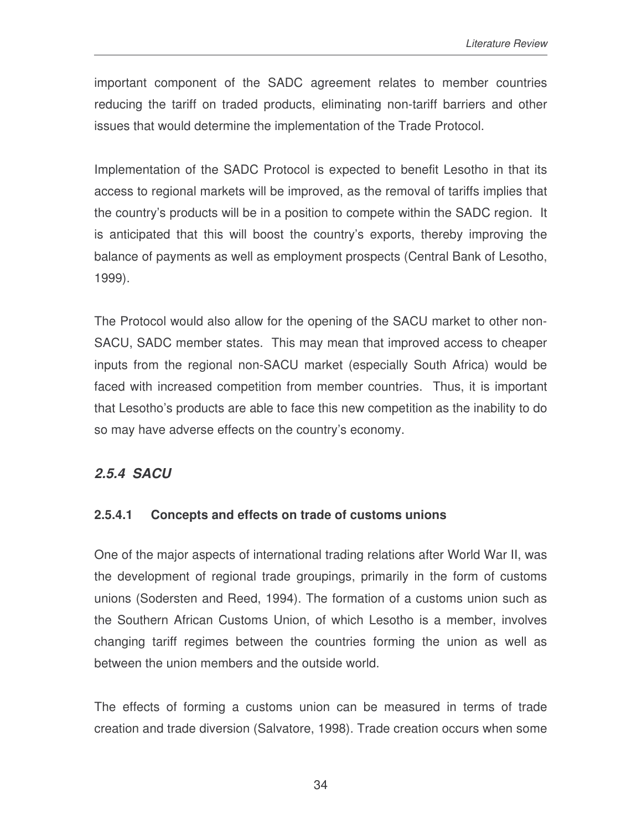important component of the SADC agreement relates to member countries reducing the tariff on traded products, eliminating non-tariff barriers and other issues that would determine the implementation of the Trade Protocol.

Implementation of the SADC Protocol is expected to benefit Lesotho in that its access to regional markets will be improved, as the removal of tariffs implies that the country's products will be in a position to compete within the SADC region. It is anticipated that this will boost the country's exports, thereby improving the balance of payments as well as employment prospects (Central Bank of Lesotho, 1999).

The Protocol would also allow for the opening of the SACU market to other non-SACU, SADC member states. This may mean that improved access to cheaper inputs from the regional non-SACU market (especially South Africa) would be faced with increased competition from member countries. Thus, it is important that Lesotho's products are able to face this new competition as the inability to do so may have adverse effects on the country's economy.

## *2.5.4 SACU*

### **2.5.4.1 Concepts and effects on trade of customs unions**

One of the major aspects of international trading relations after World War II, was the development of regional trade groupings, primarily in the form of customs unions (Sodersten and Reed, 1994). The formation of a customs union such as the Southern African Customs Union, of which Lesotho is a member, involves changing tariff regimes between the countries forming the union as well as between the union members and the outside world.

The effects of forming a customs union can be measured in terms of trade creation and trade diversion (Salvatore, 1998). Trade creation occurs when some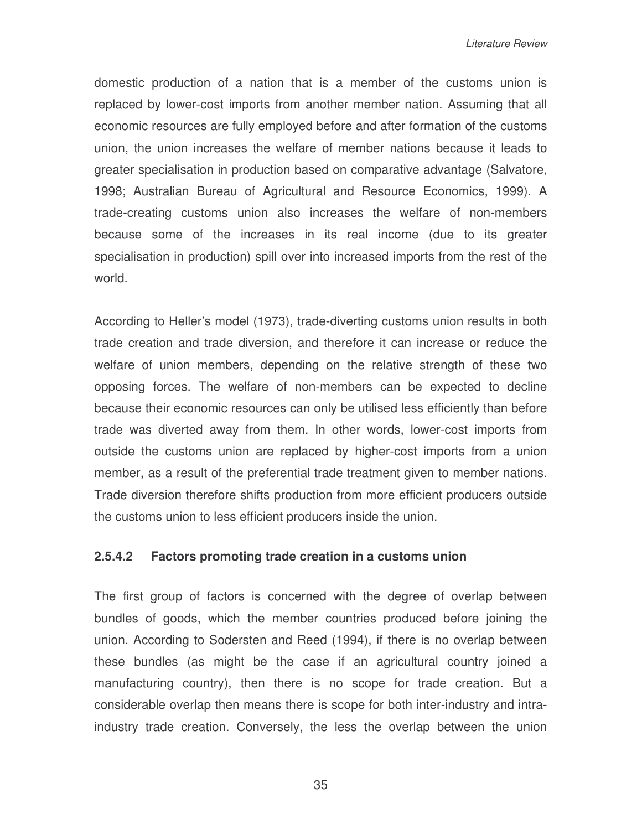domestic production of a nation that is a member of the customs union is replaced by lower-cost imports from another member nation. Assuming that all economic resources are fully employed before and after formation of the customs union, the union increases the welfare of member nations because it leads to greater specialisation in production based on comparative advantage (Salvatore, 1998; Australian Bureau of Agricultural and Resource Economics, 1999). A trade-creating customs union also increases the welfare of non-members because some of the increases in its real income (due to its greater specialisation in production) spill over into increased imports from the rest of the world.

According to Heller's model (1973), trade-diverting customs union results in both trade creation and trade diversion, and therefore it can increase or reduce the welfare of union members, depending on the relative strength of these two opposing forces. The welfare of non-members can be expected to decline because their economic resources can only be utilised less efficiently than before trade was diverted away from them. In other words, lower-cost imports from outside the customs union are replaced by higher-cost imports from a union member, as a result of the preferential trade treatment given to member nations. Trade diversion therefore shifts production from more efficient producers outside the customs union to less efficient producers inside the union.

#### **2.5.4.2 Factors promoting trade creation in a customs union**

The first group of factors is concerned with the degree of overlap between bundles of goods, which the member countries produced before joining the union. According to Sodersten and Reed (1994), if there is no overlap between these bundles (as might be the case if an agricultural country joined a manufacturing country), then there is no scope for trade creation. But a considerable overlap then means there is scope for both inter-industry and intraindustry trade creation. Conversely, the less the overlap between the union

35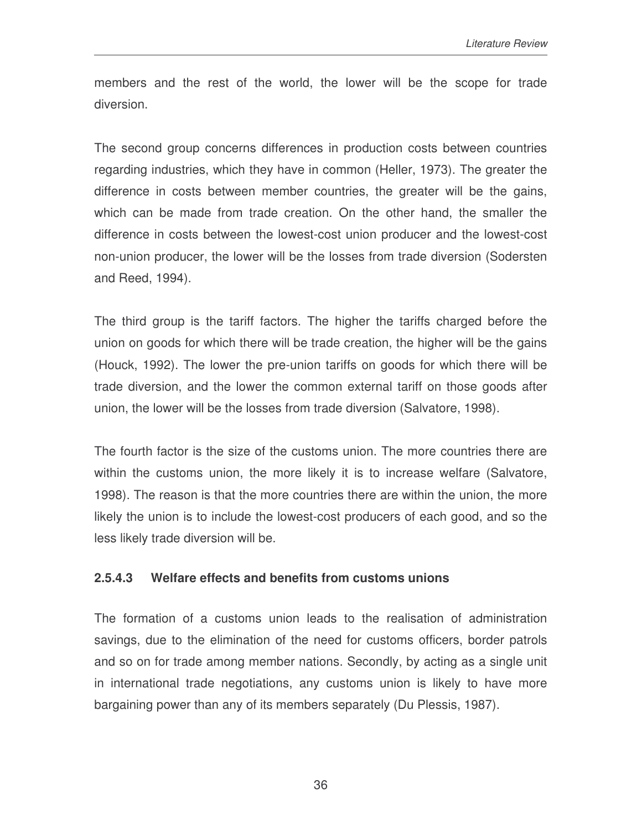members and the rest of the world, the lower will be the scope for trade diversion.

The second group concerns differences in production costs between countries regarding industries, which they have in common (Heller, 1973). The greater the difference in costs between member countries, the greater will be the gains, which can be made from trade creation. On the other hand, the smaller the difference in costs between the lowest-cost union producer and the lowest-cost non-union producer, the lower will be the losses from trade diversion (Sodersten and Reed, 1994).

The third group is the tariff factors. The higher the tariffs charged before the union on goods for which there will be trade creation, the higher will be the gains (Houck, 1992). The lower the pre-union tariffs on goods for which there will be trade diversion, and the lower the common external tariff on those goods after union, the lower will be the losses from trade diversion (Salvatore, 1998).

The fourth factor is the size of the customs union. The more countries there are within the customs union, the more likely it is to increase welfare (Salvatore, 1998). The reason is that the more countries there are within the union, the more likely the union is to include the lowest-cost producers of each good, and so the less likely trade diversion will be.

#### **2.5.4.3 Welfare effects and benefits from customs unions**

The formation of a customs union leads to the realisation of administration savings, due to the elimination of the need for customs officers, border patrols and so on for trade among member nations. Secondly, by acting as a single unit in international trade negotiations, any customs union is likely to have more bargaining power than any of its members separately (Du Plessis, 1987).

36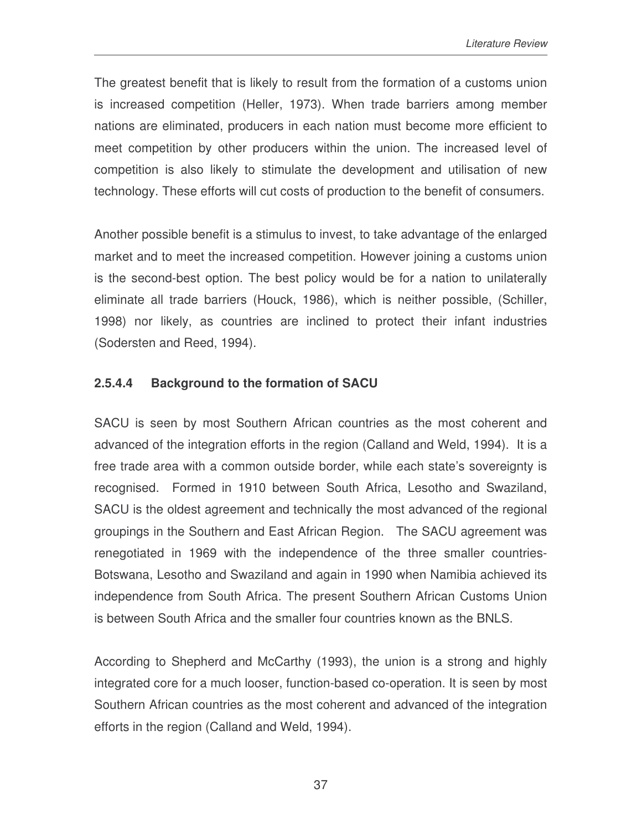The greatest benefit that is likely to result from the formation of a customs union is increased competition (Heller, 1973). When trade barriers among member nations are eliminated, producers in each nation must become more efficient to meet competition by other producers within the union. The increased level of competition is also likely to stimulate the development and utilisation of new technology. These efforts will cut costs of production to the benefit of consumers.

Another possible benefit is a stimulus to invest, to take advantage of the enlarged market and to meet the increased competition. However joining a customs union is the second-best option. The best policy would be for a nation to unilaterally eliminate all trade barriers (Houck, 1986), which is neither possible, (Schiller, 1998) nor likely, as countries are inclined to protect their infant industries (Sodersten and Reed, 1994).

### **2.5.4.4 Background to the formation of SACU**

SACU is seen by most Southern African countries as the most coherent and advanced of the integration efforts in the region (Calland and Weld, 1994). It is a free trade area with a common outside border, while each state's sovereignty is recognised. Formed in 1910 between South Africa, Lesotho and Swaziland, SACU is the oldest agreement and technically the most advanced of the regional groupings in the Southern and East African Region. The SACU agreement was renegotiated in 1969 with the independence of the three smaller countries-Botswana, Lesotho and Swaziland and again in 1990 when Namibia achieved its independence from South Africa. The present Southern African Customs Union is between South Africa and the smaller four countries known as the BNLS.

According to Shepherd and McCarthy (1993), the union is a strong and highly integrated core for a much looser, function-based co-operation. It is seen by most Southern African countries as the most coherent and advanced of the integration efforts in the region (Calland and Weld, 1994).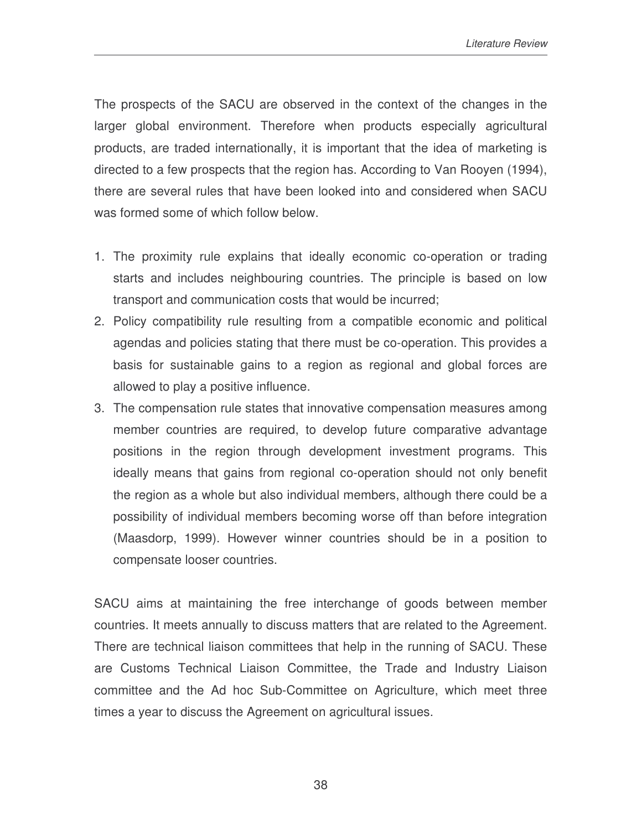The prospects of the SACU are observed in the context of the changes in the larger global environment. Therefore when products especially agricultural products, are traded internationally, it is important that the idea of marketing is directed to a few prospects that the region has. According to Van Rooyen (1994), there are several rules that have been looked into and considered when SACU was formed some of which follow below.

- 1. The proximity rule explains that ideally economic co-operation or trading starts and includes neighbouring countries. The principle is based on low transport and communication costs that would be incurred;
- 2. Policy compatibility rule resulting from a compatible economic and political agendas and policies stating that there must be co-operation. This provides a basis for sustainable gains to a region as regional and global forces are allowed to play a positive influence.
- 3. The compensation rule states that innovative compensation measures among member countries are required, to develop future comparative advantage positions in the region through development investment programs. This ideally means that gains from regional co-operation should not only benefit the region as a whole but also individual members, although there could be a possibility of individual members becoming worse off than before integration (Maasdorp, 1999). However winner countries should be in a position to compensate looser countries.

SACU aims at maintaining the free interchange of goods between member countries. It meets annually to discuss matters that are related to the Agreement. There are technical liaison committees that help in the running of SACU. These are Customs Technical Liaison Committee, the Trade and Industry Liaison committee and the Ad hoc Sub-Committee on Agriculture, which meet three times a year to discuss the Agreement on agricultural issues.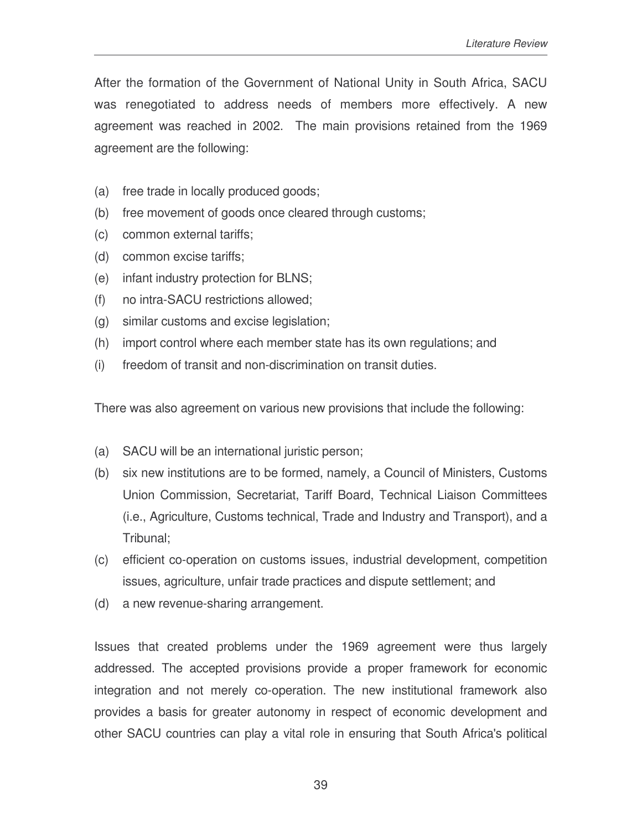After the formation of the Government of National Unity in South Africa, SACU was renegotiated to address needs of members more effectively. A new agreement was reached in 2002. The main provisions retained from the 1969 agreement are the following:

- (a) free trade in locally produced goods;
- (b) free movement of goods once cleared through customs;
- (c) common external tariffs;
- (d) common excise tariffs;
- (e) infant industry protection for BLNS;
- (f) no intra-SACU restrictions allowed;
- (g) similar customs and excise legislation;
- (h) import control where each member state has its own regulations; and
- (i) freedom of transit and non-discrimination on transit duties.

There was also agreement on various new provisions that include the following:

- (a) SACU will be an international juristic person;
- (b) six new institutions are to be formed, namely, a Council of Ministers, Customs Union Commission, Secretariat, Tariff Board, Technical Liaison Committees (i.e., Agriculture, Customs technical, Trade and Industry and Transport), and a Tribunal;
- (c) efficient co-operation on customs issues, industrial development, competition issues, agriculture, unfair trade practices and dispute settlement; and
- (d) a new revenue-sharing arrangement.

Issues that created problems under the 1969 agreement were thus largely addressed. The accepted provisions provide a proper framework for economic integration and not merely co-operation. The new institutional framework also provides a basis for greater autonomy in respect of economic development and other SACU countries can play a vital role in ensuring that South Africa's political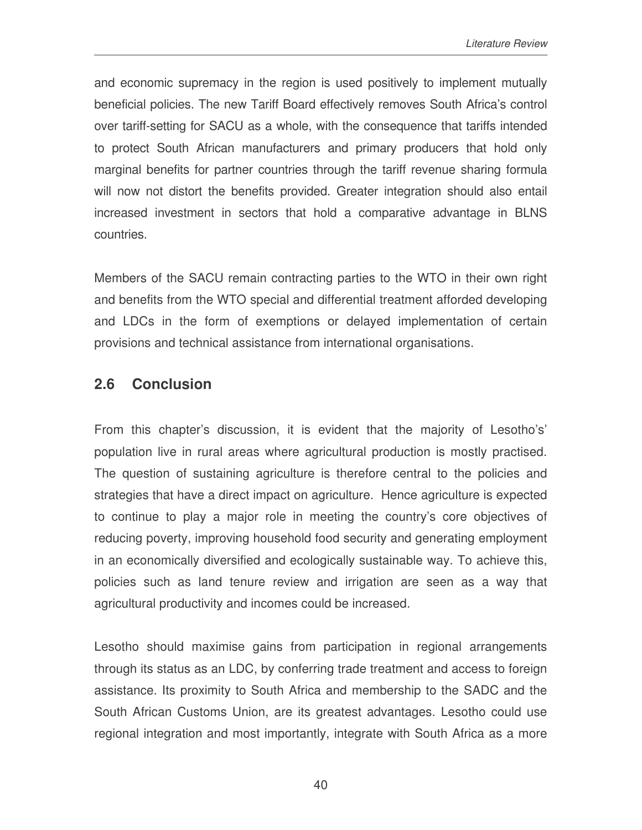and economic supremacy in the region is used positively to implement mutually beneficial policies. The new Tariff Board effectively removes South Africa's control over tariff-setting for SACU as a whole, with the consequence that tariffs intended to protect South African manufacturers and primary producers that hold only marginal benefits for partner countries through the tariff revenue sharing formula will now not distort the benefits provided. Greater integration should also entail increased investment in sectors that hold a comparative advantage in BLNS countries.

Members of the SACU remain contracting parties to the WTO in their own right and benefits from the WTO special and differential treatment afforded developing and LDCs in the form of exemptions or delayed implementation of certain provisions and technical assistance from international organisations.

## **2.6 Conclusion**

From this chapter's discussion, it is evident that the majority of Lesotho's' population live in rural areas where agricultural production is mostly practised. The question of sustaining agriculture is therefore central to the policies and strategies that have a direct impact on agriculture. Hence agriculture is expected to continue to play a major role in meeting the country's core objectives of reducing poverty, improving household food security and generating employment in an economically diversified and ecologically sustainable way. To achieve this, policies such as land tenure review and irrigation are seen as a way that agricultural productivity and incomes could be increased.

Lesotho should maximise gains from participation in regional arrangements through its status as an LDC, by conferring trade treatment and access to foreign assistance. Its proximity to South Africa and membership to the SADC and the South African Customs Union, are its greatest advantages. Lesotho could use regional integration and most importantly, integrate with South Africa as a more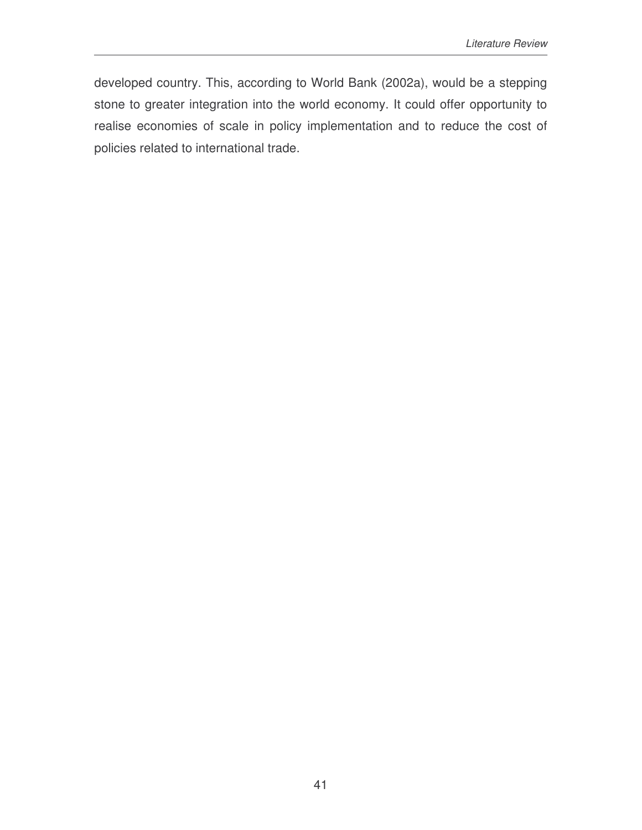developed country. This, according to World Bank (2002a), would be a stepping stone to greater integration into the world economy. It could offer opportunity to realise economies of scale in policy implementation and to reduce the cost of policies related to international trade.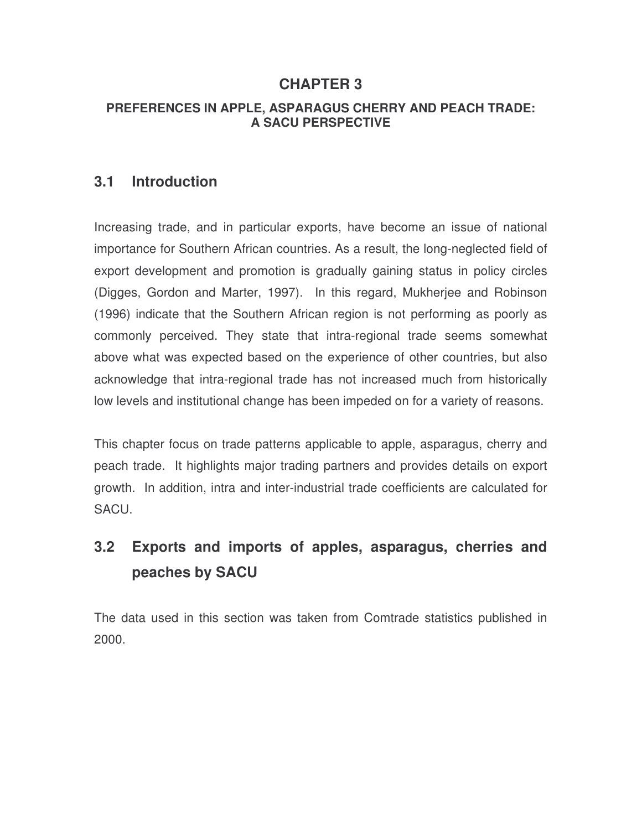## **CHAPTER 3**

#### **PREFERENCES IN APPLE, ASPARAGUS CHERRY AND PEACH TRADE: A SACU PERSPECTIVE**

## **3.1 Introduction**

Increasing trade, and in particular exports, have become an issue of national importance for Southern African countries. As a result, the long-neglected field of export development and promotion is gradually gaining status in policy circles (Digges, Gordon and Marter, 1997). In this regard, Mukherjee and Robinson (1996) indicate that the Southern African region is not performing as poorly as commonly perceived. They state that intra-regional trade seems somewhat above what was expected based on the experience of other countries, but also acknowledge that intra-regional trade has not increased much from historically low levels and institutional change has been impeded on for a variety of reasons.

This chapter focus on trade patterns applicable to apple, asparagus, cherry and peach trade. It highlights major trading partners and provides details on export growth. In addition, intra and inter-industrial trade coefficients are calculated for SACU.

# **3.2 Exports and imports of apples, asparagus, cherries and peaches by SACU**

The data used in this section was taken from Comtrade statistics published in 2000.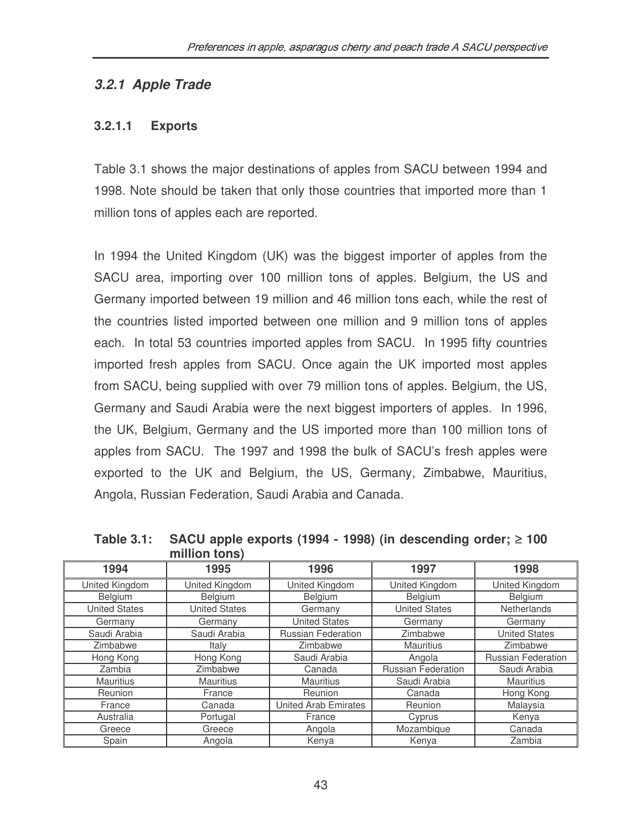### *3.2.1 Apple Trade*

#### **3.2.1.1 Exports**

Table 3.1 shows the major destinations of apples from SACU between 1994 and 1998. Note should be taken that only those countries that imported more than 1 million tons of apples each are reported.

In 1994 the United Kingdom (UK) was the biggest importer of apples from the SACU area, importing over 100 million tons of apples. Belgium, the US and Germany imported between 19 million and 46 million tons each, while the rest of the countries listed imported between one million and 9 million tons of apples each. In total 53 countries imported apples from SACU. In 1995 fifty countries imported fresh apples from SACU. Once again the UK imported most apples from SACU, being supplied with over 79 million tons of apples. Belgium, the US, Germany and Saudi Arabia were the next biggest importers of apples. In 1996, the UK, Belgium, Germany and the US imported more than 100 million tons of apples from SACU. The 1997 and 1998 the bulk of SACU's fresh apples were exported to the UK and Belgium, the US, Germany, Zimbabwe, Mauritius, Angola, Russian Federation, Saudi Arabia and Canada.

| 1994                 | 1995                 | 1996                        | 1997                      | 1998                      |
|----------------------|----------------------|-----------------------------|---------------------------|---------------------------|
| United Kingdom       | United Kingdom       | United Kingdom              | United Kingdom            | United Kingdom            |
| Belgium              | <b>Belgium</b>       | Belgium                     | Belgium                   | Belgium                   |
| <b>United States</b> | <b>United States</b> | Germany                     | <b>United States</b>      | Netherlands               |
| Germany              | Germany              | <b>United States</b>        | Germany                   | Germany                   |
| Saudi Arabia         | Saudi Arabia         | Russian Federation          | Zimbabwe                  | <b>United States</b>      |
| Zimbabwe             | Italy                | Zimbabwe                    | <b>Mauritius</b>          | Zimbabwe                  |
| Hong Kong            | Hong Kong            | Saudi Arabia                | Angola                    | <b>Russian Federation</b> |
| Zambia               | Zimbabwe             | Canada                      | <b>Russian Federation</b> | Saudi Arabia              |
| <b>Mauritius</b>     | <b>Mauritius</b>     | <b>Mauritius</b>            | Saudi Arabia              | <b>Mauritius</b>          |
| Reunion              | France               | Reunion                     | Canada                    | Hong Kong                 |
| France               | Canada               | <b>United Arab Emirates</b> | Reunion                   | Malaysia                  |
| Australia            | Portugal             | France                      | Cyprus                    | Kenya                     |
| Greece               | Greece               | Angola                      | Mozambique                | Canada                    |
| Spain                | Angola               | Kenya                       | Kenya                     | Zambia                    |

**Table 3.1: SACU apple exports (1994 - 1998) (in descending order;** ≥ **100 million tons)**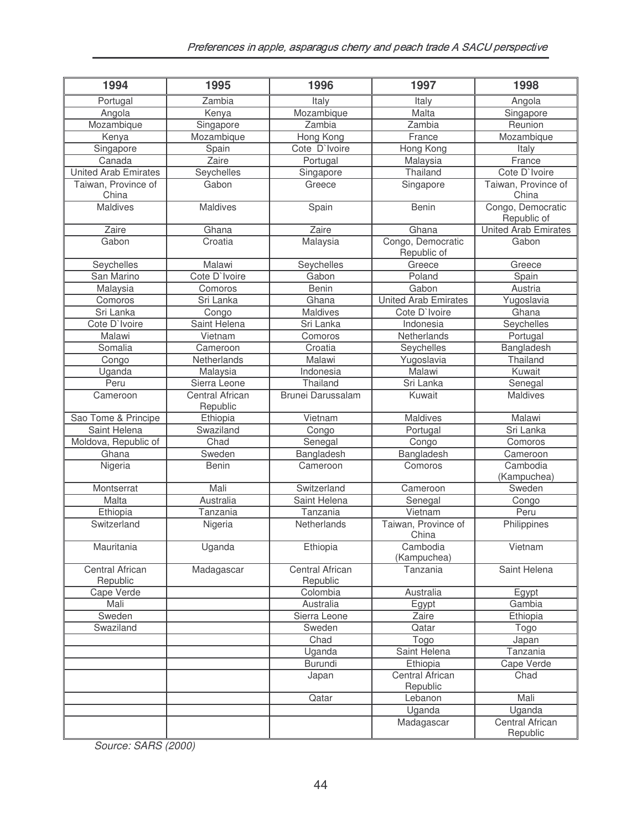| 1994                         | 1995                        | 1996                        | 1997                         | 1998                                       |
|------------------------------|-----------------------------|-----------------------------|------------------------------|--------------------------------------------|
| Portugal                     | Zambia                      | Italy                       | Italy                        | Angola                                     |
| Angola                       | Kenya                       | Mozambique                  | Malta                        | Singapore                                  |
| Mozambique                   | Singapore                   | Zambia                      | Zambia                       | Reunion                                    |
| Kenya                        | Mozambique                  | Hong Kong                   | France                       | Mozambique                                 |
| Singapore                    | Spain                       | Cote D'Ivoire               | Hong Kong                    | Italy                                      |
| Canada                       | Zaire                       | Portugal                    | Malaysia                     | France                                     |
| <b>United Arab Emirates</b>  | Seychelles                  | Singapore                   | Thailand                     | Cote D'Ivoire                              |
| Taiwan, Province of<br>China | Gabon                       | Greece                      | Singapore                    | Taiwan, Province of<br>China               |
| Maldives                     | Maldives                    | Spain                       | <b>Benin</b>                 | Congo, Democratic                          |
| Zaire                        | Ghana                       | Zaire                       | Ghana                        | Republic of<br><b>United Arab Emirates</b> |
| Gabon                        | Croatia                     |                             | Congo, Democratic            | Gabon                                      |
|                              |                             | Malaysia                    | Republic of                  |                                            |
| Seychelles                   | Malawi                      | Seychelles                  | Greece                       | Greece                                     |
| San Marino                   | Cote D'Ivoire               | Gabon                       | Poland                       | Spain                                      |
| Malaysia                     | Comoros                     | Benin                       | Gabon                        | Austria                                    |
| Comoros                      | Sri Lanka                   | Ghana                       | <b>United Arab Emirates</b>  | Yugoslavia                                 |
| Sri Lanka                    | Congo                       | Maldives                    | Cote D'Ivoire                | Ghana                                      |
| Cote D'Ivoire                | Saint Helena                | Sri Lanka                   | Indonesia                    | Seychelles                                 |
| Malawi                       | Vietnam                     | Comoros                     | Netherlands                  | Portugal                                   |
| Somalia                      | Cameroon                    | Croatia                     | Seychelles                   | Bangladesh                                 |
| Congo                        | Netherlands                 | Malawi                      | Yugoslavia                   | Thailand                                   |
| Uganda                       | Malaysia                    | Indonesia                   | Malawi                       | Kuwait                                     |
| Peru                         | Sierra Leone                | Thailand                    | Sri Lanka                    | Senegal                                    |
| Cameroon                     | Central African<br>Republic | Brunei Darussalam           | Kuwait                       | Maldives                                   |
| Sao Tome & Principe          | Ethiopia                    | Vietnam                     | Maldives                     | Malawi                                     |
| Saint Helena                 | Swaziland                   | Congo                       | Portugal                     | Sri Lanka                                  |
| Moldova, Republic of         | Chad                        | Senegal                     | Congo                        | Comoros                                    |
| Ghana                        | Sweden                      | Bangladesh                  | Bangladesh                   | Cameroon                                   |
| Nigeria                      | <b>Benin</b>                | Cameroon                    | Comoros                      | Cambodia                                   |
|                              |                             |                             |                              | (Kampuchea)                                |
| Montserrat                   | Mali                        | Switzerland                 | Cameroon                     | Sweden                                     |
| Malta                        | Australia                   | Saint Helena                | Senegal                      | Congo                                      |
| Ethiopia                     | Tanzania                    | Tanzania                    | Vietnam                      | Peru                                       |
| Switzerland                  | Nigeria                     | Netherlands                 | Taiwan, Province of<br>China | Philippines                                |
| Mauritania                   | Uganda                      | Ethiopia                    | Cambodia                     | Vietnam                                    |
|                              |                             |                             | (Kampuchea)                  |                                            |
| Central African<br>Republic  | Madagascar                  | Central African<br>Republic | Tanzania                     | Saint Helena                               |
| Cape Verde                   |                             | Colombia                    | Australia                    | Egypt                                      |
| Mali                         |                             | Australia                   | Egypt                        | Gambia                                     |
| Sweden                       |                             | Sierra Leone                | Zaire                        | Ethiopia                                   |
| Swaziland                    |                             | Sweden                      | Qatar                        | Togo                                       |
|                              |                             | Chad                        | Togo                         | Japan                                      |
|                              |                             | Uganda                      | Saint Helena                 | Tanzania                                   |
|                              |                             | <b>Burundi</b>              | Ethiopia                     | Cape Verde                                 |
|                              |                             |                             | Central African              | Chad                                       |
|                              |                             | Japan                       | Republic                     |                                            |
|                              |                             | Qatar                       | Lebanon                      | Mali                                       |
|                              |                             |                             | Uganda                       | Uganda                                     |
|                              |                             |                             | Madagascar                   | Central African                            |
|                              |                             |                             |                              | Republic                                   |

*Source: SARS (2000)*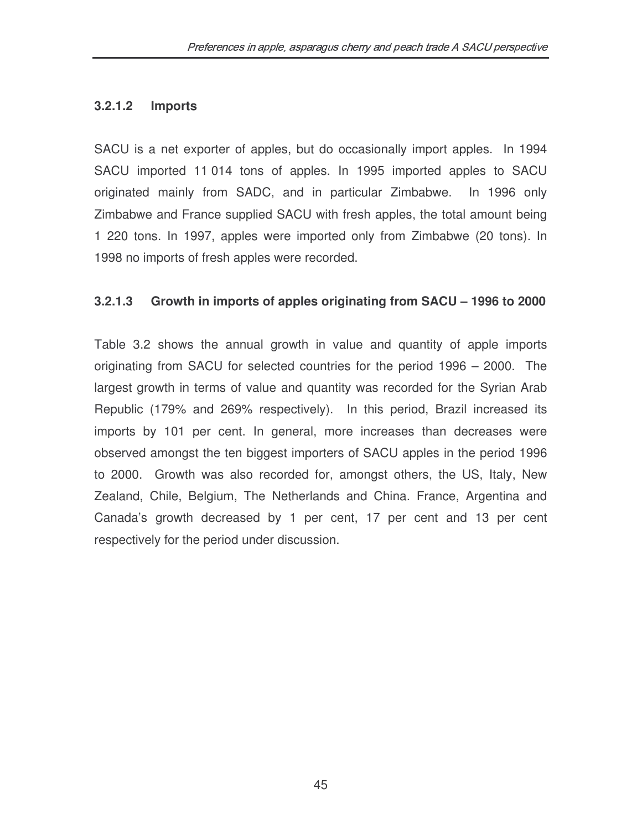#### **3.2.1.2 Imports**

SACU is a net exporter of apples, but do occasionally import apples. In 1994 SACU imported 11 014 tons of apples. In 1995 imported apples to SACU originated mainly from SADC, and in particular Zimbabwe. In 1996 only Zimbabwe and France supplied SACU with fresh apples, the total amount being 1 220 tons. In 1997, apples were imported only from Zimbabwe (20 tons). In 1998 no imports of fresh apples were recorded.

#### **3.2.1.3 Growth in imports of apples originating from SACU – 1996 to 2000**

Table 3.2 shows the annual growth in value and quantity of apple imports originating from SACU for selected countries for the period 1996 – 2000. The largest growth in terms of value and quantity was recorded for the Syrian Arab Republic (179% and 269% respectively). In this period, Brazil increased its imports by 101 per cent. In general, more increases than decreases were observed amongst the ten biggest importers of SACU apples in the period 1996 to 2000. Growth was also recorded for, amongst others, the US, Italy, New Zealand, Chile, Belgium, The Netherlands and China. France, Argentina and Canada's growth decreased by 1 per cent, 17 per cent and 13 per cent respectively for the period under discussion.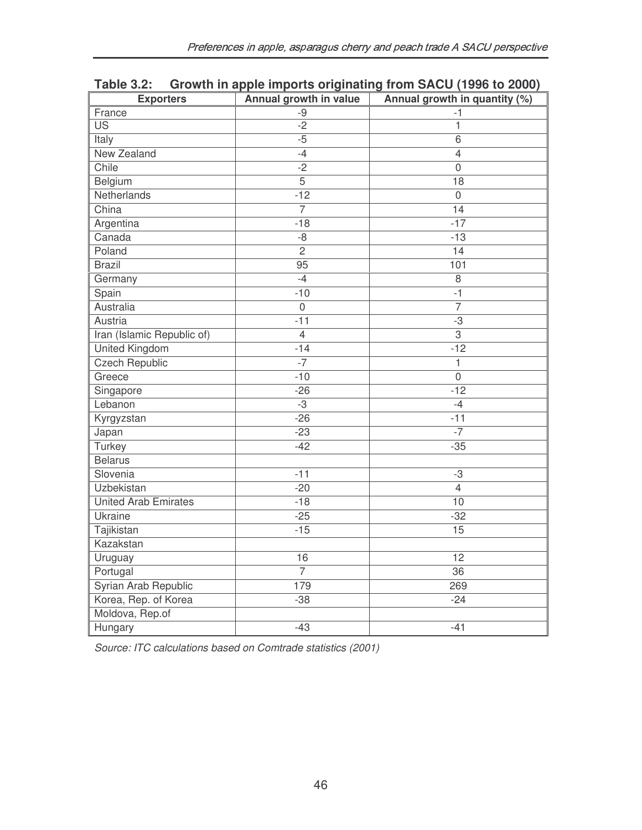| <b>Exporters</b>            | Annual growth in value | Annual growth in quantity (%) |  |
|-----------------------------|------------------------|-------------------------------|--|
| France                      | -9                     | $-1$                          |  |
| $\overline{\mathsf{US}}$    | $-2$                   | $\overline{1}$                |  |
| Italy                       | $-5$                   | 6                             |  |
| New Zealand                 | $-4$                   | 4                             |  |
| Chile                       | $-2$                   | $\mathbf{0}$                  |  |
| Belgium                     | $\overline{5}$         | $\overline{18}$               |  |
| Netherlands                 | $-12$                  | $\mathbf 0$                   |  |
| China                       | $\overline{7}$         | $\overline{14}$               |  |
| Argentina                   | $-18$                  | $-17$                         |  |
| Canada                      | $-8$                   | $-13$                         |  |
| Poland                      | $\overline{2}$         | $\overline{14}$               |  |
| <b>Brazil</b>               | $\overline{95}$        | 101                           |  |
| Germany                     | $-4$                   | 8                             |  |
| Spain                       | $-10$                  | $-1$                          |  |
| Australia                   | $\mathbf 0$            | $\overline{7}$                |  |
| Austria                     | $-11$                  | -3                            |  |
| Iran (Islamic Republic of)  | 4                      | 3                             |  |
| <b>United Kingdom</b>       | $-14$                  | $-12$                         |  |
| <b>Czech Republic</b>       | $-7$                   | 1                             |  |
| Greece                      | $-10$                  | $\mathbf 0$                   |  |
| Singapore                   | $-26$                  | $-12$                         |  |
| Lebanon                     | $-3$                   | $-4$                          |  |
| Kyrgyzstan                  | $-26$                  | $-11$                         |  |
| Japan                       | $-23$                  | $-7$                          |  |
| Turkey                      | $-42$                  | $-35$                         |  |
| <b>Belarus</b>              |                        |                               |  |
| Slovenia                    | $-11$                  | $-3$                          |  |
| Uzbekistan                  | $-20$                  | 4                             |  |
| <b>United Arab Emirates</b> | $-18$                  | 10                            |  |
| Ukraine                     | $-25$                  | $-32$                         |  |
| Tajikistan                  | $-15$                  | 15                            |  |
| Kazakstan                   |                        |                               |  |
| Uruguay                     | 16                     | 12                            |  |
| Portugal                    | $\overline{7}$         | $\overline{36}$               |  |
| Syrian Arab Republic        | 179                    | 269                           |  |
| Korea, Rep. of Korea        | $-38$                  | $-24$                         |  |
| Moldova, Rep.of             |                        |                               |  |
| Hungary                     | $-43$                  | $-41$                         |  |

## **Table 3.2: Growth in apple imports originating from SACU (1996 to 2000)**

*Source: ITC calculations based on Comtrade statistics (2001)*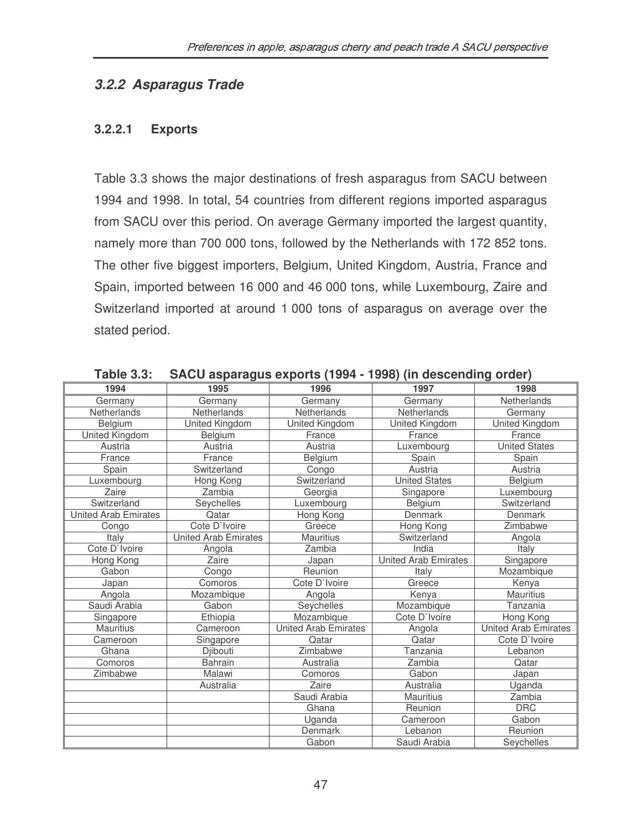### *3.2.2 Asparagus Trade*

#### **3.2.2.1 Exports**

Table 3.3 shows the major destinations of fresh asparagus from SACU between 1994 and 1998. In total, 54 countries from different regions imported asparagus from SACU over this period. On average Germany imported the largest quantity, namely more than 700 000 tons, followed by the Netherlands with 172 852 tons. The other five biggest importers, Belgium, United Kingdom, Austria, France and Spain, imported between 16 000 and 46 000 tons, while Luxembourg, Zaire and Switzerland imported at around 1 000 tons of asparagus on average over the stated period.

| 1994                        | יין יידי די די שיין יידי<br>1995 | 1996                 | 1997                        | 1998                        |
|-----------------------------|----------------------------------|----------------------|-----------------------------|-----------------------------|
| Germany                     | Germany                          | Germany              | Germany                     | Netherlands                 |
| Netherlands                 | <b>Netherlands</b>               | Netherlands          | <b>Netherlands</b>          | Germany                     |
| Belgium                     | United Kingdom                   | United Kingdom       | <b>United Kingdom</b>       | United Kingdom              |
| United Kingdom              | Belgium                          | France               | France                      | France                      |
| Austria                     | Austria                          | Austria              | Luxembourg                  | <b>United States</b>        |
| France                      | France                           | Belgium              | Spain                       | Spain                       |
| Spain                       | Switzerland                      | Congo                | Austria                     | Austria                     |
| Luxembourg                  | Hong Kong                        | Switzerland          | <b>United States</b>        | Belgium                     |
| Zaire                       | Zambia                           | Georgia              | Singapore                   | Luxembourg                  |
| Switzerland                 | Seychelles                       | Luxembourg           | Belgium                     | Switzerland                 |
| <b>United Arab Emirates</b> | Qatar                            | Hong Kong            | Denmark                     | Denmark                     |
| Congo                       | Cote D'Ivoire                    | Greece               | Hong Kong                   | Zimbabwe                    |
| Italy                       | <b>United Arab Emirates</b>      | <b>Mauritius</b>     | Switzerland                 | Angola                      |
| Cote D'Ivoire               | Angola                           | Zambia               | India                       | Italy                       |
| Hong Kong                   | Zaire                            | Japan                | <b>United Arab Emirates</b> | Singapore                   |
| Gabon                       | Congo                            | Reunion              | Italy                       | Mozambique                  |
| Japan                       | Comoros                          | Cote D'Ivoire        | Greece                      | Kenya                       |
| Angola                      | Mozambique                       | Angola               | Kenya                       | <b>Mauritius</b>            |
| Saudi Arabia                | Gabon                            | Seychelles           | Mozambique                  | Tanzania                    |
| Singapore                   | Ethiopia                         | Mozambique           | Cote D'Ivoire               | Hong Kong                   |
| <b>Mauritius</b>            | Cameroon                         | United Arab Emirates | Angola                      | <b>United Arab Emirates</b> |
| Cameroon                    | Singapore                        | Qatar                | Qatar                       | Cote D'Ivoire               |
| Ghana                       | Djibouti                         | Zimbabwe             | Tanzania                    | Lebanon                     |
| Comoros                     | <b>Bahrain</b>                   | Australia            | Zambia                      | Qatar                       |
| Zimbabwe                    | Malawi                           | Comoros              | Gabon                       | Japan                       |
|                             | Australia                        | Zaire                | Australia                   | Uganda                      |
|                             |                                  | Saudi Arabia         | <b>Mauritius</b>            | Zambia                      |
|                             |                                  | Ghana                | Reunion                     | <b>DRC</b>                  |
|                             |                                  | Uganda               | Cameroon                    | Gabon                       |
|                             |                                  | Denmark              | Lebanon                     | Reunion                     |
|                             |                                  | Gabon                | Saudi Arabia                | Seychelles                  |

**Table 3.3: SACU asparagus exports (1994 - 1998) (in descending order)**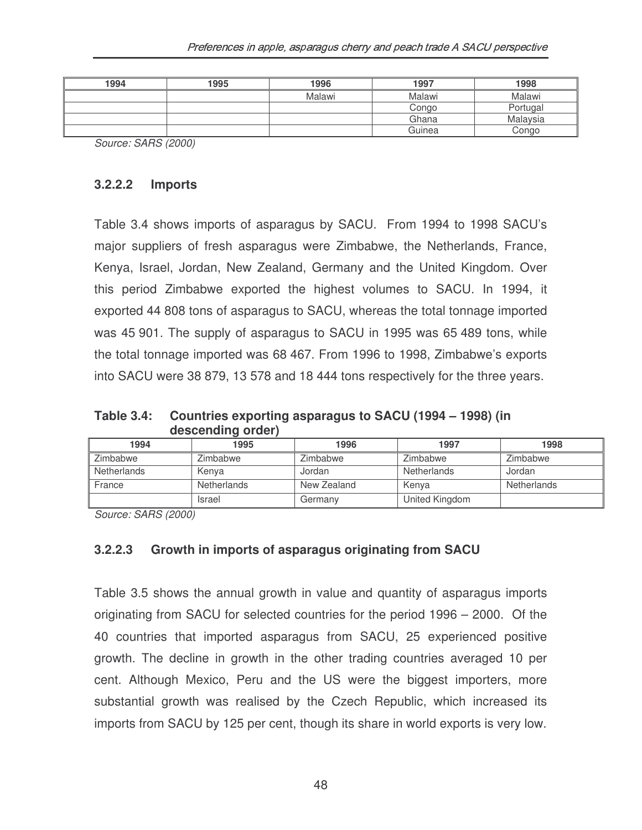| 1994 | 1995 | 1996   | 1997   | 1998     |
|------|------|--------|--------|----------|
|      |      | Malawi | Malawi | Malawi   |
|      |      |        | Congo  | Portugal |
|      |      |        | Ghana  | Malaysia |
|      |      |        | Guinea | Congo    |

*Source: SARS (2000)*

#### **3.2.2.2 Imports**

Table 3.4 shows imports of asparagus by SACU. From 1994 to 1998 SACU's major suppliers of fresh asparagus were Zimbabwe, the Netherlands, France, Kenya, Israel, Jordan, New Zealand, Germany and the United Kingdom. Over this period Zimbabwe exported the highest volumes to SACU. In 1994, it exported 44 808 tons of asparagus to SACU, whereas the total tonnage imported was 45 901. The supply of asparagus to SACU in 1995 was 65 489 tons, while the total tonnage imported was 68 467. From 1996 to 1998, Zimbabwe's exports into SACU were 38 879, 13 578 and 18 444 tons respectively for the three years.

**Table 3.4: Countries exporting asparagus to SACU (1994 – 1998) (in descending order)**

| 1994               | 1995          | 1996        | 1997           | 1998        |
|--------------------|---------------|-------------|----------------|-------------|
| Zimbabwe           | Zimbabwe      | Zimbabwe    | Zimbabwe       | Zimbabwe    |
| <b>Netherlands</b> | Kenya         | Jordan      | Netherlands    | Jordan      |
| France             | Netherlands   | New Zealand | Kenva          | Netherlands |
|                    | <b>Israel</b> | Germany     | United Kingdom |             |

*Source: SARS (2000)*

#### **3.2.2.3 Growth in imports of asparagus originating from SACU**

Table 3.5 shows the annual growth in value and quantity of asparagus imports originating from SACU for selected countries for the period 1996 – 2000. Of the 40 countries that imported asparagus from SACU, 25 experienced positive growth. The decline in growth in the other trading countries averaged 10 per cent. Although Mexico, Peru and the US were the biggest importers, more substantial growth was realised by the Czech Republic, which increased its imports from SACU by 125 per cent, though its share in world exports is very low.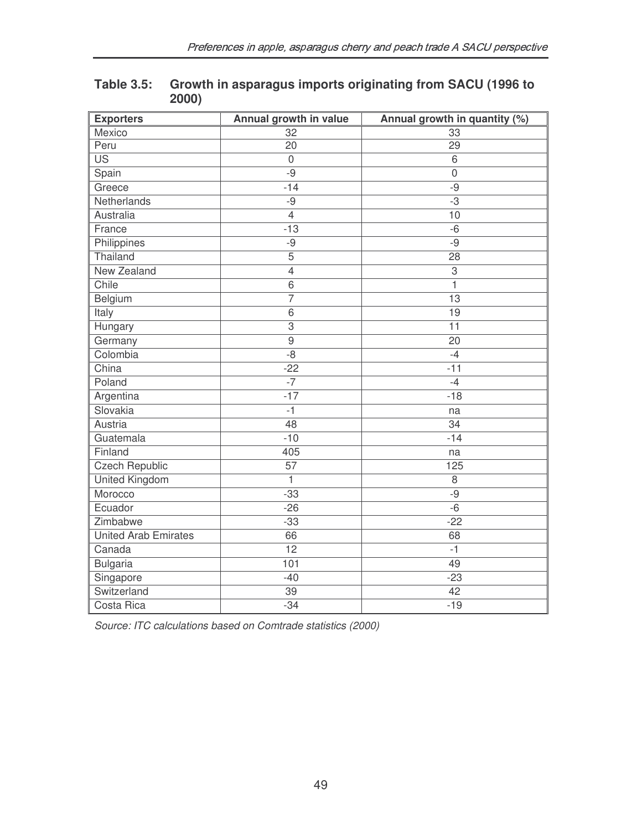| <b>Exporters</b>            | Annual growth in value | Annual growth in quantity (%) |
|-----------------------------|------------------------|-------------------------------|
| Mexico                      | 32                     | 33                            |
| Peru                        | $\overline{20}$        | $\overline{29}$               |
| $\overline{US}$             | $\mathbf 0$            | $6\,$                         |
| Spain                       | $-9$                   | $\mathbf 0$                   |
| Greece                      | $-14$                  | $-9$                          |
| Netherlands                 | $-9$                   | $-3$                          |
| Australia                   | $\overline{4}$         | 10                            |
| France                      | $-13$                  | $-6$                          |
| Philippines                 | $-9$                   | $-9$                          |
| Thailand                    | $\overline{5}$         | $\overline{28}$               |
| <b>New Zealand</b>          | $\overline{4}$         | 3                             |
| Chile                       | $\overline{6}$         | $\mathbf{1}$                  |
| Belgium                     | 7                      | $\overline{13}$               |
| Italy                       | $\overline{6}$         | 19                            |
| Hungary                     | 3                      | $\overline{11}$               |
| Germany                     | $\overline{9}$         | $\overline{20}$               |
| Colombia                    | $-8$                   | $-4$                          |
| China                       | $-22$                  | $-11$                         |
| Poland                      | $-7$                   | $-4$                          |
| Argentina                   | $-17$                  | $-18$                         |
| Slovakia                    | $-1$                   | na                            |
| Austria                     | 48                     | 34                            |
| Guatemala                   | $-10$                  | $-14$                         |
| Finland                     | 405                    | na                            |
| <b>Czech Republic</b>       | $\overline{57}$        | 125                           |
| United Kingdom              | $\mathbf{1}$           | 8                             |
| Morocco                     | $-33$                  | $-9$                          |
| Ecuador                     | $-26$                  | $-6$                          |
| Zimbabwe                    | $-33$                  | $-22$                         |
| <b>United Arab Emirates</b> | 66                     | 68                            |
| Canada                      | $\overline{12}$        | $-1$                          |
| <b>Bulgaria</b>             | 101                    | 49                            |
| Singapore                   | $-40$                  | $-23$                         |
| Switzerland                 | 39                     | $\overline{42}$               |
| Costa Rica                  | $-34$                  | $-19$                         |

#### **Table 3.5: Growth in asparagus imports originating from SACU (1996 to 2000)**

*Source: ITC calculations based on Comtrade statistics (2000)*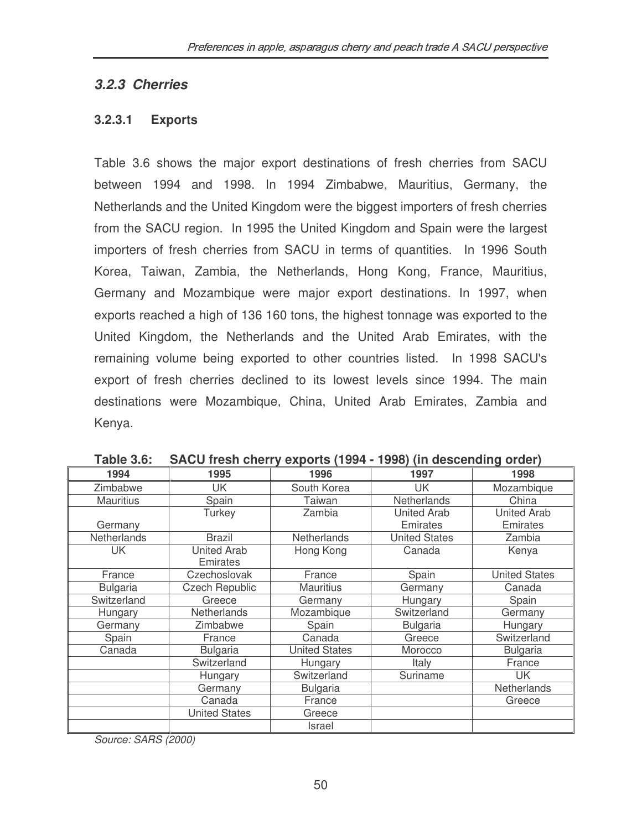#### *3.2.3 Cherries*

#### **3.2.3.1 Exports**

Table 3.6 shows the major export destinations of fresh cherries from SACU between 1994 and 1998. In 1994 Zimbabwe, Mauritius, Germany, the Netherlands and the United Kingdom were the biggest importers of fresh cherries from the SACU region. In 1995 the United Kingdom and Spain were the largest importers of fresh cherries from SACU in terms of quantities. In 1996 South Korea, Taiwan, Zambia, the Netherlands, Hong Kong, France, Mauritius, Germany and Mozambique were major export destinations. In 1997, when exports reached a high of 136 160 tons, the highest tonnage was exported to the United Kingdom, the Netherlands and the United Arab Emirates, with the remaining volume being exported to other countries listed. In 1998 SACU's export of fresh cherries declined to its lowest levels since 1994. The main destinations were Mozambique, China, United Arab Emirates, Zambia and Kenya.

| 1994               | 1995                  | 1996                 | 1997                 | 1998                 |
|--------------------|-----------------------|----------------------|----------------------|----------------------|
| Zimbabwe           | UK                    | South Korea          | <b>UK</b>            | Mozambique           |
| <b>Mauritius</b>   | Spain                 | <b>Taiwan</b>        | <b>Netherlands</b>   | China                |
|                    | Turkey                | Zambia               | <b>United Arab</b>   | <b>United Arab</b>   |
| Germany            |                       |                      | Emirates             | Emirates             |
| <b>Netherlands</b> | <b>Brazil</b>         | Netherlands          | <b>United States</b> | Zambia               |
| UK                 | <b>United Arab</b>    | Hong Kong            | Canada               | Kenya                |
|                    | Emirates              |                      |                      |                      |
| France             | Czechoslovak          | France               | Spain                | <b>United States</b> |
| <b>Bulgaria</b>    | <b>Czech Republic</b> | <b>Mauritius</b>     | Germany              | Canada               |
| Switzerland        | Greece                | Germany              | Hungary              | Spain                |
| Hungary            | <b>Netherlands</b>    | Mozambique           | Switzerland          | Germany              |
| Germany            | Zimbabwe              | Spain                | <b>Bulgaria</b>      | Hungary              |
| Spain              | France                | Canada               | Greece               | Switzerland          |
| Canada             | <b>Bulgaria</b>       | <b>United States</b> | Morocco              | <b>Bulgaria</b>      |
|                    | Switzerland           | Hungary              | Italy                | France               |
|                    | Hungary               | Switzerland          | Suriname             | <b>UK</b>            |
|                    | Germany               | <b>Bulgaria</b>      |                      | <b>Netherlands</b>   |
|                    | Canada                | France               |                      | Greece               |
|                    | <b>United States</b>  | Greece               |                      |                      |
|                    |                       | Israel               |                      |                      |

**Table 3.6: SACU fresh cherry exports (1994 - 1998) (in descending order)**

*Source: SARS (2000)*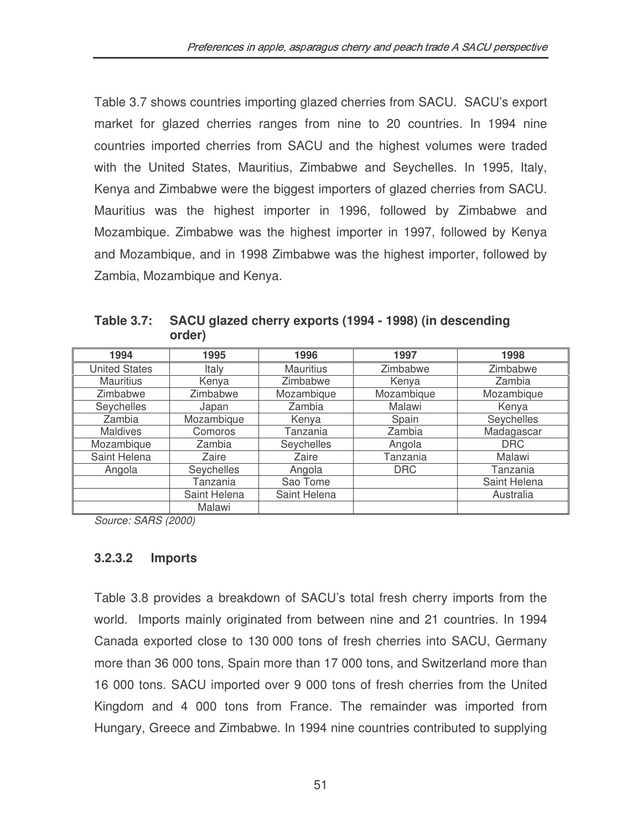Table 3.7 shows countries importing glazed cherries from SACU. SACU's export market for glazed cherries ranges from nine to 20 countries. In 1994 nine countries imported cherries from SACU and the highest volumes were traded with the United States, Mauritius, Zimbabwe and Seychelles. In 1995, Italy, Kenya and Zimbabwe were the biggest importers of glazed cherries from SACU. Mauritius was the highest importer in 1996, followed by Zimbabwe and Mozambique. Zimbabwe was the highest importer in 1997, followed by Kenya and Mozambique, and in 1998 Zimbabwe was the highest importer, followed by Zambia, Mozambique and Kenya.

| 1994                 | 1995         | 1996             | 1997       | 1998         |
|----------------------|--------------|------------------|------------|--------------|
| <b>United States</b> | Italy        | <b>Mauritius</b> | Zimbabwe   | Zimbabwe     |
| <b>Mauritius</b>     | Kenya        | Zimbabwe         | Kenya      | Zambia       |
| Zimbabwe             | Zimbabwe     | Mozambique       | Mozambique | Mozambique   |
| Seychelles           | Japan        | Zambia           | Malawi     | Kenya        |
| Zambia               | Mozambique   | Kenya            | Spain      | Seychelles   |
| <b>Maldives</b>      | Comoros      | Tanzania         | Zambia     | Madagascar   |
| Mozambique           | Zambia       | Seychelles       | Angola     | <b>DRC</b>   |
| Saint Helena         | Zaire        | Zaire            | Tanzania   | Malawi       |
| Angola               | Seychelles   | Angola           | <b>DRC</b> | Tanzania     |
|                      | Tanzania     | Sao Tome         |            | Saint Helena |
|                      | Saint Helena | Saint Helena     |            | Australia    |
|                      | Malawi       |                  |            |              |

**Table 3.7: SACU glazed cherry exports (1994 - 1998) (in descending order)**

*Source: SARS (2000)*

#### **3.2.3.2 Imports**

Table 3.8 provides a breakdown of SACU's total fresh cherry imports from the world. Imports mainly originated from between nine and 21 countries. In 1994 Canada exported close to 130 000 tons of fresh cherries into SACU, Germany more than 36 000 tons, Spain more than 17 000 tons, and Switzerland more than 16 000 tons. SACU imported over 9 000 tons of fresh cherries from the United Kingdom and 4 000 tons from France. The remainder was imported from Hungary, Greece and Zimbabwe. In 1994 nine countries contributed to supplying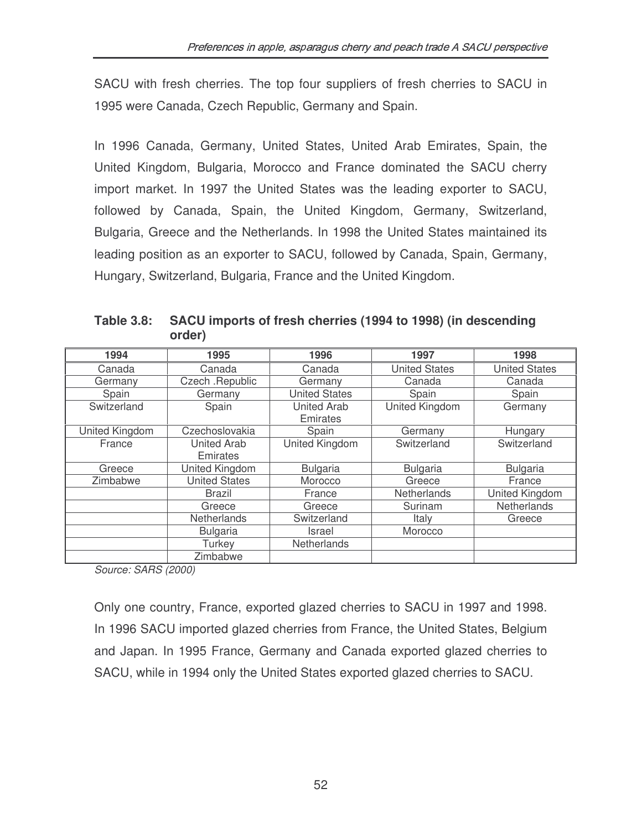SACU with fresh cherries. The top four suppliers of fresh cherries to SACU in 1995 were Canada, Czech Republic, Germany and Spain.

In 1996 Canada, Germany, United States, United Arab Emirates, Spain, the United Kingdom, Bulgaria, Morocco and France dominated the SACU cherry import market. In 1997 the United States was the leading exporter to SACU, followed by Canada, Spain, the United Kingdom, Germany, Switzerland, Bulgaria, Greece and the Netherlands. In 1998 the United States maintained its leading position as an exporter to SACU, followed by Canada, Spain, Germany, Hungary, Switzerland, Bulgaria, France and the United Kingdom.

**Table 3.8: SACU imports of fresh cherries (1994 to 1998) (in descending order)**

| 1994           | 1995                 | 1996                  | 1997                  | 1998                  |
|----------------|----------------------|-----------------------|-----------------------|-----------------------|
| Canada         | Canada               | Canada                | <b>United States</b>  | <b>United States</b>  |
| Germany        | Czech .Republic      | Germany               | Canada                | Canada                |
| Spain          | Germany              | <b>United States</b>  | Spain                 | Spain                 |
| Switzerland    | Spain                | <b>United Arab</b>    | <b>United Kingdom</b> | Germany               |
|                |                      | Emirates              |                       |                       |
| United Kingdom | Czechoslovakia       | Spain                 | Germany               | Hungary               |
| France         | <b>United Arab</b>   | <b>United Kingdom</b> | Switzerland           | Switzerland           |
|                | Emirates             |                       |                       |                       |
| Greece         | United Kingdom       | <b>Bulgaria</b>       | <b>Bulgaria</b>       | <b>Bulgaria</b>       |
| Zimbabwe       | <b>United States</b> | Morocco               | Greece                | France                |
|                | Brazil               | France                | Netherlands           | <b>United Kingdom</b> |
|                | Greece               | Greece                | Surinam               | Netherlands           |
|                | Netherlands          | Switzerland           | Italy                 | Greece                |
|                | <b>Bulgaria</b>      | Israel                | Morocco               |                       |
|                | Turkey               | <b>Netherlands</b>    |                       |                       |
|                | Zimbabwe             |                       |                       |                       |

*Source: SARS (2000)*

Only one country, France, exported glazed cherries to SACU in 1997 and 1998. In 1996 SACU imported glazed cherries from France, the United States, Belgium and Japan. In 1995 France, Germany and Canada exported glazed cherries to SACU, while in 1994 only the United States exported glazed cherries to SACU.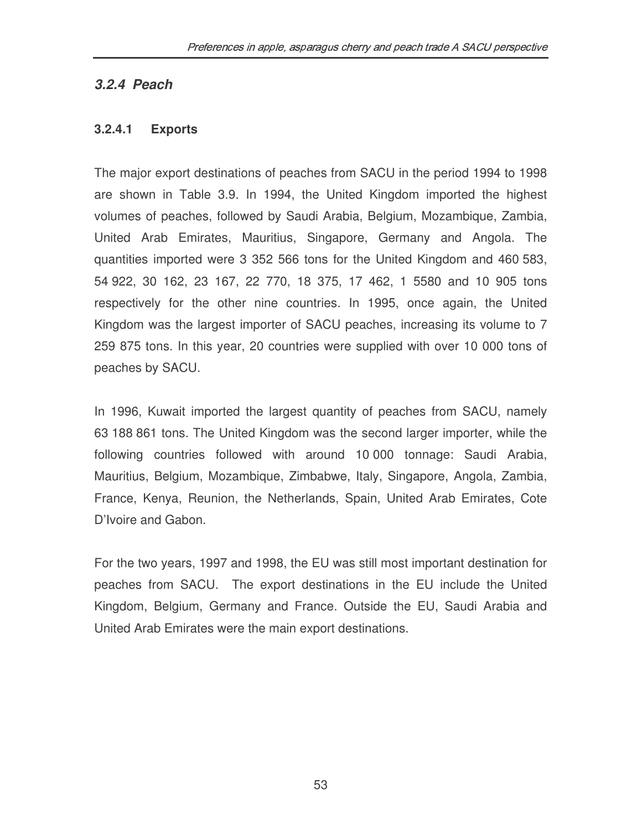### *3.2.4 Peach*

#### **3.2.4.1 Exports**

The major export destinations of peaches from SACU in the period 1994 to 1998 are shown in Table 3.9. In 1994, the United Kingdom imported the highest volumes of peaches, followed by Saudi Arabia, Belgium, Mozambique, Zambia, United Arab Emirates, Mauritius, Singapore, Germany and Angola. The quantities imported were 3 352 566 tons for the United Kingdom and 460 583, 54 922, 30 162, 23 167, 22 770, 18 375, 17 462, 1 5580 and 10 905 tons respectively for the other nine countries. In 1995, once again, the United Kingdom was the largest importer of SACU peaches, increasing its volume to 7 259 875 tons. In this year, 20 countries were supplied with over 10 000 tons of peaches by SACU.

In 1996, Kuwait imported the largest quantity of peaches from SACU, namely 63 188 861 tons. The United Kingdom was the second larger importer, while the following countries followed with around 10 000 tonnage: Saudi Arabia, Mauritius, Belgium, Mozambique, Zimbabwe, Italy, Singapore, Angola, Zambia, France, Kenya, Reunion, the Netherlands, Spain, United Arab Emirates, Cote D'Ivoire and Gabon.

For the two years, 1997 and 1998, the EU was still most important destination for peaches from SACU. The export destinations in the EU include the United Kingdom, Belgium, Germany and France. Outside the EU, Saudi Arabia and United Arab Emirates were the main export destinations.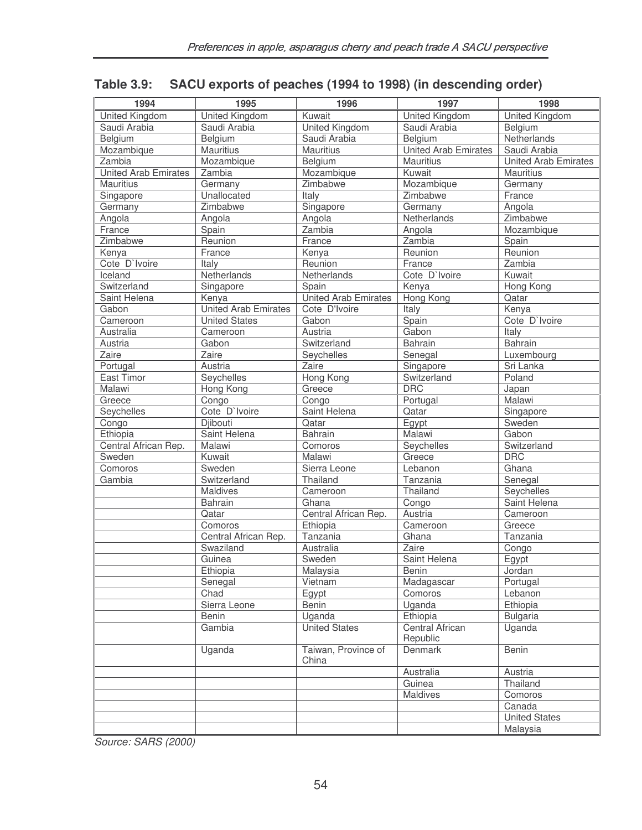| 1994                        | 1995                        | 1996                         | 1997                               | 1998                        |  |
|-----------------------------|-----------------------------|------------------------------|------------------------------------|-----------------------------|--|
| United Kingdom              | United Kingdom              | Kuwait                       | United Kingdom                     | United Kingdom              |  |
| Saudi Arabia                | Saudi Arabia                | <b>United Kingdom</b>        | Saudi Arabia                       | Belgium                     |  |
| Belgium                     | Belgium                     | Saudi Arabia                 | Belgium                            | Netherlands                 |  |
| Mozambique                  | Mauritius                   | <b>Mauritius</b>             | <b>United Arab Emirates</b>        | Saudi Arabia                |  |
| Zambia                      | Mozambique                  | Belgium                      | Mauritius                          | <b>United Arab Emirates</b> |  |
| <b>United Arab Emirates</b> | Zambia                      | Mozambique                   | Kuwait                             | <b>Mauritius</b>            |  |
| Mauritius                   | Germany                     | Zimbabwe                     | Mozambique                         | Germany                     |  |
| Singapore                   | Unallocated                 | Italy                        | Zimbabwe                           | France                      |  |
| Germany                     | Zimbabwe                    | Singapore                    | Germany                            | Angola                      |  |
| Angola                      | Angola                      | Angola                       | Netherlands                        | Zimbabwe                    |  |
| France                      | Spain                       | Zambia                       | Angola                             | Mozambique                  |  |
| Zimbabwe                    | Reunion                     | France                       | Zambia                             | Spain                       |  |
| Kenya                       | France                      | Kenya                        | Reunion                            | Reunion                     |  |
| Cote D'Ivoire               | Italy                       | Reunion                      | France                             | Zambia                      |  |
| Iceland                     | Netherlands                 | Netherlands                  | Cote D'Ivoire                      | Kuwait                      |  |
| Switzerland                 | Singapore                   | Spain                        | Kenya                              | Hong Kong                   |  |
| Saint Helena                | Kenya                       | <b>United Arab Emirates</b>  | <b>Hong Kong</b>                   | Qatar                       |  |
| Gabon                       | <b>United Arab Emirates</b> | Cote D'Ivoire                | Italy                              | Kenya                       |  |
| Cameroon                    | <b>United States</b>        | Gabon                        | Spain                              | Cote D'Ivoire               |  |
| Australia                   | Cameroon                    | Austria                      | Gabon                              | Italy                       |  |
| Austria                     | Gabon                       | Switzerland                  | Bahrain                            | Bahrain                     |  |
| Zaire                       | Zaire                       | Seychelles                   | Senegal                            | Luxembourg                  |  |
| Portugal                    | Austria                     | Zaire                        | Singapore                          | Sri Lanka                   |  |
| East Timor                  | Seychelles                  | <b>Hong Kong</b>             | Switzerland                        | Poland                      |  |
| Malawi                      | Hong Kong                   | Greece                       | <b>DRC</b>                         | Japan                       |  |
| Greece                      | Congo                       | $\overline{C}$ ongo          | Portugal                           | Malawi                      |  |
| Seychelles                  | Cote D'Ivoire               | Saint Helena                 | Qatar                              | Singapore                   |  |
| Congo                       | Djibouti                    | Qatar                        | Egypt                              | Sweden                      |  |
| Ethiopia                    | Saint Helena                | Bahrain                      | Malawi                             | Gabon                       |  |
| Central African Rep.        | Malawi                      | Comoros                      | Seychelles                         | Switzerland                 |  |
| Sweden                      | Kuwait                      | Malawi                       | Greece                             | <b>DRC</b>                  |  |
| Comoros                     | Sweden                      | Sierra Leone                 | Lebanon                            | Ghana                       |  |
| Gambia                      | Switzerland                 | Thailand                     | Tanzania                           | Senegal                     |  |
|                             | Maldives                    | Cameroon                     | Thailand                           | Seychelles                  |  |
|                             | <b>Bahrain</b>              | Ghana                        | Congo                              | Saint Helena                |  |
|                             | Qatar                       | Central African Rep.         | Austria                            | Cameroon                    |  |
|                             | Comoros                     | Ethiopia                     | Cameroon                           | Greece                      |  |
|                             | Central African Rep.        | Tanzania                     | Ghana                              | Tanzania                    |  |
|                             | Swaziland                   | Australia                    | Zaire                              | Congo                       |  |
|                             | Guinea                      | Sweden                       | Saint Helena                       | Egypt                       |  |
|                             | Ethiopia                    | Malaysia                     | Benin                              | Jordan                      |  |
|                             | Senegal                     | Vietnam                      | Madagascar                         | Portugal                    |  |
|                             | Chad                        | Egypt                        | Comoros                            | Lebanon                     |  |
|                             | Sierra Leone                | Benin                        | Uganda                             | Ethiopia                    |  |
|                             | Benin                       | Uganda                       | Ethiopia                           | <b>Bulgaria</b>             |  |
|                             | Gambia                      | <b>United States</b>         | <b>Central African</b><br>Republic | Uganda                      |  |
|                             | Uganda                      | Taiwan, Province of<br>China | Denmark                            | Benin                       |  |
|                             |                             |                              | Australia                          | Austria                     |  |
|                             |                             |                              | Guinea                             | Thailand                    |  |
|                             |                             |                              | Maldives                           | Comoros                     |  |
|                             |                             |                              |                                    | Canada                      |  |
|                             |                             |                              |                                    | <b>United States</b>        |  |
|                             |                             |                              |                                    | Malaysia                    |  |

## **Table 3.9: SACU exports of peaches (1994 to 1998) (in descending order)**

*Source: SARS (2000)*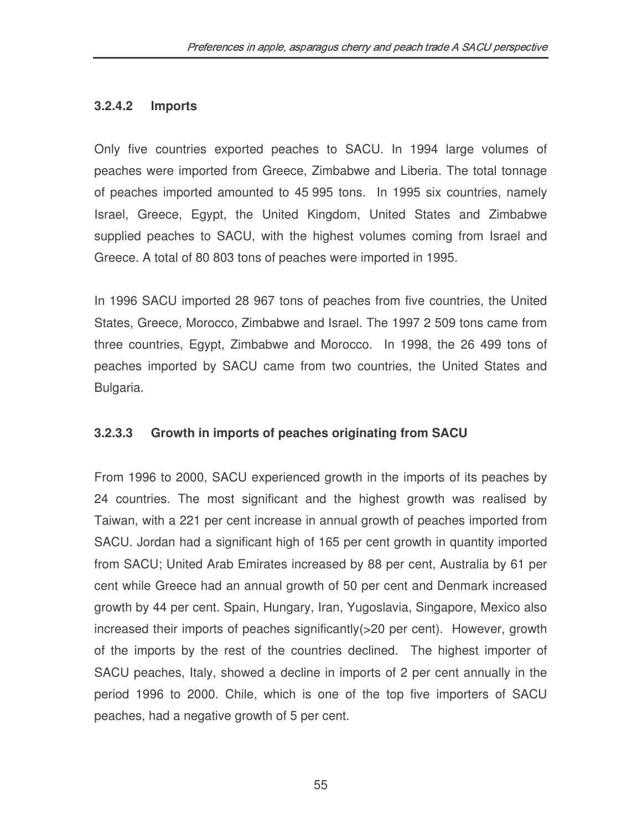#### **3.2.4.2 Imports**

Only five countries exported peaches to SACU. In 1994 large volumes of peaches were imported from Greece, Zimbabwe and Liberia. The total tonnage of peaches imported amounted to 45 995 tons. In 1995 six countries, namely Israel, Greece, Egypt, the United Kingdom, United States and Zimbabwe supplied peaches to SACU, with the highest volumes coming from Israel and Greece. A total of 80 803 tons of peaches were imported in 1995.

In 1996 SACU imported 28 967 tons of peaches from five countries, the United States, Greece, Morocco, Zimbabwe and Israel. The 1997 2 509 tons came from three countries, Egypt, Zimbabwe and Morocco. In 1998, the 26 499 tons of peaches imported by SACU came from two countries, the United States and Bulgaria.

#### **3.2.3.3 Growth in imports of peaches originating from SACU**

From 1996 to 2000, SACU experienced growth in the imports of its peaches by 24 countries. The most significant and the highest growth was realised by Taiwan, with a 221 per cent increase in annual growth of peaches imported from SACU. Jordan had a significant high of 165 per cent growth in quantity imported from SACU; United Arab Emirates increased by 88 per cent, Australia by 61 per cent while Greece had an annual growth of 50 per cent and Denmark increased growth by 44 per cent. Spain, Hungary, Iran, Yugoslavia, Singapore, Mexico also increased their imports of peaches significantly(>20 per cent). However, growth of the imports by the rest of the countries declined. The highest importer of SACU peaches, Italy, showed a decline in imports of 2 per cent annually in the period 1996 to 2000. Chile, which is one of the top five importers of SACU peaches, had a negative growth of 5 per cent.

55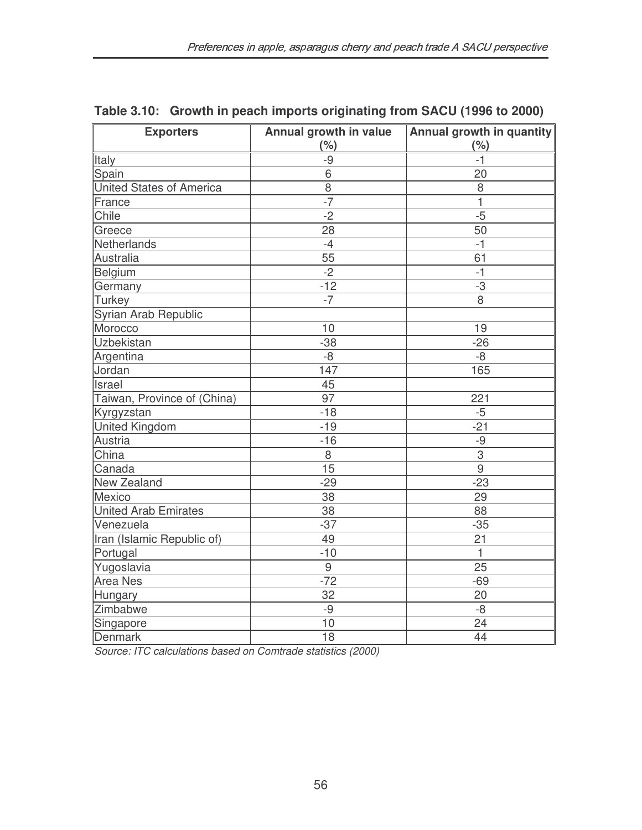| <b>Exporters</b>                | Annual growth in value | Annual growth in quantity |  |
|---------------------------------|------------------------|---------------------------|--|
|                                 | (% )                   | (% )                      |  |
| Italy                           | $-9$                   | -1                        |  |
| Spain                           | 6                      | 20                        |  |
| <b>United States of America</b> | $\overline{8}$         | 8                         |  |
| France                          | $-7$                   | $\mathbf{1}$              |  |
| Chile                           | $-2$                   | $-5$                      |  |
| Greece                          | 28                     | 50                        |  |
| Netherlands                     | $-4$                   | -1                        |  |
| Australia                       | 55                     | 61                        |  |
| Belgium                         | $-2$                   | $-1$                      |  |
| Germany                         | $-12$                  | $-3$                      |  |
| <b>Turkey</b>                   | $-7$                   | 8                         |  |
| Syrian Arab Republic            |                        |                           |  |
| Morocco                         | 10                     | 19                        |  |
| Uzbekistan                      | $-38$                  | $-26$                     |  |
| Argentina                       | $-8$                   | -8                        |  |
| Jordan                          | 147                    | 165                       |  |
| Israel                          | 45                     |                           |  |
| Taiwan, Province of (China)     | 97                     | 221                       |  |
| Kyrgyzstan                      | $-18$                  | $-5$                      |  |
| <b>United Kingdom</b>           | $-19$                  | $-21$                     |  |
| Austria                         | $-16$                  | $-9$                      |  |
| China                           | 8                      | $\overline{3}$            |  |
| Canada                          | 15                     | $\overline{9}$            |  |
| <b>New Zealand</b>              | $-29$                  | $-23$                     |  |
| Mexico                          | 38                     | 29                        |  |
| <b>United Arab Emirates</b>     | 38                     | 88                        |  |
| Venezuela                       | $-37$                  | $-35$                     |  |
| Iran (Islamic Republic of)      | 49                     | 21                        |  |
| Portugal                        | $-10$                  | $\mathbf{1}$              |  |
| Yugoslavia                      | 9                      | 25                        |  |
| <b>Area Nes</b>                 | $-72$                  | $-69$                     |  |
| Hungary                         | 32                     | 20                        |  |
| Zimbabwe                        | $-9$                   | $-8$                      |  |
| Singapore                       | 10                     | 24                        |  |
| <b>Denmark</b>                  | 18                     | 44                        |  |

### **Table 3.10: Growth in peach imports originating from SACU (1996 to 2000)**

*Source: ITC calculations based on Comtrade statistics (2000)*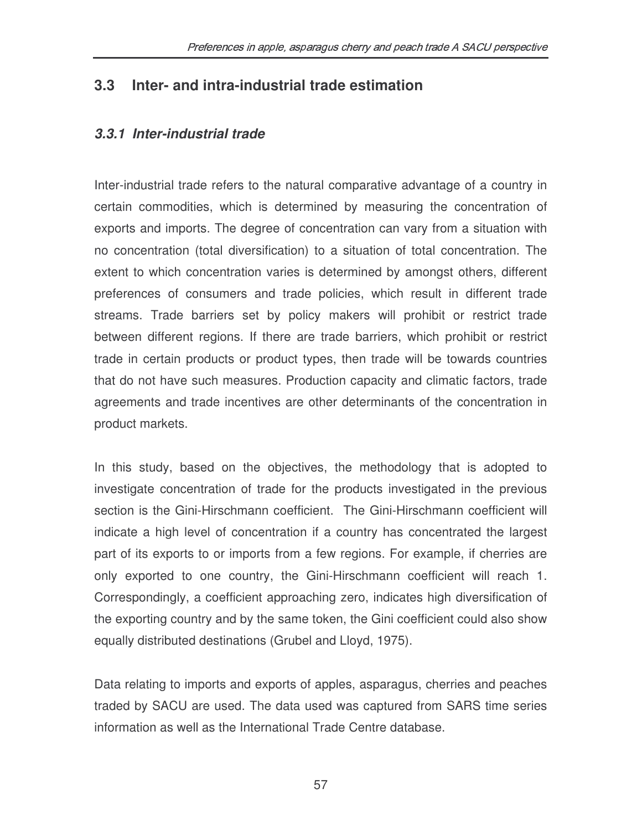## **3.3 Inter- and intra-industrial trade estimation**

### *3.3.1 Inter-industrial trade*

Inter-industrial trade refers to the natural comparative advantage of a country in certain commodities, which is determined by measuring the concentration of exports and imports. The degree of concentration can vary from a situation with no concentration (total diversification) to a situation of total concentration. The extent to which concentration varies is determined by amongst others, different preferences of consumers and trade policies, which result in different trade streams. Trade barriers set by policy makers will prohibit or restrict trade between different regions. If there are trade barriers, which prohibit or restrict trade in certain products or product types, then trade will be towards countries that do not have such measures. Production capacity and climatic factors, trade agreements and trade incentives are other determinants of the concentration in product markets.

In this study, based on the objectives, the methodology that is adopted to investigate concentration of trade for the products investigated in the previous section is the Gini-Hirschmann coefficient. The Gini-Hirschmann coefficient will indicate a high level of concentration if a country has concentrated the largest part of its exports to or imports from a few regions. For example, if cherries are only exported to one country, the Gini-Hirschmann coefficient will reach 1. Correspondingly, a coefficient approaching zero, indicates high diversification of the exporting country and by the same token, the Gini coefficient could also show equally distributed destinations (Grubel and Lloyd, 1975).

Data relating to imports and exports of apples, asparagus, cherries and peaches traded by SACU are used. The data used was captured from SARS time series information as well as the International Trade Centre database.

57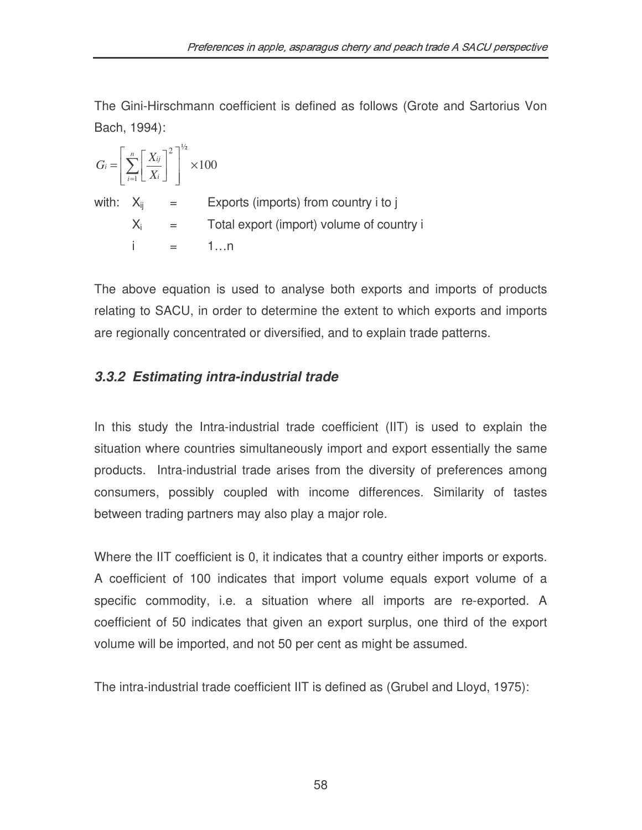The Gini-Hirschmann coefficient is defined as follows (Grote and Sartorius Von Bach, 1994):

100  $2^{\frac{1}{2}}$ 1 ×  $\overline{\phantom{a}}$  $\overline{\phantom{a}}$  $\rfloor$ 1  $\mathbf{r}$  $\mathbf{r}$ L Г  $\overline{\phantom{a}}$ 1 L  $=\left\lfloor \sum_{n=1}^{n}\right\rfloor$ = *n*  $\overline{I_{i=1}}$   $\mathcal{L}$   $\overline{A}$  *i*  $i = \left| \sum_{i=1}^n \left| \frac{X_{ij}}{X_i} \right| \right|$  $G_i = \left| \sum_{n=1}^{n} \right| \frac{X}{x_i}$ with:  $X_{ii}$  = Exports (imports) from country i to j  $X_i$  = Total export (import) volume of country i  $i = 1...n$ 

The above equation is used to analyse both exports and imports of products relating to SACU, in order to determine the extent to which exports and imports are regionally concentrated or diversified, and to explain trade patterns.

## *3.3.2 Estimating intra-industrial trade*

In this study the Intra-industrial trade coefficient (IIT) is used to explain the situation where countries simultaneously import and export essentially the same products. Intra-industrial trade arises from the diversity of preferences among consumers, possibly coupled with income differences. Similarity of tastes between trading partners may also play a major role.

Where the IIT coefficient is 0, it indicates that a country either imports or exports. A coefficient of 100 indicates that import volume equals export volume of a specific commodity, i.e. a situation where all imports are re-exported. A coefficient of 50 indicates that given an export surplus, one third of the export volume will be imported, and not 50 per cent as might be assumed.

The intra-industrial trade coefficient IIT is defined as (Grubel and Lloyd, 1975):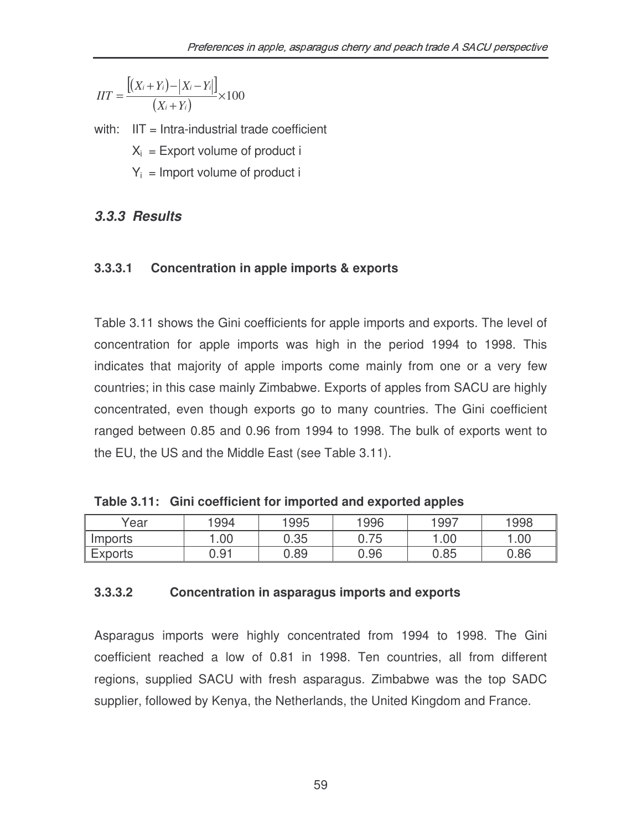$$
IIT = \frac{[(X_i + Y_i) - |X_i - Y_i|]}{(X_i + Y_i)} \times 100
$$

with:  $IIT = Intra-industrial trade coefficient$ 

 $X_i$  = Export volume of product i

 $Y_i$  = Import volume of product i

## *3.3.3 Results*

#### **3.3.3.1 Concentration in apple imports & exports**

Table 3.11 shows the Gini coefficients for apple imports and exports. The level of concentration for apple imports was high in the period 1994 to 1998. This indicates that majority of apple imports come mainly from one or a very few countries; in this case mainly Zimbabwe. Exports of apples from SACU are highly concentrated, even though exports go to many countries. The Gini coefficient ranged between 0.85 and 0.96 from 1994 to 1998. The bulk of exports went to the EU, the US and the Middle East (see Table 3.11).

**Table 3.11: Gini coefficient for imported and exported apples**

| Year           | 1994 | 1995 | 1996 | 1997 | 1998 |
|----------------|------|------|------|------|------|
| Imports        | .00  | 0.35 | 0.75 | .00  | .00  |
| <b>Exports</b> | 0.91 | 0.89 | 0.96 | 0.85 | 0.86 |

#### **3.3.3.2 Concentration in asparagus imports and exports**

Asparagus imports were highly concentrated from 1994 to 1998. The Gini coefficient reached a low of 0.81 in 1998. Ten countries, all from different regions, supplied SACU with fresh asparagus. Zimbabwe was the top SADC supplier, followed by Kenya, the Netherlands, the United Kingdom and France.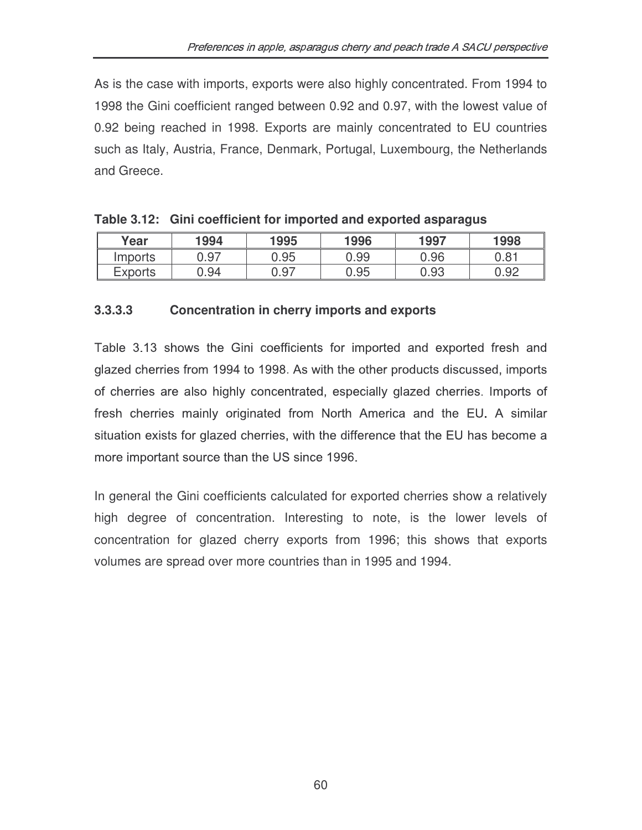As is the case with imports, exports were also highly concentrated. From 1994 to 1998 the Gini coefficient ranged between 0.92 and 0.97, with the lowest value of 0.92 being reached in 1998. Exports are mainly concentrated to EU countries such as Italy, Austria, France, Denmark, Portugal, Luxembourg, the Netherlands and Greece.

| Year    | 1994 | 1995 | 1996 | 1997 | 1998 |
|---------|------|------|------|------|------|
| Imports | 0.97 | 0.95 | 0.99 | 0.96 | 0.81 |
| Exports | 0.94 | 0.97 | 0.95 | 0.93 | 0.92 |

|  | Table 3.12: Gini coefficient for imported and exported asparagus |  |  |  |
|--|------------------------------------------------------------------|--|--|--|
|--|------------------------------------------------------------------|--|--|--|

#### **3.3.3.3 Concentration in cherry imports and exports**

Table 3.13 shows the Gini coefficients for imported and exported fresh and glazed cherries from 1994 to 1998. As with the other products discussed, imports of cherries are also highly concentrated, especially glazed cherries. Imports of fresh cherries mainly originated from North America and the EU. A similar situation exists for glazed cherries, with the difference that the EU has become a more important source than the US since 1996.

In general the Gini coefficients calculated for exported cherries show a relatively high degree of concentration. Interesting to note, is the lower levels of concentration for glazed cherry exports from 1996; this shows that exports volumes are spread over more countries than in 1995 and 1994.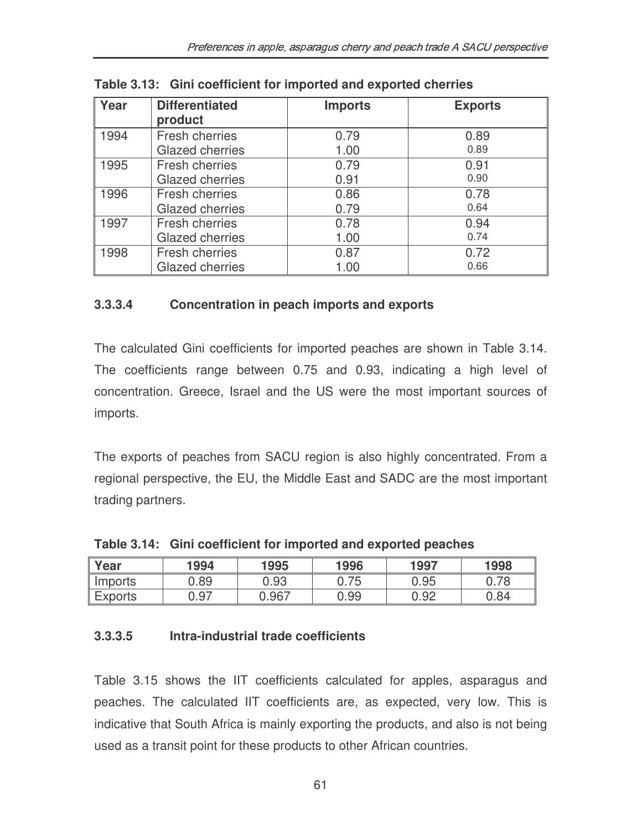| Year | <b>Differentiated</b>  | <b>Imports</b> | <b>Exports</b> |
|------|------------------------|----------------|----------------|
|      | product                |                |                |
| 1994 | <b>Fresh cherries</b>  | 0.79           | 0.89           |
|      | <b>Glazed cherries</b> | 1.00           | 0.89           |
| 1995 | Fresh cherries         | 0.79           | 0.91           |
|      | <b>Glazed cherries</b> | 0.91           | 0.90           |
| 1996 | Fresh cherries         | 0.86           | 0.78           |
|      | <b>Glazed cherries</b> | 0.79           | 0.64           |
| 1997 | <b>Fresh cherries</b>  | 0.78           | 0.94           |
|      | <b>Glazed cherries</b> | 1.00           | 0.74           |
| 1998 | <b>Fresh cherries</b>  | 0.87           | 0.72           |
|      | <b>Glazed cherries</b> | 1.00           | 0.66           |

**Table 3.13: Gini coefficient for imported and exported cherries**

#### **3.3.3.4 Concentration in peach imports and exports**

The calculated Gini coefficients for imported peaches are shown in Table 3.14. The coefficients range between 0.75 and 0.93, indicating a high level of concentration. Greece, Israel and the US were the most important sources of imports.

The exports of peaches from SACU region is also highly concentrated. From a regional perspective, the EU, the Middle East and SADC are the most important trading partners.

| Year           | 1994 | 1995  | 1996 | 1997 | 1998 |
|----------------|------|-------|------|------|------|
| Imports        | 0.89 | 0.93  | 0.75 | 0.95 |      |
| <b>Exports</b> | 0.97 | 0.967 | 0.99 | 0.92 | 0.84 |

**Table 3.14: Gini coefficient for imported and exported peaches**

### **3.3.3.5 Intra-industrial trade coefficients**

Table 3.15 shows the IIT coefficients calculated for apples, asparagus and peaches. The calculated IIT coefficients are, as expected, very low. This is indicative that South Africa is mainly exporting the products, and also is not being used as a transit point for these products to other African countries.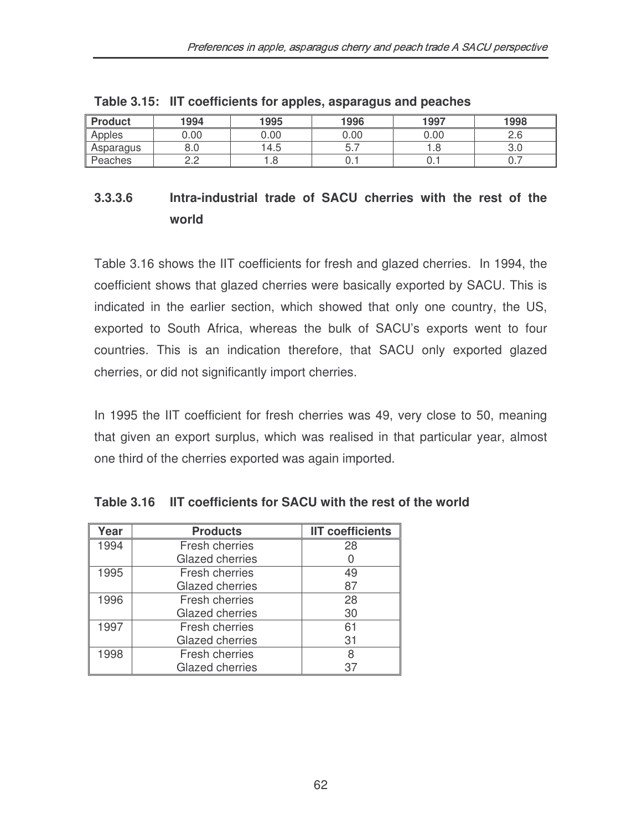| <b>Product</b> | 1994 | 1995 | 1996 | 1997 | 1998 |
|----------------|------|------|------|------|------|
| Apples         | ).00 | 0.00 | 0.00 | 0.00 | ۵.c  |
| Asparagus      | o.u  | 4.5  | ، ب  |      | U.U  |
| Peaches        | _._  | . o  | ∪. ı | ∪. ı | v. 1 |

**Table 3.15: IIT coefficients for apples, asparagus and peaches**

# **3.3.3.6 Intra-industrial trade of SACU cherries with the rest of the world**

Table 3.16 shows the IIT coefficients for fresh and glazed cherries. In 1994, the coefficient shows that glazed cherries were basically exported by SACU. This is indicated in the earlier section, which showed that only one country, the US, exported to South Africa, whereas the bulk of SACU's exports went to four countries. This is an indication therefore, that SACU only exported glazed cherries, or did not significantly import cherries.

In 1995 the IIT coefficient for fresh cherries was 49, very close to 50, meaning that given an export surplus, which was realised in that particular year, almost one third of the cherries exported was again imported.

| Year | <b>Products</b>        | <b>IIT coefficients</b> |
|------|------------------------|-------------------------|
| 1994 | Fresh cherries         | 28                      |
|      | <b>Glazed cherries</b> |                         |
| 1995 | Fresh cherries         | 49                      |
|      | <b>Glazed cherries</b> | 87                      |
| 1996 | Fresh cherries         | 28                      |
|      | <b>Glazed cherries</b> | 30                      |
| 1997 | Fresh cherries         | 61                      |
|      | <b>Glazed cherries</b> | 31                      |
| 1998 | Fresh cherries         | 8                       |
|      | Glazed cherries        | 37                      |

**Table 3.16 IIT coefficients for SACU with the rest of the world**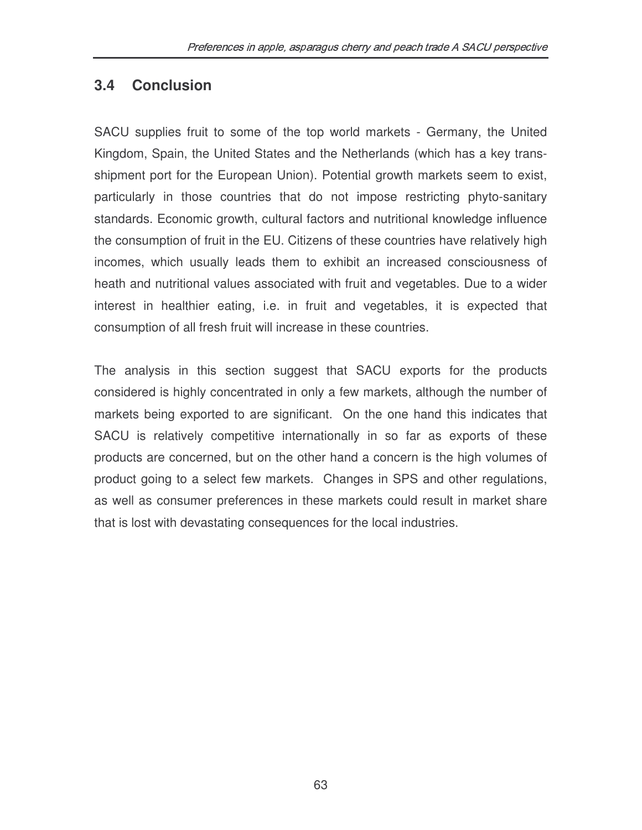# **3.4 Conclusion**

SACU supplies fruit to some of the top world markets - Germany, the United Kingdom, Spain, the United States and the Netherlands (which has a key transshipment port for the European Union). Potential growth markets seem to exist, particularly in those countries that do not impose restricting phyto-sanitary standards. Economic growth, cultural factors and nutritional knowledge influence the consumption of fruit in the EU. Citizens of these countries have relatively high incomes, which usually leads them to exhibit an increased consciousness of heath and nutritional values associated with fruit and vegetables. Due to a wider interest in healthier eating, i.e. in fruit and vegetables, it is expected that consumption of all fresh fruit will increase in these countries.

The analysis in this section suggest that SACU exports for the products considered is highly concentrated in only a few markets, although the number of markets being exported to are significant. On the one hand this indicates that SACU is relatively competitive internationally in so far as exports of these products are concerned, but on the other hand a concern is the high volumes of product going to a select few markets. Changes in SPS and other regulations, as well as consumer preferences in these markets could result in market share that is lost with devastating consequences for the local industries.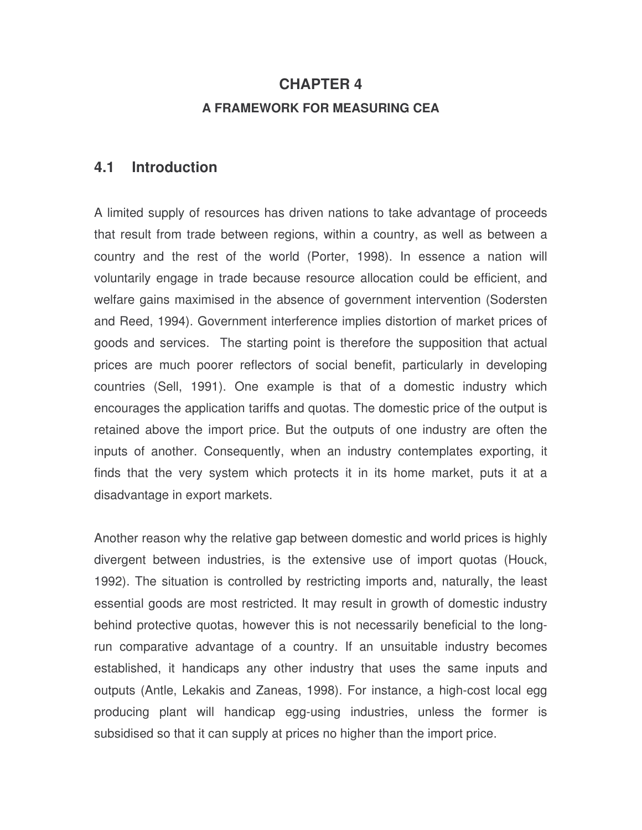# **CHAPTER 4 A FRAMEWORK FOR MEASURING CEA**

### **4.1 Introduction**

A limited supply of resources has driven nations to take advantage of proceeds that result from trade between regions, within a country, as well as between a country and the rest of the world (Porter, 1998). In essence a nation will voluntarily engage in trade because resource allocation could be efficient, and welfare gains maximised in the absence of government intervention (Sodersten and Reed, 1994). Government interference implies distortion of market prices of goods and services. The starting point is therefore the supposition that actual prices are much poorer reflectors of social benefit, particularly in developing countries (Sell, 1991). One example is that of a domestic industry which encourages the application tariffs and quotas. The domestic price of the output is retained above the import price. But the outputs of one industry are often the inputs of another. Consequently, when an industry contemplates exporting, it finds that the very system which protects it in its home market, puts it at a disadvantage in export markets.

Another reason why the relative gap between domestic and world prices is highly divergent between industries, is the extensive use of import quotas (Houck, 1992). The situation is controlled by restricting imports and, naturally, the least essential goods are most restricted. It may result in growth of domestic industry behind protective quotas, however this is not necessarily beneficial to the longrun comparative advantage of a country. If an unsuitable industry becomes established, it handicaps any other industry that uses the same inputs and outputs (Antle, Lekakis and Zaneas, 1998). For instance, a high-cost local egg producing plant will handicap egg-using industries, unless the former is subsidised so that it can supply at prices no higher than the import price.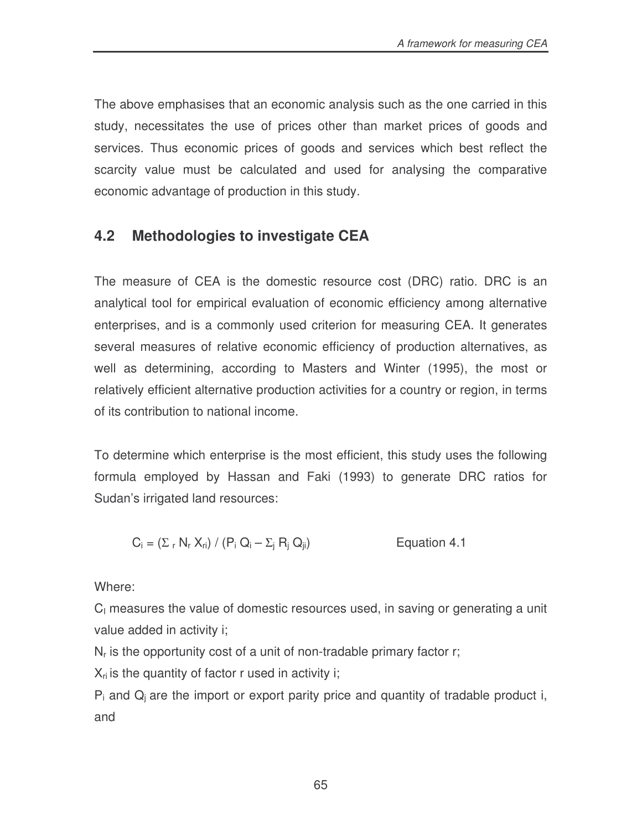The above emphasises that an economic analysis such as the one carried in this study, necessitates the use of prices other than market prices of goods and services. Thus economic prices of goods and services which best reflect the scarcity value must be calculated and used for analysing the comparative economic advantage of production in this study.

# **4.2 Methodologies to investigate CEA**

The measure of CEA is the domestic resource cost (DRC) ratio. DRC is an analytical tool for empirical evaluation of economic efficiency among alternative enterprises, and is a commonly used criterion for measuring CEA. It generates several measures of relative economic efficiency of production alternatives, as well as determining, according to Masters and Winter (1995), the most or relatively efficient alternative production activities for a country or region, in terms of its contribution to national income.

To determine which enterprise is the most efficient, this study uses the following formula employed by Hassan and Faki (1993) to generate DRC ratios for Sudan's irrigated land resources:

$$
C_i = (\Sigma_r N_r X_{ri}) / (P_i Q_i - \Sigma_j R_j Q_{ji})
$$
 Equation 4.1

Where:

 $C<sub>1</sub>$  measures the value of domestic resources used, in saving or generating a unit value added in activity i;

 $N_r$  is the opportunity cost of a unit of non-tradable primary factor r;

 $\mathsf{X}_{\mathsf{ri}}$  is the quantity of factor r used in activity i;

 $P_i$  and  $Q_i$  are the import or export parity price and quantity of tradable product i, and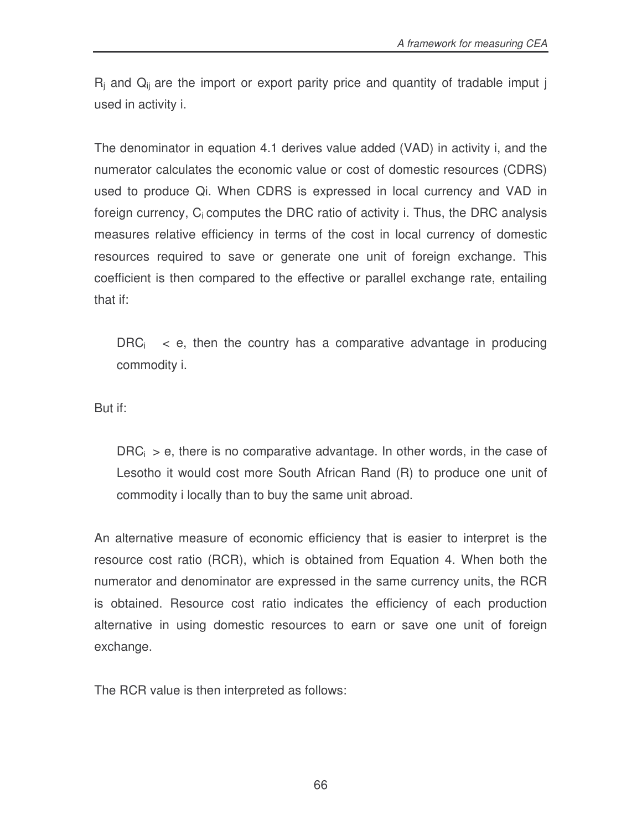$R_i$  and  $Q_{ii}$  are the import or export parity price and quantity of tradable imput j used in activity i.

The denominator in equation 4.1 derives value added (VAD) in activity i, and the numerator calculates the economic value or cost of domestic resources (CDRS) used to produce Qi. When CDRS is expressed in local currency and VAD in foreign currency,  $C_i$  computes the DRC ratio of activity i. Thus, the DRC analysis measures relative efficiency in terms of the cost in local currency of domestic resources required to save or generate one unit of foreign exchange. This coefficient is then compared to the effective or parallel exchange rate, entailing that if:

 $DRC<sub>i</sub>$  < e, then the country has a comparative advantage in producing commodity i.

But if:

 $DRC<sub>i</sub> > e$ , there is no comparative advantage. In other words, in the case of Lesotho it would cost more South African Rand (R) to produce one unit of commodity i locally than to buy the same unit abroad.

An alternative measure of economic efficiency that is easier to interpret is the resource cost ratio (RCR), which is obtained from Equation 4. When both the numerator and denominator are expressed in the same currency units, the RCR is obtained. Resource cost ratio indicates the efficiency of each production alternative in using domestic resources to earn or save one unit of foreign exchange.

The RCR value is then interpreted as follows: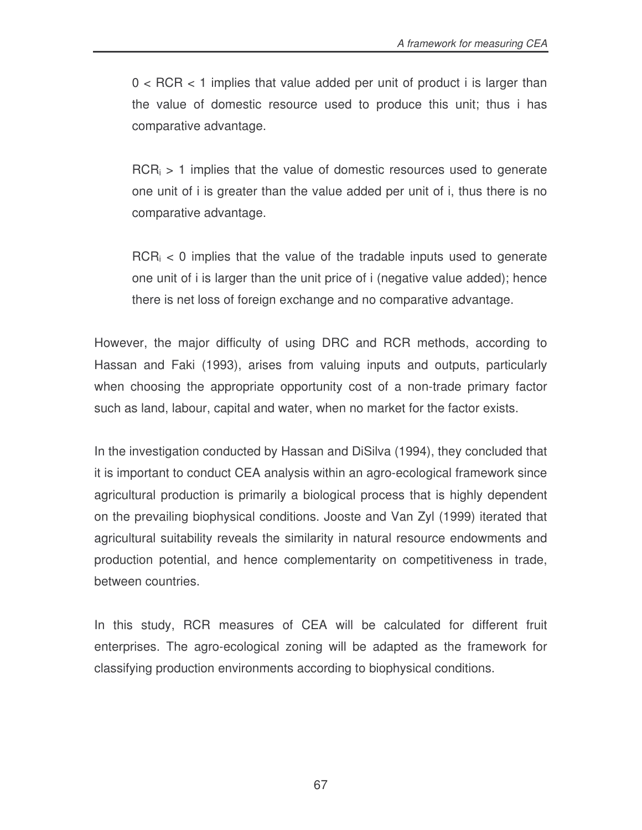$0 < ACR < 1$  implies that value added per unit of product i is larger than the value of domestic resource used to produce this unit; thus i has comparative advantage.

 $RCR<sub>i</sub> > 1$  implies that the value of domestic resources used to generate one unit of i is greater than the value added per unit of i, thus there is no comparative advantage.

 $RCR<sub>i</sub> < 0$  implies that the value of the tradable inputs used to generate one unit of i is larger than the unit price of i (negative value added); hence there is net loss of foreign exchange and no comparative advantage.

However, the major difficulty of using DRC and RCR methods, according to Hassan and Faki (1993), arises from valuing inputs and outputs, particularly when choosing the appropriate opportunity cost of a non-trade primary factor such as land, labour, capital and water, when no market for the factor exists.

In the investigation conducted by Hassan and DiSilva (1994), they concluded that it is important to conduct CEA analysis within an agro-ecological framework since agricultural production is primarily a biological process that is highly dependent on the prevailing biophysical conditions. Jooste and Van Zyl (1999) iterated that agricultural suitability reveals the similarity in natural resource endowments and production potential, and hence complementarity on competitiveness in trade, between countries.

In this study, RCR measures of CEA will be calculated for different fruit enterprises. The agro-ecological zoning will be adapted as the framework for classifying production environments according to biophysical conditions.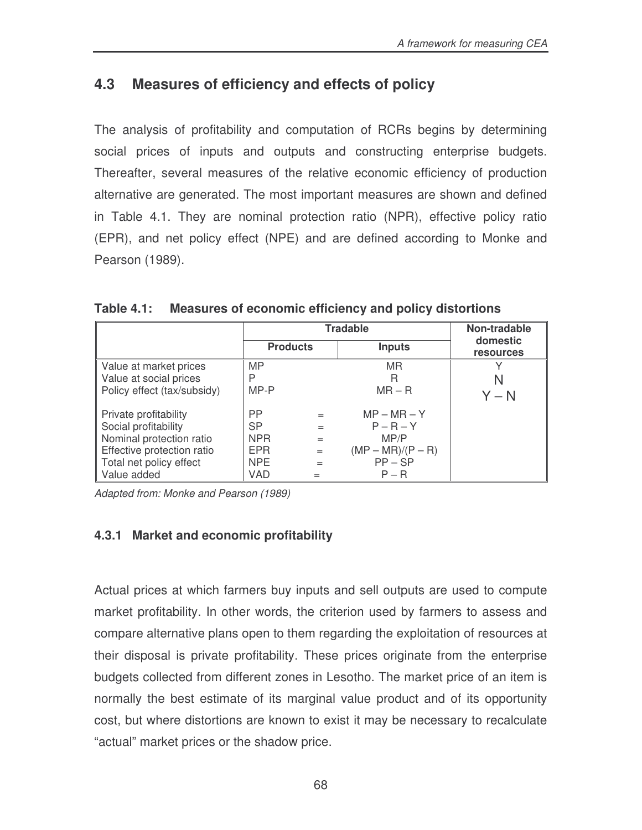# **4.3 Measures of efficiency and effects of policy**

The analysis of profitability and computation of RCRs begins by determining social prices of inputs and outputs and constructing enterprise budgets. Thereafter, several measures of the relative economic efficiency of production alternative are generated. The most important measures are shown and defined in Table 4.1. They are nominal protection ratio (NPR), effective policy ratio (EPR), and net policy effect (NPE) and are defined according to Monke and Pearson (1989).

|                             |                 | <b>Tradable</b> | Non-tradable        |                              |
|-----------------------------|-----------------|-----------------|---------------------|------------------------------|
|                             | <b>Products</b> |                 | <b>Inputs</b>       | domestic<br><b>resources</b> |
| Value at market prices      | <b>MP</b>       |                 | MR.                 |                              |
| Value at social prices      | P               |                 | R                   | N                            |
| Policy effect (tax/subsidy) | $MP-P$          |                 | $MR - R$            | $Y - N$                      |
| Private profitability       | <b>PP</b>       | $=$             | $MP - MR - Y$       |                              |
| Social profitability        | <b>SP</b>       | $=$             | $P - R - Y$         |                              |
| Nominal protection ratio    | NPR             | $=$             | MP/P                |                              |
| Effective protection ratio  | <b>EPR</b>      | $=$             | $(MP - MR)/(P - R)$ |                              |
| Total net policy effect     | <b>NPE</b>      | $=$             | $PP - SP$           |                              |
| Value added                 | <b>VAD</b>      | $=$             | $P - R$             |                              |

**Table 4.1: Measures of economic efficiency and policy distortions**

*Adapted from: Monke and Pearson (1989)*

# **4.3.1 Market and economic profitability**

Actual prices at which farmers buy inputs and sell outputs are used to compute market profitability. In other words, the criterion used by farmers to assess and compare alternative plans open to them regarding the exploitation of resources at their disposal is private profitability. These prices originate from the enterprise budgets collected from different zones in Lesotho. The market price of an item is normally the best estimate of its marginal value product and of its opportunity cost, but where distortions are known to exist it may be necessary to recalculate "actual" market prices or the shadow price.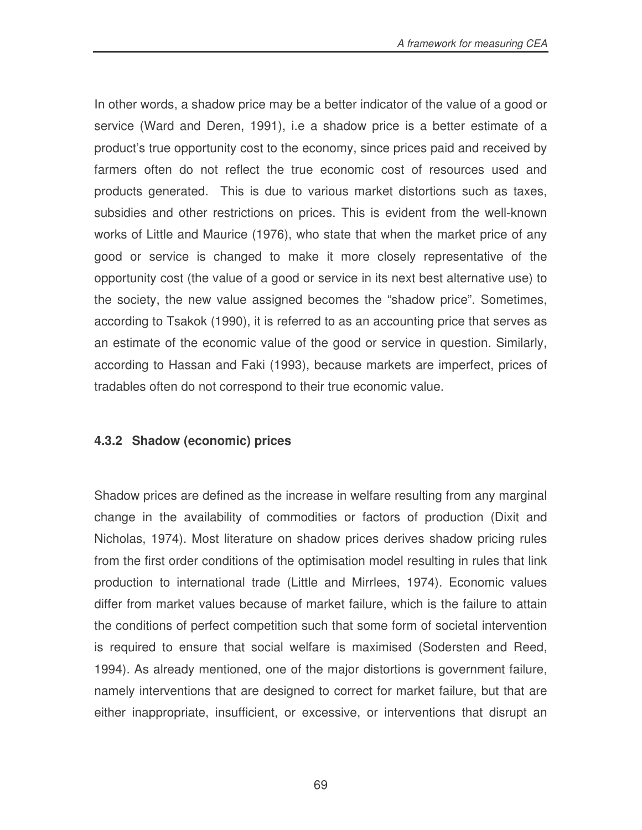In other words, a shadow price may be a better indicator of the value of a good or service (Ward and Deren, 1991), i.e a shadow price is a better estimate of a product's true opportunity cost to the economy, since prices paid and received by farmers often do not reflect the true economic cost of resources used and products generated. This is due to various market distortions such as taxes, subsidies and other restrictions on prices. This is evident from the well-known works of Little and Maurice (1976), who state that when the market price of any good or service is changed to make it more closely representative of the opportunity cost (the value of a good or service in its next best alternative use) to the society, the new value assigned becomes the "shadow price". Sometimes, according to Tsakok (1990), it is referred to as an accounting price that serves as an estimate of the economic value of the good or service in question. Similarly, according to Hassan and Faki (1993), because markets are imperfect, prices of tradables often do not correspond to their true economic value.

#### **4.3.2 Shadow (economic) prices**

Shadow prices are defined as the increase in welfare resulting from any marginal change in the availability of commodities or factors of production (Dixit and Nicholas, 1974). Most literature on shadow prices derives shadow pricing rules from the first order conditions of the optimisation model resulting in rules that link production to international trade (Little and Mirrlees, 1974). Economic values differ from market values because of market failure, which is the failure to attain the conditions of perfect competition such that some form of societal intervention is required to ensure that social welfare is maximised (Sodersten and Reed, 1994). As already mentioned, one of the major distortions is government failure, namely interventions that are designed to correct for market failure, but that are either inappropriate, insufficient, or excessive, or interventions that disrupt an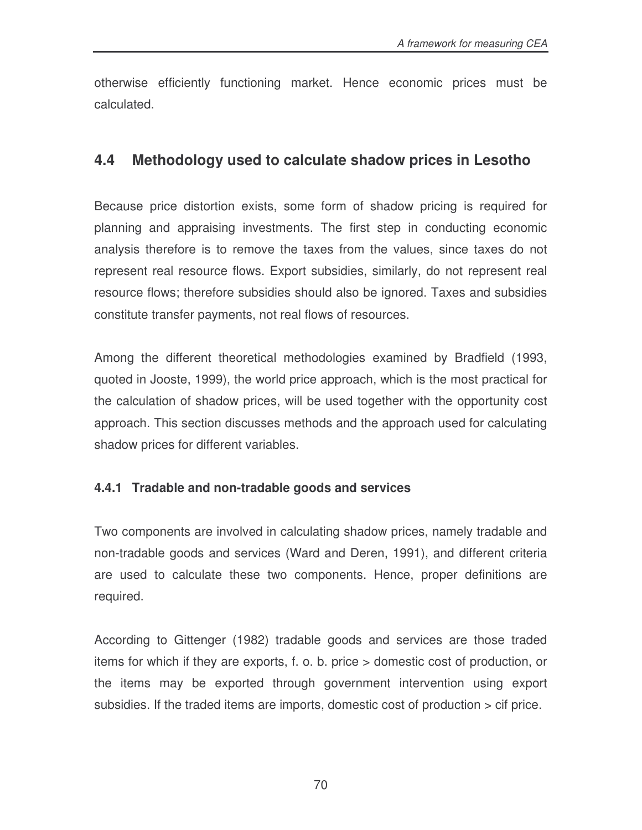otherwise efficiently functioning market. Hence economic prices must be calculated.

# **4.4 Methodology used to calculate shadow prices in Lesotho**

Because price distortion exists, some form of shadow pricing is required for planning and appraising investments. The first step in conducting economic analysis therefore is to remove the taxes from the values, since taxes do not represent real resource flows. Export subsidies, similarly, do not represent real resource flows; therefore subsidies should also be ignored. Taxes and subsidies constitute transfer payments, not real flows of resources.

Among the different theoretical methodologies examined by Bradfield (1993, quoted in Jooste, 1999), the world price approach, which is the most practical for the calculation of shadow prices, will be used together with the opportunity cost approach. This section discusses methods and the approach used for calculating shadow prices for different variables.

# **4.4.1 Tradable and non-tradable goods and services**

Two components are involved in calculating shadow prices, namely tradable and non-tradable goods and services (Ward and Deren, 1991), and different criteria are used to calculate these two components. Hence, proper definitions are required.

According to Gittenger (1982) tradable goods and services are those traded items for which if they are exports, f. o. b. price > domestic cost of production, or the items may be exported through government intervention using export subsidies. If the traded items are imports, domestic cost of production > cif price.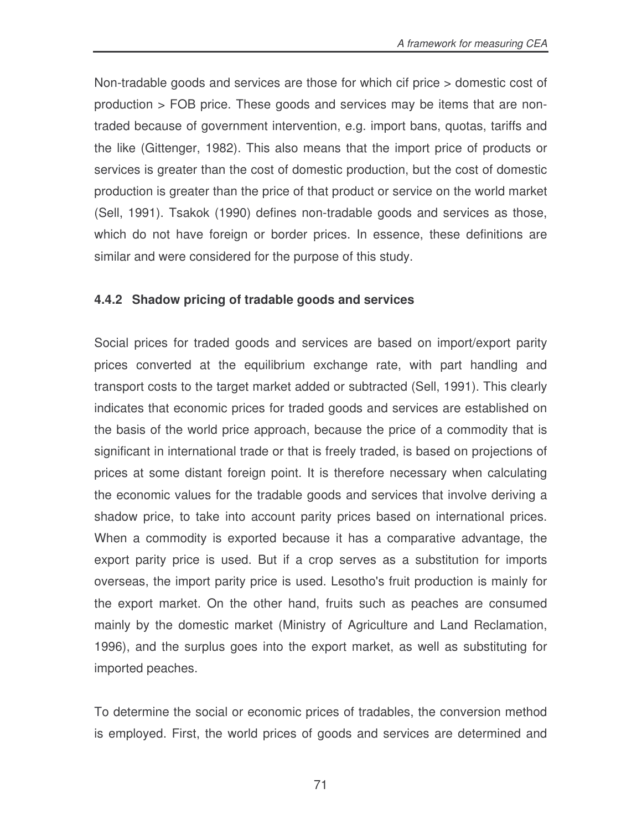Non-tradable goods and services are those for which cif price > domestic cost of production > FOB price. These goods and services may be items that are nontraded because of government intervention, e.g. import bans, quotas, tariffs and the like (Gittenger, 1982). This also means that the import price of products or services is greater than the cost of domestic production, but the cost of domestic production is greater than the price of that product or service on the world market (Sell, 1991). Tsakok (1990) defines non-tradable goods and services as those, which do not have foreign or border prices. In essence, these definitions are similar and were considered for the purpose of this study.

### **4.4.2 Shadow pricing of tradable goods and services**

Social prices for traded goods and services are based on import/export parity prices converted at the equilibrium exchange rate, with part handling and transport costs to the target market added or subtracted (Sell, 1991). This clearly indicates that economic prices for traded goods and services are established on the basis of the world price approach, because the price of a commodity that is significant in international trade or that is freely traded, is based on projections of prices at some distant foreign point. It is therefore necessary when calculating the economic values for the tradable goods and services that involve deriving a shadow price, to take into account parity prices based on international prices. When a commodity is exported because it has a comparative advantage, the export parity price is used. But if a crop serves as a substitution for imports overseas, the import parity price is used. Lesotho's fruit production is mainly for the export market. On the other hand, fruits such as peaches are consumed mainly by the domestic market (Ministry of Agriculture and Land Reclamation, 1996), and the surplus goes into the export market, as well as substituting for imported peaches.

To determine the social or economic prices of tradables, the conversion method is employed. First, the world prices of goods and services are determined and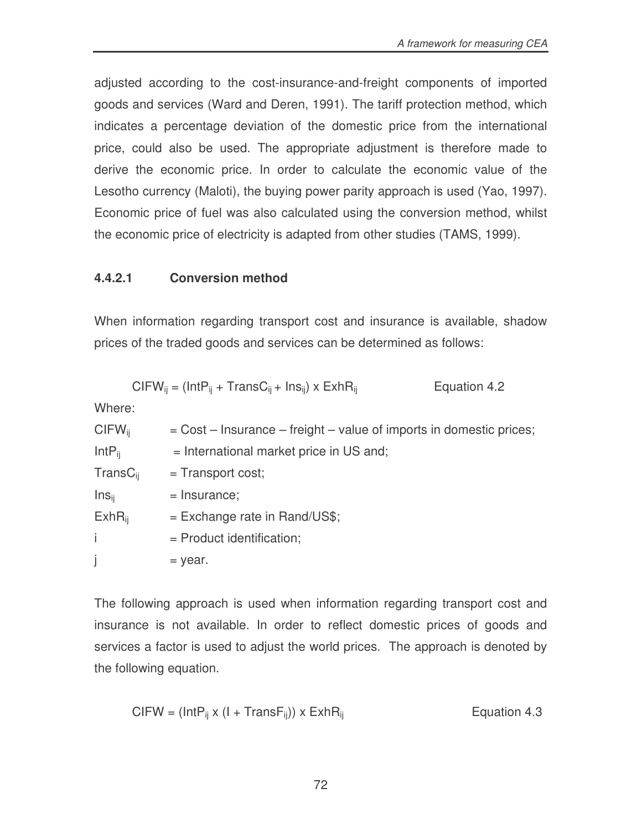adjusted according to the cost-insurance-and-freight components of imported goods and services (Ward and Deren, 1991). The tariff protection method, which indicates a percentage deviation of the domestic price from the international price, could also be used. The appropriate adjustment is therefore made to derive the economic price. In order to calculate the economic value of the Lesotho currency (Maloti), the buying power parity approach is used (Yao, 1997). Economic price of fuel was also calculated using the conversion method, whilst the economic price of electricity is adapted from other studies (TAMS, 1999).

### **4.4.2.1 Conversion method**

When information regarding transport cost and insurance is available, shadow prices of the traded goods and services can be determined as follows:

$$
CIFW_{ij} = (IntP_{ij} + TransC_{ij} + Ins_{ij}) \times ExhR_{ij}
$$
 Equation 4.2

Where:

| $CIFW_{ii}$       | $=$ Cost – Insurance – freight – value of imports in domestic prices; |
|-------------------|-----------------------------------------------------------------------|
| $IntP_{ii}$       | = International market price in US and;                               |
| $TransC_{ii}$     | $=$ Transport cost;                                                   |
| Ins <sub>ii</sub> | $=$ Insurance;                                                        |
| $ExhR_{ii}$       | $=$ Exchange rate in Rand/US\$;                                       |
| j.                | $=$ Product identification;                                           |
| j                 | = year.                                                               |

The following approach is used when information regarding transport cost and insurance is not available. In order to reflect domestic prices of goods and services a factor is used to adjust the world prices. The approach is denoted by the following equation.

$$
CIFW = (IntP_{ij} \times (I + TransF_{ij})) \times ExhR_{ij}
$$
 Equation 4.3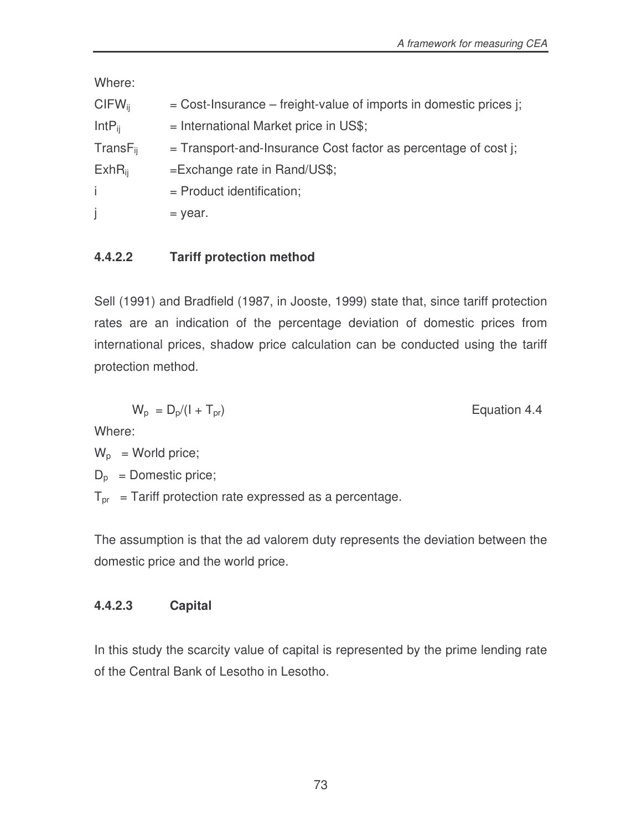Where:

| $CIFW_{ii}$   | $=$ Cost-Insurance – freight-value of imports in domestic prices j; |
|---------------|---------------------------------------------------------------------|
| $IntP_{ii}$   | $=$ International Market price in US\$;                             |
| $TransF_{ii}$ | $=$ Transport-and-Insurance Cost factor as percentage of cost j;    |
| $ExhR_{ii}$   | $=$ Exchange rate in Rand/US\$;                                     |
| j.            | $=$ Product identification;                                         |
| j             | = year.                                                             |

### **4.4.2.2 Tariff protection method**

Sell (1991) and Bradfield (1987, in Jooste, 1999) state that, since tariff protection rates are an indication of the percentage deviation of domestic prices from international prices, shadow price calculation can be conducted using the tariff protection method.

$$
W_{\rm p} = D_{\rm p}/(1 + T_{\rm pr})
$$

Equation 4.4

Where:

 $W_p$  = World price;

 $D_p$  = Domestic price;

 $T_{pr}$  = Tariff protection rate expressed as a percentage.

The assumption is that the ad valorem duty represents the deviation between the domestic price and the world price.

# **4.4.2.3 Capital**

In this study the scarcity value of capital is represented by the prime lending rate of the Central Bank of Lesotho in Lesotho.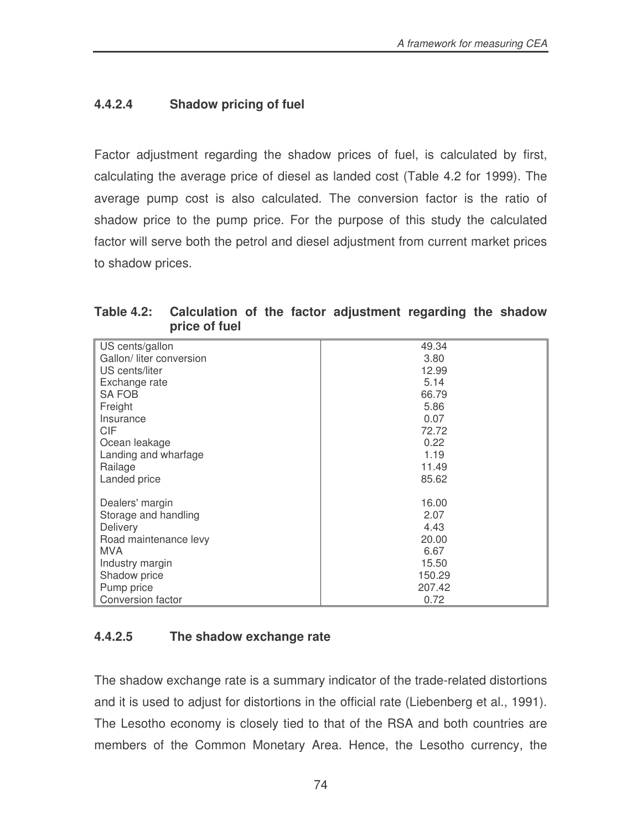### **4.4.2.4 Shadow pricing of fuel**

Factor adjustment regarding the shadow prices of fuel, is calculated by first, calculating the average price of diesel as landed cost (Table 4.2 for 1999). The average pump cost is also calculated. The conversion factor is the ratio of shadow price to the pump price. For the purpose of this study the calculated factor will serve both the petrol and diesel adjustment from current market prices to shadow prices.

| Table 4.2: Calculation of the factor adjustment regarding the shadow |  |  |  |
|----------------------------------------------------------------------|--|--|--|
| price of fuel                                                        |  |  |  |

|                          | 49.34  |
|--------------------------|--------|
| US cents/gallon          |        |
| Gallon/ liter conversion | 3.80   |
| US cents/liter           | 12.99  |
| Exchange rate            | 5.14   |
| <b>SA FOB</b>            | 66.79  |
| Freight                  | 5.86   |
| Insurance                | 0.07   |
| <b>CIF</b>               | 72.72  |
| Ocean leakage            | 0.22   |
| Landing and wharfage     | 1.19   |
| Railage                  | 11.49  |
| Landed price             | 85.62  |
|                          |        |
| Dealers' margin          | 16.00  |
| Storage and handling     | 2.07   |
| Delivery                 | 4.43   |
| Road maintenance levy    | 20.00  |
| <b>MVA</b>               | 6.67   |
| Industry margin          | 15.50  |
| Shadow price             | 150.29 |
| Pump price               | 207.42 |
| Conversion factor        | 0.72   |

### **4.4.2.5 The shadow exchange rate**

The shadow exchange rate is a summary indicator of the trade-related distortions and it is used to adjust for distortions in the official rate (Liebenberg et al., 1991). The Lesotho economy is closely tied to that of the RSA and both countries are members of the Common Monetary Area. Hence, the Lesotho currency, the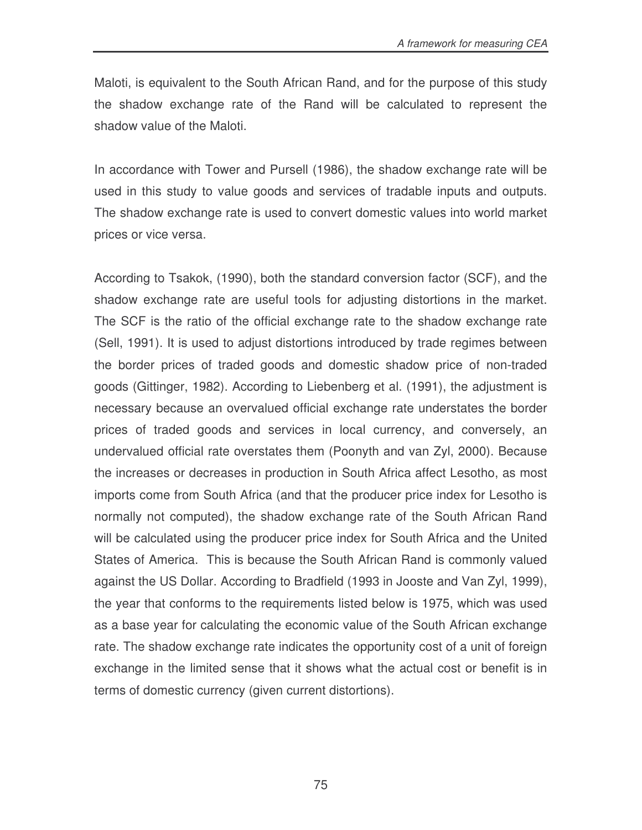Maloti, is equivalent to the South African Rand, and for the purpose of this study the shadow exchange rate of the Rand will be calculated to represent the shadow value of the Maloti.

In accordance with Tower and Pursell (1986), the shadow exchange rate will be used in this study to value goods and services of tradable inputs and outputs. The shadow exchange rate is used to convert domestic values into world market prices or vice versa.

According to Tsakok, (1990), both the standard conversion factor (SCF), and the shadow exchange rate are useful tools for adjusting distortions in the market. The SCF is the ratio of the official exchange rate to the shadow exchange rate (Sell, 1991). It is used to adjust distortions introduced by trade regimes between the border prices of traded goods and domestic shadow price of non-traded goods (Gittinger, 1982). According to Liebenberg et al. (1991), the adjustment is necessary because an overvalued official exchange rate understates the border prices of traded goods and services in local currency, and conversely, an undervalued official rate overstates them (Poonyth and van Zyl, 2000). Because the increases or decreases in production in South Africa affect Lesotho, as most imports come from South Africa (and that the producer price index for Lesotho is normally not computed), the shadow exchange rate of the South African Rand will be calculated using the producer price index for South Africa and the United States of America. This is because the South African Rand is commonly valued against the US Dollar. According to Bradfield (1993 in Jooste and Van Zyl, 1999), the year that conforms to the requirements listed below is 1975, which was used as a base year for calculating the economic value of the South African exchange rate. The shadow exchange rate indicates the opportunity cost of a unit of foreign exchange in the limited sense that it shows what the actual cost or benefit is in terms of domestic currency (given current distortions).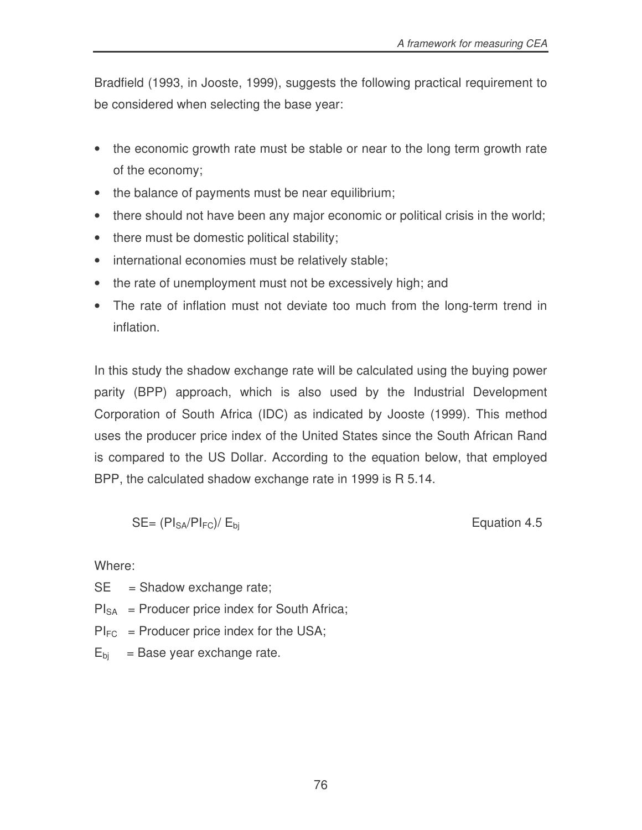Bradfield (1993, in Jooste, 1999), suggests the following practical requirement to be considered when selecting the base year:

- the economic growth rate must be stable or near to the long term growth rate of the economy;
- the balance of payments must be near equilibrium;
- there should not have been any major economic or political crisis in the world;
- there must be domestic political stability;
- international economies must be relatively stable;
- the rate of unemployment must not be excessively high; and
- The rate of inflation must not deviate too much from the long-term trend in inflation.

In this study the shadow exchange rate will be calculated using the buying power parity (BPP) approach, which is also used by the Industrial Development Corporation of South Africa (IDC) as indicated by Jooste (1999). This method uses the producer price index of the United States since the South African Rand is compared to the US Dollar. According to the equation below, that employed BPP, the calculated shadow exchange rate in 1999 is R 5.14.

$$
SE = (PI_{SA}/PI_{FC})/E_{bi}
$$

Equation 4.5

Where:

 $SE = Shadow exchange rate;$ 

- $PI_{SA}$  = Producer price index for South Africa;
- $PI_{FC}$  = Producer price index for the USA;
- $E<sub>bi</sub>$  = Base year exchange rate.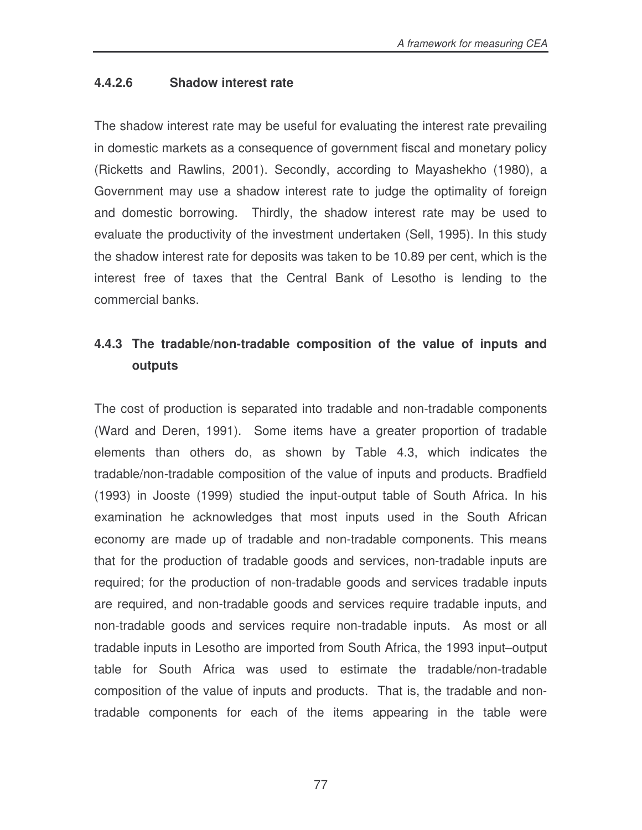#### **4.4.2.6 Shadow interest rate**

The shadow interest rate may be useful for evaluating the interest rate prevailing in domestic markets as a consequence of government fiscal and monetary policy (Ricketts and Rawlins, 2001). Secondly, according to Mayashekho (1980), a Government may use a shadow interest rate to judge the optimality of foreign and domestic borrowing. Thirdly, the shadow interest rate may be used to evaluate the productivity of the investment undertaken (Sell, 1995). In this study the shadow interest rate for deposits was taken to be 10.89 per cent, which is the interest free of taxes that the Central Bank of Lesotho is lending to the commercial banks.

# **4.4.3 The tradable/non-tradable composition of the value of inputs and outputs**

The cost of production is separated into tradable and non-tradable components (Ward and Deren, 1991). Some items have a greater proportion of tradable elements than others do, as shown by Table 4.3, which indicates the tradable/non-tradable composition of the value of inputs and products. Bradfield (1993) in Jooste (1999) studied the input-output table of South Africa. In his examination he acknowledges that most inputs used in the South African economy are made up of tradable and non-tradable components. This means that for the production of tradable goods and services, non-tradable inputs are required; for the production of non-tradable goods and services tradable inputs are required, and non-tradable goods and services require tradable inputs, and non-tradable goods and services require non-tradable inputs. As most or all tradable inputs in Lesotho are imported from South Africa, the 1993 input–output table for South Africa was used to estimate the tradable/non-tradable composition of the value of inputs and products. That is, the tradable and nontradable components for each of the items appearing in the table were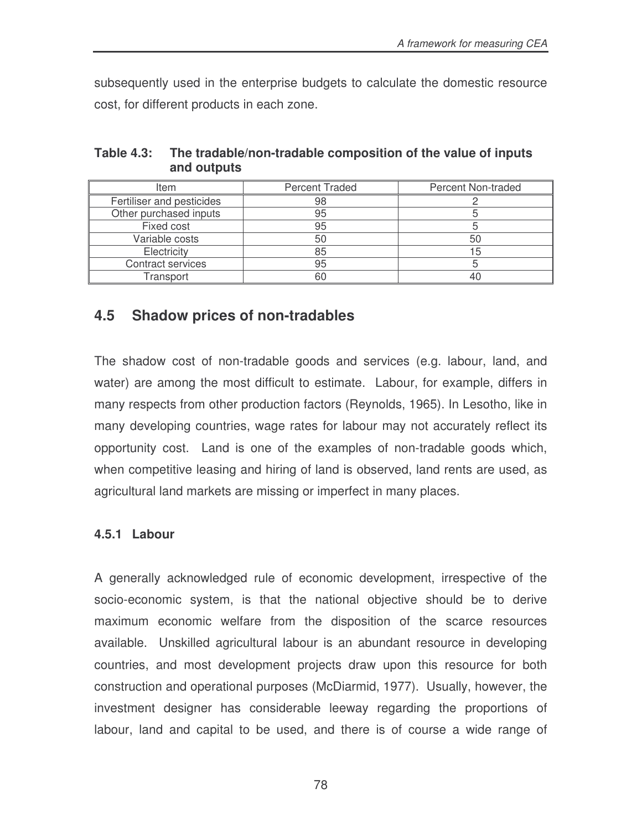subsequently used in the enterprise budgets to calculate the domestic resource cost, for different products in each zone.

| ltem                      | <b>Percent Traded</b> | Percent Non-traded |
|---------------------------|-----------------------|--------------------|
| Fertiliser and pesticides | 98                    |                    |
| Other purchased inputs    | 95                    |                    |
| Fixed cost                | 95                    |                    |
| Variable costs            | 50                    | 50                 |
| Electricity               | 85                    | 15                 |
| Contract services         | 95                    |                    |
| Transport                 |                       |                    |

**Table 4.3: The tradable/non-tradable composition of the value of inputs and outputs**

# **4.5 Shadow prices of non-tradables**

The shadow cost of non-tradable goods and services (e.g. labour, land, and water) are among the most difficult to estimate. Labour, for example, differs in many respects from other production factors (Reynolds, 1965). In Lesotho, like in many developing countries, wage rates for labour may not accurately reflect its opportunity cost. Land is one of the examples of non-tradable goods which, when competitive leasing and hiring of land is observed, land rents are used, as agricultural land markets are missing or imperfect in many places.

### **4.5.1 Labour**

A generally acknowledged rule of economic development, irrespective of the socio-economic system, is that the national objective should be to derive maximum economic welfare from the disposition of the scarce resources available. Unskilled agricultural labour is an abundant resource in developing countries, and most development projects draw upon this resource for both construction and operational purposes (McDiarmid, 1977). Usually, however, the investment designer has considerable leeway regarding the proportions of labour, land and capital to be used, and there is of course a wide range of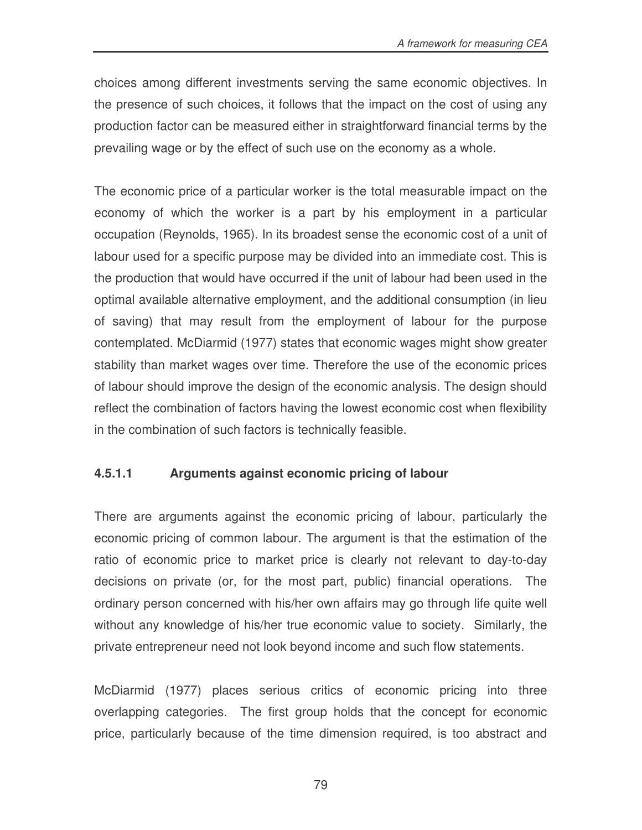choices among different investments serving the same economic objectives. In the presence of such choices, it follows that the impact on the cost of using any production factor can be measured either in straightforward financial terms by the prevailing wage or by the effect of such use on the economy as a whole.

The economic price of a particular worker is the total measurable impact on the economy of which the worker is a part by his employment in a particular occupation (Reynolds, 1965). In its broadest sense the economic cost of a unit of labour used for a specific purpose may be divided into an immediate cost. This is the production that would have occurred if the unit of labour had been used in the optimal available alternative employment, and the additional consumption (in lieu of saving) that may result from the employment of labour for the purpose contemplated. McDiarmid (1977) states that economic wages might show greater stability than market wages over time. Therefore the use of the economic prices of labour should improve the design of the economic analysis. The design should reflect the combination of factors having the lowest economic cost when flexibility in the combination of such factors is technically feasible.

# **4.5.1.1 Arguments against economic pricing of labour**

There are arguments against the economic pricing of labour, particularly the economic pricing of common labour. The argument is that the estimation of the ratio of economic price to market price is clearly not relevant to day-to-day decisions on private (or, for the most part, public) financial operations. The ordinary person concerned with his/her own affairs may go through life quite well without any knowledge of his/her true economic value to society. Similarly, the private entrepreneur need not look beyond income and such flow statements.

McDiarmid (1977) places serious critics of economic pricing into three overlapping categories. The first group holds that the concept for economic price, particularly because of the time dimension required, is too abstract and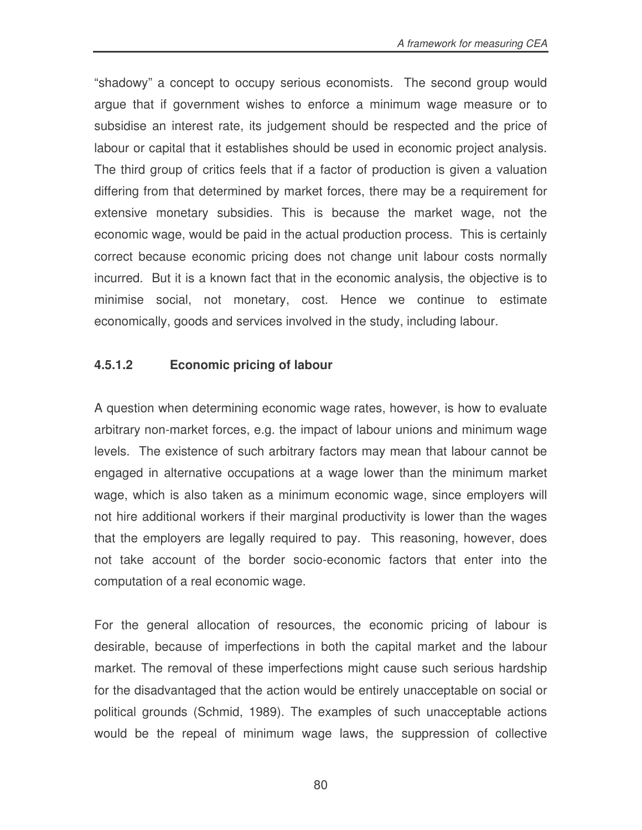"shadowy" a concept to occupy serious economists. The second group would argue that if government wishes to enforce a minimum wage measure or to subsidise an interest rate, its judgement should be respected and the price of labour or capital that it establishes should be used in economic project analysis. The third group of critics feels that if a factor of production is given a valuation differing from that determined by market forces, there may be a requirement for extensive monetary subsidies. This is because the market wage, not the economic wage, would be paid in the actual production process. This is certainly correct because economic pricing does not change unit labour costs normally incurred. But it is a known fact that in the economic analysis, the objective is to minimise social, not monetary, cost. Hence we continue to estimate economically, goods and services involved in the study, including labour.

### **4.5.1.2 Economic pricing of labour**

A question when determining economic wage rates, however, is how to evaluate arbitrary non-market forces, e.g. the impact of labour unions and minimum wage levels. The existence of such arbitrary factors may mean that labour cannot be engaged in alternative occupations at a wage lower than the minimum market wage, which is also taken as a minimum economic wage, since employers will not hire additional workers if their marginal productivity is lower than the wages that the employers are legally required to pay. This reasoning, however, does not take account of the border socio-economic factors that enter into the computation of a real economic wage.

For the general allocation of resources, the economic pricing of labour is desirable, because of imperfections in both the capital market and the labour market. The removal of these imperfections might cause such serious hardship for the disadvantaged that the action would be entirely unacceptable on social or political grounds (Schmid, 1989). The examples of such unacceptable actions would be the repeal of minimum wage laws, the suppression of collective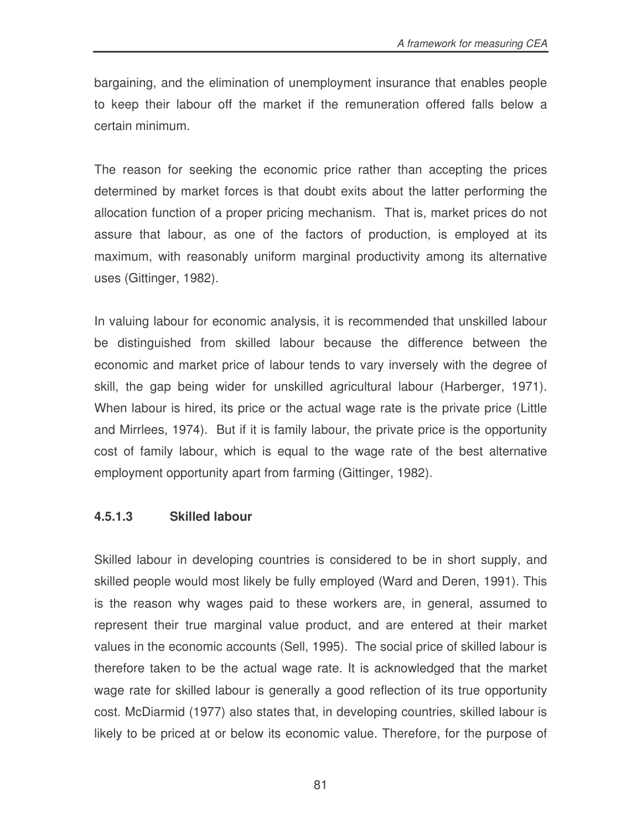bargaining, and the elimination of unemployment insurance that enables people to keep their labour off the market if the remuneration offered falls below a certain minimum.

The reason for seeking the economic price rather than accepting the prices determined by market forces is that doubt exits about the latter performing the allocation function of a proper pricing mechanism. That is, market prices do not assure that labour, as one of the factors of production, is employed at its maximum, with reasonably uniform marginal productivity among its alternative uses (Gittinger, 1982).

In valuing labour for economic analysis, it is recommended that unskilled labour be distinguished from skilled labour because the difference between the economic and market price of labour tends to vary inversely with the degree of skill, the gap being wider for unskilled agricultural labour (Harberger, 1971). When labour is hired, its price or the actual wage rate is the private price (Little and Mirrlees, 1974). But if it is family labour, the private price is the opportunity cost of family labour, which is equal to the wage rate of the best alternative employment opportunity apart from farming (Gittinger, 1982).

#### **4.5.1.3 Skilled labour**

Skilled labour in developing countries is considered to be in short supply, and skilled people would most likely be fully employed (Ward and Deren, 1991). This is the reason why wages paid to these workers are, in general, assumed to represent their true marginal value product, and are entered at their market values in the economic accounts (Sell, 1995). The social price of skilled labour is therefore taken to be the actual wage rate. It is acknowledged that the market wage rate for skilled labour is generally a good reflection of its true opportunity cost. McDiarmid (1977) also states that, in developing countries, skilled labour is likely to be priced at or below its economic value. Therefore, for the purpose of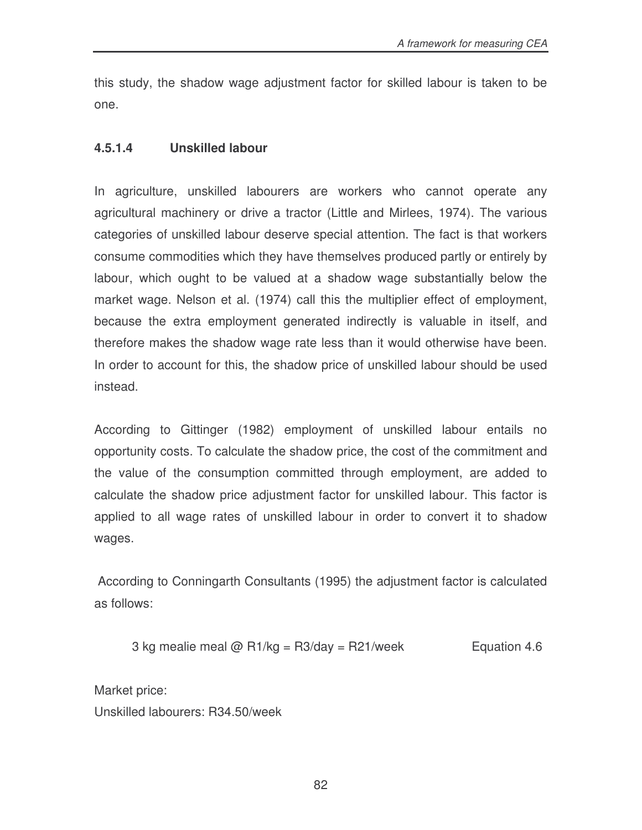this study, the shadow wage adjustment factor for skilled labour is taken to be one.

#### **4.5.1.4 Unskilled labour**

In agriculture, unskilled labourers are workers who cannot operate any agricultural machinery or drive a tractor (Little and Mirlees, 1974). The various categories of unskilled labour deserve special attention. The fact is that workers consume commodities which they have themselves produced partly or entirely by labour, which ought to be valued at a shadow wage substantially below the market wage. Nelson et al. (1974) call this the multiplier effect of employment, because the extra employment generated indirectly is valuable in itself, and therefore makes the shadow wage rate less than it would otherwise have been. In order to account for this, the shadow price of unskilled labour should be used instead.

According to Gittinger (1982) employment of unskilled labour entails no opportunity costs. To calculate the shadow price, the cost of the commitment and the value of the consumption committed through employment, are added to calculate the shadow price adjustment factor for unskilled labour. This factor is applied to all wage rates of unskilled labour in order to convert it to shadow wages.

According to Conningarth Consultants (1995) the adjustment factor is calculated as follows:

3 kg mealie meal  $\omega$  R1/kg = R3/day = R21/week Equation 4.6

Market price:

Unskilled labourers: R34.50/week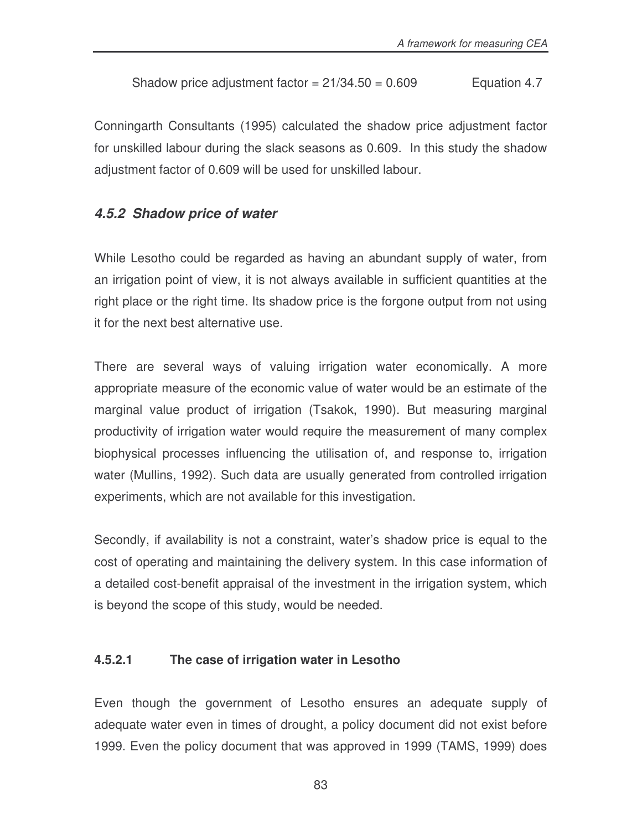$$
Shadow price adjustment factor = 21/34.50 = 0.609
$$
 Equation 4.7

Conningarth Consultants (1995) calculated the shadow price adjustment factor for unskilled labour during the slack seasons as 0.609. In this study the shadow adjustment factor of 0.609 will be used for unskilled labour.

#### *4.5.2 Shadow price of water*

While Lesotho could be regarded as having an abundant supply of water, from an irrigation point of view, it is not always available in sufficient quantities at the right place or the right time. Its shadow price is the forgone output from not using it for the next best alternative use.

There are several ways of valuing irrigation water economically. A more appropriate measure of the economic value of water would be an estimate of the marginal value product of irrigation (Tsakok, 1990). But measuring marginal productivity of irrigation water would require the measurement of many complex biophysical processes influencing the utilisation of, and response to, irrigation water (Mullins, 1992). Such data are usually generated from controlled irrigation experiments, which are not available for this investigation.

Secondly, if availability is not a constraint, water's shadow price is equal to the cost of operating and maintaining the delivery system. In this case information of a detailed cost-benefit appraisal of the investment in the irrigation system, which is beyond the scope of this study, would be needed.

#### **4.5.2.1 The case of irrigation water in Lesotho**

Even though the government of Lesotho ensures an adequate supply of adequate water even in times of drought, a policy document did not exist before 1999. Even the policy document that was approved in 1999 (TAMS, 1999) does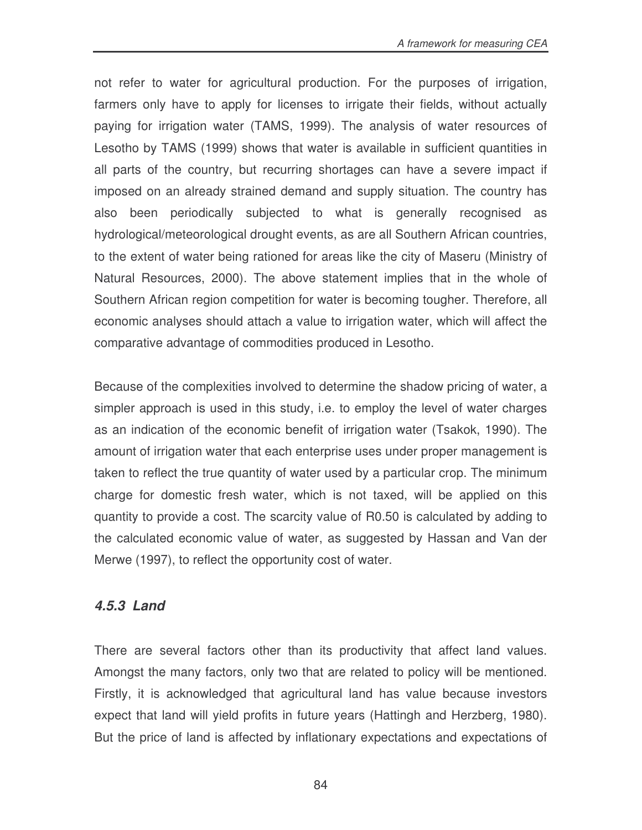not refer to water for agricultural production. For the purposes of irrigation, farmers only have to apply for licenses to irrigate their fields, without actually paying for irrigation water (TAMS, 1999). The analysis of water resources of Lesotho by TAMS (1999) shows that water is available in sufficient quantities in all parts of the country, but recurring shortages can have a severe impact if imposed on an already strained demand and supply situation. The country has also been periodically subjected to what is generally recognised as hydrological/meteorological drought events, as are all Southern African countries, to the extent of water being rationed for areas like the city of Maseru (Ministry of Natural Resources, 2000). The above statement implies that in the whole of Southern African region competition for water is becoming tougher. Therefore, all economic analyses should attach a value to irrigation water, which will affect the comparative advantage of commodities produced in Lesotho.

Because of the complexities involved to determine the shadow pricing of water, a simpler approach is used in this study, i.e. to employ the level of water charges as an indication of the economic benefit of irrigation water (Tsakok, 1990). The amount of irrigation water that each enterprise uses under proper management is taken to reflect the true quantity of water used by a particular crop. The minimum charge for domestic fresh water, which is not taxed, will be applied on this quantity to provide a cost. The scarcity value of R0.50 is calculated by adding to the calculated economic value of water, as suggested by Hassan and Van der Merwe (1997), to reflect the opportunity cost of water.

# *4.5.3 Land*

There are several factors other than its productivity that affect land values. Amongst the many factors, only two that are related to policy will be mentioned. Firstly, it is acknowledged that agricultural land has value because investors expect that land will yield profits in future years (Hattingh and Herzberg, 1980). But the price of land is affected by inflationary expectations and expectations of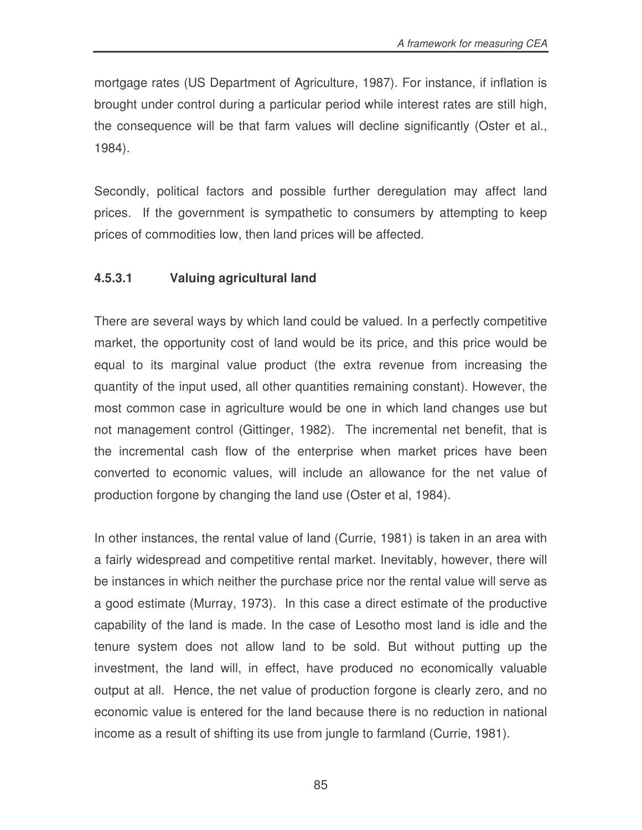mortgage rates (US Department of Agriculture, 1987). For instance, if inflation is brought under control during a particular period while interest rates are still high, the consequence will be that farm values will decline significantly (Oster et al., 1984).

Secondly, political factors and possible further deregulation may affect land prices. If the government is sympathetic to consumers by attempting to keep prices of commodities low, then land prices will be affected.

### **4.5.3.1 Valuing agricultural land**

There are several ways by which land could be valued. In a perfectly competitive market, the opportunity cost of land would be its price, and this price would be equal to its marginal value product (the extra revenue from increasing the quantity of the input used, all other quantities remaining constant). However, the most common case in agriculture would be one in which land changes use but not management control (Gittinger, 1982). The incremental net benefit, that is the incremental cash flow of the enterprise when market prices have been converted to economic values, will include an allowance for the net value of production forgone by changing the land use (Oster et al, 1984).

In other instances, the rental value of land (Currie, 1981) is taken in an area with a fairly widespread and competitive rental market. Inevitably, however, there will be instances in which neither the purchase price nor the rental value will serve as a good estimate (Murray, 1973). In this case a direct estimate of the productive capability of the land is made. In the case of Lesotho most land is idle and the tenure system does not allow land to be sold. But without putting up the investment, the land will, in effect, have produced no economically valuable output at all. Hence, the net value of production forgone is clearly zero, and no economic value is entered for the land because there is no reduction in national income as a result of shifting its use from jungle to farmland (Currie, 1981).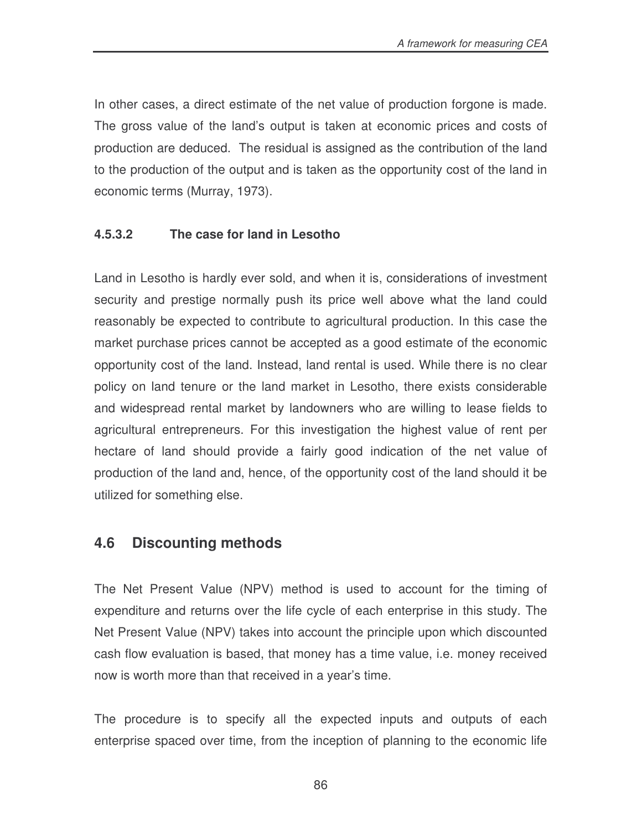In other cases, a direct estimate of the net value of production forgone is made. The gross value of the land's output is taken at economic prices and costs of production are deduced. The residual is assigned as the contribution of the land to the production of the output and is taken as the opportunity cost of the land in economic terms (Murray, 1973).

### **4.5.3.2 The case for land in Lesotho**

Land in Lesotho is hardly ever sold, and when it is, considerations of investment security and prestige normally push its price well above what the land could reasonably be expected to contribute to agricultural production. In this case the market purchase prices cannot be accepted as a good estimate of the economic opportunity cost of the land. Instead, land rental is used. While there is no clear policy on land tenure or the land market in Lesotho, there exists considerable and widespread rental market by landowners who are willing to lease fields to agricultural entrepreneurs. For this investigation the highest value of rent per hectare of land should provide a fairly good indication of the net value of production of the land and, hence, of the opportunity cost of the land should it be utilized for something else.

# **4.6 Discounting methods**

The Net Present Value (NPV) method is used to account for the timing of expenditure and returns over the life cycle of each enterprise in this study. The Net Present Value (NPV) takes into account the principle upon which discounted cash flow evaluation is based, that money has a time value, i.e. money received now is worth more than that received in a year's time.

The procedure is to specify all the expected inputs and outputs of each enterprise spaced over time, from the inception of planning to the economic life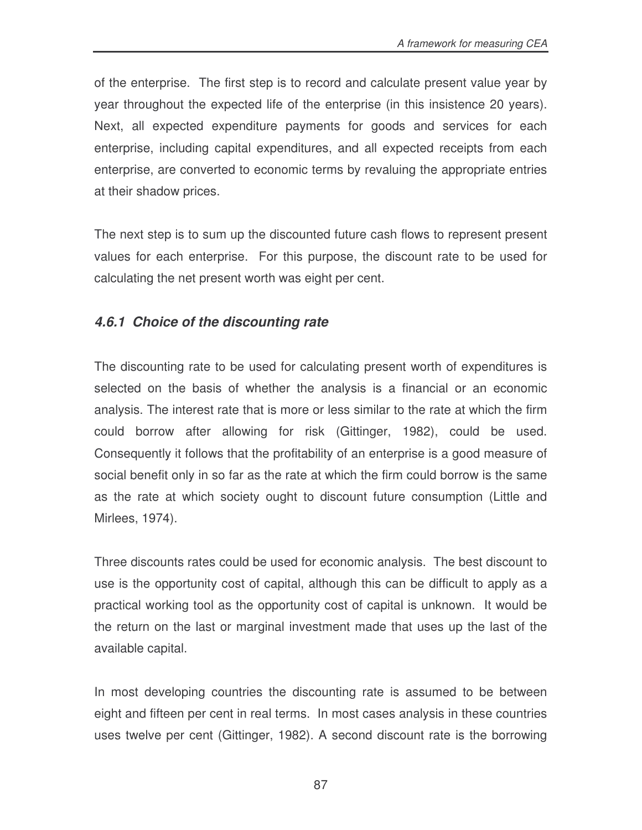of the enterprise. The first step is to record and calculate present value year by year throughout the expected life of the enterprise (in this insistence 20 years). Next, all expected expenditure payments for goods and services for each enterprise, including capital expenditures, and all expected receipts from each enterprise, are converted to economic terms by revaluing the appropriate entries at their shadow prices.

The next step is to sum up the discounted future cash flows to represent present values for each enterprise. For this purpose, the discount rate to be used for calculating the net present worth was eight per cent.

# *4.6.1 Choice of the discounting rate*

The discounting rate to be used for calculating present worth of expenditures is selected on the basis of whether the analysis is a financial or an economic analysis. The interest rate that is more or less similar to the rate at which the firm could borrow after allowing for risk (Gittinger, 1982), could be used. Consequently it follows that the profitability of an enterprise is a good measure of social benefit only in so far as the rate at which the firm could borrow is the same as the rate at which society ought to discount future consumption (Little and Mirlees, 1974).

Three discounts rates could be used for economic analysis. The best discount to use is the opportunity cost of capital, although this can be difficult to apply as a practical working tool as the opportunity cost of capital is unknown. It would be the return on the last or marginal investment made that uses up the last of the available capital.

In most developing countries the discounting rate is assumed to be between eight and fifteen per cent in real terms. In most cases analysis in these countries uses twelve per cent (Gittinger, 1982). A second discount rate is the borrowing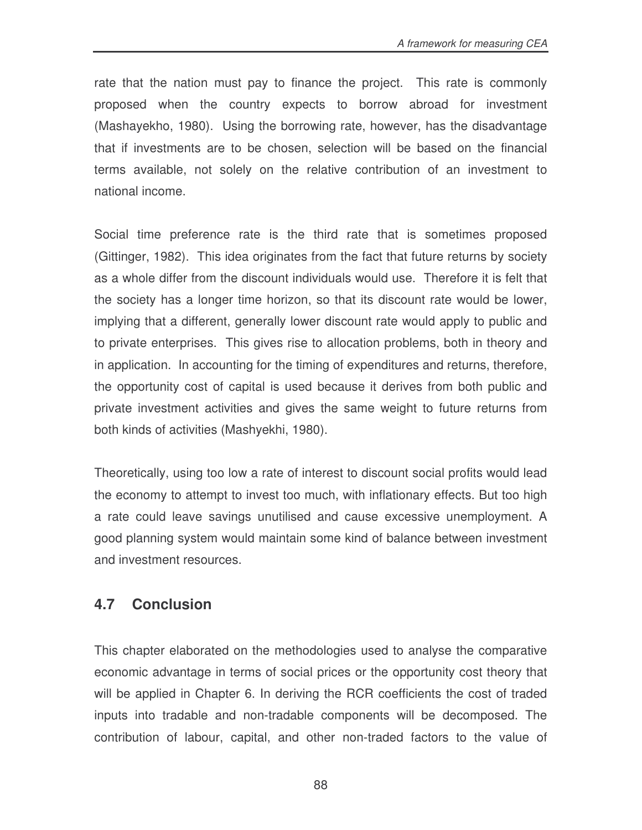rate that the nation must pay to finance the project. This rate is commonly proposed when the country expects to borrow abroad for investment (Mashayekho, 1980). Using the borrowing rate, however, has the disadvantage that if investments are to be chosen, selection will be based on the financial terms available, not solely on the relative contribution of an investment to national income.

Social time preference rate is the third rate that is sometimes proposed (Gittinger, 1982). This idea originates from the fact that future returns by society as a whole differ from the discount individuals would use. Therefore it is felt that the society has a longer time horizon, so that its discount rate would be lower, implying that a different, generally lower discount rate would apply to public and to private enterprises. This gives rise to allocation problems, both in theory and in application. In accounting for the timing of expenditures and returns, therefore, the opportunity cost of capital is used because it derives from both public and private investment activities and gives the same weight to future returns from both kinds of activities (Mashyekhi, 1980).

Theoretically, using too low a rate of interest to discount social profits would lead the economy to attempt to invest too much, with inflationary effects. But too high a rate could leave savings unutilised and cause excessive unemployment. A good planning system would maintain some kind of balance between investment and investment resources.

# **4.7 Conclusion**

This chapter elaborated on the methodologies used to analyse the comparative economic advantage in terms of social prices or the opportunity cost theory that will be applied in Chapter 6. In deriving the RCR coefficients the cost of traded inputs into tradable and non-tradable components will be decomposed. The contribution of labour, capital, and other non-traded factors to the value of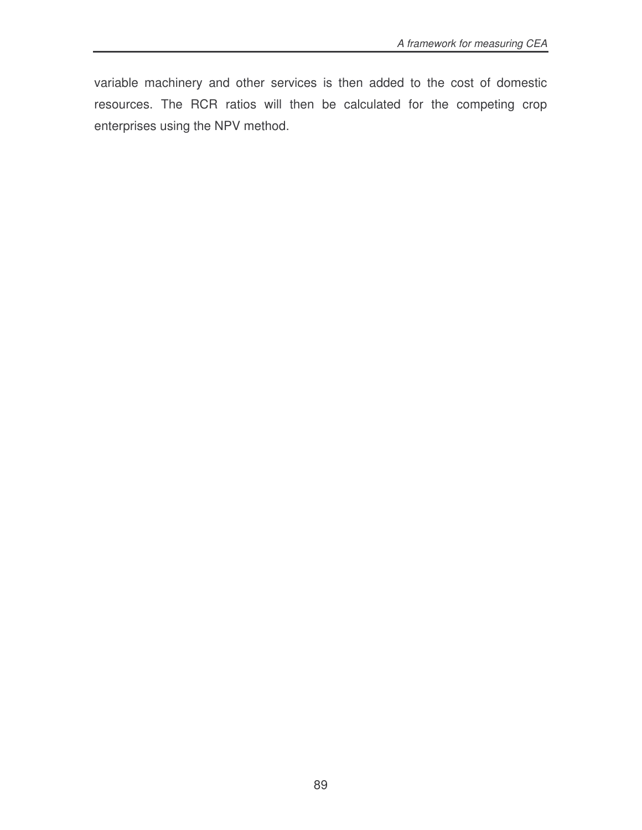variable machinery and other services is then added to the cost of domestic resources. The RCR ratios will then be calculated for the competing crop enterprises using the NPV method.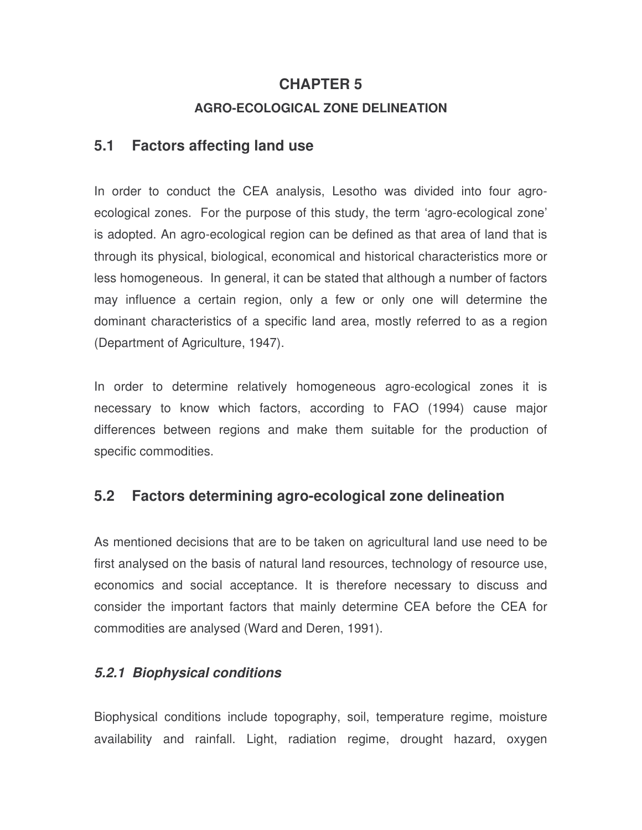#### **CHAPTER 5**

#### **AGRO-ECOLOGICAL ZONE DELINEATION**

#### **5.1 Factors affecting land use**

In order to conduct the CEA analysis, Lesotho was divided into four agroecological zones. For the purpose of this study, the term 'agro-ecological zone' is adopted. An agro-ecological region can be defined as that area of land that is through its physical, biological, economical and historical characteristics more or less homogeneous. In general, it can be stated that although a number of factors may influence a certain region, only a few or only one will determine the dominant characteristics of a specific land area, mostly referred to as a region (Department of Agriculture, 1947).

In order to determine relatively homogeneous agro-ecological zones it is necessary to know which factors, according to FAO (1994) cause major differences between regions and make them suitable for the production of specific commodities.

# **5.2 Factors determining agro-ecological zone delineation**

As mentioned decisions that are to be taken on agricultural land use need to be first analysed on the basis of natural land resources, technology of resource use, economics and social acceptance. It is therefore necessary to discuss and consider the important factors that mainly determine CEA before the CEA for commodities are analysed (Ward and Deren, 1991).

#### *5.2.1 Biophysical conditions*

Biophysical conditions include topography, soil, temperature regime, moisture availability and rainfall. Light, radiation regime, drought hazard, oxygen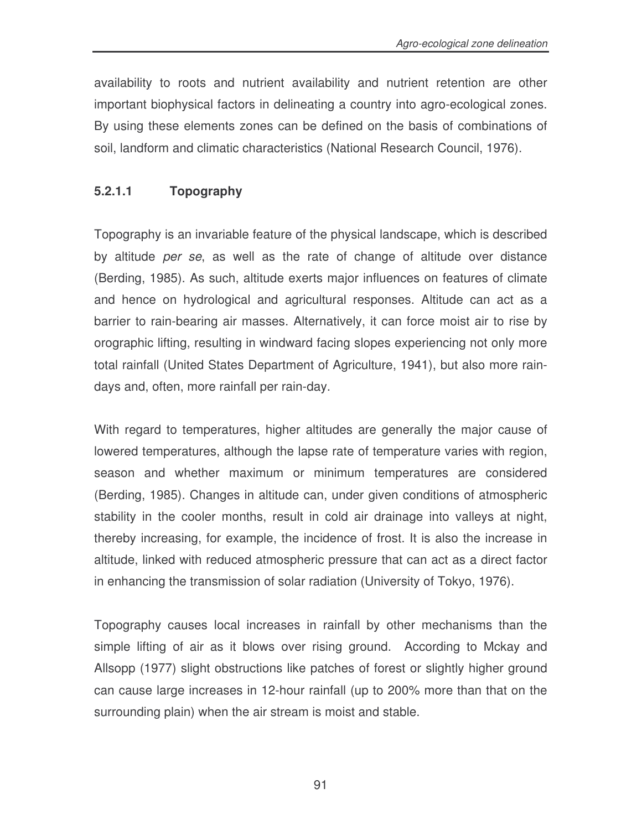availability to roots and nutrient availability and nutrient retention are other important biophysical factors in delineating a country into agro-ecological zones. By using these elements zones can be defined on the basis of combinations of soil, landform and climatic characteristics (National Research Council, 1976).

### **5.2.1.1 Topography**

Topography is an invariable feature of the physical landscape, which is described by altitude *per se*, as well as the rate of change of altitude over distance (Berding, 1985). As such, altitude exerts major influences on features of climate and hence on hydrological and agricultural responses. Altitude can act as a barrier to rain-bearing air masses. Alternatively, it can force moist air to rise by orographic lifting, resulting in windward facing slopes experiencing not only more total rainfall (United States Department of Agriculture, 1941), but also more raindays and, often, more rainfall per rain-day.

With regard to temperatures, higher altitudes are generally the major cause of lowered temperatures, although the lapse rate of temperature varies with region, season and whether maximum or minimum temperatures are considered (Berding, 1985). Changes in altitude can, under given conditions of atmospheric stability in the cooler months, result in cold air drainage into valleys at night, thereby increasing, for example, the incidence of frost. It is also the increase in altitude, linked with reduced atmospheric pressure that can act as a direct factor in enhancing the transmission of solar radiation (University of Tokyo, 1976).

Topography causes local increases in rainfall by other mechanisms than the simple lifting of air as it blows over rising ground. According to Mckay and Allsopp (1977) slight obstructions like patches of forest or slightly higher ground can cause large increases in 12-hour rainfall (up to 200% more than that on the surrounding plain) when the air stream is moist and stable.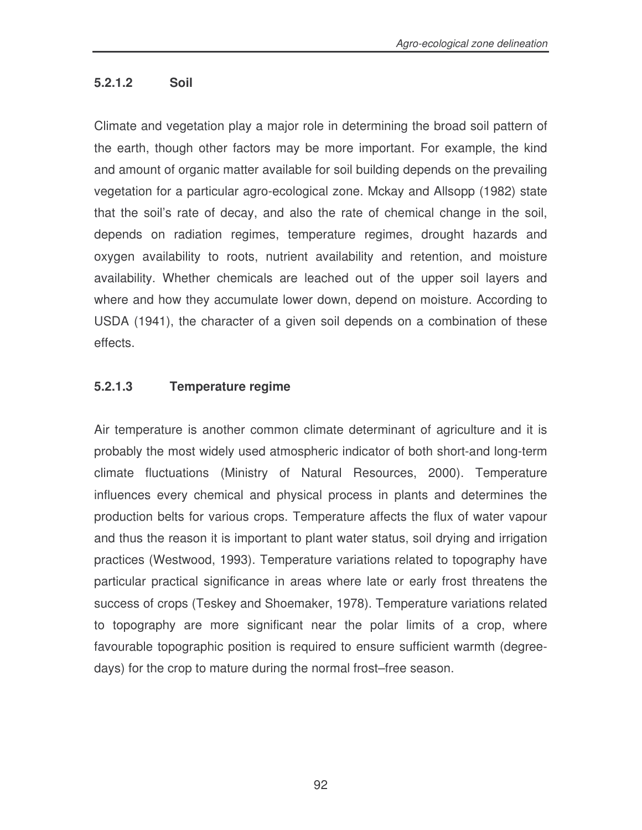#### **5.2.1.2 Soil**

Climate and vegetation play a major role in determining the broad soil pattern of the earth, though other factors may be more important. For example, the kind and amount of organic matter available for soil building depends on the prevailing vegetation for a particular agro-ecological zone. Mckay and Allsopp (1982) state that the soil's rate of decay, and also the rate of chemical change in the soil, depends on radiation regimes, temperature regimes, drought hazards and oxygen availability to roots, nutrient availability and retention, and moisture availability. Whether chemicals are leached out of the upper soil layers and where and how they accumulate lower down, depend on moisture. According to USDA (1941), the character of a given soil depends on a combination of these effects.

#### **5.2.1.3 Temperature regime**

Air temperature is another common climate determinant of agriculture and it is probably the most widely used atmospheric indicator of both short-and long-term climate fluctuations (Ministry of Natural Resources, 2000). Temperature influences every chemical and physical process in plants and determines the production belts for various crops. Temperature affects the flux of water vapour and thus the reason it is important to plant water status, soil drying and irrigation practices (Westwood, 1993). Temperature variations related to topography have particular practical significance in areas where late or early frost threatens the success of crops (Teskey and Shoemaker, 1978). Temperature variations related to topography are more significant near the polar limits of a crop, where favourable topographic position is required to ensure sufficient warmth (degreedays) for the crop to mature during the normal frost–free season.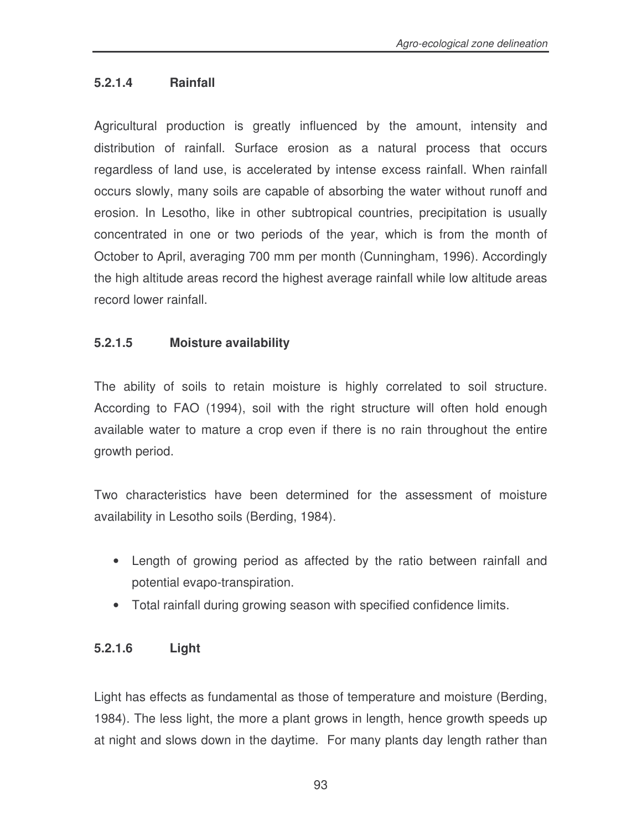#### **5.2.1.4 Rainfall**

Agricultural production is greatly influenced by the amount, intensity and distribution of rainfall. Surface erosion as a natural process that occurs regardless of land use, is accelerated by intense excess rainfall. When rainfall occurs slowly, many soils are capable of absorbing the water without runoff and erosion. In Lesotho, like in other subtropical countries, precipitation is usually concentrated in one or two periods of the year, which is from the month of October to April, averaging 700 mm per month (Cunningham, 1996). Accordingly the high altitude areas record the highest average rainfall while low altitude areas record lower rainfall.

### **5.2.1.5 Moisture availability**

The ability of soils to retain moisture is highly correlated to soil structure. According to FAO (1994), soil with the right structure will often hold enough available water to mature a crop even if there is no rain throughout the entire growth period.

Two characteristics have been determined for the assessment of moisture availability in Lesotho soils (Berding, 1984).

- Length of growing period as affected by the ratio between rainfall and potential evapo-transpiration.
- Total rainfall during growing season with specified confidence limits.

#### **5.2.1.6 Light**

Light has effects as fundamental as those of temperature and moisture (Berding, 1984). The less light, the more a plant grows in length, hence growth speeds up at night and slows down in the daytime. For many plants day length rather than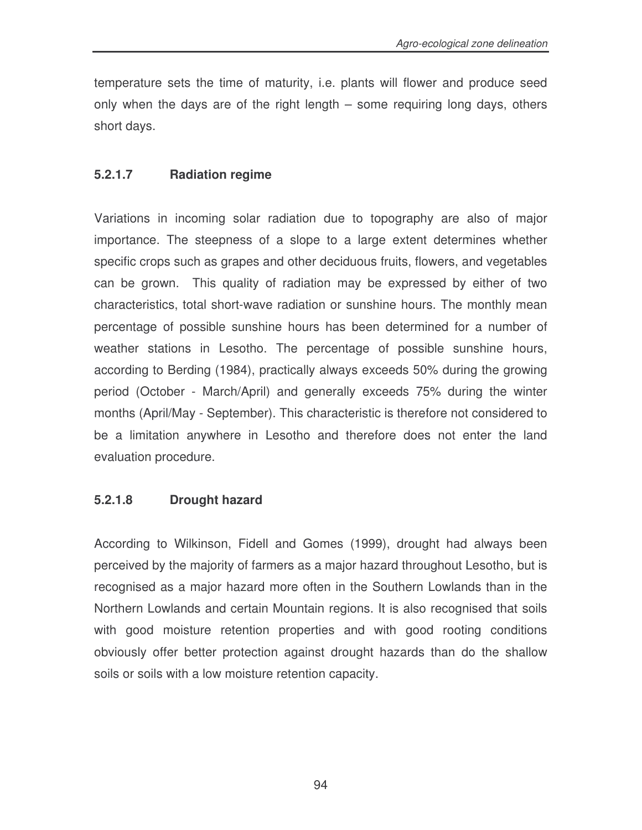temperature sets the time of maturity, i.e. plants will flower and produce seed only when the days are of the right length – some requiring long days, others short days.

#### **5.2.1.7 Radiation regime**

Variations in incoming solar radiation due to topography are also of major importance. The steepness of a slope to a large extent determines whether specific crops such as grapes and other deciduous fruits, flowers, and vegetables can be grown. This quality of radiation may be expressed by either of two characteristics, total short-wave radiation or sunshine hours. The monthly mean percentage of possible sunshine hours has been determined for a number of weather stations in Lesotho. The percentage of possible sunshine hours, according to Berding (1984), practically always exceeds 50% during the growing period (October - March/April) and generally exceeds 75% during the winter months (April/May - September). This characteristic is therefore not considered to be a limitation anywhere in Lesotho and therefore does not enter the land evaluation procedure.

#### **5.2.1.8 Drought hazard**

According to Wilkinson, Fidell and Gomes (1999), drought had always been perceived by the majority of farmers as a major hazard throughout Lesotho, but is recognised as a major hazard more often in the Southern Lowlands than in the Northern Lowlands and certain Mountain regions. It is also recognised that soils with good moisture retention properties and with good rooting conditions obviously offer better protection against drought hazards than do the shallow soils or soils with a low moisture retention capacity.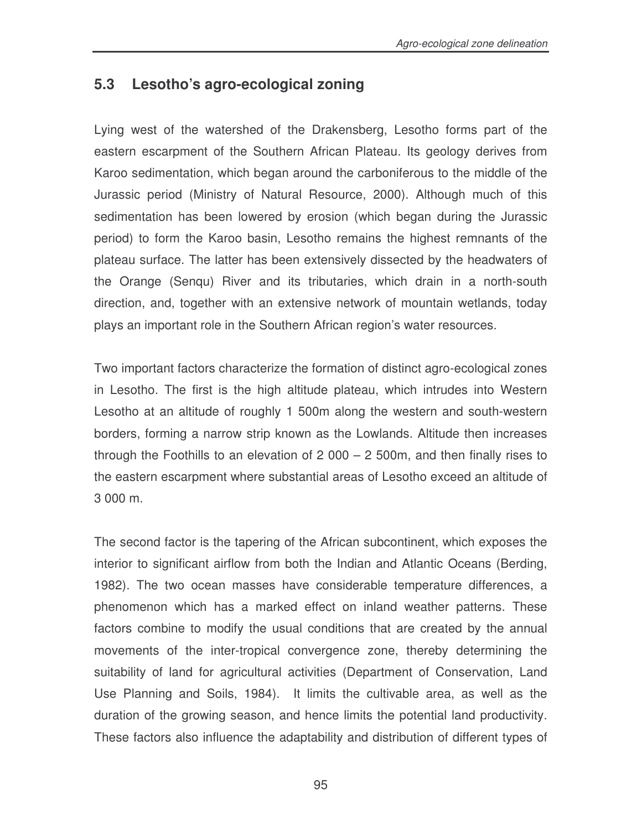# **5.3 Lesotho's agro-ecological zoning**

Lying west of the watershed of the Drakensberg, Lesotho forms part of the eastern escarpment of the Southern African Plateau. Its geology derives from Karoo sedimentation, which began around the carboniferous to the middle of the Jurassic period (Ministry of Natural Resource, 2000). Although much of this sedimentation has been lowered by erosion (which began during the Jurassic period) to form the Karoo basin, Lesotho remains the highest remnants of the plateau surface. The latter has been extensively dissected by the headwaters of the Orange (Senqu) River and its tributaries, which drain in a north-south direction, and, together with an extensive network of mountain wetlands, today plays an important role in the Southern African region's water resources.

Two important factors characterize the formation of distinct agro-ecological zones in Lesotho. The first is the high altitude plateau, which intrudes into Western Lesotho at an altitude of roughly 1 500m along the western and south-western borders, forming a narrow strip known as the Lowlands. Altitude then increases through the Foothills to an elevation of 2 000 – 2 500m, and then finally rises to the eastern escarpment where substantial areas of Lesotho exceed an altitude of 3 000 m.

The second factor is the tapering of the African subcontinent, which exposes the interior to significant airflow from both the Indian and Atlantic Oceans (Berding, 1982). The two ocean masses have considerable temperature differences, a phenomenon which has a marked effect on inland weather patterns. These factors combine to modify the usual conditions that are created by the annual movements of the inter-tropical convergence zone, thereby determining the suitability of land for agricultural activities (Department of Conservation, Land Use Planning and Soils, 1984). It limits the cultivable area, as well as the duration of the growing season, and hence limits the potential land productivity. These factors also influence the adaptability and distribution of different types of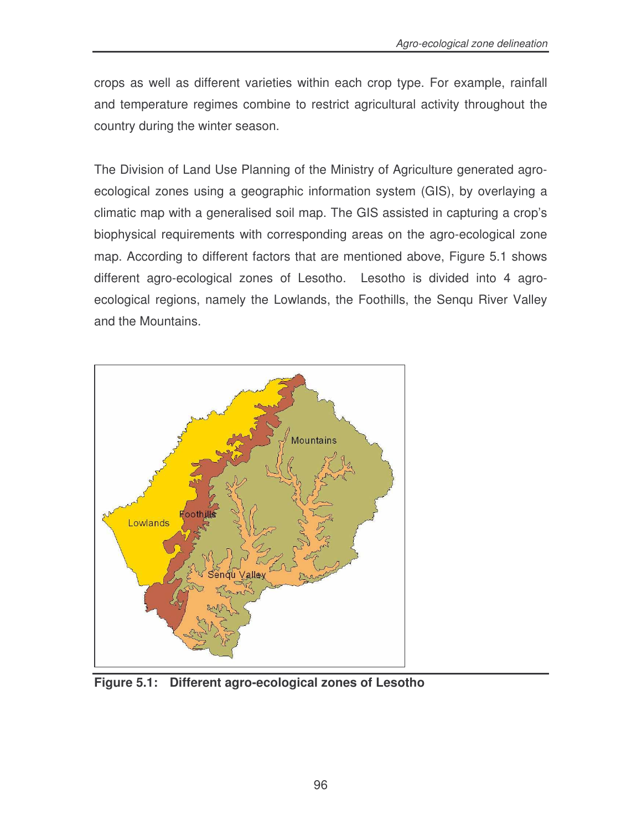crops as well as different varieties within each crop type. For example, rainfall and temperature regimes combine to restrict agricultural activity throughout the country during the winter season.

The Division of Land Use Planning of the Ministry of Agriculture generated agroecological zones using a geographic information system (GIS), by overlaying a climatic map with a generalised soil map. The GIS assisted in capturing a crop's biophysical requirements with corresponding areas on the agro-ecological zone map. According to different factors that are mentioned above, Figure 5.1 shows different agro-ecological zones of Lesotho. Lesotho is divided into 4 agroecological regions, namely the Lowlands, the Foothills, the Senqu River Valley and the Mountains.



**Figure 5.1: Different agro-ecological zones of Lesotho**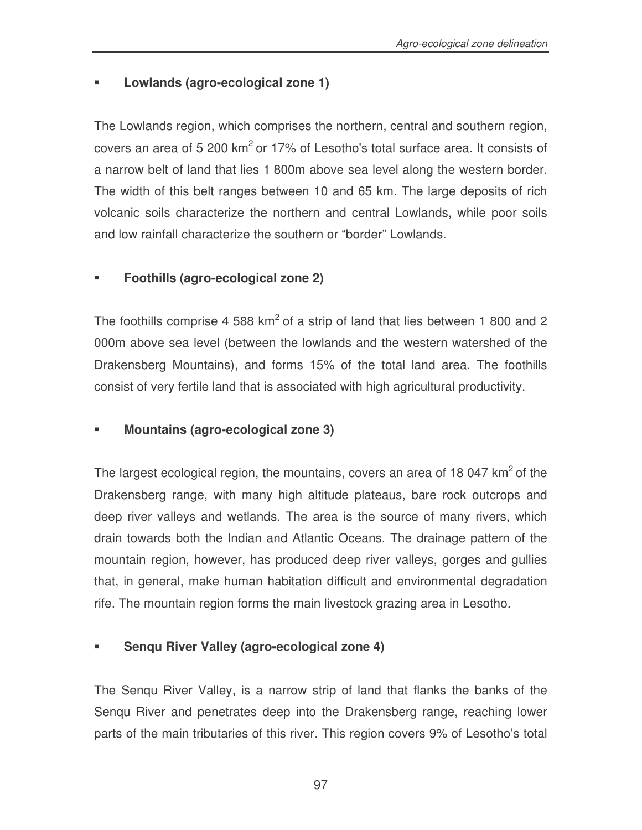### **Lowlands (agro-ecological zone 1)**

The Lowlands region, which comprises the northern, central and southern region, covers an area of 5 200  $km^2$  or 17% of Lesotho's total surface area. It consists of a narrow belt of land that lies 1 800m above sea level along the western border. The width of this belt ranges between 10 and 65 km. The large deposits of rich volcanic soils characterize the northern and central Lowlands, while poor soils and low rainfall characterize the southern or "border" Lowlands.

### **Foothills (agro-ecological zone 2)**

The foothills comprise 4 588  $km^2$  of a strip of land that lies between 1 800 and 2 000m above sea level (between the lowlands and the western watershed of the Drakensberg Mountains), and forms 15% of the total land area. The foothills consist of very fertile land that is associated with high agricultural productivity.

### **Mountains (agro-ecological zone 3)**

The largest ecological region, the mountains, covers an area of 18 047  $km^2$  of the Drakensberg range, with many high altitude plateaus, bare rock outcrops and deep river valleys and wetlands. The area is the source of many rivers, which drain towards both the Indian and Atlantic Oceans. The drainage pattern of the mountain region, however, has produced deep river valleys, gorges and gullies that, in general, make human habitation difficult and environmental degradation rife. The mountain region forms the main livestock grazing area in Lesotho.

### **Senqu River Valley (agro-ecological zone 4)**

The Senqu River Valley, is a narrow strip of land that flanks the banks of the Senqu River and penetrates deep into the Drakensberg range, reaching lower parts of the main tributaries of this river. This region covers 9% of Lesotho's total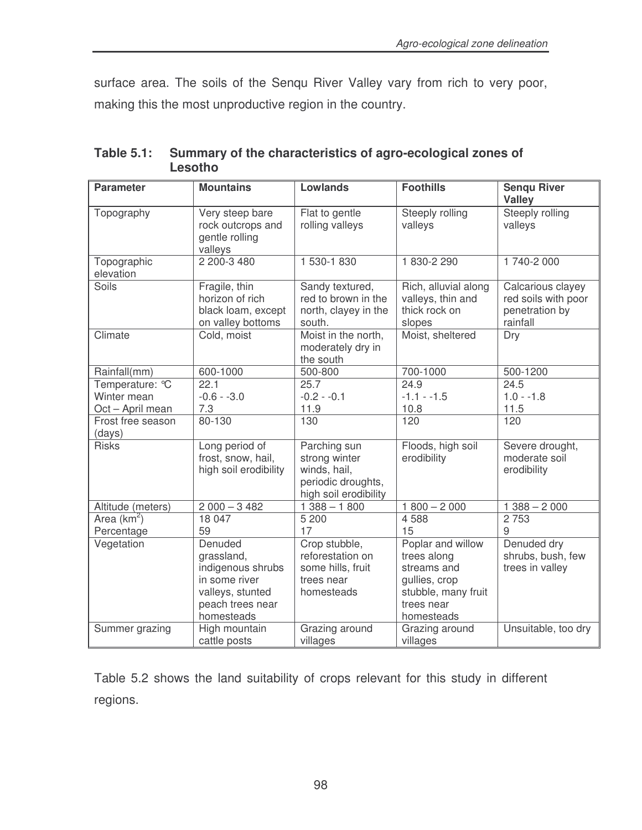surface area. The soils of the Senqu River Valley vary from rich to very poor, making this the most unproductive region in the country.

| <b>Parameter</b>                                   | <b>Mountains</b>                                                                                                  | <b>Lowlands</b>                                                                              | <b>Foothills</b>                                                                                                    | <b>Sengu River</b><br><b>Valley</b>                                    |  |  |  |
|----------------------------------------------------|-------------------------------------------------------------------------------------------------------------------|----------------------------------------------------------------------------------------------|---------------------------------------------------------------------------------------------------------------------|------------------------------------------------------------------------|--|--|--|
| Topography                                         | Very steep bare<br>rock outcrops and<br>gentle rolling<br>valleys                                                 | Flat to gentle<br>rolling valleys                                                            | Steeply rolling<br>valleys                                                                                          | Steeply rolling<br>valleys                                             |  |  |  |
| Topographic<br>elevation                           | 2 200-3 480                                                                                                       | 1 530-1 830                                                                                  | 1830-2290                                                                                                           | 1 740-2 000                                                            |  |  |  |
| Soils                                              | Fragile, thin<br>horizon of rich<br>black loam, except<br>on valley bottoms                                       | Sandy textured,<br>red to brown in the<br>north, clayey in the<br>south.                     | Rich, alluvial along<br>valleys, thin and<br>thick rock on<br>slopes                                                | Calcarious clayey<br>red soils with poor<br>penetration by<br>rainfall |  |  |  |
| Climate                                            | Cold, moist                                                                                                       | Moist in the north,<br>moderately dry in<br>the south                                        | Moist, sheltered                                                                                                    | Dry                                                                    |  |  |  |
| Rainfall(mm)                                       | 600-1000                                                                                                          | 500-800                                                                                      | 700-1000                                                                                                            | 500-1200                                                               |  |  |  |
| Temperature: °C<br>Winter mean<br>Oct - April mean | 22.1<br>$-0.6 - -3.0$<br>7.3                                                                                      | 25.7<br>$-0.2 - 0.1$<br>11.9                                                                 | 24.9<br>$-1.1 - -1.5$<br>10.8                                                                                       | 24.5<br>$1.0 - -1.8$<br>11.5                                           |  |  |  |
| Frost free season<br>(days)                        | 80-130                                                                                                            | 130                                                                                          | 120                                                                                                                 | 120                                                                    |  |  |  |
| <b>Risks</b>                                       | Long period of<br>frost, snow, hail,<br>high soil erodibility                                                     | Parching sun<br>strong winter<br>winds, hail,<br>periodic droughts,<br>high soil erodibility | Floods, high soil<br>erodibility                                                                                    | Severe drought,<br>moderate soil<br>erodibility                        |  |  |  |
| Altitude (meters)                                  | $2000 - 3482$                                                                                                     | $1388 - 1800$                                                                                | $1800 - 2000$                                                                                                       | $1388 - 2000$                                                          |  |  |  |
| Area $(km^2)$<br>Percentage                        | 18 047<br>59                                                                                                      | 5 200<br>17                                                                                  | 4 5 8 8<br>15                                                                                                       | 2 7 5 3<br>9                                                           |  |  |  |
| Vegetation                                         | Denuded<br>grassland,<br>indigenous shrubs<br>in some river<br>valleys, stunted<br>peach trees near<br>homesteads | Crop stubble,<br>reforestation on<br>some hills, fruit<br>trees near<br>homesteads           | Poplar and willow<br>trees along<br>streams and<br>gullies, crop<br>stubble, many fruit<br>trees near<br>homesteads | Denuded dry<br>shrubs, bush, few<br>trees in valley                    |  |  |  |
| Summer grazing                                     | High mountain<br>cattle posts                                                                                     | Grazing around<br>villages                                                                   | Grazing around<br>villages                                                                                          | Unsuitable, too dry                                                    |  |  |  |

**Table 5.1: Summary of the characteristics of agro-ecological zones of Lesotho**

Table 5.2 shows the land suitability of crops relevant for this study in different regions.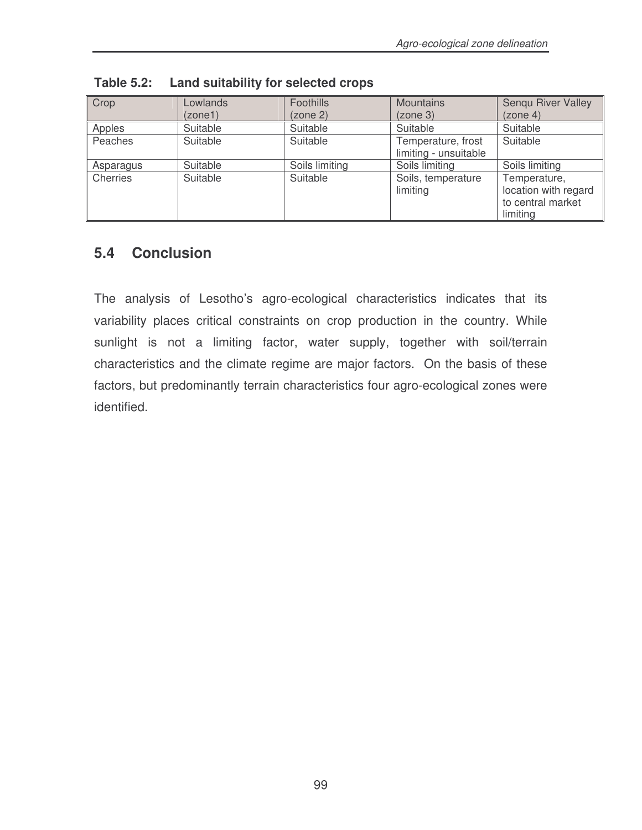| Crop      | Lowlands<br>(zone1) | Foothills<br>(zone 2) | <b>Mountains</b><br>(zone 3)                | Sengu River Valley<br>(zone 4)                                        |
|-----------|---------------------|-----------------------|---------------------------------------------|-----------------------------------------------------------------------|
| Apples    | Suitable            | Suitable              | Suitable                                    | Suitable                                                              |
| Peaches   | Suitable            | Suitable              | Temperature, frost<br>limiting - unsuitable | Suitable                                                              |
| Asparagus | Suitable            | Soils limiting        | Soils limiting                              | Soils limiting                                                        |
| Cherries  | Suitable            | Suitable              | Soils, temperature<br>limiting              | Temperature,<br>location with regard<br>to central market<br>limiting |

**Table 5.2: Land suitability for selected crops**

### **5.4 Conclusion**

The analysis of Lesotho's agro-ecological characteristics indicates that its variability places critical constraints on crop production in the country. While sunlight is not a limiting factor, water supply, together with soil/terrain characteristics and the climate regime are major factors. On the basis of these factors, but predominantly terrain characteristics four agro-ecological zones were identified.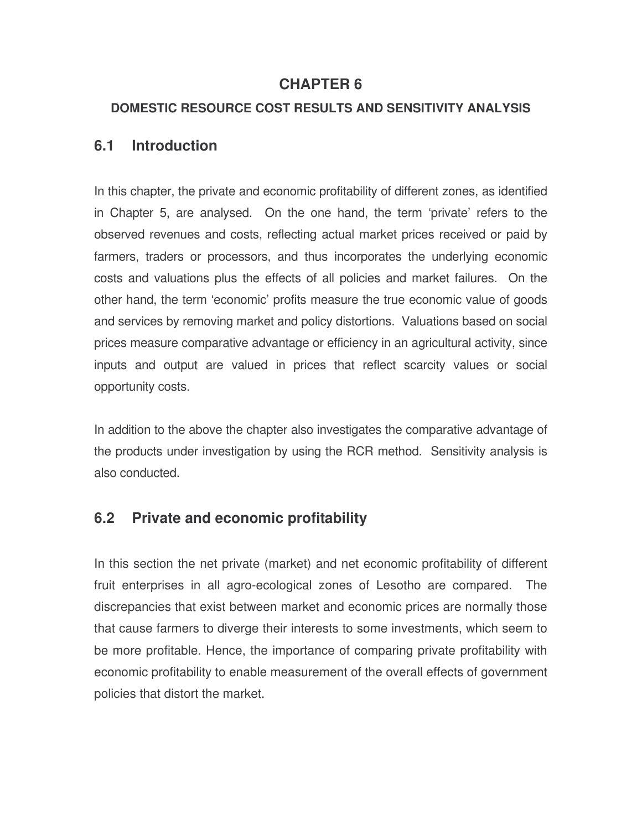### **CHAPTER 6**

### **DOMESTIC RESOURCE COST RESULTS AND SENSITIVITY ANALYSIS**

### **6.1 Introduction**

In this chapter, the private and economic profitability of different zones, as identified in Chapter 5, are analysed. On the one hand, the term 'private' refers to the observed revenues and costs, reflecting actual market prices received or paid by farmers, traders or processors, and thus incorporates the underlying economic costs and valuations plus the effects of all policies and market failures. On the other hand, the term 'economic' profits measure the true economic value of goods and services by removing market and policy distortions. Valuations based on social prices measure comparative advantage or efficiency in an agricultural activity, since inputs and output are valued in prices that reflect scarcity values or social opportunity costs.

In addition to the above the chapter also investigates the comparative advantage of the products under investigation by using the RCR method. Sensitivity analysis is also conducted.

### **6.2 Private and economic profitability**

In this section the net private (market) and net economic profitability of different fruit enterprises in all agro-ecological zones of Lesotho are compared. The discrepancies that exist between market and economic prices are normally those that cause farmers to diverge their interests to some investments, which seem to be more profitable. Hence, the importance of comparing private profitability with economic profitability to enable measurement of the overall effects of government policies that distort the market.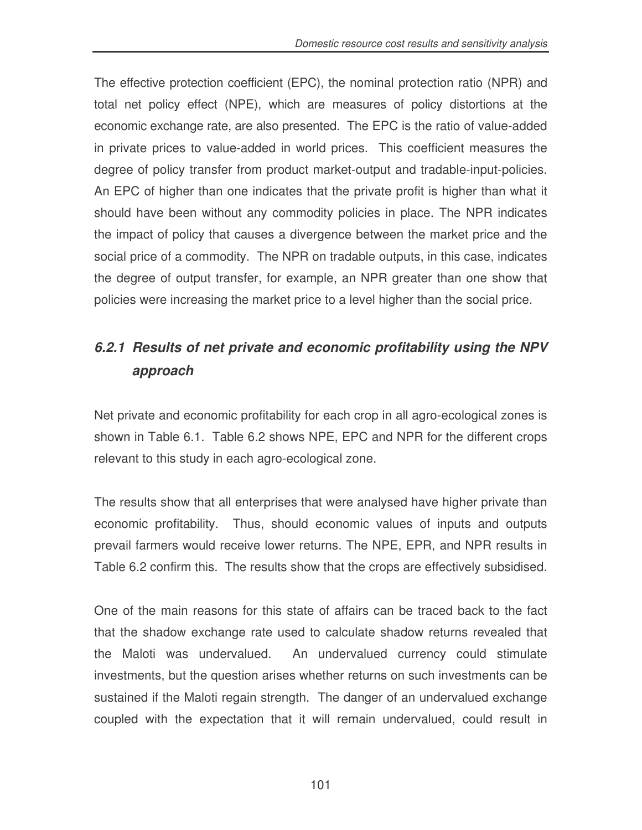The effective protection coefficient (EPC), the nominal protection ratio (NPR) and total net policy effect (NPE), which are measures of policy distortions at the economic exchange rate, are also presented. The EPC is the ratio of value-added in private prices to value-added in world prices. This coefficient measures the degree of policy transfer from product market-output and tradable-input-policies. An EPC of higher than one indicates that the private profit is higher than what it should have been without any commodity policies in place. The NPR indicates the impact of policy that causes a divergence between the market price and the social price of a commodity. The NPR on tradable outputs, in this case, indicates the degree of output transfer, for example, an NPR greater than one show that policies were increasing the market price to a level higher than the social price.

# *6.2.1 Results of net private and economic profitability using the NPV approach*

Net private and economic profitability for each crop in all agro-ecological zones is shown in Table 6.1. Table 6.2 shows NPE, EPC and NPR for the different crops relevant to this study in each agro-ecological zone.

The results show that all enterprises that were analysed have higher private than economic profitability. Thus, should economic values of inputs and outputs prevail farmers would receive lower returns. The NPE, EPR, and NPR results in Table 6.2 confirm this. The results show that the crops are effectively subsidised.

One of the main reasons for this state of affairs can be traced back to the fact that the shadow exchange rate used to calculate shadow returns revealed that the Maloti was undervalued. An undervalued currency could stimulate investments, but the question arises whether returns on such investments can be sustained if the Maloti regain strength. The danger of an undervalued exchange coupled with the expectation that it will remain undervalued, could result in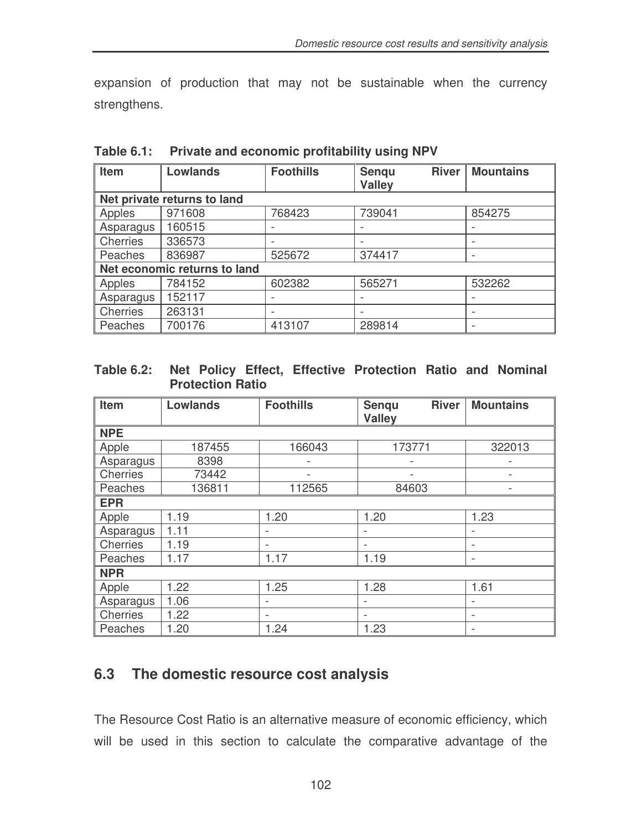expansion of production that may not be sustainable when the currency strengthens.

| Item                        | <b>Lowlands</b>              | <b>Foothills</b> | <b>River</b><br>Senqu | <b>Mountains</b>         |  |  |  |  |  |  |
|-----------------------------|------------------------------|------------------|-----------------------|--------------------------|--|--|--|--|--|--|
|                             |                              |                  | <b>Valley</b>         |                          |  |  |  |  |  |  |
| Net private returns to land |                              |                  |                       |                          |  |  |  |  |  |  |
| Apples                      | 971608                       | 768423           | 739041                | 854275                   |  |  |  |  |  |  |
| Asparagus                   | 160515                       |                  |                       |                          |  |  |  |  |  |  |
| Cherries                    | 336573                       |                  |                       |                          |  |  |  |  |  |  |
| Peaches                     | 836987                       | 525672           | 374417                | $\overline{\phantom{a}}$ |  |  |  |  |  |  |
|                             | Net economic returns to land |                  |                       |                          |  |  |  |  |  |  |
| Apples                      | 784152                       | 602382           | 565271                | 532262                   |  |  |  |  |  |  |
| Asparagus                   | 152117                       |                  |                       |                          |  |  |  |  |  |  |
| Cherries                    | 263131                       |                  |                       |                          |  |  |  |  |  |  |
| Peaches                     | 700176                       | 413107           | 289814                |                          |  |  |  |  |  |  |

**Table 6.1: Private and economic profitability using NPV**

#### **Table 6.2: Net Policy Effect, Effective Protection Ratio and Nominal Protection Ratio**

| Item            | <b>Lowlands</b> | <b>Foothills</b>         | <b>River</b><br>Senqu<br><b>Valley</b> | <b>Mountains</b>         |  |
|-----------------|-----------------|--------------------------|----------------------------------------|--------------------------|--|
|                 |                 |                          |                                        |                          |  |
| <b>NPE</b>      |                 |                          |                                        |                          |  |
| Apple           | 187455          | 166043                   | 173771                                 | 322013                   |  |
| Asparagus       | 8398            |                          |                                        |                          |  |
| Cherries        | 73442           |                          |                                        |                          |  |
| Peaches         | 136811          | 112565                   | 84603                                  |                          |  |
| <b>EPR</b>      |                 |                          |                                        |                          |  |
| Apple           | 1.19            | 1.20                     | 1.20                                   | 1.23                     |  |
| Asparagus       | 1.11            | $\overline{\phantom{a}}$ | $\overline{\phantom{0}}$               | $\overline{\phantom{0}}$ |  |
| <b>Cherries</b> | 1.19            | $\overline{\phantom{a}}$ |                                        | $\overline{a}$           |  |
| Peaches         | 1.17            | 1.17                     | 1.19                                   | $\overline{\phantom{0}}$ |  |
| <b>NPR</b>      |                 |                          |                                        |                          |  |
| Apple           | 1.22            | 1.25                     | 1.28                                   | 1.61                     |  |
| Asparagus       | 1.06            |                          |                                        |                          |  |
| <b>Cherries</b> | 1.22            | $\overline{\phantom{a}}$ | $\overline{\phantom{a}}$               | $\overline{\phantom{0}}$ |  |
| Peaches         | 1.20            | 1.24                     | 1.23                                   |                          |  |

### **6.3 The domestic resource cost analysis**

The Resource Cost Ratio is an alternative measure of economic efficiency, which will be used in this section to calculate the comparative advantage of the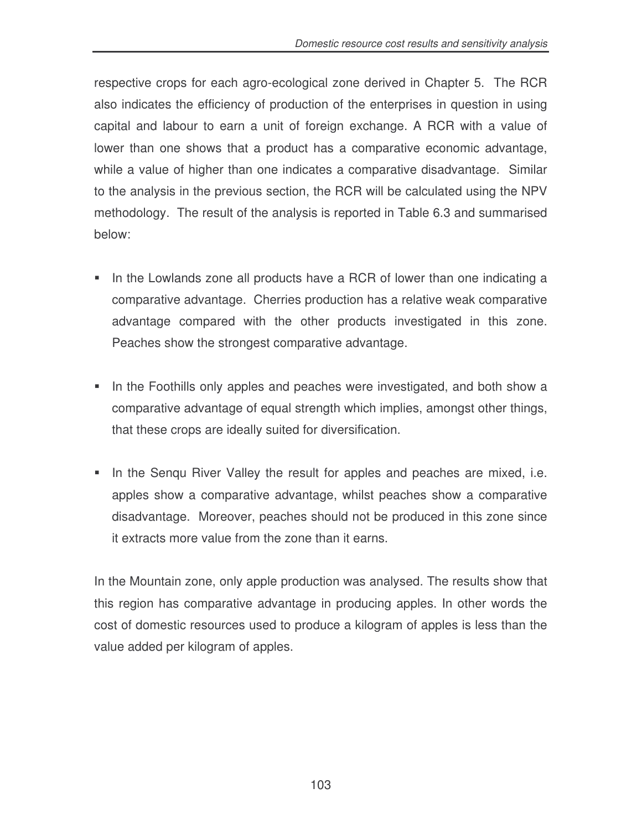respective crops for each agro-ecological zone derived in Chapter 5. The RCR also indicates the efficiency of production of the enterprises in question in using capital and labour to earn a unit of foreign exchange. A RCR with a value of lower than one shows that a product has a comparative economic advantage, while a value of higher than one indicates a comparative disadvantage. Similar to the analysis in the previous section, the RCR will be calculated using the NPV methodology. The result of the analysis is reported in Table 6.3 and summarised below:

- In the Lowlands zone all products have a RCR of lower than one indicating a comparative advantage. Cherries production has a relative weak comparative advantage compared with the other products investigated in this zone. Peaches show the strongest comparative advantage.
- In the Foothills only apples and peaches were investigated, and both show a comparative advantage of equal strength which implies, amongst other things, that these crops are ideally suited for diversification.
- In the Senqu River Valley the result for apples and peaches are mixed, i.e. apples show a comparative advantage, whilst peaches show a comparative disadvantage. Moreover, peaches should not be produced in this zone since it extracts more value from the zone than it earns.

In the Mountain zone, only apple production was analysed. The results show that this region has comparative advantage in producing apples. In other words the cost of domestic resources used to produce a kilogram of apples is less than the value added per kilogram of apples.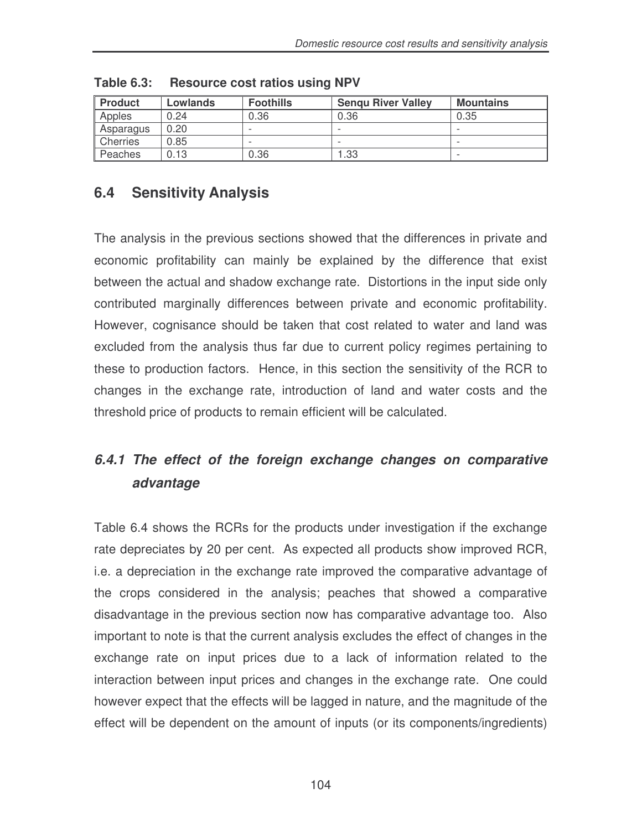| <b>Product</b>  | Lowlands | <b>Foothills</b> | <b>Sengu River Valley</b> | <b>Mountains</b> |  |  |
|-----------------|----------|------------------|---------------------------|------------------|--|--|
| Apples          | 0.24     | 0.36             | 0.36                      | 0.35             |  |  |
| Asparagus       | 0.20     |                  |                           |                  |  |  |
| <b>Cherries</b> | 0.85     |                  |                           | -                |  |  |
| Peaches         | 0.13     | 0.36             | l .33                     |                  |  |  |

**Table 6.3: Resource cost ratios using NPV**

# **6.4 Sensitivity Analysis**

The analysis in the previous sections showed that the differences in private and economic profitability can mainly be explained by the difference that exist between the actual and shadow exchange rate. Distortions in the input side only contributed marginally differences between private and economic profitability. However, cognisance should be taken that cost related to water and land was excluded from the analysis thus far due to current policy regimes pertaining to these to production factors. Hence, in this section the sensitivity of the RCR to changes in the exchange rate, introduction of land and water costs and the threshold price of products to remain efficient will be calculated.

# *6.4.1 The effect of the foreign exchange changes on comparative advantage*

Table 6.4 shows the RCRs for the products under investigation if the exchange rate depreciates by 20 per cent. As expected all products show improved RCR, i.e. a depreciation in the exchange rate improved the comparative advantage of the crops considered in the analysis; peaches that showed a comparative disadvantage in the previous section now has comparative advantage too. Also important to note is that the current analysis excludes the effect of changes in the exchange rate on input prices due to a lack of information related to the interaction between input prices and changes in the exchange rate. One could however expect that the effects will be lagged in nature, and the magnitude of the effect will be dependent on the amount of inputs (or its components/ingredients)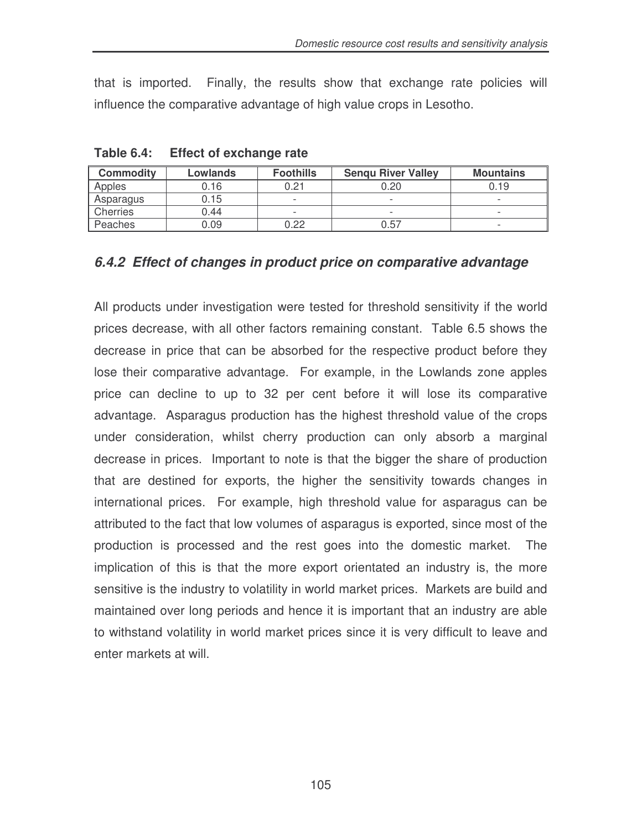that is imported. Finally, the results show that exchange rate policies will influence the comparative advantage of high value crops in Lesotho.

| <b>Commodity</b> | Lowlands | <b>Foothills</b>         | <b>Mountains</b>         |                          |  |
|------------------|----------|--------------------------|--------------------------|--------------------------|--|
| Apples           | 0.16     | 0.21                     | 0.20                     | 0.19                     |  |
| Asparagus        | 0.15     | $\overline{\phantom{a}}$ | $\overline{\phantom{0}}$ |                          |  |
| Cherries         | 0.44     | $\overline{\phantom{a}}$ | $\overline{\phantom{0}}$ | $\overline{\phantom{0}}$ |  |
| Peaches          | 0.09     | 0.22                     | 0.57                     |                          |  |

**Table 6.4: Effect of exchange rate**

#### *6.4.2 Effect of changes in product price on comparative advantage*

All products under investigation were tested for threshold sensitivity if the world prices decrease, with all other factors remaining constant. Table 6.5 shows the decrease in price that can be absorbed for the respective product before they lose their comparative advantage. For example, in the Lowlands zone apples price can decline to up to 32 per cent before it will lose its comparative advantage. Asparagus production has the highest threshold value of the crops under consideration, whilst cherry production can only absorb a marginal decrease in prices. Important to note is that the bigger the share of production that are destined for exports, the higher the sensitivity towards changes in international prices. For example, high threshold value for asparagus can be attributed to the fact that low volumes of asparagus is exported, since most of the production is processed and the rest goes into the domestic market. The implication of this is that the more export orientated an industry is, the more sensitive is the industry to volatility in world market prices. Markets are build and maintained over long periods and hence it is important that an industry are able to withstand volatility in world market prices since it is very difficult to leave and enter markets at will.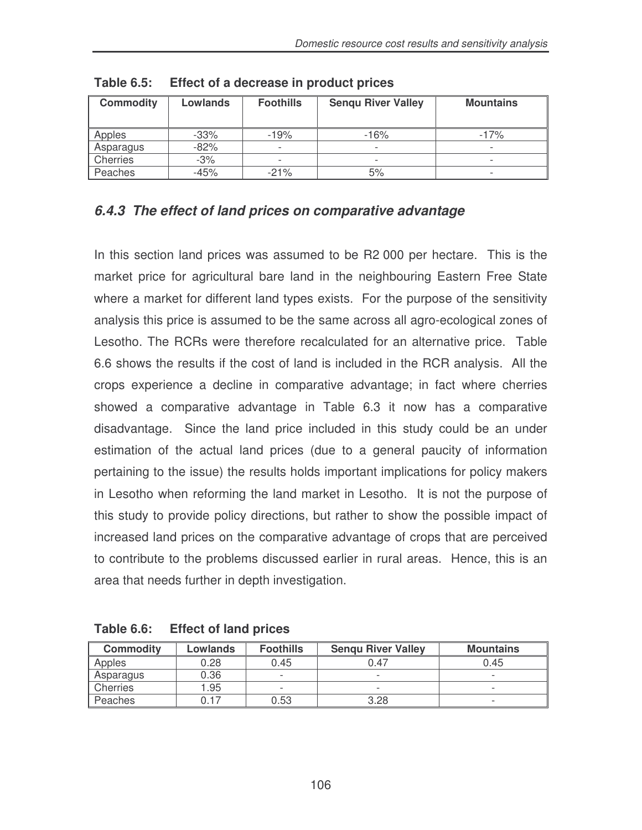| <b>Commodity</b> | Lowlands | <b>Foothills</b>         | <b>Senqu River Valley</b> | <b>Mountains</b>         |
|------------------|----------|--------------------------|---------------------------|--------------------------|
| Apples           | $-33\%$  | $-19%$                   | $-16%$                    | $-17%$                   |
| Asparagus        | $-82%$   |                          |                           |                          |
| Cherries         | $-3%$    | $\overline{\phantom{0}}$ | $\overline{\phantom{a}}$  | $\overline{\phantom{a}}$ |
| Peaches          | -45%     | $-21%$                   | 5%                        | $\overline{\phantom{0}}$ |

**Table 6.5: Effect of a decrease in product prices**

### *6.4.3 The effect of land prices on comparative advantage*

In this section land prices was assumed to be R2 000 per hectare. This is the market price for agricultural bare land in the neighbouring Eastern Free State where a market for different land types exists. For the purpose of the sensitivity analysis this price is assumed to be the same across all agro-ecological zones of Lesotho. The RCRs were therefore recalculated for an alternative price. Table 6.6 shows the results if the cost of land is included in the RCR analysis. All the crops experience a decline in comparative advantage; in fact where cherries showed a comparative advantage in Table 6.3 it now has a comparative disadvantage. Since the land price included in this study could be an under estimation of the actual land prices (due to a general paucity of information pertaining to the issue) the results holds important implications for policy makers in Lesotho when reforming the land market in Lesotho. It is not the purpose of this study to provide policy directions, but rather to show the possible impact of increased land prices on the comparative advantage of crops that are perceived to contribute to the problems discussed earlier in rural areas. Hence, this is an area that needs further in depth investigation.

| Table 6.6: Effect of land prices |  |  |  |
|----------------------------------|--|--|--|
|                                  |  |  |  |

| <b>Commodity</b> | Lowlands | <b>Foothills</b>         | <b>Sengu River Valley</b> | <b>Mountains</b> |
|------------------|----------|--------------------------|---------------------------|------------------|
| Apples           | 0.28     | 0.45                     | 0.47                      | 0.45             |
| Asparagus        | 0.36     | $\overline{\phantom{a}}$ | $\overline{\phantom{0}}$  |                  |
| Cherries         | 1.95     | $\overline{\phantom{a}}$ | $\overline{\phantom{0}}$  |                  |
| Peaches          | 0.17     | 0.53                     | 3.28                      |                  |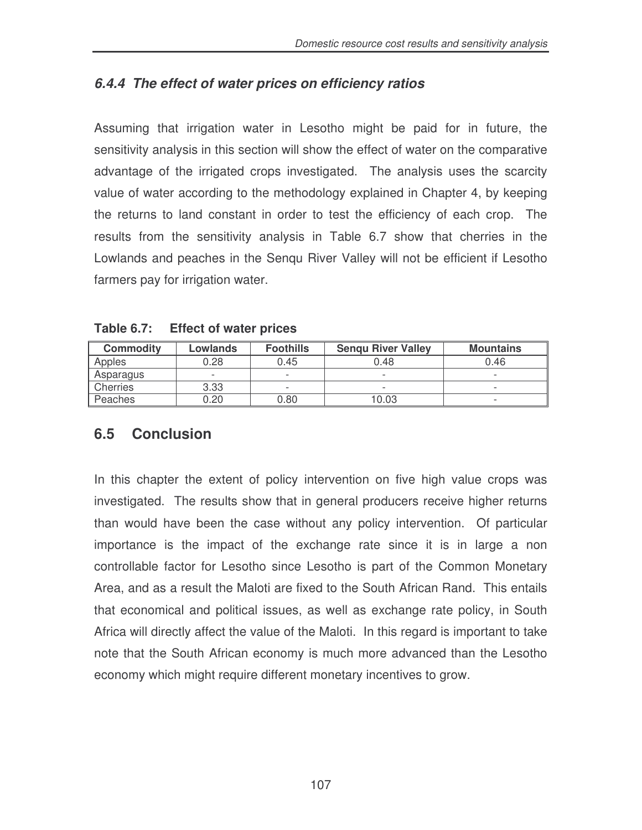### *6.4.4 The effect of water prices on efficiency ratios*

Assuming that irrigation water in Lesotho might be paid for in future, the sensitivity analysis in this section will show the effect of water on the comparative advantage of the irrigated crops investigated. The analysis uses the scarcity value of water according to the methodology explained in Chapter 4, by keeping the returns to land constant in order to test the efficiency of each crop. The results from the sensitivity analysis in Table 6.7 show that cherries in the Lowlands and peaches in the Senqu River Valley will not be efficient if Lesotho farmers pay for irrigation water.

| <b>Commodity</b> | Lowlands                 | <b>Foothills</b>         | <b>Sengu River Valley</b> | <b>Mountains</b>         |  |  |
|------------------|--------------------------|--------------------------|---------------------------|--------------------------|--|--|
| Apples           | 0.28                     | 0.45                     | 0.48                      | 0.46                     |  |  |
| Asparagus        | $\overline{\phantom{a}}$ | $\overline{\phantom{a}}$ | $\overline{\phantom{0}}$  | $\overline{\phantom{0}}$ |  |  |
| Cherries         | 3.33                     | $\overline{\phantom{0}}$ |                           | $\overline{\phantom{0}}$ |  |  |
| Peaches          | 0.20                     | 0.80                     | 10.03                     |                          |  |  |

**Table 6.7: Effect of water prices**

## **6.5 Conclusion**

In this chapter the extent of policy intervention on five high value crops was investigated. The results show that in general producers receive higher returns than would have been the case without any policy intervention. Of particular importance is the impact of the exchange rate since it is in large a non controllable factor for Lesotho since Lesotho is part of the Common Monetary Area, and as a result the Maloti are fixed to the South African Rand. This entails that economical and political issues, as well as exchange rate policy, in South Africa will directly affect the value of the Maloti. In this regard is important to take note that the South African economy is much more advanced than the Lesotho economy which might require different monetary incentives to grow.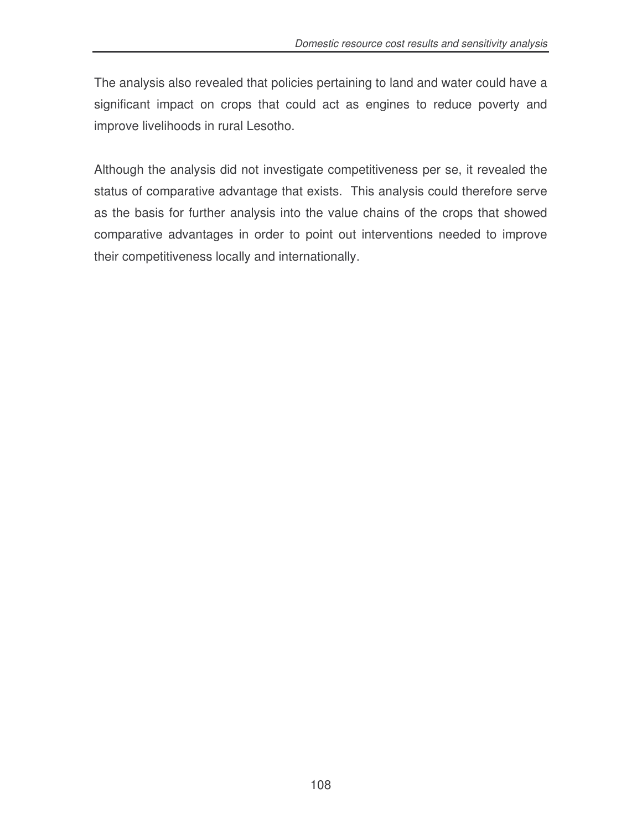The analysis also revealed that policies pertaining to land and water could have a significant impact on crops that could act as engines to reduce poverty and improve livelihoods in rural Lesotho.

Although the analysis did not investigate competitiveness per se, it revealed the status of comparative advantage that exists. This analysis could therefore serve as the basis for further analysis into the value chains of the crops that showed comparative advantages in order to point out interventions needed to improve their competitiveness locally and internationally.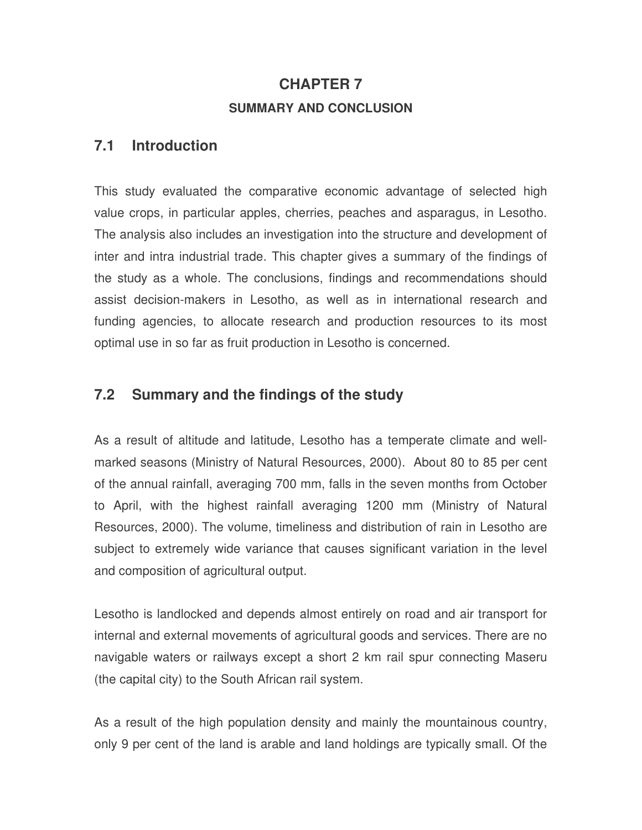# **CHAPTER 7 SUMMARY AND CONCLUSION**

### **7.1 Introduction**

This study evaluated the comparative economic advantage of selected high value crops, in particular apples, cherries, peaches and asparagus, in Lesotho. The analysis also includes an investigation into the structure and development of inter and intra industrial trade. This chapter gives a summary of the findings of the study as a whole. The conclusions, findings and recommendations should assist decision-makers in Lesotho, as well as in international research and funding agencies, to allocate research and production resources to its most optimal use in so far as fruit production in Lesotho is concerned.

### **7.2 Summary and the findings of the study**

As a result of altitude and latitude, Lesotho has a temperate climate and wellmarked seasons (Ministry of Natural Resources, 2000). About 80 to 85 per cent of the annual rainfall, averaging 700 mm, falls in the seven months from October to April, with the highest rainfall averaging 1200 mm (Ministry of Natural Resources, 2000). The volume, timeliness and distribution of rain in Lesotho are subject to extremely wide variance that causes significant variation in the level and composition of agricultural output.

Lesotho is landlocked and depends almost entirely on road and air transport for internal and external movements of agricultural goods and services. There are no navigable waters or railways except a short 2 km rail spur connecting Maseru (the capital city) to the South African rail system.

As a result of the high population density and mainly the mountainous country, only 9 per cent of the land is arable and land holdings are typically small. Of the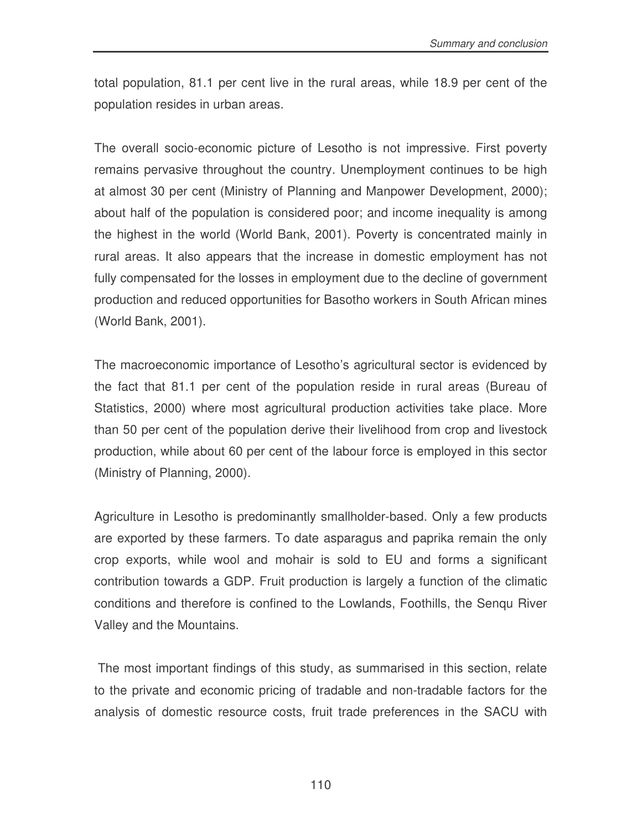total population, 81.1 per cent live in the rural areas, while 18.9 per cent of the population resides in urban areas.

The overall socio-economic picture of Lesotho is not impressive. First poverty remains pervasive throughout the country. Unemployment continues to be high at almost 30 per cent (Ministry of Planning and Manpower Development, 2000); about half of the population is considered poor; and income inequality is among the highest in the world (World Bank, 2001). Poverty is concentrated mainly in rural areas. It also appears that the increase in domestic employment has not fully compensated for the losses in employment due to the decline of government production and reduced opportunities for Basotho workers in South African mines (World Bank, 2001).

The macroeconomic importance of Lesotho's agricultural sector is evidenced by the fact that 81.1 per cent of the population reside in rural areas (Bureau of Statistics, 2000) where most agricultural production activities take place. More than 50 per cent of the population derive their livelihood from crop and livestock production, while about 60 per cent of the labour force is employed in this sector (Ministry of Planning, 2000).

Agriculture in Lesotho is predominantly smallholder-based. Only a few products are exported by these farmers. To date asparagus and paprika remain the only crop exports, while wool and mohair is sold to EU and forms a significant contribution towards a GDP. Fruit production is largely a function of the climatic conditions and therefore is confined to the Lowlands, Foothills, the Senqu River Valley and the Mountains.

The most important findings of this study, as summarised in this section, relate to the private and economic pricing of tradable and non-tradable factors for the analysis of domestic resource costs, fruit trade preferences in the SACU with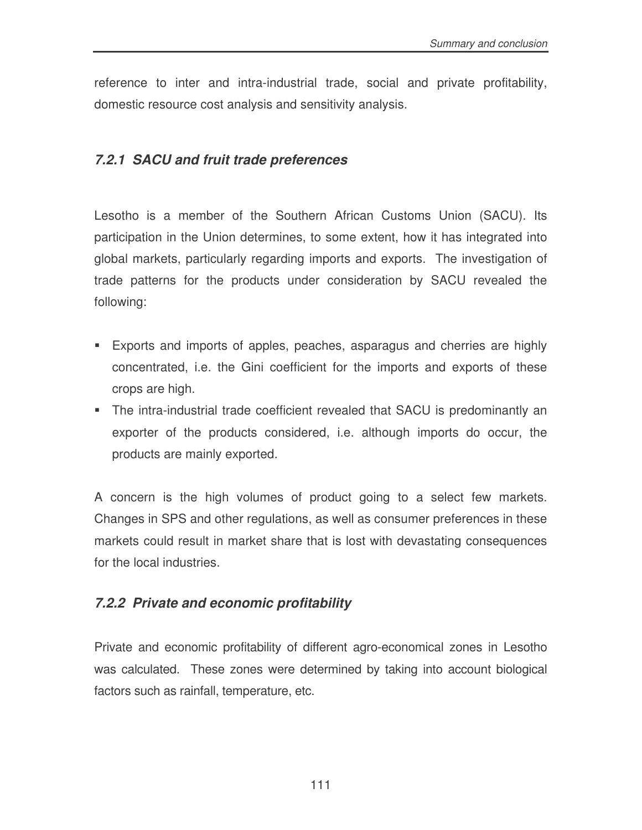reference to inter and intra-industrial trade, social and private profitability, domestic resource cost analysis and sensitivity analysis.

### *7.2.1 SACU and fruit trade preferences*

Lesotho is a member of the Southern African Customs Union (SACU). Its participation in the Union determines, to some extent, how it has integrated into global markets, particularly regarding imports and exports. The investigation of trade patterns for the products under consideration by SACU revealed the following:

- Exports and imports of apples, peaches, asparagus and cherries are highly concentrated, i.e. the Gini coefficient for the imports and exports of these crops are high.
- The intra-industrial trade coefficient revealed that SACU is predominantly an exporter of the products considered, i.e. although imports do occur, the products are mainly exported.

A concern is the high volumes of product going to a select few markets. Changes in SPS and other regulations, as well as consumer preferences in these markets could result in market share that is lost with devastating consequences for the local industries.

### *7.2.2 Private and economic profitability*

Private and economic profitability of different agro-economical zones in Lesotho was calculated. These zones were determined by taking into account biological factors such as rainfall, temperature, etc.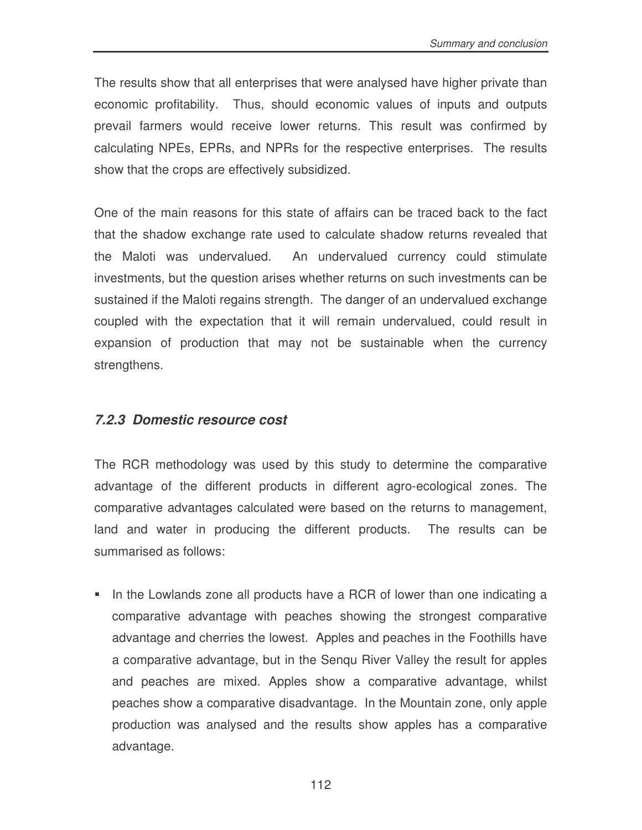The results show that all enterprises that were analysed have higher private than economic profitability. Thus, should economic values of inputs and outputs prevail farmers would receive lower returns. This result was confirmed by calculating NPEs, EPRs, and NPRs for the respective enterprises. The results show that the crops are effectively subsidized.

One of the main reasons for this state of affairs can be traced back to the fact that the shadow exchange rate used to calculate shadow returns revealed that the Maloti was undervalued. An undervalued currency could stimulate investments, but the question arises whether returns on such investments can be sustained if the Maloti regains strength. The danger of an undervalued exchange coupled with the expectation that it will remain undervalued, could result in expansion of production that may not be sustainable when the currency strengthens.

### *7.2.3 Domestic resource cost*

The RCR methodology was used by this study to determine the comparative advantage of the different products in different agro-ecological zones. The comparative advantages calculated were based on the returns to management, land and water in producing the different products. The results can be summarised as follows:

In the Lowlands zone all products have a RCR of lower than one indicating a comparative advantage with peaches showing the strongest comparative advantage and cherries the lowest. Apples and peaches in the Foothills have a comparative advantage, but in the Senqu River Valley the result for apples and peaches are mixed. Apples show a comparative advantage, whilst peaches show a comparative disadvantage. In the Mountain zone, only apple production was analysed and the results show apples has a comparative advantage.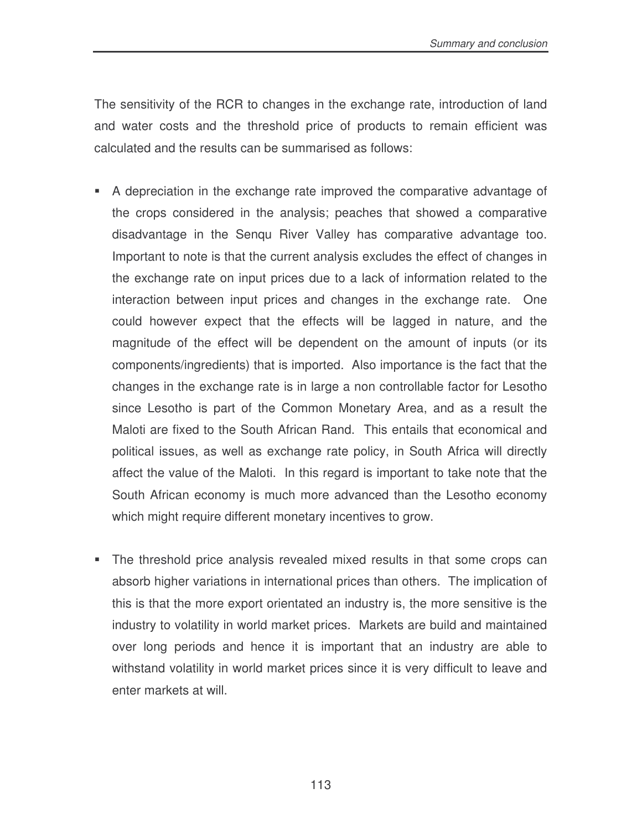The sensitivity of the RCR to changes in the exchange rate, introduction of land and water costs and the threshold price of products to remain efficient was calculated and the results can be summarised as follows:

- A depreciation in the exchange rate improved the comparative advantage of the crops considered in the analysis; peaches that showed a comparative disadvantage in the Senqu River Valley has comparative advantage too. Important to note is that the current analysis excludes the effect of changes in the exchange rate on input prices due to a lack of information related to the interaction between input prices and changes in the exchange rate. One could however expect that the effects will be lagged in nature, and the magnitude of the effect will be dependent on the amount of inputs (or its components/ingredients) that is imported. Also importance is the fact that the changes in the exchange rate is in large a non controllable factor for Lesotho since Lesotho is part of the Common Monetary Area, and as a result the Maloti are fixed to the South African Rand. This entails that economical and political issues, as well as exchange rate policy, in South Africa will directly affect the value of the Maloti. In this regard is important to take note that the South African economy is much more advanced than the Lesotho economy which might require different monetary incentives to grow.
- The threshold price analysis revealed mixed results in that some crops can absorb higher variations in international prices than others. The implication of this is that the more export orientated an industry is, the more sensitive is the industry to volatility in world market prices. Markets are build and maintained over long periods and hence it is important that an industry are able to withstand volatility in world market prices since it is very difficult to leave and enter markets at will.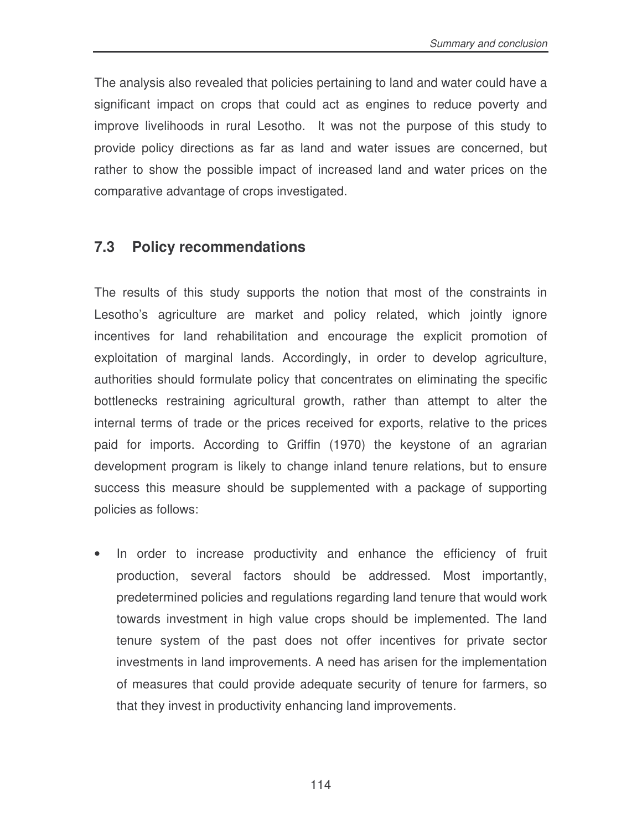The analysis also revealed that policies pertaining to land and water could have a significant impact on crops that could act as engines to reduce poverty and improve livelihoods in rural Lesotho. It was not the purpose of this study to provide policy directions as far as land and water issues are concerned, but rather to show the possible impact of increased land and water prices on the comparative advantage of crops investigated.

### **7.3 Policy recommendations**

The results of this study supports the notion that most of the constraints in Lesotho's agriculture are market and policy related, which jointly ignore incentives for land rehabilitation and encourage the explicit promotion of exploitation of marginal lands. Accordingly, in order to develop agriculture, authorities should formulate policy that concentrates on eliminating the specific bottlenecks restraining agricultural growth, rather than attempt to alter the internal terms of trade or the prices received for exports, relative to the prices paid for imports. According to Griffin (1970) the keystone of an agrarian development program is likely to change inland tenure relations, but to ensure success this measure should be supplemented with a package of supporting policies as follows:

• In order to increase productivity and enhance the efficiency of fruit production, several factors should be addressed. Most importantly, predetermined policies and regulations regarding land tenure that would work towards investment in high value crops should be implemented. The land tenure system of the past does not offer incentives for private sector investments in land improvements. A need has arisen for the implementation of measures that could provide adequate security of tenure for farmers, so that they invest in productivity enhancing land improvements.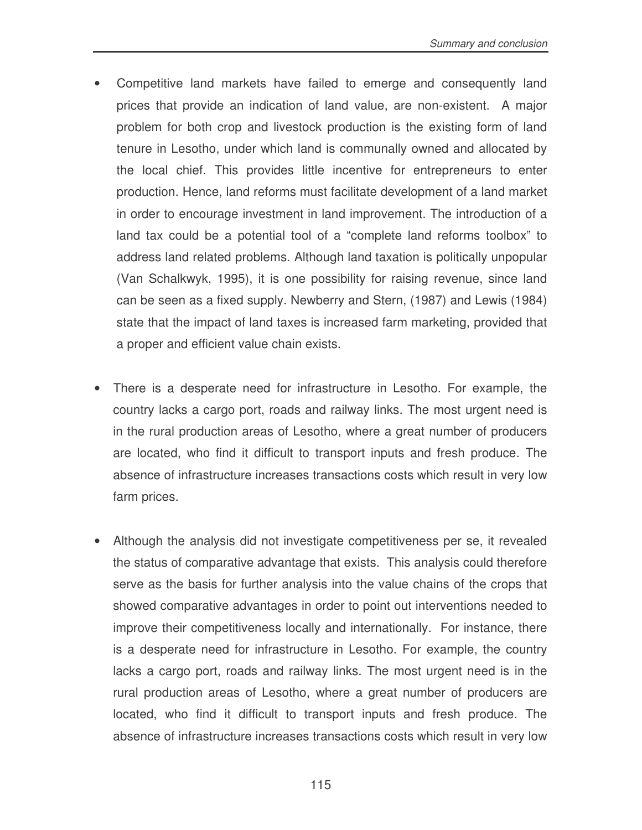- Competitive land markets have failed to emerge and consequently land prices that provide an indication of land value, are non-existent. A major problem for both crop and livestock production is the existing form of land tenure in Lesotho, under which land is communally owned and allocated by the local chief. This provides little incentive for entrepreneurs to enter production. Hence, land reforms must facilitate development of a land market in order to encourage investment in land improvement. The introduction of a land tax could be a potential tool of a "complete land reforms toolbox" to address land related problems. Although land taxation is politically unpopular (Van Schalkwyk, 1995), it is one possibility for raising revenue, since land can be seen as a fixed supply. Newberry and Stern, (1987) and Lewis (1984) state that the impact of land taxes is increased farm marketing, provided that a proper and efficient value chain exists.
- There is a desperate need for infrastructure in Lesotho. For example, the country lacks a cargo port, roads and railway links. The most urgent need is in the rural production areas of Lesotho, where a great number of producers are located, who find it difficult to transport inputs and fresh produce. The absence of infrastructure increases transactions costs which result in very low farm prices.
- Although the analysis did not investigate competitiveness per se, it revealed the status of comparative advantage that exists. This analysis could therefore serve as the basis for further analysis into the value chains of the crops that showed comparative advantages in order to point out interventions needed to improve their competitiveness locally and internationally. For instance, there is a desperate need for infrastructure in Lesotho. For example, the country lacks a cargo port, roads and railway links. The most urgent need is in the rural production areas of Lesotho, where a great number of producers are located, who find it difficult to transport inputs and fresh produce. The absence of infrastructure increases transactions costs which result in very low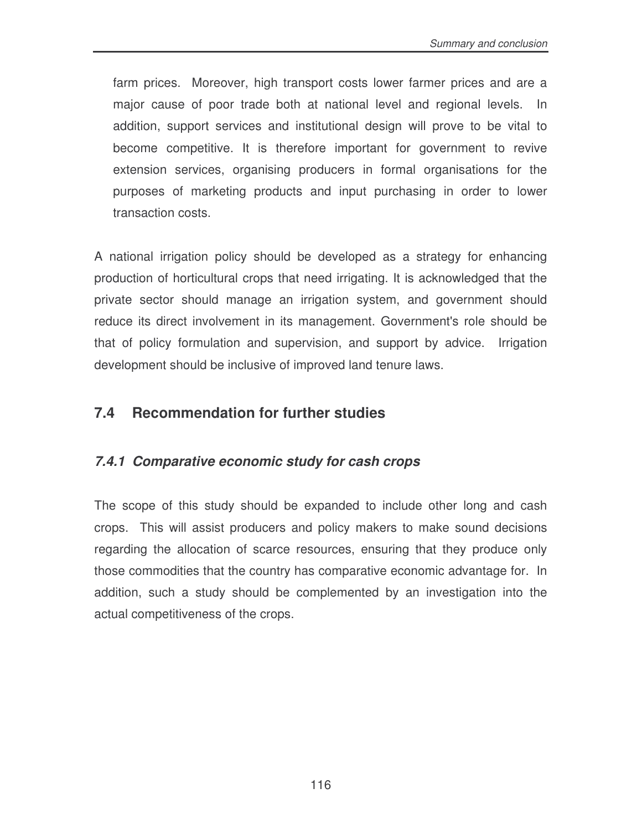farm prices. Moreover, high transport costs lower farmer prices and are a major cause of poor trade both at national level and regional levels. In addition, support services and institutional design will prove to be vital to become competitive. It is therefore important for government to revive extension services, organising producers in formal organisations for the purposes of marketing products and input purchasing in order to lower transaction costs.

A national irrigation policy should be developed as a strategy for enhancing production of horticultural crops that need irrigating. It is acknowledged that the private sector should manage an irrigation system, and government should reduce its direct involvement in its management. Government's role should be that of policy formulation and supervision, and support by advice. Irrigation development should be inclusive of improved land tenure laws.

### **7.4 Recommendation for further studies**

### *7.4.1 Comparative economic study for cash crops*

The scope of this study should be expanded to include other long and cash crops. This will assist producers and policy makers to make sound decisions regarding the allocation of scarce resources, ensuring that they produce only those commodities that the country has comparative economic advantage for. In addition, such a study should be complemented by an investigation into the actual competitiveness of the crops.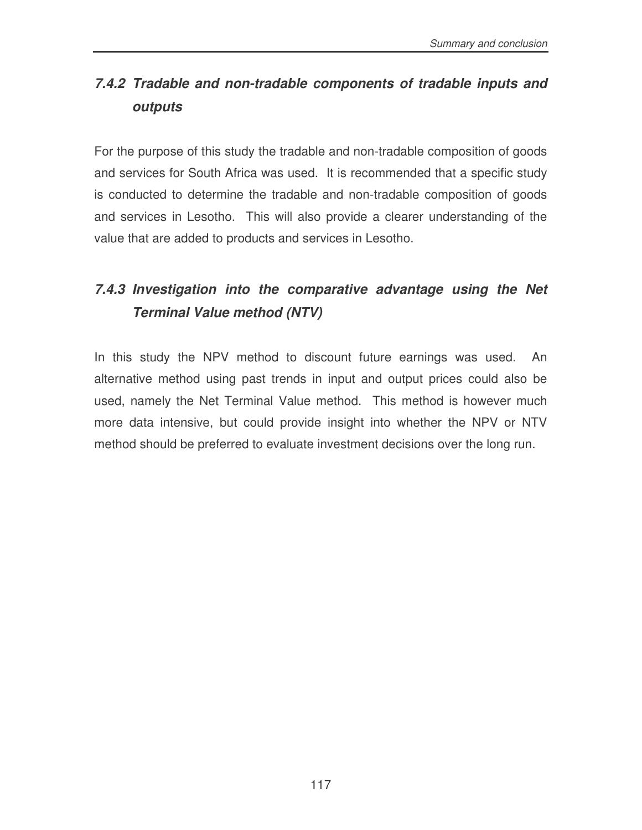# *7.4.2 Tradable and non-tradable components of tradable inputs and outputs*

For the purpose of this study the tradable and non-tradable composition of goods and services for South Africa was used. It is recommended that a specific study is conducted to determine the tradable and non-tradable composition of goods and services in Lesotho. This will also provide a clearer understanding of the value that are added to products and services in Lesotho.

# *7.4.3 Investigation into the comparative advantage using the Net Terminal Value method (NTV)*

In this study the NPV method to discount future earnings was used. An alternative method using past trends in input and output prices could also be used, namely the Net Terminal Value method. This method is however much more data intensive, but could provide insight into whether the NPV or NTV method should be preferred to evaluate investment decisions over the long run.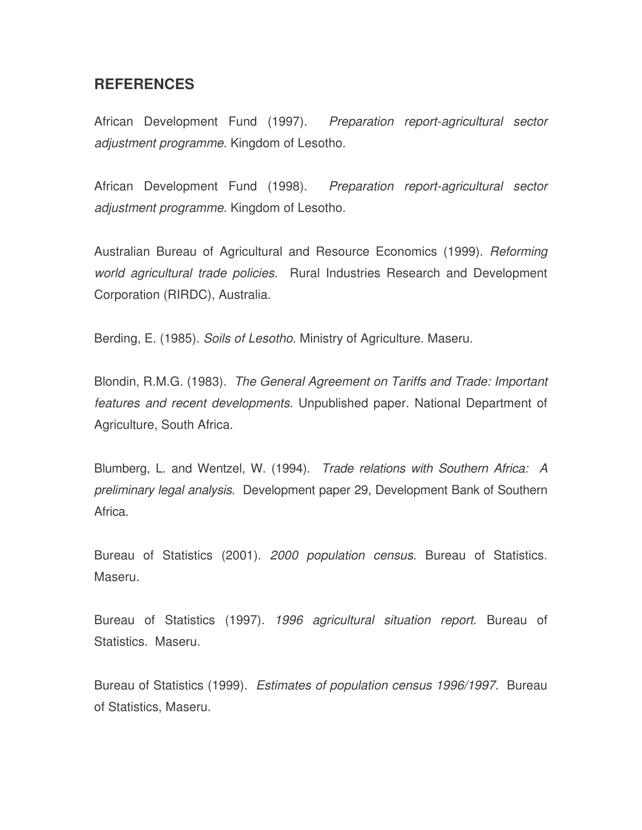#### **REFERENCES**

African Development Fund (1997). *Preparation report-agricultural sector adjustment programme*. Kingdom of Lesotho.

African Development Fund (1998). *Preparation report-agricultural sector adjustment programme*. Kingdom of Lesotho.

Australian Bureau of Agricultural and Resource Economics (1999). *Reforming world agricultural trade policies*. Rural Industries Research and Development Corporation (RIRDC), Australia.

Berding, E. (1985). *Soils of Lesotho*. Ministry of Agriculture. Maseru.

Blondin, R.M.G. (1983). *The General Agreement on Tariffs and Trade: Important features and recent developments*. Unpublished paper. National Department of Agriculture, South Africa.

Blumberg, L. and Wentzel, W. (1994). *Trade relations with Southern Africa: A preliminary legal analysis*. Development paper 29, Development Bank of Southern Africa.

Bureau of Statistics (2001). *2000 population census*. Bureau of Statistics. Maseru.

Bureau of Statistics (1997). *1996 agricultural situation report*. Bureau of Statistics. Maseru.

Bureau of Statistics (1999). *Estimates of population census 1996/1997*. Bureau of Statistics, Maseru.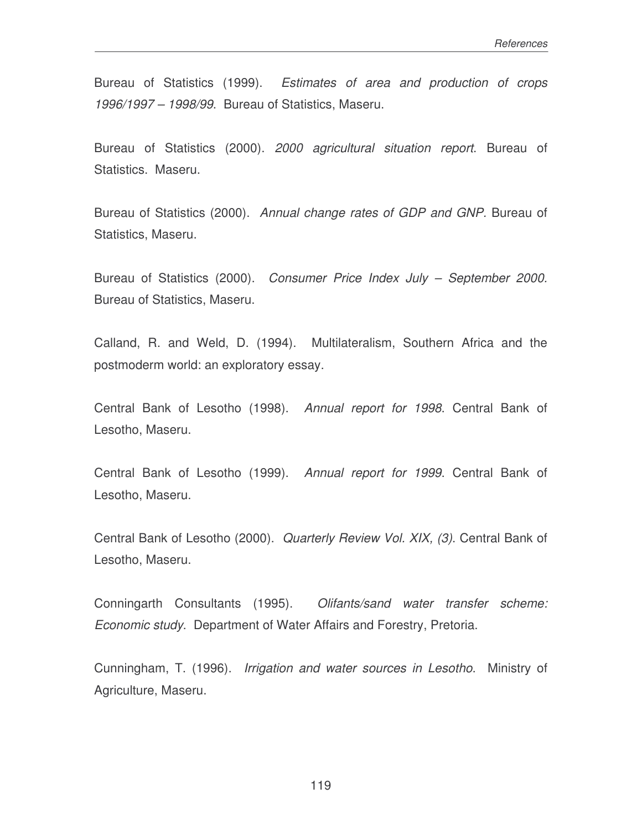Bureau of Statistics (1999). *Estimates of area and production of crops 1996/1997 – 1998/99*. Bureau of Statistics, Maseru.

Bureau of Statistics (2000). *2000 agricultural situation report*. Bureau of Statistics. Maseru.

Bureau of Statistics (2000). *Annual change rates of GDP and GNP.* Bureau of Statistics, Maseru.

Bureau of Statistics (2000). *Consumer Price Index July – September 2000.* Bureau of Statistics, Maseru.

Calland, R. and Weld, D. (1994). Multilateralism, Southern Africa and the postmoderm world: an exploratory essay.

Central Bank of Lesotho (1998). *Annual report for 1998*. Central Bank of Lesotho, Maseru.

Central Bank of Lesotho (1999). *Annual report for 1999*. Central Bank of Lesotho, Maseru.

Central Bank of Lesotho (2000). *Quarterly Review Vol. XIX, (3)*. Central Bank of Lesotho, Maseru.

Conningarth Consultants (1995). *Olifants/sand water transfer scheme: Economic study*. Department of Water Affairs and Forestry, Pretoria.

Cunningham, T. (1996). *Irrigation and water sources in Lesotho*. Ministry of Agriculture, Maseru.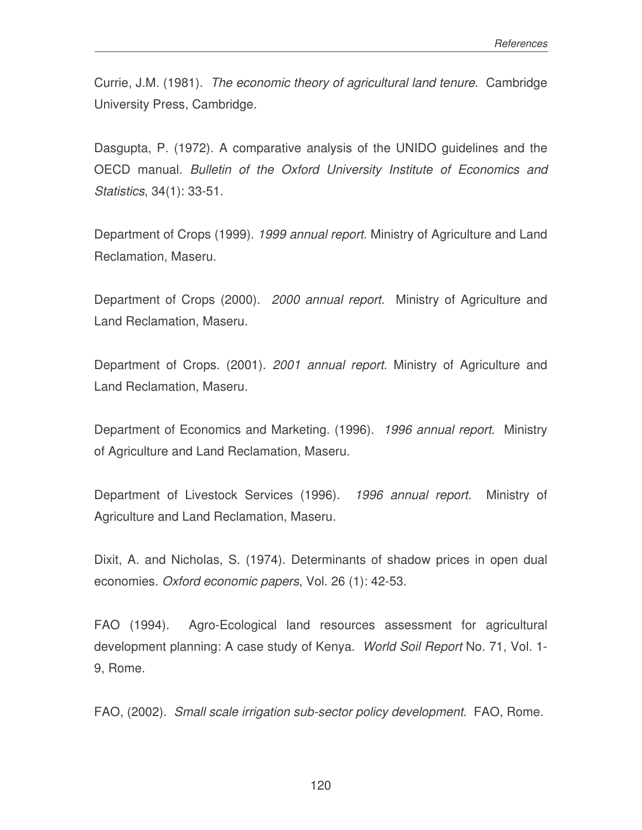Currie, J.M. (1981). *The economic theory of agricultural land tenure*. Cambridge University Press, Cambridge.

Dasgupta, P. (1972). A comparative analysis of the UNIDO guidelines and the OECD manual. *Bulletin of the Oxford University Institute of Economics and Statistics*, 34(1): 33-51.

Department of Crops (1999). *1999 annual report*. Ministry of Agriculture and Land Reclamation, Maseru.

Department of Crops (2000). *2000 annual report*. Ministry of Agriculture and Land Reclamation, Maseru.

Department of Crops. (2001). *2001 annual report*. Ministry of Agriculture and Land Reclamation, Maseru.

Department of Economics and Marketing. (1996). *1996 annual report*. Ministry of Agriculture and Land Reclamation, Maseru.

Department of Livestock Services (1996). *1996 annual report*. Ministry of Agriculture and Land Reclamation, Maseru.

Dixit, A. and Nicholas, S. (1974). Determinants of shadow prices in open dual economies. *Oxford economic papers*, Vol. 26 (1): 42-53.

FAO (1994). Agro-Ecological land resources assessment for agricultural development planning: A case study of Kenya. *World Soil Report* No. 71, Vol. 1- 9, Rome.

FAO, (2002). *Small scale irrigation sub-sector policy development*. FAO, Rome.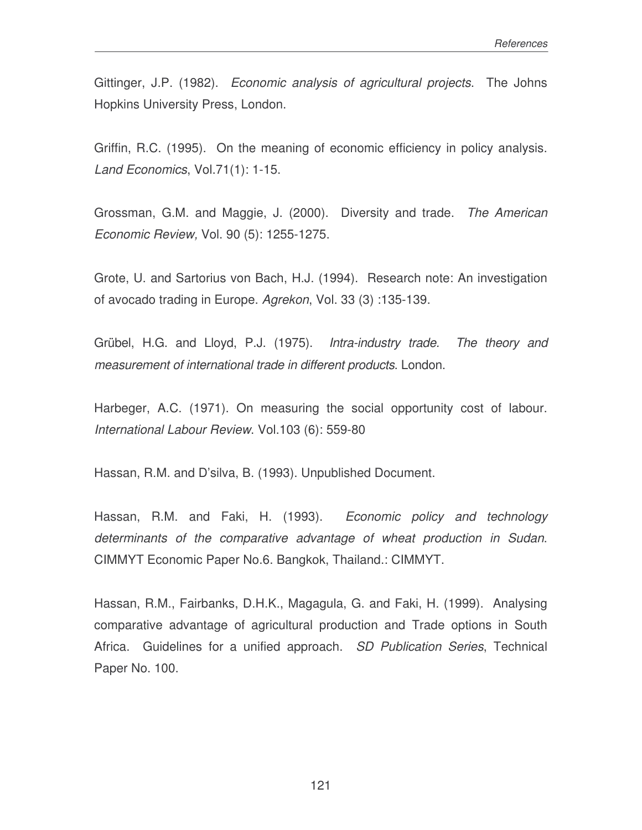Gittinger, J.P. (1982). *Economic analysis of agricultural projects*. The Johns Hopkins University Press, London.

Griffin, R.C. (1995). On the meaning of economic efficiency in policy analysis. *Land Economics*, Vol.71(1): 1-15.

Grossman, G.M. and Maggie, J. (2000). Diversity and trade. *The American Economic Review,* Vol. 90 (5): 1255-1275.

Grote, U. and Sartorius von Bach, H.J. (1994). Research note: An investigation of avocado trading in Europe. *Agrekon*, Vol. 33 (3) :135-139.

Grübel, H.G. and Lloyd, P.J. (1975). *Intra-industry trade. The theory and measurement of international trade in different products*. London.

Harbeger, A.C. (1971). On measuring the social opportunity cost of labour. *International Labour Review*. Vol.103 (6): 559-80

Hassan, R.M. and D'silva, B. (1993). Unpublished Document.

Hassan, R.M. and Faki, H. (1993). *Economic policy and technology determinants of the comparative advantage of wheat production in Sudan*. CIMMYT Economic Paper No.6. Bangkok, Thailand.: CIMMYT.

Hassan, R.M., Fairbanks, D.H.K., Magagula, G. and Faki, H. (1999). Analysing comparative advantage of agricultural production and Trade options in South Africa. Guidelines for a unified approach. *SD Publication Series*, Technical Paper No. 100.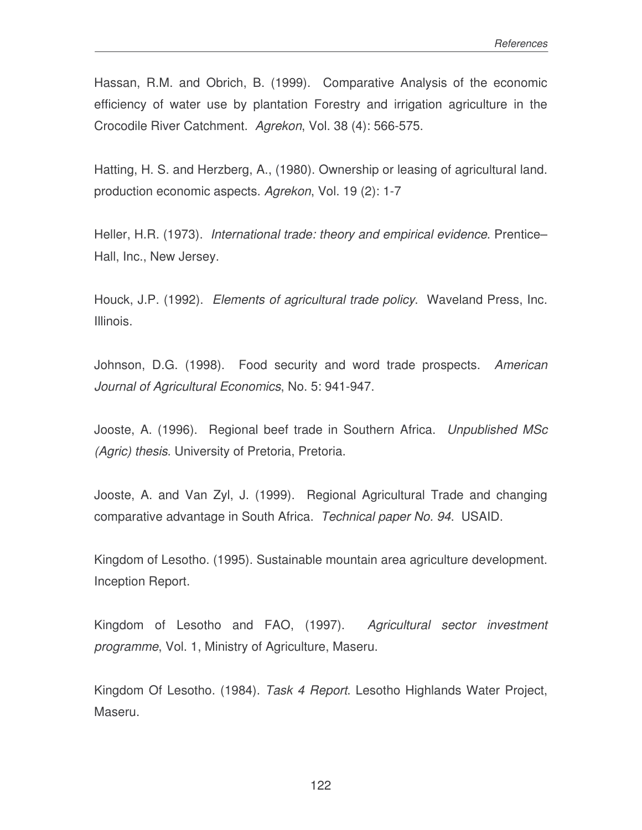Hassan, R.M. and Obrich, B. (1999). Comparative Analysis of the economic efficiency of water use by plantation Forestry and irrigation agriculture in the Crocodile River Catchment. *Agrekon*, Vol. 38 (4): 566-575.

Hatting, H. S. and Herzberg, A., (1980). Ownership or leasing of agricultural land. production economic aspects. *Agrekon*, Vol. 19 (2): 1-7

Heller, H.R. (1973). *International trade: theory and empirical evidence*. Prentice– Hall, Inc., New Jersey.

Houck, J.P. (1992). *Elements of agricultural trade policy*. Waveland Press, Inc. Illinois.

Johnson, D.G. (1998). Food security and word trade prospects. *American Journal of Agricultural Economics*, No. 5: 941-947.

Jooste, A. (1996). Regional beef trade in Southern Africa. *Unpublished MSc (Agric) thesis*. University of Pretoria, Pretoria.

Jooste, A. and Van Zyl, J. (1999). Regional Agricultural Trade and changing comparative advantage in South Africa. *Technical paper No. 94*. USAID.

Kingdom of Lesotho. (1995). Sustainable mountain area agriculture development. Inception Report.

Kingdom of Lesotho and FAO, (1997). *Agricultural sector investment programme*, Vol. 1, Ministry of Agriculture, Maseru.

Kingdom Of Lesotho. (1984). *Task 4 Report*. Lesotho Highlands Water Project, Maseru.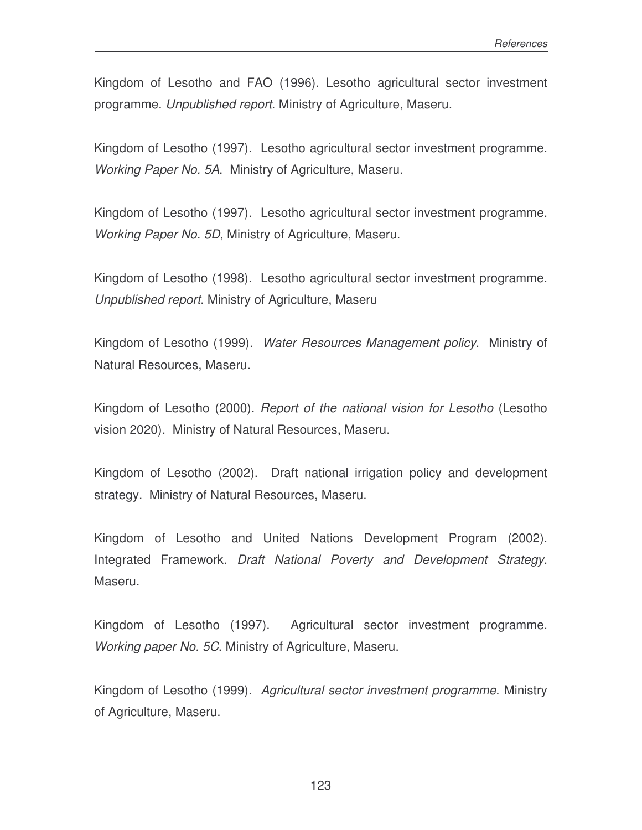Kingdom of Lesotho and FAO (1996). Lesotho agricultural sector investment programme. *Unpublished report*. Ministry of Agriculture, Maseru.

Kingdom of Lesotho (1997). Lesotho agricultural sector investment programme. *Working Paper No. 5A*. Ministry of Agriculture, Maseru.

Kingdom of Lesotho (1997). Lesotho agricultural sector investment programme. *Working Paper No. 5D*, Ministry of Agriculture, Maseru.

Kingdom of Lesotho (1998). Lesotho agricultural sector investment programme. *Unpublished report*. Ministry of Agriculture, Maseru

Kingdom of Lesotho (1999). *Water Resources Management policy*. Ministry of Natural Resources, Maseru.

Kingdom of Lesotho (2000). *Report of the national vision for Lesotho* (Lesotho vision 2020). Ministry of Natural Resources, Maseru.

Kingdom of Lesotho (2002). Draft national irrigation policy and development strategy. Ministry of Natural Resources, Maseru.

Kingdom of Lesotho and United Nations Development Program (2002). Integrated Framework. *Draft National Poverty and Development Strategy*. Maseru.

Kingdom of Lesotho (1997). Agricultural sector investment programme. *Working paper No. 5C*. Ministry of Agriculture, Maseru.

Kingdom of Lesotho (1999). *Agricultural sector investment programme*. Ministry of Agriculture, Maseru.

123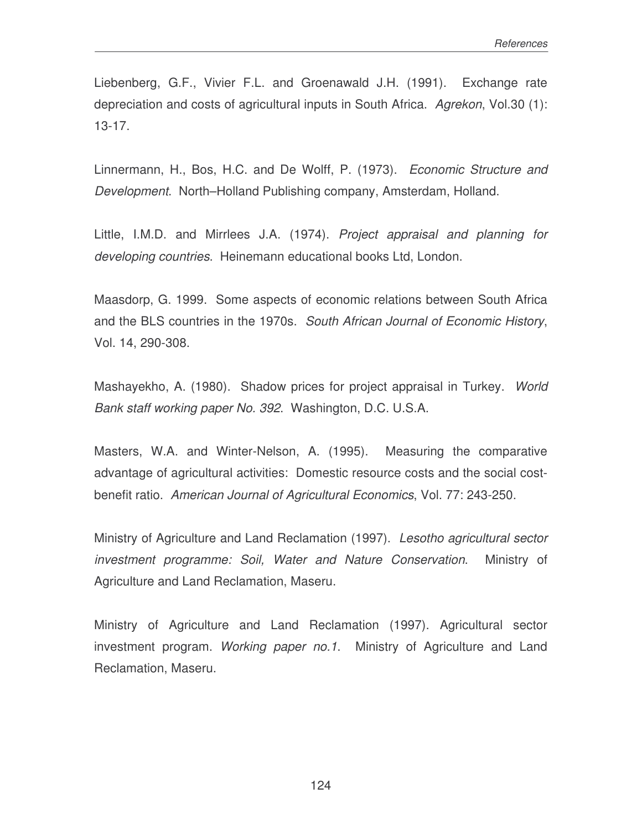Liebenberg, G.F., Vivier F.L. and Groenawald J.H. (1991). Exchange rate depreciation and costs of agricultural inputs in South Africa. *Agrekon*, Vol.30 (1): 13-17.

Linnermann, H., Bos, H.C. and De Wolff, P. (1973). *Economic Structure and Development*. North–Holland Publishing company, Amsterdam, Holland.

Little, I.M.D. and Mirrlees J.A. (1974). *Project appraisal and planning for developing countries*. Heinemann educational books Ltd, London.

Maasdorp, G. 1999. Some aspects of economic relations between South Africa and the BLS countries in the 1970s. *South African Journal of Economic History*, Vol. 14, 290-308.

Mashayekho, A. (1980). Shadow prices for project appraisal in Turkey. *World Bank staff working paper No. 392*. Washington, D.C. U.S.A.

Masters, W.A. and Winter-Nelson, A. (1995). Measuring the comparative advantage of agricultural activities: Domestic resource costs and the social costbenefit ratio. *American Journal of Agricultural Economics*, Vol. 77: 243-250.

Ministry of Agriculture and Land Reclamation (1997). *Lesotho agricultural sector investment programme: Soil, Water and Nature Conservation*. Ministry of Agriculture and Land Reclamation, Maseru.

Ministry of Agriculture and Land Reclamation (1997). Agricultural sector investment program. *Working paper no.1*. Ministry of Agriculture and Land Reclamation, Maseru.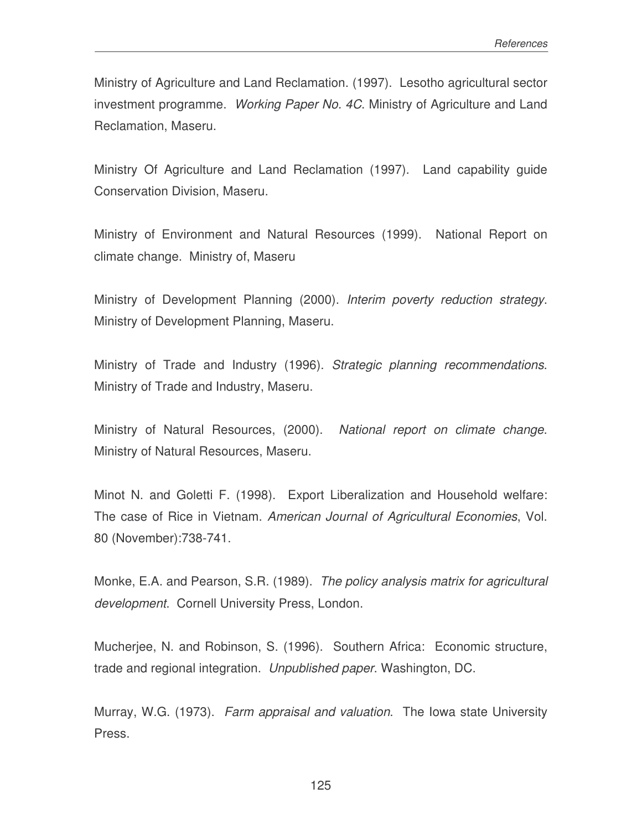Ministry of Agriculture and Land Reclamation. (1997). Lesotho agricultural sector investment programme. *Working Paper No. 4C*. Ministry of Agriculture and Land Reclamation, Maseru.

Ministry Of Agriculture and Land Reclamation (1997). Land capability guide Conservation Division, Maseru.

Ministry of Environment and Natural Resources (1999). National Report on climate change. Ministry of, Maseru

Ministry of Development Planning (2000). *Interim poverty reduction strategy*. Ministry of Development Planning, Maseru.

Ministry of Trade and Industry (1996). *Strategic planning recommendations*. Ministry of Trade and Industry, Maseru.

Ministry of Natural Resources, (2000). *National report on climate change*. Ministry of Natural Resources, Maseru.

Minot N. and Goletti F. (1998). Export Liberalization and Household welfare: The case of Rice in Vietnam. *American Journal of Agricultural Economies*, Vol. 80 (November):738-741.

Monke, E.A. and Pearson, S.R. (1989). *The policy analysis matrix for agricultural development*. Cornell University Press, London.

Mucherjee, N. and Robinson, S. (1996). Southern Africa: Economic structure, trade and regional integration. *Unpublished paper*. Washington, DC.

Murray, W.G. (1973). *Farm appraisal and valuation*. The Iowa state University Press.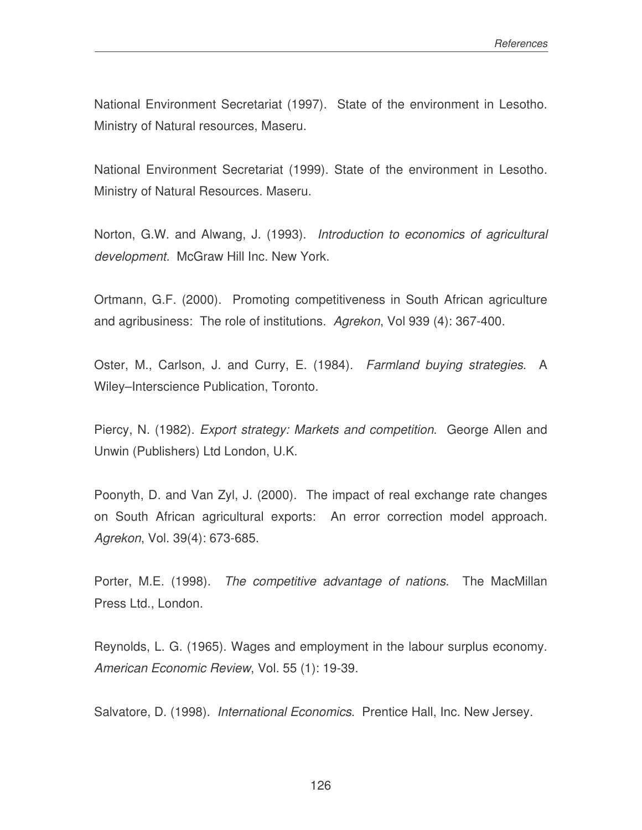National Environment Secretariat (1997). State of the environment in Lesotho. Ministry of Natural resources, Maseru.

National Environment Secretariat (1999). State of the environment in Lesotho. Ministry of Natural Resources. Maseru.

Norton, G.W. and Alwang, J. (1993). *Introduction to economics of agricultural development.* McGraw Hill Inc. New York.

Ortmann, G.F. (2000). Promoting competitiveness in South African agriculture and agribusiness: The role of institutions. *Agrekon*, Vol 939 (4): 367-400.

Oster, M., Carlson, J. and Curry, E. (1984). *Farmland buying strategies*. A Wiley–Interscience Publication, Toronto.

Piercy, N. (1982). *Export strategy: Markets and competition*. George Allen and Unwin (Publishers) Ltd London, U.K.

Poonyth, D. and Van Zyl, J. (2000). The impact of real exchange rate changes on South African agricultural exports: An error correction model approach. *Agrekon*, Vol. 39(4): 673-685.

Porter, M.E. (1998). *The competitive advantage of nations*. The MacMillan Press Ltd., London.

Reynolds, L. G. (1965). Wages and employment in the labour surplus economy. *American Economic Review*, Vol. 55 (1): 19-39.

Salvatore, D. (1998). *International Economics*. Prentice Hall, Inc. New Jersey.

126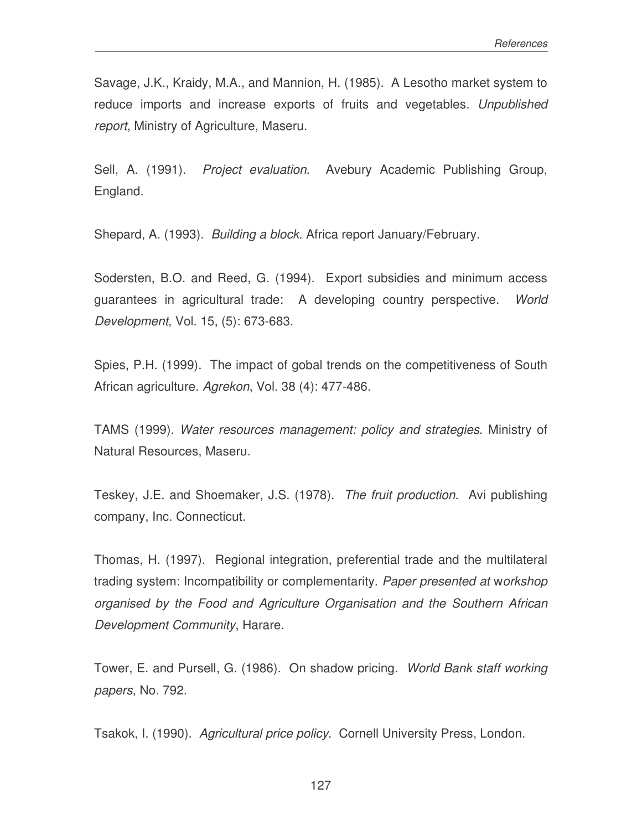Savage, J.K., Kraidy, M.A., and Mannion, H. (1985). A Lesotho market system to reduce imports and increase exports of fruits and vegetables. *Unpublished report*, Ministry of Agriculture, Maseru.

Sell, A. (1991). *Project evaluation*. Avebury Academic Publishing Group, England.

Shepard, A. (1993). *Building a block*. Africa report January/February.

Sodersten, B.O. and Reed, G. (1994). Export subsidies and minimum access guarantees in agricultural trade: A developing country perspective. *World Development*, Vol. 15, (5): 673-683.

Spies, P.H. (1999). The impact of gobal trends on the competitiveness of South African agriculture. *Agrekon*, Vol. 38 (4): 477-486.

TAMS (1999). *Water resources management: policy and strategies*. Ministry of Natural Resources, Maseru.

Teskey, J.E. and Shoemaker, J.S. (1978). *The fruit production*. Avi publishing company, Inc. Connecticut.

Thomas, H. (1997). Regional integration, preferential trade and the multilateral trading system: Incompatibility or complementarity. *Paper presented at* w*orkshop organised by the Food and Agriculture Organisation and the Southern African Development Community*, Harare.

Tower, E. and Pursell, G. (1986). On shadow pricing. *World Bank staff working papers*, No. 792.

Tsakok, I. (1990). *Agricultural price policy*. Cornell University Press, London.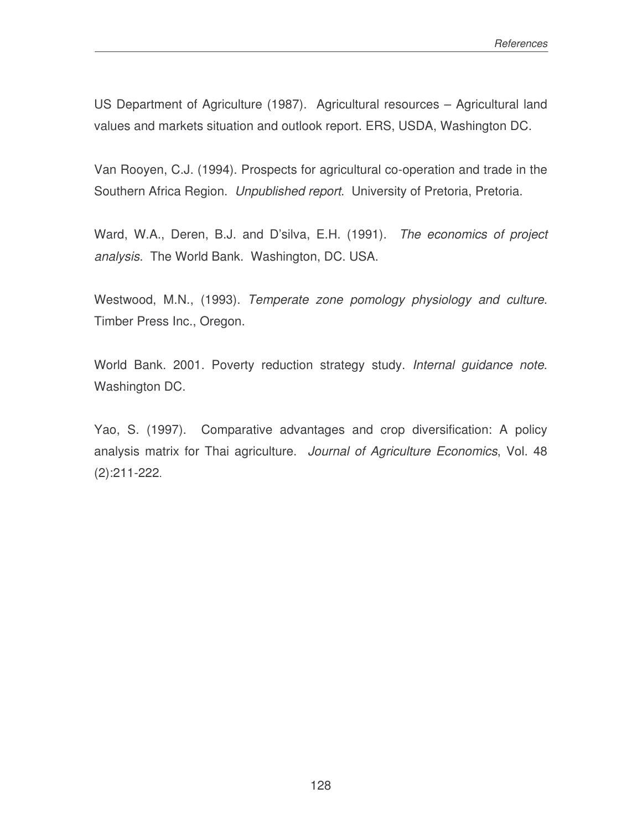US Department of Agriculture (1987). Agricultural resources – Agricultural land values and markets situation and outlook report. ERS, USDA, Washington DC.

Van Rooyen, C.J. (1994). Prospects for agricultural co-operation and trade in the Southern Africa Region. *Unpublished report*. University of Pretoria, Pretoria.

Ward, W.A., Deren, B.J. and D'silva, E.H. (1991). *The economics of project analysis*. The World Bank. Washington, DC. USA.

Westwood, M.N., (1993). *Temperate zone pomology physiology and culture*. Timber Press Inc., Oregon.

World Bank. 2001. Poverty reduction strategy study. *Internal guidance note*. Washington DC.

Yao, S. (1997). Comparative advantages and crop diversification: A policy analysis matrix for Thai agriculture. *Journal of Agriculture Economics*, Vol. 48 (2):211-222.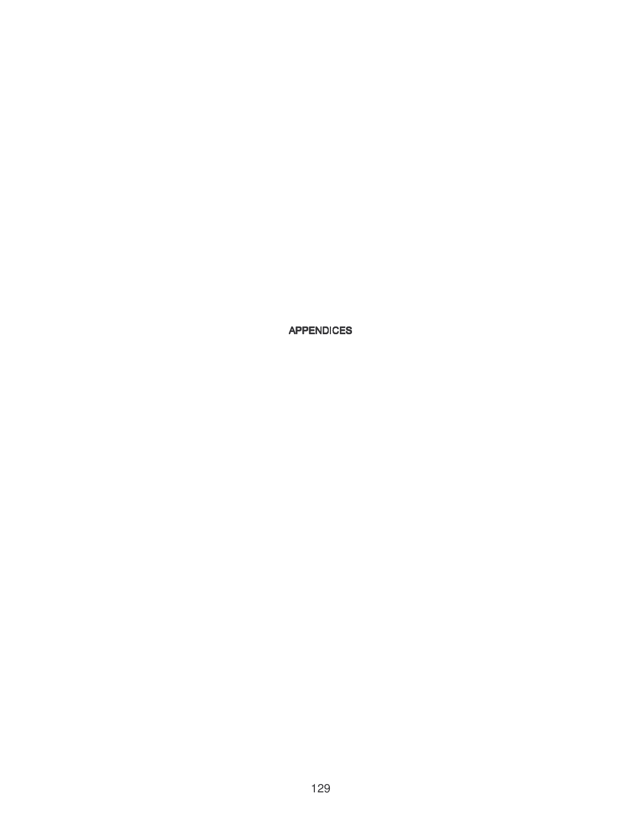129

#### APPENDICES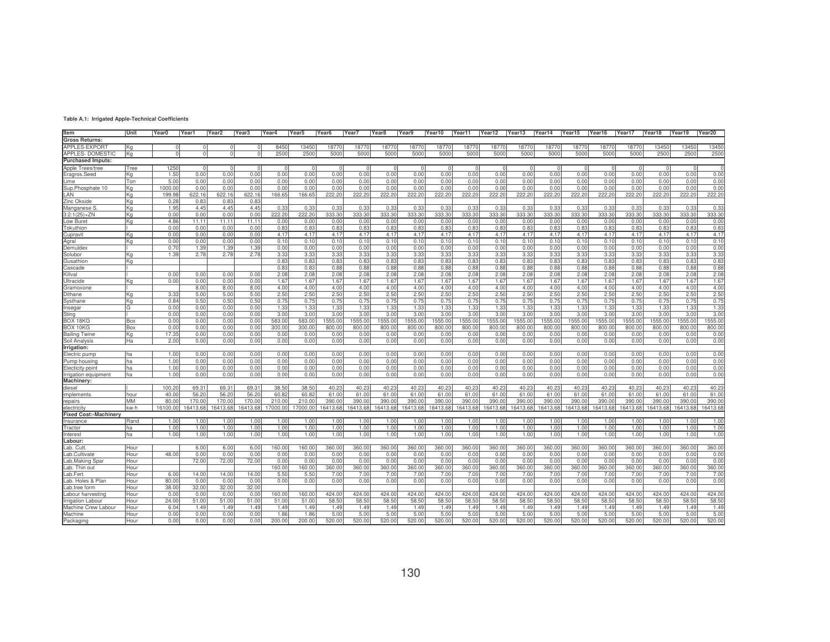| Item                         | Unit      | Year <sub>0</sub> | Year1    | Year <sub>2</sub> | Year <sub>3</sub> | Year4   | Year5    | Year <sub>6</sub> | Year7    | Year <sub>8</sub> | Year9    | Year10   | Year11   | Year12   | Year13   | Year14   | Year15   | Year16  | Year17  | Year18  | Year19  | Year20      |
|------------------------------|-----------|-------------------|----------|-------------------|-------------------|---------|----------|-------------------|----------|-------------------|----------|----------|----------|----------|----------|----------|----------|---------|---------|---------|---------|-------------|
|                              |           |                   |          |                   |                   |         |          |                   |          |                   |          |          |          |          |          |          |          |         |         |         |         |             |
| <b>Gross Returns:</b>        |           |                   |          |                   |                   |         |          |                   |          |                   |          |          |          |          |          |          |          |         |         |         |         |             |
| <b>APPLES-EXPORT</b>         | lKa       |                   | $\Omega$ | $\Omega$          |                   | 8450    | 13450    | 18770             | 18770    | 18770             | 18770    | 18770    | 18770    | 18770    | 18770    | 18770    | 18770    | 18770   | 18770   | 13450   | 13450   | 13450       |
| APPLES-DOMESTIC              | Kg        |                   | $\Omega$ | $\Omega$          |                   | 2500    | 250      | 5000              | 5000     | 5000              | 5000     | 5000     | 5000     | 500      | 5000     | 5000     | 500      | 5000    | 5000    | 2500    | 2500    | 2500        |
| <b>Purchased Imputs:</b>     |           |                   |          |                   |                   |         |          |                   |          |                   |          |          |          |          |          |          |          |         |         |         |         |             |
| Apple Trees/tree             | Tree      | 1250              | $\Omega$ |                   |                   |         |          |                   |          |                   |          |          |          |          |          |          |          |         |         |         |         | $\mathbf 0$ |
| Eragros.Seed                 | Kg        | 1.50              | 0.00     | 0.00              | 0.00              | 0.00    | 0.00     | 0.00              | 0.00     | 0.00              | 0.00     | 0.00     | 0.00     | 0.00     | 0.00     | 0.00     | 0.00     | 0.00    | 0.00    | 0.00    | 0.00    | 0.00        |
| Lime                         | Ton       | 5.0(              | 0.00     | 0.00              | 0.00              | 0.00    | 0.00     | 0.00              | 0.00     | 0.00              | 0.00     | 0.00     | 0.00     | 0.00     | 0.00     | 0.00     | 0.00     | 0.00    | 0.00    | 0.00    | 0.00    | 0.00        |
| Sup.Phosphate 10             | ΙKα       | 1000.0            | 0.00     | 0.00              | 0.00              | 0.00    | 0.00     | 0.00              | 0.00     | 0.00              | 0.00     | 0.00     | 0.00     | 0.00     | 0.00     | 0.00     | 0.00     | 0.00    | 0.00    | 0.00    | 0.00    | 0.00        |
| LAN                          | ΙKα       | 199.98            | 622.16   | 622.16            | 622.16            | 166.65  | 166.65   | 222.20            | 222.20   | 222.20            | 222.20   | 222.20   | 222.20   | 222.20   | 222.20   | 222.20   | 222.20   | 222.20  | 222.20  | 222.20  | 222.20  | 222.20      |
| Zinc Okside                  | ΙKα       | 0.28              | 0.83     | 0.83              | 0.83              |         |          |                   |          |                   |          |          |          |          |          |          |          |         |         |         |         |             |
| Manganese S                  | ΙKα       | 1.95              | 4.45     | 4.45              | 4.45              | 0.33    | 0.33     | 0.33              | 0.33     | 0.33              | 0.33     | 0.33     | 0.33     | 0.33     | 0.33     | 0.33     | 0.33     | 0.33    | 0.33    | 0.33    | 0.33    | 0.33        |
| $3:2:1(25)+ZN$               | lKa       | 0.00              | 0.00     | 0.00              | 0.00              | 222.20  | 222.20   | 333.30            | 333.30   | 333.30            | 333.30   | 333.30   | 333.30   | 333.30   | 333.30   | 333.30   | 333.30   | 333.30  | 333.30  | 333.30  | 333.30  | 333.30      |
| ow Buret                     | Kg        | 4.86              | 11.11    | 11.11             | 11.11             | 0.00    | 0.00     | 0.00              | 0.00     | 0.00              | 0.00     | 0.00     | 0.00     | 0.00     | 0.00     | 0.00     | 0.00     | 0.00    | 0.00    | 0.00    | 0.00    | 0.00        |
| Tokuthion                    |           | 0.00              | 0.00     | 0.00              | 0.00              | 0.83    | 0.83     | 0.83              | 0.83     | 0.83              | 0.83     | 0.83     | 0.83     | 0.83     | 0.83     | 0.83     | 0.83     | 0.83    | 0.83    | 0.83    | 0.83    | 0.83        |
| Cupravit                     | lKa       | 0.00              | 0.00     | 0.00              | 0.00              | 4.17    | 4.17     | 4.17              | 4.17     | 4.17              | 4.17     | 4.17     | 4.17     | 4.17     | 4.17     | 4.17     | 4.17     | 4.17    | 4.17    | 4.17    | 4.17    | 4.17        |
| Agral                        | lKa       | 0.00              | 0.00     | 0.00              | 0.00              | 0.10    | 0.10     | 0.10              | 0.10     | 0.10              | 0.10     | 0.10     | 0.10     | 0.10     | 0.10     | 0.10     | 0.10     | 0.10    | 0.10    | 0.10    | 0.10    | 0.10        |
| Demuldex                     |           | 0.70              | 1.39     | 1.39              | 1.39              | 0.00    | 0.00     | 0.00              | 0.00     | 0.00              | 0.00     | 0.00     | 0.00     | 0.00     | 0.00     | 0.00     | 0.00     | 0.00    | 0.00    | 0.00    | 0.00    | 0.00        |
| Solubor                      | ΙKα       | 1.39              | 2.78     | 2.78              | 2.78              | 3.33    | 3.33     | 3.33              | 3.33     | 3.33              | 3.33     | 3.33     | 3.33     | 3.33     | 3.33     | 3.33     | 3.33     | 3.33    | 3.33    | 3.33    | 3.33    | 3.33        |
| Gusathion                    | ΙKα       |                   |          |                   |                   | 0.83    | 0.83     | 0.83              | 0.83     | 0.83              | 0.83     | 0.83     | 0.83     | 0.83     | 0.83     | 0.83     | 0.83     | 0.83    | 0.83    | 0.83    | 0.83    | 0.83        |
| Cascade                      |           |                   |          |                   |                   | 0.83    | 0.83     | 0.88              | 0.88     | 0.88              | 0.88     | 0.88     | 0.88     | 0.88     | 0.88     | 0.88     | 0.88     | 0.88    | 0.88    | 0.88    | 0.88    | 0.88        |
| Killval                      |           | 0.00              |          | 0.00              |                   |         |          |                   |          | 2.08              | 2.08     |          |          |          |          |          | 2.08     |         |         |         | 2.08    | 2.08        |
|                              |           |                   | 0.00     |                   | 0.00              | 2.08    | 2.08     | 2.08              | 2.08     |                   |          | 2.08     | 2.08     | 2.08     | 2.08     | 2.08     |          | 2.08    | 2.08    | 2.08    |         |             |
| Ultracide                    | ΙKα       | 0.00              | 0.00     | 0.00              | 0.00              | 1.67    | 1.67     | 1.67              | 1.67     | 1.67              | 1.67     | 1.67     | 1.67     | 1.67     | 1.67     | 1.67     | 1.67     | 1.67    | 1.67    | 1.67    | 1.67    | 1.67        |
| Gramoxone                    |           |                   | 8.00     | 8.00              | 8.00              | 4.00    | 4.00     | 4.00              | 4.00     | 4.00              | 4.00     | 4.00     | 4.00     | 4.00     | 4.00     | 4.00     | 4.00     | 4.00    | 4.00    | 4.00    | 4.00    | 4.00        |
| Dithane                      | ΙKα       | 3.33              | 5.00     | 5.00              | 5.00              | 2.50    | 2.50     | 2.50              | 2.50     | 2.50              | 2.50     | 2.50     | 2.50     | 2.50     | 2.50     | 2.50     | 2.50     | 2.50    | 2.50    | 2.50    | 2.50    | 2.50        |
| Systhane                     | Kg        | 0.84              | 0.50     | 0.50              | 0.50              | 0.75    | 0.75     | 0.75              | 0.75     | 0.75              | 0.75     | 0.75     | 0.75     | 0.75     | 0.75     | 0.75     | 0.75     | 0.75    | 0.75    | 0.75    | 0.75    | 0.75        |
| Insegar                      | G         | 0.0(              | 0.00     | 0.00              | 0.00              | 1.33    | 1.33     | 1.33              | 1.33     | 1.33              | 1.33     | 1.33     | 1.33     | 1.33     | 1.33     | 1.33     | 1.33     | 1.33    | 1.33    | 1.33    | 1.33    | 1.33        |
| Sting                        |           | 0.00              | 0.00     | 0.00              | 0.00              | 3.00    | 3.00     | 3.00              | 3.00     | 3.00              | 3.00     | 3.00     | 3.00     | 3.00     | 3.00     | 3.00     | 3.00     | 3.00    | 3.00    | 3.00    | 3.00    | 3.00        |
| BOX 18KG                     | Box       | 0.0(              | 0.00     | 0.00              | 0.00              | 583.00  | 583.00   | 1555.00           | 1555.00  | 1555.00           | 1555.00  | 1555.00  | 1555.00  | 1555.00  | 1555.00  | 1555.00  | 1555.00  | 1555.00 | 1555.00 | 1555.00 | 1555.00 | 1555.00     |
| BOX 10KG                     | Box       | 0.00              | 0.00     | 0.00              | 0.00              | 300.00  | 300.00   | 800.00            | 800.00   | 800.00            | 800.00   | 800.00   | 800.00   | 800.00   | 800.00   | 800.00   | 800.00   | 800.00  | 800.00  | 800.00  | 800.00  | 800.00      |
| <b>Bailing Twine</b>         | Kg        | 17.35             | 0.00     | 0.00              | 0.00              | 0.00    | 0.00     | 0.00              | 0.00     | 0.00              | 0.00     | 0.00     | 0.00     | 0.0(     | 0.00     | 0.00     | 0.00     | 0.00    | 0.00    | 0.00    | 0.00    | 0.00        |
| Soil Analysis                | lНа       | 2.00              | 0.00     | 0.00              | 0.00              | 0.00    | 0.00     | 0.00              | 0.00     | 0.00              | 0.00     | 0.00     | 0.00     | 0.00     | 0.00     | 0.00     | 0.00     | 0.00    | 0.00    | 0.00    | 0.00    | 0.00        |
| Irrigation:                  |           |                   |          |                   |                   |         |          |                   |          |                   |          |          |          |          |          |          |          |         |         |         |         |             |
| Electric pump                | ha        | 1.00              | 0.00     | 0.00              | 0.00              | 0.00    | 0.00     | 0.00              | 0.00     | 0.00              | 0.00     | 0.00     | 0.00     | 0.00     | 0.00     | 0.00     | 0.00     | 0.00    | 0.00    | 0.00    | 0.00    | 0.00        |
| Pump housing                 | ha        | 1.00              | 0.00     | 0.00              | 0.00              | 0.00    | 0.00     | 0.00              | 0.00     | 0.00              | 0.00     | 0.00     | 0.00     | 0.00     | 0.00     | 0.00     | 0.00     | 0.00    | 0.00    | 0.00    | 0.00    | 0.00        |
| Electicity point             | ha        | 1.00              | 0.00     | 0.00              | 0.00              | 0.00    | 0.00     | 0.00              | 0.00     | 0.00              | 0.00     | 0.00     | 0.00     | 0.00     | 0.00     | 0.00     | 0.00     | 0.00    | 0.00    | 0.00    | 0.00    | 0.00        |
| Irrigation equipment         | ha        | 1.00              | 0.00     | 0.00              | 0.00              | 0.00    | 0.00     | 0.00              | 0.00     | 0.00              | 0.00     | 0.00     | 0.00     | 0.00     | 0.00     | 0.00     | 0.00     | 0.00    | 0.00    | 0.00    | 0.00    | 0.00        |
| Machinery:                   |           |                   |          |                   |                   |         |          |                   |          |                   |          |          |          |          |          |          |          |         |         |         |         |             |
| diesel                       |           | 100.20            | 69.31    | 69.31             | 69.31             | 38.50   | 38.50    | 40.23             | 40.23    | 40.23             | 40.23    | 40.23    | 40.23    | 40.23    | 40.23    | 40.23    | 40.23    | 40.23   | 40.23   | 40.23   | 40.23   | 40.23       |
| implements                   | hour      | 40.00             | 56.20    | 56.20             | 56.20             | 60.82   | 60.82    | 61.00             | 61.00    | 61.00             | 61.00    | 61.00    | 61.00    | 61.00    | 61.00    | 61.00    | 61.00    | 61.00   | 61.00   | 61.00   | 61.00   | 61.00       |
| repairs                      | <b>MM</b> | 80.0              | 170.00   | 170.00            | 170.0             | 210.00  | 210.0    | 390.00            | 390.0    | 390.00            | 390.00   | 390.00   | 390.0    | 390.00   | 390.00   | 390.0    | 390.0    | 390.0   | 390.00  | 390.00  | 390.00  | 390.00      |
| electricity                  | kw-h      | 16100.0           | 6413.68  | 16413.68          | 16413.68          | 7000.00 | 17000.00 | 6413.68           | 16413.68 | 6413.68           | 16413.68 | 16413.68 | 16413.68 | 16413.68 | 16413.68 | 16413.68 | 16413.68 | 6413.68 | 6413.68 | 6413.68 | 6413.68 | 16413.68    |
| <b>Fixed Cost:-Machinery</b> |           |                   |          |                   |                   |         |          |                   |          |                   |          |          |          |          |          |          |          |         |         |         |         |             |
| Insurance                    | Rand      | 1.00              | 1.00     | 1.00              | 1.00              | 1.00    | 1.00     | 1.00              | 1.00     | 1.00              | 1.00     | 1.00     | 1.00     | 1.00     | 1.00     | 1.00     | 1.00     | 1.00    | 1.00    | 1.00    | 1.00    | 1.00        |
| Tractor                      | ha        | 1.00              | 1.00     | 1.00              | 1.00              | 1.00    | 1.00     | 1.00              | 1.00     | 1.00              | 1.00     | 1.00     | 1.00     | 1.00     | 1.00     | 1.00     | 1.00     | 1.00    | 1.00    | 1.00    | 1.00    | 1.00        |
| Interest                     | ha        | 1.00              | 1.00     | 1.00              | 1.00              | 1.00    | 1.00     | 1.00              | 1.00     | 1.00              | 1.00     | 1.00     | 1.00     | 1.00     | 1.00     | 1.00     | 1.00     | 1.00    | 1.00    | 1.00    | 1.00    | 1.00        |
| Labour:                      |           |                   |          |                   |                   |         |          |                   |          |                   |          |          |          |          |          |          |          |         |         |         |         |             |
| _ab. Cutt                    | Hour      |                   | 6.00     | 6.00              | 6.00              | 160.00  | 160.00   | 360.00            | 360.00   | 360.00            | 360.00   | 360.00   | 360.00   | 360.00   | 360.00   | 360.00   | 360.00   | 360.00  | 360.00  | 360.00  | 360.00  | 360.00      |
| .ab.Cultivate                | Hour      | 48.0              | 0.00     | 0.00              | 0.00              | 0.00    | 0.00     | 0.00              | 0.00     | 0.00              | 0.00     | 0.00     | 0.00     | 0.00     | 0.00     | 0.00     | 0.00     | 0.00    | 0.00    | 0.00    | 0.00    | 0.00        |
| Lab.Making Spar              | Hour      |                   | 72.00    | 72.00             | 72.00             | 0.00    | 0.00     | 0.00              | 0.00     | 0.00              | 0.00     | 0.00     | 0.00     | 0.00     | 0.00     | 0.00     | 0.00     | 0.00    | 0.00    | 0.00    | 0.00    | 0.00        |
|                              | Hour      |                   |          |                   |                   | 160.00  | 160.00   | 360.00            | 360.00   | 360.00            | 360.00   | 360.00   | 360.00   | 360.00   | 360.00   | 360.00   | 360.00   | 360.00  | 360.00  | 360.00  | 360.00  | 360.00      |
| .ab. Thin out<br>_ab.Fert.   | Hour      | 6.00              | 14.00    | 14.00             | 14.00             | 5.50    | 5.50     | 7.00              | 7.00     | 7.00              | 7.00     | 7.00     | 7.00     | 7.00     | 7.00     | 7.00     | 7.00     | 7.00    | 7.00    | 7.00    | 7.00    | 7.00        |
|                              |           | 80.0              |          |                   |                   |         |          |                   |          |                   |          |          |          |          |          |          |          |         |         |         |         |             |
| .ab. Holes & Plan            | Hour      |                   | 0.00     | 0.00              | 0.00              | 0.00    | 0.00     | 0.00              | 0.00     | 0.00              | 0.00     | 0.00     | 0.00     | 0.00     | 0.00     | 0.00     | 0.00     | 0.00    | 0.00    | 0.00    | 0.00    | 0.00        |
| .ab.tree form                | Hour      | 38.00             | 32.00    | 32.00             | 32.0              |         |          |                   |          |                   |          |          |          |          |          |          |          |         |         | 424.00  |         |             |
| abour harvesting             | Hour      | 0.00              | 0.00     | 0.00              | 0.00              | 160.00  | 160.00   | 424.00            | 424.00   | 424.00            | 424.00   | 424.00   | 424.00   | 424.0    | 424.00   | 424.00   | 424.00   | 424.00  | 424.00  |         | 424.00  | 424.00      |
| <b>Irrigation Labour</b>     | Hour      | 24.00             | 51.00    | 51.00             | 51.00             | 51.00   | 51.00    | 58.50             | 58.50    | 58.50             | 58.50    | 58.50    | 58.50    | 58.5     | 58.50    | 58.50    | 58.50    | 58.50   | 58.50   | 58.50   | 58.50   | 58.50       |
| Machine Crew Labour          | Hour      | 6.04              | 1.49     | 1.49              | 1.49              | 1.49    | 1.49     | 1.49              | 1.49     | 1.49              | 1.49     | 1.49     | 1.49     | 1.49     | 1.49     | 1.49     | 1.49     | 1.49    | 1.49    | 1.49    | 1.49    | 1.49        |
| Machine                      | Hour      | 0.00              | 0.00     | 0.00              | 0.00              | 1.86    | 1.86     | 5.00              | 5.00     | 5.00              | 5.00     | 5.00     | 5.00     | 5.00     | 5.00     | 5.00     | 5.00     | 5.00    | 5.00    | 5.00    | 5.00    | 5.00        |
| Packaging                    | Hour      | 0.00              | 0.00     | 0.00              | 0.00              | 200.00  | 200.00   | 520.00            | 520.00   | 520.00            | 520.00   | 520.00   | 520.00   | 520.00   | 520.00   | 520.00   | 520.00   | 520.00  | 520.00  | 520.00  | 520.00  | 520.00      |

**Table A.1: Irrigated Apple-Technical Coefficients**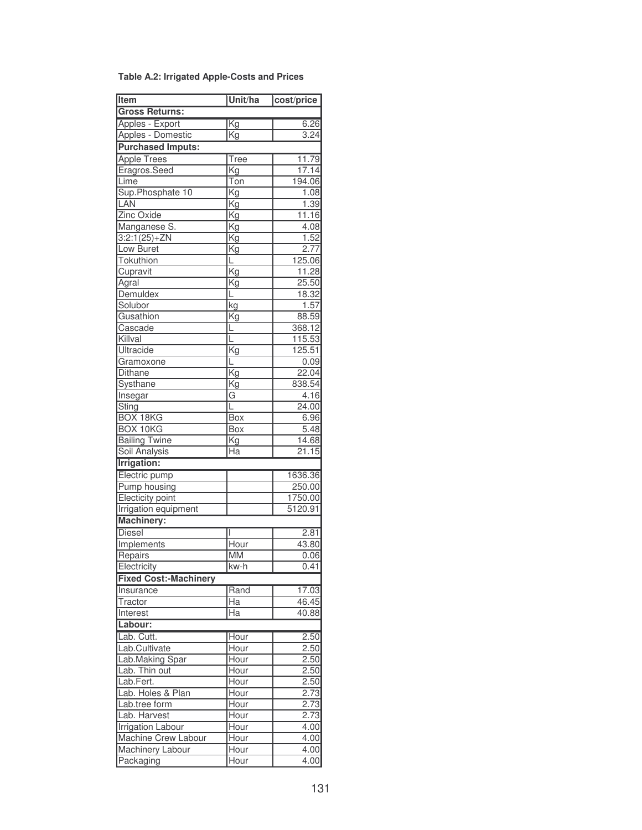|  | Table A.2: Irrigated Apple-Costs and Prices |  |  |
|--|---------------------------------------------|--|--|
|  |                                             |  |  |

| <b>Item</b>                  | Unit/ha                  | cost/price |
|------------------------------|--------------------------|------------|
| <b>Gross Returns:</b>        |                          |            |
| Apples - Export              | Kg                       | 6.26       |
| Apples - Domestic            | $\overline{\text{Kg}}$   | 3.24       |
| <b>Purchased Imputs:</b>     |                          |            |
| <b>Apple Trees</b>           | <b>Tree</b>              | 11.79      |
| Eragros.Seed                 | Kg                       | 17.14      |
| Lime                         | $\overline{T}$ on        | 194.06     |
| Sup.Phosphate 10             | Kg                       | 1.08       |
| LAN                          | Kg                       | 1.39       |
| Zinc Oxide                   | Kg                       | 11.16      |
| Manganese S.                 | Kg                       | 4.08       |
| $3:2:1(25)+ZN$               | $\overline{\mathrm{Kg}}$ | 1.52       |
| Low Buret                    | Kg                       | 2.77       |
| Tokuthion                    | L.                       | 125.06     |
| Cupravit                     | Κg                       | 11.28      |
| Agral                        | Kg                       | 25.50      |
| <b>Demuldex</b>              | L                        | 18.32      |
| Solubor                      | kg                       | 1.57       |
| Gusathion                    | $\overline{\mathsf{Kg}}$ | 88.59      |
| Cascade                      | L                        | 368.12     |
| Killval                      | L                        | 115.53     |
| Ultracide                    | Kg                       | 125.51     |
| Gramoxone                    | L                        | 0.09       |
| Dithane                      | $\overline{\text{Kg}}$   | 22.04      |
| Systhane                     | Kg                       | 838.54     |
| Insegar                      | G                        | 4.16       |
| <b>Sting</b>                 | L                        | 24.00      |
| <b>BOX 18KG</b>              | <b>Box</b>               | 6.96       |
| <b>BOX 10KG</b>              | Box                      | 5.48       |
| <b>Bailing Twine</b>         | Kg                       | 14.68      |
| <b>Soil Analysis</b>         | $\overline{\text{Ha}}$   | 21.15      |
| <b>Irrigation:</b>           |                          |            |
|                              |                          |            |
| Electric pump                |                          | 1636.36    |
| Pump housing                 |                          | 250.00     |
| Electicity point             |                          | 1750.00    |
| <b>Irrigation equipment</b>  |                          | 5120.91    |
| <b>Machinery:</b>            |                          |            |
| <b>Diesel</b>                |                          | 2.81       |
| Implements                   | Hour                     | 43.80      |
| Repairs                      | <b>MM</b>                | 0.06       |
| Electricity                  | lkw-h                    | 0.41       |
| <b>Fixed Cost:-Machinery</b> |                          |            |
| Insurance                    | Rand                     | 17.03      |
| Tractor                      | $\overline{Ha}$          | 46.45      |
| Interest                     | Ha                       | 40.88      |
| Labour:                      |                          |            |
| Lab. Cutt.                   | Hour                     | 2.50       |
| Lab.Cultivate                | Hour                     | 2.50       |
| Lab.Making Spar              | Hour                     | 2.50       |
| Lab. Thin out                | Hour                     | 2.50       |
| Lab.Fert.                    | Hour                     | 2.50       |
| Lab. Holes & Plan            | Hour                     | 2.73       |
| Lab.tree form                | Hour                     | 2.73       |
| Lab. Harvest                 | Hour                     | 2.73       |
| <b>Irrigation Labour</b>     | Hour                     | 4.00       |
| Machine Crew Labour          | Hour                     | 4.00       |
| Machinery Labour             | Hour                     | 4.00       |
| Packaging                    | Hour                     | 4.00       |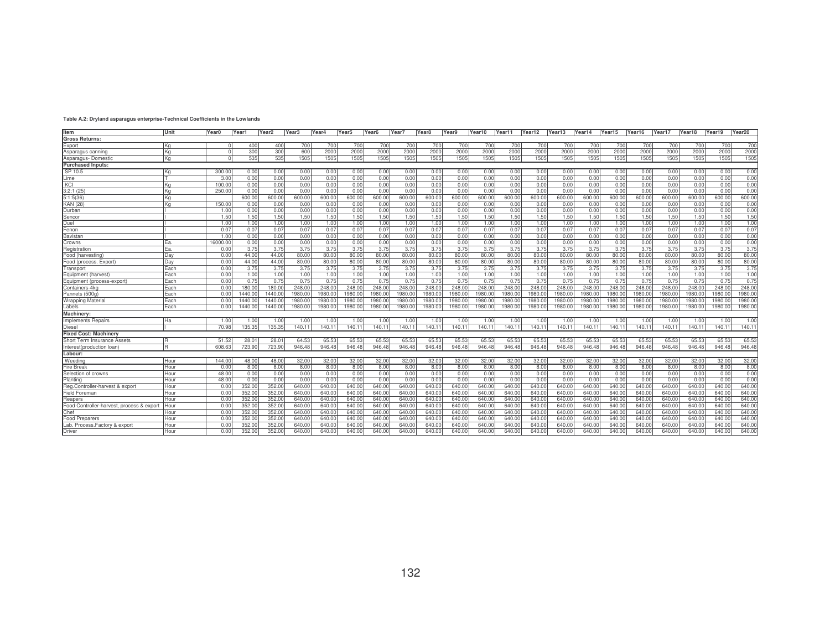## **Table A.2: Dryland asparagus enterprise-Technical Coefficients in the Lowlands**

| Item                                      | Unit | Year0   | Year1   | Year <sub>2</sub> | Year <sub>3</sub> | Year4   | Year <sub>5</sub> | Year <sub>6</sub> | Year7   | Year <sub>8</sub> | Year9  | Year10  | Year11  | Year12  | Year13  | Year14  | Year15  | Year16  | Year17 | Year18  | Year19 | Year20  |
|-------------------------------------------|------|---------|---------|-------------------|-------------------|---------|-------------------|-------------------|---------|-------------------|--------|---------|---------|---------|---------|---------|---------|---------|--------|---------|--------|---------|
| <b>Gross Returns:</b>                     |      |         |         |                   |                   |         |                   |                   |         |                   |        |         |         |         |         |         |         |         |        |         |        |         |
| Export                                    | ΙKα  |         | 400     | 400               | 700               | 700     | 700               | 700               | 700     | 700               | 700    | 700     | 700     | 700     | 700     | 700     | 700     | 700     | 700    | 700     | 700    | 700     |
| Asparagus canning                         | Κa   |         | 300     | 300               | 600               | 2000    | 2000              | 2000              | 2000    | 2000              | 2000   | 2000    | 2000    | 2000    | 2000    | 2000    | 2000    | 2000    | 2000   | 2000    | 2000   | 2000    |
| Asparagus-Domestic                        | Kg   |         | 535     | 535               | 1505              | 1505    | 1505              | 1505              | 1505    | 1505              | 1505   | 1505    | 1505    | 1505    | 1505    | 1505    | 1505    | 1505    | 1505   | 1505    | 1505   | 1505    |
| <b>Purchased Inputs:</b>                  |      |         |         |                   |                   |         |                   |                   |         |                   |        |         |         |         |         |         |         |         |        |         |        |         |
| SP 10.5                                   | Κa   | 300.0   | 0.00    | 0.00              | 0.00              | 0.00    | 0.00              | 0.00              | 0.00    | 0.00              | 0.00   | 0.00    | 0.00    | 0.00    | 0.00    | 0.00    | 0.00    | 0.00    | 0.00   | 0.00    | 0.00   | 0.00    |
| Lime                                      |      | 3.00    | 0.00    | 0.00              | 0.00              | 0.00    | 0.00              | 0.00              | 0.00    | 0.00              | 0.00   | 0.00    | 0.00    | 0.00    | 0.00    | 0.00    | 0.00    | 0.00    | 0.00   | 0.00    | 0.00   | 0.00    |
| KCI                                       | ΙKα  | 100.0   | 0.00    | 0.00              | 0.00              | 0.00    | 0.00              | 0.00              | 0.00    | 0.00              | 0.00   | 0.00    | 0.00    | 0.00    | 0.00    | 0.00    | 0.00    | 0.00    | 0.00   | 0.00    | 0.00   | 0.00    |
| 3:2:1(25)                                 | Κa   | 250.0   | 0.00    | 0.00              | 0.00              | 0.00    | 0.00              | 0.00              | 0.00    | 0.00              | 0.00   | 0.00    | 0.00    | 0.00    | 0.00    | 0.00    | 0.00    | 0.00    | 0.00   | 0.00    | 0.00   | 0.00    |
| 5:1:5(36)                                 | lKa  |         | 600.00  | 600.00            | 600.00            | 600.00  | 600.00            | 600.00            | 600.00  | 600.00            | 600.00 | 600.0   | 600.00  | 600.00  | 600.00  | 600.00  | 600.00  | 600.00  | 600.00 | 600.00  | 600.00 | 600.00  |
| <b>KAN (28)</b>                           | Κa   | 150.0   | 0.00    | 0.00              | 0.00              | 0.00    | 0.00              | 0.00              | 0.00    | 0.00              | 0.00   | 0.00    | 0.00    | 0.00    | 0.00    | 0.00    | 0.00    | 0.00    | 0.00   | 0.00    | 0.00   | 0.00    |
| Durban                                    |      | 1.00    | 0.00    | 0.00              | 0.00              | 0.00    | 0.00              | 0.00              | 0.00    | 0.00              | 0.00   | 0.00    | 0.00    | 0.00    | 0.00    | 0.00    | 0.00    | 0.00    | 0.00   | 0.00    | 0.00   | 0.00    |
| Sencor                                    |      | 1.50    | 1.50    | 1.50              | 1.50              | 1.50    | 1.50              | 1.50              | 1.50    | 1.50              | 1.50   | 1.50    | 1.50    | 1.50    | 1.50    | 1.50    | 1.50    | 1.50    | 1.50   | 1.50    | 1.50   | 1.50    |
| Duel                                      |      | 1.00    | 1.00    | 1.00              | 1.00              | 1.00    | 1.00              | 1.00              | 1.00    | 1.00              | 1.00   | 1.00    | 1.00    | 1.00    | 1.00    | 1.00    | 1.00    | 1.00    | 1.00   | 1.00    | 1.00   | 1.00    |
| Fenon                                     |      | 0.0     | 0.07    | 0.07              | 0.07              | 0.07    | 0.07              | 0.07              | 0.07    | 0.07              | 0.07   | 0.07    | 0.07    | 0.07    | 0.07    | 0.07    | 0.07    | 0.07    | 0.07   | 0.07    | 0.07   | 0.07    |
| Bavistan                                  |      | 1.0(    | 0.00    | 0.00              | 0.00              | 0.00    | 0.00              | 0.00              | 0.00    | 0.00              | 0.00   | 0.00    | 0.00    | 0.00    | 0.00    | 0.00    | 0.00    | 0.00    | 0.00   | 0.00    | 0.00   | 0.00    |
| Crowns                                    | IFa. | 16000.0 | 0.00    | 0.00              | 0.00              | 0.00    | 0.00              | 0.00              | 0.00    | 0.00              | 0.00   | 0.00    | 0.00    | 0.00    | 0.00    | 0.00    | 0.00    | 0.00    | 0.00   | 0.00    | 0.00   | 0.00    |
| Registration                              | ΙEa. | 0.0(    | 3.75    | 3.75              | 3.75              | 3.75    | 3.75              | 3.75              | 3.75    | 3.75              | 3.75   | 3.75    | 3.75    | 3.75    | 3.75    | 3.75    | 3.75    | 3.75    | 3.75   | 3.75    | 3.75   | 3.75    |
| Food (harvesting)                         | Dav  | 0.0(    | 44.00   | 44.00             | 80.00             | 80.00   | 80.00             | 80.00             | 80.00   | 80.00             | 80.00  | 80.00   | 80.00   | 80.00   | 80.00   | 80.00   | 80.00   | 80.00   | 80.00  | 80.00   | 80.00  | 80.00   |
| Food (process. Export)                    | Dav  | 0.0(    | 44.00   | 44.00             | 80.00             | 80.00   | 80.00             | 80.00             | 80.00   | 80.00             | 80.00  | 80.00   | 80.00   | 80.00   | 80.00   | 80.00   | 80.00   | 80.00   | 80.00  | 80.00   | 80.00  | 80.00   |
| Transport                                 | Each | 0.0(    | 3.75    | 3.75              | 3.75              | 3.75    | 3.75              | 3.75              | 3.75    | 3.75              | 3.75   | 3.75    | 3.75    | 3.75    | 3.75    | 3.75    | 3.75    | 3.75    | 3.75   | 3.75    | 3.75   | 3.75    |
| Equipment (harvest)                       | Fach | 0.01    | 1.00    | 1.00              | 1.00              | 1.00    | 1.00              | 1.00              | 1.00    | 1.00              | 1.00   | 1.00    | 1.00    | 1.00    | 1.00    | 1.00    | 1.00    | 1.00    | 1.00   | 1.00    | 1.00   | 1.00    |
| Equipment (process-export)                | Each | 0.0(    | 0.75    | 0.75              | 0.75              | 0.75    | 0.75              | 0.75              | 0.75    | 0.75              | 0.75   | 0.75    | 0.75    | 0.75    | 0.75    | 0.75    | 0.75    | 0.75    | 0.75   | 0.75    | 0.75   | 0.75    |
| Containers-4kg                            | Each | 0.0(    | 180.00  | 180.00            | 248.00            | 248.00  | 248.00            | 248.00            | 248.00  | 248.00            | 248.00 | 248.0   | 248.0   | 248.00  | 248.00  | 248.00  | 248.00  | 248.00  | 248.0  | 248.00  | 248.00 | 248.00  |
| Pannets (500g)                            | Each | 0.0     | 1440.00 | 1440.00           | 1980.0            | 1980.00 | 1980.0            | 1980.00           | 1980.00 | 1980.00           | 1980.0 | 1980.0  | 1980.0  | 1980.00 | 1980.0  | 1980.00 | 1980.00 | 1980.0  | 1980.0 | 1980.0  | 1980.0 | 1980.00 |
| <b>Wrapping Material</b>                  | Each | 0.0(    | 1440.00 | 1440.00           | 1980.0            | 1980.00 | 1980.0            | 1980.0            | 1980.00 | 1980.00           | 1980.0 | 1980.0  | 1980.0  | 1980.0  | 1980.0  | 1980.0  | 1980.00 | 1980.0  | 1980.0 | 1980.00 | 1980.0 | 1980.00 |
| Labels                                    | Each | 0.00    | 1440.00 | 1440.00           | 1980.0            | 1980.00 | 1980.0            | 1980.00           | 1980.00 | 1980.0            | 1980.0 | 1980.00 | 1980.00 | 1980.0  | 1980.00 | 1980.00 | 1980.00 | 1980.00 | 1980.0 | 1980.00 | 1980.0 | 1980.00 |
| <b>Machinery</b>                          |      |         |         |                   |                   |         |                   |                   |         |                   |        |         |         |         |         |         |         |         |        |         |        |         |
| Implements Repairs                        | lHa. | 1.00    | 1.00    | 1.00              | 1.00              | 1.00    | 1.00              | 1.00              | 1.00    | 1.00              | 1.00   | 1.00    | 1.00    | 1.00    | 1.00    | 1.00    | 1.00    | 1.00    | 1.00   | 1.00    | 1.00   | 1.00    |
| <b>Diesel</b>                             |      | 70.98   | 135.35  | 135.35            | 140.11            | 140.11  | 140.1             | 140.1             | 140.11  | 140.11            | 140.11 | 140.11  | 140.11  | 140.1   | 140.1'  | 140.11  | 140.11  | 140.11  | 140.1  | 140.1   | 140.11 | 140.1   |
| <b>Fixed Cost: Machinery</b>              |      |         |         |                   |                   |         |                   |                   |         |                   |        |         |         |         |         |         |         |         |        |         |        |         |
| Short Term Insurance Assets               | R    | 51.52   | 28.01   | $28.0^{\circ}$    | 64.53             | 65.53   | 65.53             | 65.53             | 65.53   | 65.53             | 65.53  | 65.53   | 65.53   | 65.53   | 65.53   | 65.53   | 65.53   | 65.53   | 65.53  | 65.53   | 65.53  | 65.53   |
| Interest(production loan                  | R    | 608.63  | 723.90  | 723.90            | 946.48            | 946.48  | 946.48            | 946.48            | 946.48  | 946.48            | 946.48 | 946.48  | 946.48  | 946.48  | 946.48  | 946.48  | 946.48  | 946.48  | 946.48 | 946.48  | 946.48 | 946.48  |
| Labour:                                   |      |         |         |                   |                   |         |                   |                   |         |                   |        |         |         |         |         |         |         |         |        |         |        |         |
| Weeding                                   | Hour | 144.0   | 48.00   | 48.00             | 32.00             | 32.00   | 32.00             | 32.00             | 32.00   | 32.00             | 32.00  | 32.00   | 32.00   | 32.00   | 32.00   | 32.00   | 32.00   | 32.00   | 32.00  | 32.00   | 32.00  | 32.00   |
| <b>Fire Break</b>                         | Hour | 0.0(    | 8.00    | 8.00              | 8.00              | 8.00    | 8.00              | 8.00              | 8.00    | 8.00              | 8.00   | 8.00    | 8.00    | 8.00    | 8.00    | 8.00    | 8.00    | 8.00    | 8.00   | 8.00    | 8.00   | 8.00    |
| Selection of crowns                       | Hour | 48.0    | 0.00    | 0.00              | 0.00              | 0.00    | 0.00              | 0.00              | 0.00    | 0.00              | 0.00   | 0.00    | 0.00    | 0.00    | 0.00    | 0.00    | 0.00    | 0.00    | 0.00   | 0.00    | 0.00   | 0.00    |
| Planting                                  | Hour | 48.0    | 0.00    | 0.00              | 0.00              | 0.00    | 0.00              | 0.00              | 0.00    | 0.00              | 0.00   | 0.00    | 0.0(    | 0.00    | 0.00    | 0.00    | 0.00    | 0.00    | 0.00   | 0.00    | 0.00   | 0.00    |
| Reg.Controller-harvest & export           | Hour | 0.0(    | 352.00  | 352.00            | 640.00            | 640.00  | 640.00            | 640.00            | 640.00  | 640.00            | 640.00 | 640.00  | 640.00  | 640.00  | 640.00  | 640.00  | 640.00  | 640.00  | 640.00 | 640.00  | 640.00 | 640.00  |
| Field Foreman                             | Hour | 0.0     | 352.00  | 352.00            | 640.00            | 640.00  | 640.0             | 640.00            | 640.00  | 640.00            | 640.00 | 640.0   | 640.00  | 640.00  | 640.00  | 640.00  | 640.00  | 640.00  | 640.0  | 640.00  | 640.0  | 640.00  |
| Reapers                                   | Hour | 0.0(    | 352.00  | 352.00            | 640.0             | 640.00  | 640.00            | 640.0             | 640.00  | 640.00            | 640.0  | 640.0   | 640.00  | 640.0   | 640.0   | 640.00  | 640.00  | 640.00  | 640.0  | 640.0   | 640.0  | 640.00  |
| Food Controller-harvest, process & export | Hou  | 0.0(    | 352.00  | 352.00            | 640.00            | 640.00  | 640.00            | 640.0             | 640.00  | 640.00            | 640.0  | 640.0   | 640.0   | 640.00  | 640.00  | 640.00  | 640.00  | 640.00  | 640.0  | 640.00  | 640.0  | 640.00  |
| Chef                                      | Hour | 0.0(    | 352.0   | 352.0             | 640.0             | 640.00  | 640.0             | 640.0             | 640.00  | 640.00            | 640.0  | 640.0   | 640.0   | 640.0   | 640.00  | 640.00  | 640.00  | 640.00  | 640.00 | 640.00  | 640.0  | 640.00  |
| <b>Food Preparers</b>                     | Hour | 0.0(    | 352.0   | 352.0             | 640.0             | 640.00  | 640.0             | 640.0             | 640.0   | 640.00            | 640.0  | 640.0   | 640.0   | 640.0   | 640.0   | 640.00  | 640.00  | 640.0   | 640.0  | 640.0   | 640.0  | 640.00  |
| Lab. Process. Factory & export            | Hour | 0.0     | 352.0   | 352.0             | 640.0             | 640.00  | 640.0             | 640.0             | 640.0   | 640.0             | 640.0  | 640.0   | 640.0   | 640.0   | 640.0   | 640.00  | 640.0   | 640.0   | 640.0  | 640.0   | 640.0  | 640.00  |
| Driver                                    | Hour | 0.0(    | 352.00  | 352.00            | 640.00            | 640.00  | 640.00            | 640.00            | 640.00  | 640.00            | 640.00 | 640.00  | 640.00  | 640.00  | 640.00  | 640.00  | 640.00  | 640.00  | 640.00 | 640.00  | 640.00 | 640.00  |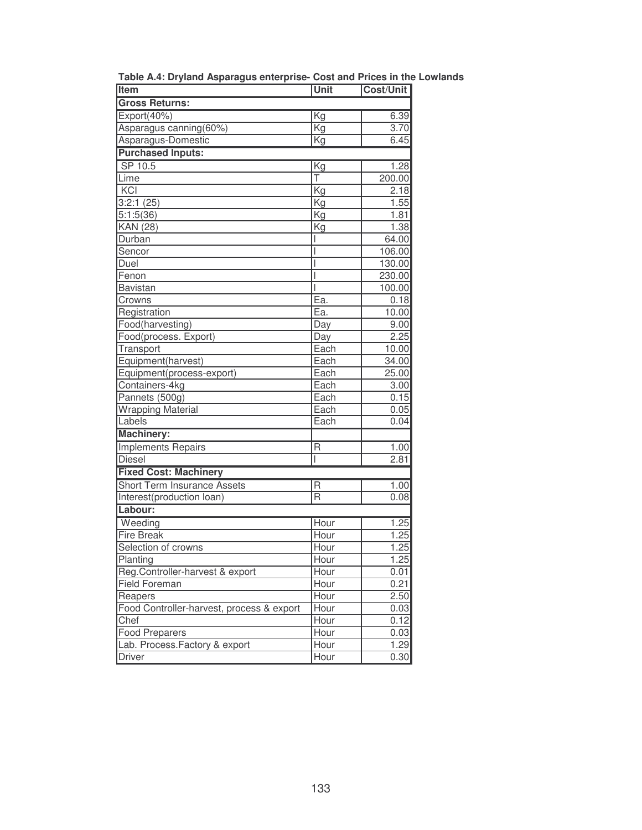| Item                                      | Unit                    | <b>Cost/Unit</b> |
|-------------------------------------------|-------------------------|------------------|
| <b>Gross Returns:</b>                     |                         |                  |
| Export(40%)                               | Kg                      | 6.39             |
| Asparagus canning(60%)                    | Kg                      | 3.70             |
| Asparagus-Domestic                        | $\overline{\text{Kg}}$  | 6.45             |
| <b>Purchased Inputs:</b>                  |                         |                  |
| SP 10.5                                   | Kg                      | 1.28             |
| Lime                                      | Ŧ                       | 200.00           |
| KCI                                       | Kg                      | 2.18             |
| 3:2:1(25)                                 | Kg                      | 1.55             |
| 5:1:5(36)                                 | Kg                      | 1.81             |
| <b>KAN</b> (28)                           | Kg                      | 1.38             |
| Durban                                    |                         | 64.00            |
| Sencor                                    | I                       | 106.00           |
| Duel                                      |                         | 130.00           |
| Fenon                                     |                         | 230.00           |
| Bavistan                                  |                         | 100.00           |
| Crowns                                    | Ea.                     | 0.18             |
| Registration                              | Ea.                     | 10.00            |
| Food(harvesting)                          | Day                     | 9.00             |
| Food(process. Export)                     | Day                     | 2.25             |
| Transport                                 | Each                    | 10.00            |
| Equipment(harvest)                        | Each                    | 34.00            |
| Equipment(process-export)                 | Each                    | 25.00            |
| Containers-4kg                            | Each                    | 3.00             |
| Pannets (500g)                            | Each                    | 0.15             |
| <b>Wrapping Material</b>                  | Each                    | 0.05             |
| Labels                                    | Each                    | 0.04             |
| <b>Machinery:</b>                         |                         |                  |
| <b>Implements Repairs</b>                 | R                       | 1.00             |
| <b>Diesel</b>                             |                         | 2.81             |
| <b>Fixed Cost: Machinery</b>              |                         |                  |
| <b>Short Term Insurance Assets</b>        | R                       | 1.00             |
| Interest(production loan)                 | $\overline{\mathsf{R}}$ | 0.08             |
| Labour:                                   |                         |                  |
| Weeding                                   | Hour                    | 1.25             |
| <b>Fire Break</b>                         | Hour                    | 1.25             |
| Selection of crowns                       | Hour                    | 1.25             |
| Planting                                  | Hour                    | 1.25             |
| Reg.Controller-harvest & export           | Hour                    | 0.01             |
| <b>Field Foreman</b>                      | Hour                    | 0.21             |
| Reapers                                   | Hour                    | 2.50             |
| Food Controller-harvest, process & export | Hour                    | 0.03             |
| Chef                                      | Hour                    | 0.12             |
| <b>Food Preparers</b>                     | Hour                    | 0.03             |
| Lab. Process. Factory & export            | Hour                    | 1.29             |
| <b>Driver</b>                             | Hour                    | 0.30             |
|                                           |                         |                  |

**Table A.4: Dryland Asparagus enterprise- Cost and Prices in the Lowlands**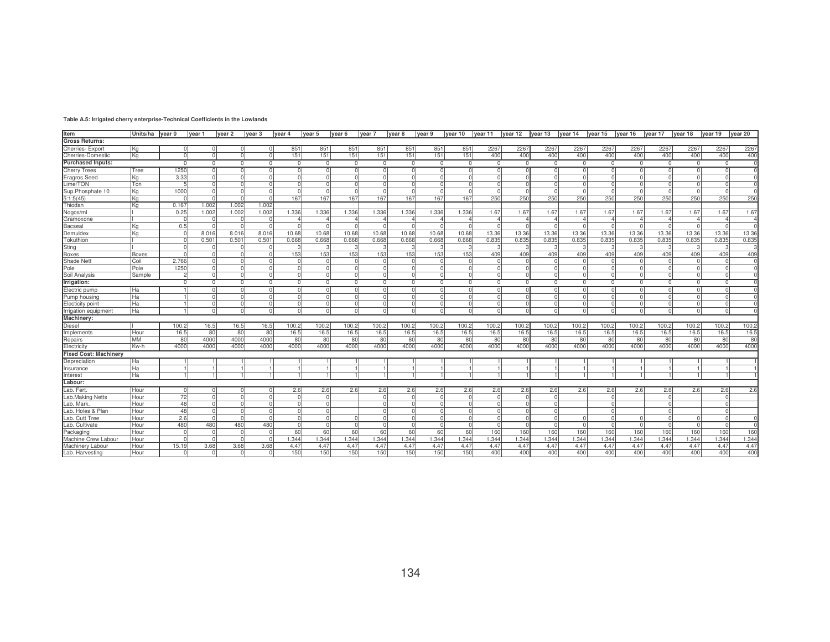| Item<br><b>Gross Returns:</b>    | Units/ha Ivear 0 |                      | vear 1                    | lvear 2                   | vear <sub>3</sub>        | Ivear 4            | vear 5            | year 6               | vear <sub>7</sub>          | vear 8                   | Ivear 9          | year 10      | vear 11        | year $12$ year $13$ year $14$ |                |                     | year 15                    | vear 16             | year 17                  | vear 18              | vear 19          | year 20                    |
|----------------------------------|------------------|----------------------|---------------------------|---------------------------|--------------------------|--------------------|-------------------|----------------------|----------------------------|--------------------------|------------------|--------------|----------------|-------------------------------|----------------|---------------------|----------------------------|---------------------|--------------------------|----------------------|------------------|----------------------------|
|                                  |                  |                      |                           |                           |                          |                    |                   |                      |                            |                          |                  |              |                |                               |                |                     |                            |                     |                          |                      |                  |                            |
| <b>Cherries-Export</b>           | lΚα              | $\Omega$<br>$\Omega$ | $\circ$<br>$\overline{0}$ | $\circ$<br>$\overline{0}$ | 0 I<br>$\Omega$          | 851                | 851               | 851                  | 851                        | 851                      | 851              | 851          | 2267           | 2267                          | 2267           | 2267                | 2267                       | 2267                | 2267                     | 2267                 | 2267             | 2267                       |
| Cherries-Domestic                | Kg               |                      |                           |                           |                          | 151                | 151               | 151                  | 151                        | 151                      | 151              | 151          | 400            | 400                           | 400            | 400                 | 400                        | 400                 | 400                      | 400                  | 400              | 400                        |
| <b>Purchased Inputs:</b>         |                  | $\mathbf{0}$         | $\mathbf{0}$              | $\mathbf{0}$              | $^{\circ}$               | $\mathbf{0}$       | $\overline{0}$    | $\mathbf{0}$         | $^{\circ}$                 | $\overline{0}$           | $\mathbf{0}$     | $\mathbf{0}$ | $\mathbf{0}$   | $\Omega$                      | $\mathbf{0}$   | $^{\circ}$          | $\mathbf{0}$               | $^{\circ}$          | $\mathbf{0}$             | $\mathbf{0}$         | $\overline{0}$   | $\Omega$                   |
| <b>Cherry Trees</b>              | Tree             | 1250                 | οI                        | $\Omega$                  | - Ol<br>$\Omega$         | $\Omega$<br>$\cap$ | $\Omega$          | $\Omega$<br>$\Omega$ | 0                          | $\Omega$                 | $\circ$          | $\Omega$     | $\Omega$       |                               | $\cap$         | οI                  | $\Omega$                   | $\circ$             | $\Omega$                 | $\Omega$             |                  | 0                          |
| Eragros.Seed                     | ΙKα              | 3.33                 | $\circ$                   | $\Omega$<br>$\Omega$      | - Ol                     |                    | - Ol<br>$\Omega$  | $\Omega$             | $\Omega$                   | $\Omega$<br>$\Omega$     | $\Omega$         | $\Omega$     |                | $\cap$                        | $\cap$         | $\Omega$            | $\Omega$                   | $\circ$             | <sup>0</sup><br>$\Omega$ | $\Omega$<br>$\Omega$ |                  | <sup>0</sup>               |
| Lime/TON                         | Ton              |                      | $\circ$                   | $\Omega$                  | $\Omega$                 | $\Omega$           | $\Omega$          | $\Omega$             | $\overline{0}$<br>$\Omega$ | $\Omega$                 | - 01<br>$\Omega$ |              |                |                               | $\cap$         | $\circ$<br>$\Omega$ | $\overline{0}$<br>$\Omega$ | $\circ$             | $\Omega$                 | $\cap$               | - Ol<br>$\Omega$ | $\mathbf 0$<br>$\Omega$    |
| Sup.Phosphate 10                 | ΙKα<br>Ka        | 1000                 | $\circ$<br>$\cap$         | $\cap$                    | $\cap$                   | 167                | 167               | 167                  | 167                        | 167                      | 167              |              | 250            | 250                           | 250            | 250                 | 250                        | $\circ$<br>250      | 250                      | 250                  | 250              | 250                        |
| 5:1:5(45)                        |                  |                      |                           | 1.002                     | 1.002                    |                    |                   |                      |                            |                          |                  | 167          |                |                               |                |                     |                            |                     |                          |                      |                  |                            |
| Thiodan                          | Kα               | 0.16<br>0.25         | 1.002<br>1.002            | 1.002                     | 1.002                    | 1.336              | 1.336             | .336                 | 1.336                      | 1.336                    | 1.336            | 1.336        | 1.67           | 1.67                          | 1.67           | 1.67                | 1.67                       | 1.67                | 1.67                     | 1.67                 | 1.67             | 1.67                       |
| Nogos/ml                         |                  |                      | $\Omega$                  | $\Omega$                  | <sup>0</sup>             |                    |                   |                      |                            |                          |                  |              |                |                               | Δ              |                     |                            | $\overline{4}$      | 4                        | $\mathbf 4$          |                  |                            |
| Gramoxone                        | Kα               | 0.5                  | $\cap$                    | $\Omega$                  | $\cap$                   |                    | $\cap$            | 4<br>$\cap$          | $\overline{4}$<br>$\Omega$ | $\overline{4}$<br>$\cap$ | 4<br>$\Omega$    |              |                |                               |                |                     | 4<br>$\cap$                | $\Omega$            | $\cap$                   |                      |                  | $\overline{4}$<br>$\Omega$ |
| Bacseal                          |                  |                      |                           |                           |                          |                    |                   |                      |                            |                          |                  |              |                |                               |                |                     |                            |                     |                          |                      |                  |                            |
| Demuldex                         | ΙKα              | $\Omega$             | 8.016<br>0.501            | 8.016<br>0.501            | 8.016                    | 10.68<br>0.668     | 10.68<br>0.668    | 10.68<br>0.668       | 10.68<br>0.668             | 10.68<br>0.668           | 10.68<br>0.668   | 10.68        | 13.36<br>0.835 | 13.36                         | 13.36<br>0.835 | 13.36<br>0.835      | 13.36                      | 13.36<br>0.835      | 13.36                    | 13.36<br>0.835       | 13.36<br>0.835   | 13.36<br>0.835             |
| Tokuthion<br>Sting               |                  | $\Omega$             | 0                         | $\Omega$                  | 0.501<br>$\Omega$        |                    | 3                 | 3                    |                            |                          |                  | 0.668        |                | 0.835                         |                |                     | 0.835                      |                     | 0.835                    |                      |                  | 3                          |
| Boxes                            | <b>Boxes</b>     | $\Omega$             | $\Omega$                  | $\Omega$                  | - Ol                     | 153                | 153               | 153                  | 153                        | 153                      | 153              | 153          | 409            | 409                           | 409            | 409                 | 409                        | 409                 | 409                      | 409                  | 409              | 409                        |
| Shade Net                        | Coil             | 2.766                | $\Omega$                  |                           |                          |                    |                   |                      |                            |                          |                  |              |                |                               |                |                     |                            | $\Omega$            |                          |                      |                  | $\Omega$                   |
| Pole                             | Pole             | 1250                 | $\Omega$                  |                           |                          |                    |                   |                      |                            |                          |                  |              |                |                               |                |                     |                            | $\Omega$            |                          |                      |                  |                            |
| Soil Analysis                    | Sample           |                      | -01                       | $\overline{0}$            | $\Omega$                 | $\Omega$           |                   | n                    | $\Omega$                   | $\Omega$                 | $\Omega$         |              |                |                               |                |                     | $\Omega$                   | $\overline{0}$      | <sup>0</sup>             | $\Omega$             |                  |                            |
| Irrigation:                      |                  | $\Omega$             | $\mathbf{0}$              | $\Omega$                  | $\Omega$                 | $\Omega$           | $^{\circ}$        | $\Omega$             | $\Omega$                   | $\Omega$                 | $\Omega$         | $\Omega$     | $\Omega$       | $\Omega$                      | $\Omega$       | $\Omega$            | $\Omega$                   | $\mathbf{0}$        | $\Omega$                 | $\Omega$             | $\Omega$         | 0                          |
|                                  |                  |                      |                           |                           |                          |                    |                   |                      |                            |                          |                  | $\Omega$     | $\cap$         | $\cap$                        | $\Omega$       |                     |                            |                     |                          |                      | $\cap$           |                            |
| Electric pump                    | lНа<br>Hа        |                      | $\circ$<br>$\Omega$       | $\overline{0}$<br>$\cap$  | $\overline{0}$<br>$\cap$ | $\circ$<br>$\cap$  | $\circ$<br>$\cap$ | $\Omega$<br>$\cap$   | - Ol<br>$\Omega$           | $\Omega$<br>$\Omega$     | -01<br>$\Omega$  |              |                |                               |                | $\circ$             | $\overline{0}$<br>$\Omega$ | $\circ$<br>$\Omega$ | $\Omega$<br>$\cap$       | $\Omega$<br>$\cap$   |                  | 0<br>$\Omega$              |
| Pump housing<br>Electicity point | Ha               |                      | $\circ$                   | $\Omega$                  | $\Omega$                 |                    | U                 |                      | $\Omega$                   | $\Omega$                 | $\Omega$         |              |                |                               |                |                     | $\Omega$                   | $\overline{0}$      |                          |                      |                  |                            |
|                                  | Ha               |                      | $\Omega$                  | $\Omega$                  | $\Omega$                 |                    |                   |                      |                            | $\Omega$                 | $\Omega$         |              |                |                               |                |                     | $\Omega$                   | $\Omega$            |                          |                      |                  | $\Omega$                   |
| Irrigation equipment             |                  |                      |                           |                           |                          |                    |                   |                      |                            |                          |                  |              |                |                               |                |                     |                            |                     |                          |                      |                  |                            |
| Machinery:                       |                  |                      |                           |                           |                          |                    |                   |                      |                            |                          |                  |              |                |                               |                |                     |                            |                     |                          |                      |                  |                            |
| Diesel                           |                  | 100.2                | 16.5                      | 16.5                      | 16.5                     | 100.2              | 100.2             | 100.2                | 100.2                      | 100.2                    | 100.2            | 100.2        | 100.2          | 100.2                         | 100.2          | 100.2               | 100.2                      | 100.2               | 100.2                    | 100.2                | 100.2            | 100.2                      |
| Implements                       | Hour             | 16.5                 | 80                        | 80                        | 80                       | 16.5               | 16.5              | 16.5                 | 16.5                       | 16.5                     | 16.5             | 16.5         | 16.5           | 16.5                          | 16.5           | 16.5                | 16.5                       | 16.5                | 16.5                     | 16.5                 | 16.5             | 16.5                       |
| Repairs                          | <b>MM</b>        | 80                   | 4000                      | 4000                      | 4000                     | 80                 | 80                | 80<br>4000           | 80<br>4000                 | 80<br>4000               | 80<br>4000       | 80<br>4000   | 80<br>4000     | -80                           | 80<br>4000     | 80                  | 80                         | 80                  | 80                       | 80                   | 80               | 80<br>4000                 |
| Electricity                      | Kw-h             | 4000                 | 4000                      | 4000                      | 4000                     | 4000               | 4000              |                      |                            |                          |                  |              |                | 4000                          |                | 4000                | 4000                       | 4000                | 4000                     | 4000                 | 4000             |                            |
| Fixed Cost: Machinerv            |                  |                      |                           |                           |                          |                    |                   |                      |                            |                          |                  |              |                |                               |                |                     |                            |                     |                          |                      |                  |                            |
| Depreciation                     | Ha               |                      |                           |                           |                          |                    |                   | $\mathbf{1}$         |                            |                          |                  |              |                |                               |                |                     |                            |                     |                          |                      |                  |                            |
| Insurance                        | Ha               |                      | $\vert$                   | $\overline{1}$            | $\vert$ 1                |                    | $\mathbf{1}$      | -1 I                 | $\overline{1}$             | $\overline{1}$           |                  |              |                |                               |                |                     | $\mathbf{1}$               | $\mathbf{1}$        | -11                      | -11                  |                  | -1                         |
| Interest                         | Ha               |                      | $\mathbf{1}$              |                           |                          |                    |                   | 1                    |                            | $\mathbf{1}$             |                  |              |                |                               |                |                     | 1                          |                     |                          |                      |                  |                            |
| Labour:                          |                  |                      |                           |                           |                          |                    |                   |                      |                            |                          |                  |              |                |                               |                |                     |                            |                     |                          |                      |                  |                            |
| ab. Fert.                        | Hour             | $\circ$              | $\circ$                   | $\overline{0}$            | - Ol                     | 2.6                | 2.6               | 2.6                  | 2.6                        | 2.6                      | 2.6              | 2.6          | 2.6            | 2.6                           | 2.6            | 2.6                 | 2.6                        | 2.6                 | 2.6                      | 2.6                  | 2.6              | 2.6                        |
| Lab.Making Netts                 | Hour             | 72                   | -ol                       | $\Omega$                  | nl                       | $\Omega$           | $\cap$            |                      | $\cap$                     | $\cap$                   | $\Omega$         | $\cap$       |                |                               |                |                     | $\Omega$                   |                     | $\Omega$                 |                      | $\cap$           |                            |
| Lab. Mark                        | Hour             | 48                   | -01                       | $\Omega$                  | 0 I                      | $\cap$             | - Ol              |                      | - Ol                       | $\Omega$                 | $\overline{0}$   | n            |                |                               |                |                     | $\Omega$                   |                     | $\Omega$                 |                      | $\cap$           |                            |
| Lab. Holes & Plan                | Hour             | 48                   | $\Omega$                  | $\Omega$                  | - Ol                     | $\cap$             | $\cap$            |                      | $\Omega$                   | $\Omega$                 | $\Omega$         | $\cap$       |                |                               |                |                     | $\Omega$                   |                     | $\cap$                   |                      |                  |                            |
| Lab. Cutt Tree                   | Hour             | 2.6                  | $\Omega$                  | - O                       | - Ol                     | $\Omega$           | $\Omega$          | $\Omega$             | $\Omega$                   | $\Omega$                 | $\Omega$         | $\Omega$     |                | $\cap$                        | $\cap$         |                     | $\Omega$                   | $\Omega$            | $\Omega$                 | $\Omega$             | nl               | $\Omega$                   |
| Lab. Cultivate                   | Hour             | 480                  | 480                       | 480                       | 480                      |                    | $\cap$            | $\Omega$             | $\Omega$                   | $\Omega$                 | $\Omega$         |              |                |                               |                |                     | $\Omega$                   | $\Omega$            | $\cap$                   | $\cap$               |                  | $\Omega$                   |
| Packaging                        | Hour             |                      |                           |                           |                          | 60                 | 60                | 60                   | 60                         | 60                       | 60               | 60           | 160            | 160                           | 160            | 160                 | 160                        | 160                 | 160                      | 160                  | 160              | 160                        |
| Machine Crew Labour              | Hour             |                      |                           |                           |                          | 1.344              | 1.344             | .344                 | 1.344                      | .344                     | .344             | .344         | 1.344          | .344                          | .344           | 1.344               | 1.344                      | 1.344               | .344                     | 1.344                | 1.344            | 1.344                      |
| Machinery Labour                 | Hour             | 15.19                | 3.68                      | 3.68                      | 3.68                     | 4.47               | 4.47              | 4.47                 | 4.47                       | 4.47                     | 4.47             | 4.47         | 4.47           | 4.47                          | 4.47           | 4.47                | 4.47                       | 4.47                | 4.47                     | 4.47                 | 4.47             | 4.47                       |
| Lab. Harvesting                  | Hour             |                      | $\Omega$                  |                           |                          | 150                | 150               | 150                  | 150                        | 150                      | 150              | 150          | 400            | 400                           | 400            | 400                 | 400                        | 400                 | 400                      | 400                  | 400              | 400                        |

**Table A.5: Irrigated cherry enterprise-Technical Coefficients in the Lowlands**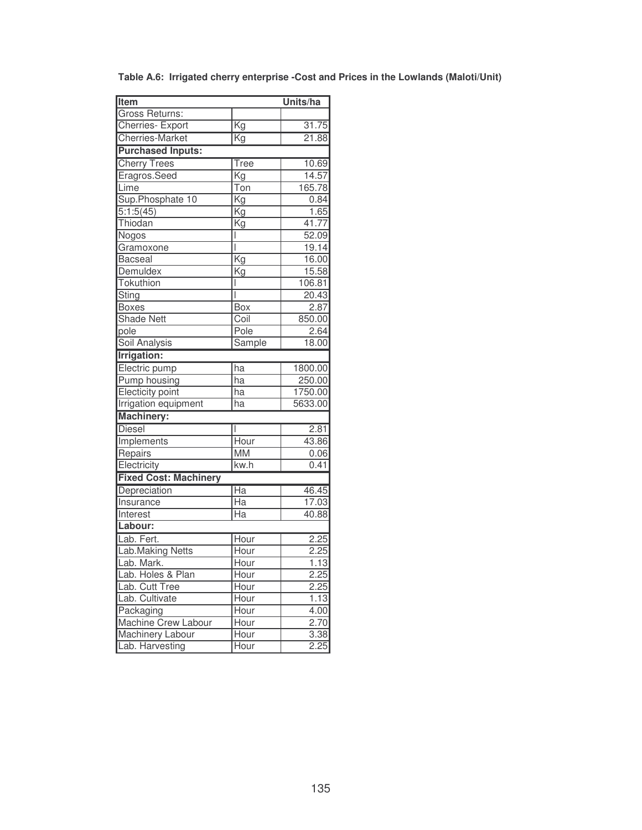| <b>Item</b>                  |                          | Units/ha |
|------------------------------|--------------------------|----------|
| Gross Returns:               |                          |          |
| Cherries- Export             | $\overline{\mathrm{Kg}}$ | 31.75    |
| <b>Cherries-Market</b>       | Κg                       | 21.88    |
| <b>Purchased Inputs:</b>     |                          |          |
| <b>Cherry Trees</b>          | Tree                     | 10.69    |
| Eragros.Seed                 | Kg                       | 14.57    |
| Lime                         | Ton                      | 165.78   |
| Sup.Phosphate 10             | Kg                       | 0.84     |
| 5:1:5(45)                    | $\overline{\mathsf{Kg}}$ | 1.65     |
| Thiodan                      | Κg                       | 41.77    |
| Nogos                        | I                        | 52.09    |
| Gramoxone                    | I                        | 19.14    |
| <b>Bacseal</b>               | Kg                       | 16.00    |
| Demuldex                     | Kg                       | 15.58    |
| Tokuthion                    | I                        | 106.81   |
| Sting                        | I                        | 20.43    |
| <b>Boxes</b>                 | Box                      | 2.87     |
| <b>Shade Nett</b>            | Coil                     | 850.00   |
| pole                         | Pole                     | 2.64     |
| <b>Soil Analysis</b>         | Sample                   | 18.00    |
| <b>Irrigation:</b>           |                          |          |
| Electric pump                | $\overline{ha}$          | 1800.00  |
| <b>Pump housing</b>          | ha                       | 250.00   |
| Electicity point             | ha                       | 1750.00  |
| <b>Irrigation equipment</b>  | ha                       | 5633.00  |
| <b>Machinery:</b>            |                          |          |
| <b>Diesel</b>                |                          | 2.81     |
| Implements                   | Hour                     | 43.86    |
| Repairs                      | <b>MM</b>                | 0.06     |
| Electricity                  | kw.h                     | 0.41     |
| <b>Fixed Cost: Machinery</b> |                          |          |
| Depreciation                 | $\overline{Ha}$          | 46.45    |
| <b>Insurance</b>             | $\overline{\text{Ha}}$   | 17.03    |
| Interest                     | Ha                       | 40.88    |
| Labour:                      |                          |          |
| Lab. Fert.                   | Hour                     | 2.25     |
| <b>Lab.Making Netts</b>      | Hour                     | 2.25     |
| ab. Mark.                    | Hour                     | 1.13     |
| Lab. Holes & Plan            | Hour                     | 2.25     |
| Lab. Cutt Tree               | Hour                     | 2.25     |
| Lab. Cultivate               | Hour                     | 1.13     |
| Packaging                    | Hour                     | 4.00     |
| Machine Crew Labour          | Hour                     | 2.70     |
| Machinery Labour             | Hour                     | 3.38     |
| Lab. Harvesting              | Hour                     | 2.25     |

**Table A.6: Irrigated cherry enterprise -Cost and Prices in the Lowlands (Maloti/Unit)**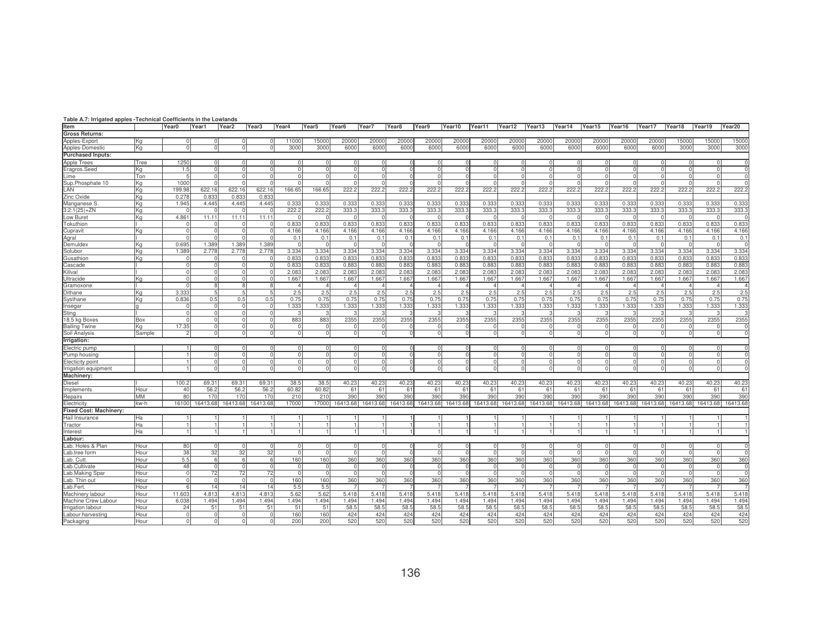| Table A.7: Irrigated apples -Technical Coefficients in the Lowlands |        |            |          |                   |                   |          |                   |                   |          |                   |          |          |          |          |          |                |          |          |          |          |          |          |
|---------------------------------------------------------------------|--------|------------|----------|-------------------|-------------------|----------|-------------------|-------------------|----------|-------------------|----------|----------|----------|----------|----------|----------------|----------|----------|----------|----------|----------|----------|
| Item                                                                |        | Year0      | Year1    | Year <sub>2</sub> | Year <sub>3</sub> | Year4    | Year <sub>5</sub> | Year <sub>6</sub> | Year7    | Year <sub>8</sub> | Year9    | Year10   | Year11   | Year12   | Year13   | Year14         | Year15   | Year16   | Year17   | Year18   | Year19   | Year20   |
| <b>Gross Returns:</b>                                               |        |            |          |                   |                   |          |                   |                   |          |                   |          |          |          |          |          |                |          |          |          |          |          |          |
| Apples-Export                                                       | IKa    |            |          |                   |                   | 11000    | 15000             | 20000             | 20000    | 20000             | 20000    | 20000    | 20000    | 20000    | 20000    | 20000          | 20000    | 20000    | 20000    | 15000    | 15000    | 1500     |
| Apples-Domestic                                                     | lKa    |            |          | $\Omega$          |                   | 3000     | 3000              | 6000              | 6000     | 6000              | 6000     | 6000     | 6000     | 6000     | 6000     | 6000           | 6000     | 6000     | 6000     | 3000     | 3000     | 300      |
| <b>Purchased Inputs:</b>                                            |        |            |          |                   |                   |          |                   |                   |          |                   |          |          |          |          |          |                |          |          |          |          |          |          |
| <b>Apple Trees</b>                                                  | Tree   | 1250       |          |                   |                   |          |                   |                   |          |                   |          |          |          |          |          |                |          |          |          |          |          |          |
| Eragros.Seed                                                        | Kg     | 1.5        |          | $\Omega$          |                   |          |                   |                   |          |                   |          |          |          |          |          | $\Omega$       |          |          |          |          |          |          |
| _ime                                                                | Ton    |            | $\Omega$ | $\Omega$          | $\Omega$          | C        | $\Omega$          |                   |          |                   |          |          | $\Omega$ |          |          | $\Omega$       |          | $\Omega$ | $\Omega$ |          |          |          |
| Sup.Phosphate 10                                                    | Kg     | 1000       |          |                   |                   |          |                   |                   |          |                   |          |          |          |          |          | $\cap$         |          |          |          |          |          |          |
| LAN                                                                 | lKa    | 199.98     | 622.16   | 622.16            | 622.16            | 166.65   | 166.65            | 222.2             | 222.2    | 222.2             | 222.2    | 222.2    | 222.2    | 222.2    | 222.3    | 222.2          | 222.2    | 222.2    | 222.2    | 222.2    | 222.2    | 222.2    |
| Zinc Oxide                                                          | Ka     | 0.27       | 0.833    | 0.833             | 0.83              |          |                   |                   |          |                   |          |          |          |          |          |                |          |          |          |          |          |          |
| Manganese S                                                         | lKa    | 1.945      | 4.445    | 4.445             | 4.445             | 0.333    | 0.333             | 0.333             | 0.333    | 0.333             | 0.333    | 0.333    | 0.33     | 0.33     | 0.33     | 0.333          | 0.333    | 0.333    | 0.333    | 0.33     | 0.333    | 0.333    |
| $3:2:1(25)+ZN$                                                      | Kg     |            |          |                   |                   | 222.2    | 222.2             | 333.3             | 333.3    | 333.3             | 333.     | 333.3    | 333.3    | 333.3    | 333.     | 333.3          | 333.3    | 333.3    | 333.3    | 333.3    | 333.3    | 333.3    |
| Low Buret                                                           | Kg     | 4.861      | 11.11    | 11.11             | 11.11             |          |                   |                   |          |                   |          |          |          |          |          |                |          |          |          |          |          |          |
| <b>Fokuthion</b>                                                    |        |            |          |                   |                   | 0.833    | 0.833             | 0.833             | 0.833    | 0.833             | 0.833    | 0.833    | 0.833    | 0.833    | 0.833    | 0.833          | 0.833    | 0.833    | 0.833    | 0.833    | 0.833    | 0.833    |
| Cupravit                                                            | Κa     |            |          |                   |                   | 4.166    | 4.166             | 4.166             | 4.166    | 4.166             | 4.166    | 4.166    | 4.166    | 4.166    | 4.166    | 4.166          | 4.166    | 4.166    | 4.166    | 4.166    | 4.166    | 4.166    |
| Agral                                                               |        |            |          |                   |                   | 0.1      | 0.1               | 0.1               | 0.1      | 0.1               | 0.1      | 0.1      | 0.1      | 0.1      | 0.1      | 0.1            | 0.1      | 0.1      | 0.1      | 0.1      | 0.1      | 0.1      |
| Demuldex                                                            | lKa    | 0.695      | 1.389    | 1.389             | 1.389             |          |                   |                   |          |                   |          |          |          |          |          |                |          |          |          |          |          |          |
| Solubor                                                             | ΙKα    | 1.389      | 2.778    | 2.778             | 2.778             | 3.334    | 3.334             | 3.334             | 3.334    | 3.334             | 3.334    | 3.334    | 3.334    | 3.334    | 3.334    | 3.334          | 3.334    | 3.334    | 3.334    | 3.334    | 3.334    | 3.334    |
| Gusathion                                                           | Kg     |            |          |                   |                   | 0.833    | 0.833             | 0.83              | 0.833    | 0.833             | 0.833    | 0.833    | 0.83     | 0.83     | 0.83     | 0.83           | 0.83     | 0.833    | 0.833    | 0.83     | 0.833    | 0.833    |
| Cascade                                                             |        |            |          |                   |                   | 0.833    | 0.833             | 0.883             | 0.883    | 0.883             | 0.883    | 0.883    | 0.883    | 0.883    | 0.88     | 0.883          | 0.883    | 0.883    | 0.883    | 0.883    | 0.883    | 0.883    |
| <b>Killval</b>                                                      |        |            |          |                   |                   | 2.083    | 2.083             | 2.083             | 2.083    | 2.083             | 2.08     | 2.083    | 2.08     | 2.083    | 2.08     | 2.083          | 2.083    | 2.083    | 2.083    | 2.083    | 2.083    | 2.083    |
| Jltracide                                                           | Kg     |            |          |                   |                   | 1.667    | 1.667             | 1.667             | 1.667    | 1.667             | 1.667    | 1.667    | 1.667    | 1.667    | 1.667    | 1.667          | 1.667    | 1.667    | 1.667    | 1.667    | 1.667    | 1.667    |
| Gramoxone                                                           |        |            |          |                   |                   |          |                   |                   |          |                   |          |          |          |          |          |                |          |          |          |          |          |          |
| Dithane                                                             | Κa     | 3.333      |          | -5                |                   | 2.5      | 2.5               | 2.5               | 2.5      | 2.5               | 2.5      | 2.5      | 2.5      | 2.5      | 2.5      | 2.5            | 2.5      | 2.5      | 2.5      | 2.5      | 2.5      | 2.5      |
| Systhane                                                            | Ka     | 0.836      | 0.5      | 0.5               | 0.5               | 0.75     | 0.75              | 0.75              | 0.75     | 0.75              | 0.75     | 0.75     | 0.75     | 0.75     | 0.75     | 0.75           | 0.75     | 0.75     | 0.75     | 0.75     | 0.75     | 0.75     |
| nsegar                                                              |        |            |          | $\Omega$          |                   | 1.333    | .333              | 1.333             | 1.333    | 1.333             | 1.333    | 1.333    | 1.333    | 1.333    | 1.333    | 1.333          | 1.333    | 1.333    | 1.333    | 1.333    | 1.333    | 1.333    |
| Sting                                                               |        |            |          | - 0               |                   |          |                   |                   |          |                   |          |          |          |          |          |                |          |          |          |          |          |          |
| 18.5 kg Boxes                                                       | Box    |            |          | $\Omega$          |                   | 883      | 883               | 2355              | 2355     | 2355              | 2355     | 2355     | 2355     | 2355     | 2355     | 2355           | 2355     | 2355     | 2355     | 2355     | 2355     | 2355     |
| <b>Bailing Twine</b>                                                | Kα     | 17.35      |          | $\Omega$          |                   |          |                   |                   |          |                   |          |          |          |          |          |                |          |          |          |          |          |          |
| Soil Analysis                                                       | Sample |            | $\Omega$ | $\Omega$          |                   | 0        | C                 |                   |          |                   |          |          |          |          |          | $\Omega$       |          | 0        |          |          |          |          |
| Irrigation:                                                         |        |            |          |                   |                   |          |                   |                   |          |                   |          |          |          |          |          |                |          |          |          |          |          |          |
| Electric pump                                                       |        |            |          |                   |                   |          | ſ                 |                   |          |                   |          |          |          |          |          |                |          |          |          |          |          |          |
| Pump housing                                                        |        |            |          | $\Omega$          |                   |          |                   |                   |          |                   |          | $\Omega$ |          | $\Omega$ |          | $\Omega$       | $\Omega$ | $\Omega$ | $\Omega$ |          |          |          |
| Electicity point                                                    |        |            | $\Omega$ | $\overline{0}$    | $\Omega$          | $\Omega$ | $\Omega$          | $\Omega$          | U        |                   |          | $\Omega$ | $\Omega$ | $\circ$  | $\Omega$ | $\overline{0}$ | $\Omega$ | $\Omega$ | $\Omega$ | $\Omega$ |          |          |
| Irrigation equipment                                                |        |            |          |                   |                   |          |                   |                   |          |                   |          |          |          |          |          | $\Omega$       |          |          |          |          |          |          |
| <b>Machinery</b>                                                    |        |            |          |                   |                   |          |                   |                   |          |                   |          |          |          |          |          |                |          |          |          |          |          |          |
| Diesel                                                              |        | 100.2      | 69.31    | 69.31             | 69.31             | 38.5     | 38.5              | 40.23             | 40.23    | 40.23             | 40.23    | 40.23    | 40.23    | 40.23    | 40.23    | 40.23          | 40.23    | 40.23    | 40.23    | 40.23    | 40.23    | 40.23    |
| Implements                                                          | Hour   | 40         | 56.2     | 56.2              | 56.2              | 60.82    | 60.82             | 61                | 61       | 61                | 61       | 61       | 61       | 61       | 61       | 61             | 61       | 61       | 61       | 61       | 61       | 61       |
| Repairs                                                             | MМ     | 80         | 170      | 170               | 170               | 210      | 210               | 390               | 390      | 390               | 390      | 390      | 390      | 390      | 390      | 390            | 390      | 390      | 390      | 390      | 390      | 390      |
| Electricity                                                         | kw-h   | 16100      | 16413.68 | 16413.68          | 16413.68          | 17000    | 17000             | 16413.68          | 16413.68 | 16413.68          | 16413.68 | 16413.68 | 16413.68 | 16413.68 | 16413.68 | 16413.68       | 16413.68 | 16413.68 | 16413.68 | 16413.68 | 16413.68 | 16413.68 |
| Fixed Cost: Machinery:                                              |        |            |          |                   |                   |          |                   |                   |          |                   |          |          |          |          |          |                |          |          |          |          |          |          |
| Hail Insurance                                                      | Ha     |            |          |                   |                   |          |                   |                   |          |                   |          |          |          |          |          |                |          |          |          |          |          |          |
| Tractor                                                             | Ha     |            |          |                   |                   |          |                   |                   |          |                   |          |          |          |          |          |                |          |          |          |          |          |          |
| nterest                                                             | Ha     |            |          |                   |                   |          |                   |                   |          |                   |          |          |          |          |          |                |          |          |          |          |          |          |
| Labour:                                                             |        |            |          |                   |                   |          |                   |                   |          |                   |          |          |          |          |          |                |          |          |          |          |          |          |
| Lab. Holes & Plan                                                   | Hour   | 80         | $\Omega$ | $\Omega$          | $\Omega$          | $\cap$   | $\Omega$          |                   |          |                   |          | $\Omega$ | $\cap$   | $\Omega$ |          | $\Omega$       |          | $\cap$   |          |          |          |          |
| .ab.tree form                                                       | Hour   | 38         | 32       | 32                | 32                | $\Omega$ | C                 |                   |          |                   |          | $\Omega$ |          | $\Omega$ |          | $\Omega$       |          | $\Omega$ |          |          |          |          |
| _ab. Cutt                                                           | Hour   | 5.5        | 6        | - 61              | 6                 | 160      | 160               | 360               | 360      | 360               | 360      | 360      | 360      | 360      | 360      | 360            | 360      | 360      | 360      | 360      | 360      | 360      |
| .ab.Cultivate                                                       | Hour   | 48         |          | $\Omega$          |                   |          |                   |                   |          |                   |          |          |          |          |          | $\Omega$       |          | $\Omega$ |          |          |          |          |
| Lab.Making Spar                                                     | Hour   | $\Omega$   | 72       | 72                | 72                | $\Omega$ | $\sqrt{ }$        | $\Omega$          |          |                   |          | $\Omega$ | $\Omega$ | $\Omega$ |          | $\Omega$       | $\Omega$ | $\Omega$ | $\Omega$ | $\Omega$ |          | $\Omega$ |
| .ab. Thin out                                                       | Hour   |            |          | $\Omega$          | $\Omega$          | 160      | 160               | 360               | 360      | 360               | 360      | 360      | 360      | 360      | 360      | 360            | 360      | 360      | 360      | 360      | 360      | 360      |
| _ab.Fert.                                                           | Hour   | $\epsilon$ | 14       | 14                | 14                | 5.5      | 5.5               |                   |          |                   |          |          |          |          |          |                |          |          |          |          |          |          |
| Machinery labour                                                    | Hour   | 11,603     | 4.813    | 4.813             | 4.813             | 5.62     | 5.62              | 5.418             | 5.418    | 5.418             | 5.418    | 5.418    | 5.418    | 5.418    | 5.418    | 5.418          | 5.418    | 5.418    | 5.418    | 5.418    | 5.418    | 5.418    |
| Machine Crew Labour                                                 | Hour   | 6.038      | 1.494    | 1.494             | 1.494             | 1.494    | 1.494             | 1.494             | 1.494    | 1.494             | 1.494    | 1.494    | 1.494    | 1.494    | 1.494    | 1.494          | 1.494    | 1.494    | 1.494    | 1.494    | 1.494    | 1.494    |
| Irrigation labour                                                   | Hour   | 24         | 51       | 51                | 51                | 51       | 51                | 58.5              | 58.5     | 58.5              | 58.5     | 58.5     | 58.5     | 58.5     | 58.5     | 58.5           | 58.5     | 58.5     | 58.5     | 58.5     | 58.5     | 58.5     |
| abour harvesting                                                    | Hour   | $\Omega$   | $\Omega$ | $\Omega$          |                   | 160      | 160               | 424               | 424      | 424               | 424      | 424      | 424      | 424      | 424      | 424            | 424      | 424      | 424      | 424      | 424      | 424      |
| Packaging                                                           | Hour   |            | $\Omega$ | $\Omega$          |                   | 200      | 200               | 520               | 520      | 520               | 520      | 520      | 520      | 520      | 520      | 520            | 520      | 520      | 520      | 520      | 520      | 520      |
|                                                                     |        |            |          |                   |                   |          |                   |                   |          |                   |          |          |          |          |          |                |          |          |          |          |          |          |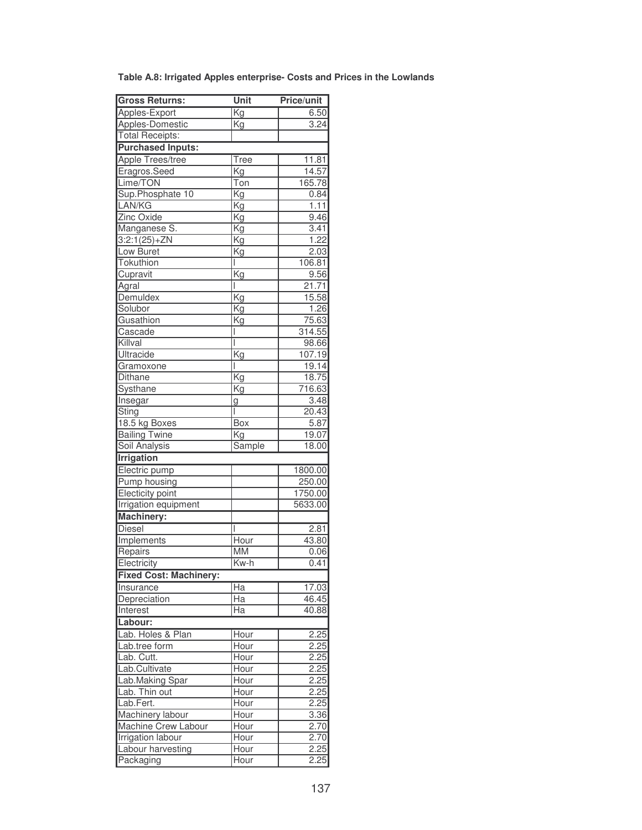| Table A.8: Irrigated Apples enterprise- Costs and Prices in the Lowlands |  |
|--------------------------------------------------------------------------|--|
|--------------------------------------------------------------------------|--|

| <b>Gross Returns:</b>         | Unit                     | <b>Price/unit</b> |
|-------------------------------|--------------------------|-------------------|
| Apples-Export                 | Kg                       | 6.50              |
| Apples-Domestic               | Kg                       | 3.24              |
| <b>Total Receipts:</b>        |                          |                   |
| <b>Purchased Inputs:</b>      |                          |                   |
| <b>Apple Trees/tree</b>       | Tree                     | 11.81             |
| Eragros.Seed                  | $\overline{\mathsf{Kg}}$ | 14.57             |
| Lime/TON                      | Ton                      | 165.78            |
| Sup.Phosphate 10              | $\overline{\mathrm{Kg}}$ | 0.84              |
| LAN/KG                        | Kg                       | 1.11              |
| Zinc Oxide                    | Kg                       | 9.46              |
| Manganese S.                  | Kg                       | 3.41              |
| $3:2:1(25)+ZN$                | Kg                       | 1.22              |
| Low Buret                     | Kg                       | 2.03              |
| Tokuthion                     | I                        | 106.81            |
| Cupravit                      | Kg                       | 9.56              |
| Agral                         | I                        | 21.71             |
| Demuldex                      | Kg                       | 15.58             |
| Solubor                       | <b>Kg</b>                | 1.26              |
| Gusathion                     | Kg                       | 75.63             |
| Cascade                       |                          | 314.55            |
| Killval                       | I                        | 98.66             |
| Ultracide                     | Kg                       | 107.19            |
| Gramoxone                     | I                        | 19.14             |
| Dithane                       | $\overline{\mathsf{Kg}}$ | 18.75             |
| Systhane                      | Kg                       | 716.63            |
| Insegar                       | g                        | 3.48              |
| Sting                         | I                        | 20.43             |
| 18.5 kg Boxes                 | Box                      | 5.87              |
| <b>Bailing Twine</b>          | $\overline{\text{Kg}}$   | 19.07             |
| Soil Analysis                 | Sample                   | 18.00             |
| <b>Irrigation</b>             |                          |                   |
| Electric pump                 |                          | 1800.00           |
| <b>Pump housing</b>           |                          | 250.00            |
| <b>Electicity point</b>       |                          | 1750.00           |
| <b>Irrigation equipment</b>   |                          | 5633.00           |
| <b>Machinery:</b>             |                          |                   |
| <b>Diesel</b>                 |                          | 2.81              |
| Implements                    | Hour                     | 43.80             |
| Repairs                       | <b>MM</b>                | 0.06              |
| Electricity                   | Kw-h                     | 0.41              |
| <b>Fixed Cost: Machinery:</b> |                          |                   |
| Insurance                     | $\overline{Ha}$          | 17.03             |
| Depreciation                  | Ha                       | 46.45             |
| Interest                      | Ha                       | 40.88             |
| Labour:                       |                          |                   |
| Lab. Holes & Plan             |                          | 2.25              |
| Lab.tree form                 | Hour<br>Hour             | 2.25              |
| Lab. Cutt.                    | Hour                     | 2.25              |
| Lab.Cultivate                 | Hour                     | 2.25              |
| Lab.Making Spar               | Hour                     | 2.25              |
| Lab. Thin out                 | Hour                     | 2.25              |
| Lab.Fert.                     | Hour                     | 2.25              |
| Machinery labour              | Hour                     | <u>3.36</u>       |
| Machine Crew Labour           | Hour                     | 2.70              |
| Irrigation labour             | Hour                     | 2.70              |
| Labour harvesting             | Hour                     | 2.25              |
| Packaging                     | Hour                     | 2.25              |
|                               |                          |                   |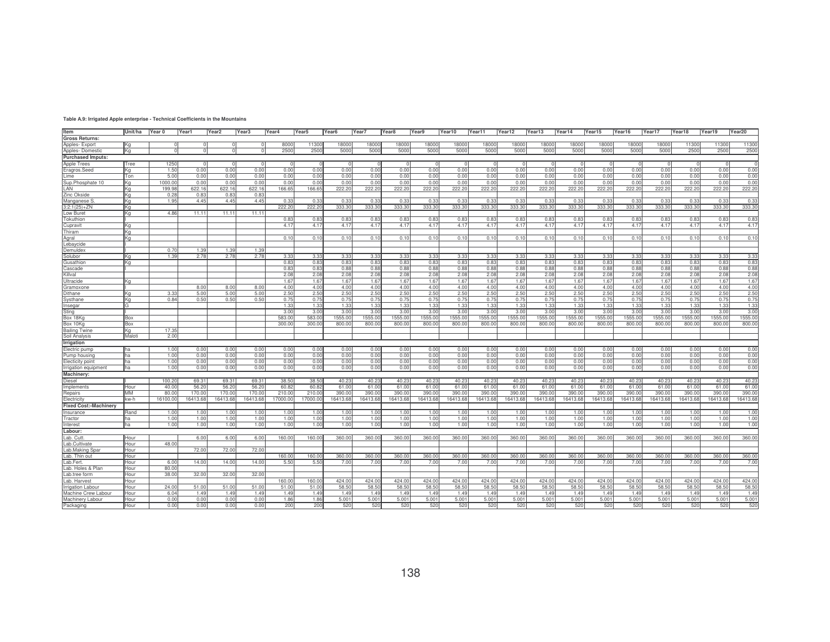| Table A.9: Irrigated Apple enterprise - Technical Coefficients in the Mountains |
|---------------------------------------------------------------------------------|
|                                                                                 |

| Item                         | Unit/ha  | Year 0           | Year1          | Year <sub>2</sub> | Year <sub>3</sub> | Year4    | Year <sub>5</sub> | Year <sub>6</sub> | Year7        | Year <sub>8</sub> | Year9        | Year10   | Year11            | Year12   | Year13       | Year14   | Year15            | Year16            | Year17       | Year18   | Year19   | Year20   |
|------------------------------|----------|------------------|----------------|-------------------|-------------------|----------|-------------------|-------------------|--------------|-------------------|--------------|----------|-------------------|----------|--------------|----------|-------------------|-------------------|--------------|----------|----------|----------|
|                              |          |                  |                |                   |                   |          |                   |                   |              |                   |              |          |                   |          |              |          |                   |                   |              |          |          |          |
| <b>Gross Returns:</b>        |          |                  |                |                   |                   |          |                   |                   |              |                   |              |          |                   |          |              |          |                   |                   |              |          |          |          |
| Apples-Export                | Ka       |                  |                |                   |                   | 8000     | 11300             | 18000             | 18000        | 18000             | 18000        | 18000    | 18000             | 18000    | 18000        | 18000    | 18000             | 18000             | 18000        | 11300    | 11300    | 11300    |
| Apples-Domestic              | Кq       |                  |                |                   |                   | 2500     | 2500              | 5000              | 5000         | 5000              | 5000         | 5000     | 5000              | 5000     | 5000         | 5000     | 5000              | 5000              | 5000         | 2500     | 2500     | 2500     |
| <b>Purchased Imputs:</b>     |          |                  |                |                   |                   |          |                   |                   |              |                   |              |          |                   |          |              |          |                   |                   |              |          |          |          |
| Apple Trees                  | Tree     | 1250             |                |                   |                   | - 0      | - 0               | $\Omega$          |              |                   |              |          |                   |          | - 0          |          |                   |                   |              |          |          |          |
| Eragros.Seed                 | Ka       | 1.50             | 0.00           | 0.00              | 0.00              | 0.00     | 0.00              | 0.00              | 0.00         | 0.00              | 0.00         | 0.00     | 0.00              | 0.00     | 0.00         | 0.00     | 0.00              | 0.00              | 0.00         | 0.00     | 0.00     | 0.00     |
| ime                          | Ton      | 5.00             | 0.00           | 0.00              | 0.00              | 0.00     | 0.00              | 0.00              | 0.00         | 0.00              | 0.00         | 0.00     | 0.00              | 0.00     | 0.00         | 0.00     | 0.0(              | 0.00              | 0.00         | 0.00     | 0.00     | 0.00     |
| Sup.Phosphate 10             | Кq       | 000.0            | 0.00           | 0.00              | 0.00              | 0.00     | 0.00              | 0.00              | 0.00         | 0.00              | 0.00         | 0.00     | 0.00              | 0.00     | 0.00         | 0.00     | 0.00              | 0.00              | 0.00         | 0.00     | 0.00     | 0.00     |
| LAN                          | Ka       | 199.98           | 622.16         | 622.16            | 622.16            | 166.65   | 166.65            | 222.20            | 222.2        | 222.20            | 222.20       | 222.20   | 222.20            | 222.20   | 222.20       | 222.20   | 222.20            | 222.2             | 222.20       | 222.20   | 222.20   | 222.20   |
| Zinc Okside                  | Κa       | 0.28             | 0.83           | 0.83              | 0.83              |          |                   |                   |              |                   |              |          |                   |          |              |          |                   |                   |              |          |          |          |
| Manganese S                  | Κa       | 1.95             | 4.45           | 4.45              | 4.45              | 0.33     | 0.33              | 0.33              | 0.33         | 0.33              | 0.33         | 0.33     | 0.33              | 0.33     | 0.33         | 0.33     | 0.33              | 0.33              | 0.33         | 0.33     | 0.33     | 0.33     |
| 3:2:1(25)+ZN                 | Κa       |                  |                |                   |                   | 222.2    | 222.20            | 333.30            | 333.30       | 333.30            | 333.30       | 333.30   | 333.3             | 333.3    | 333.3        | 333.30   | 333.30            | 333.30            | 333.30       | 333.30   | 333.30   | 333.30   |
| Low Buret                    | Κa       | 4.86             | $11.1^{\circ}$ | 11.11             | 11.11             |          |                   |                   |              |                   |              |          |                   |          |              |          |                   |                   |              |          |          |          |
| Tokuthion                    |          |                  |                |                   |                   | 0.83     | 0.83              | 0.83              | 0.83         | 0.8               | 0.83         | 0.83     | 0.83              | 0.83     | 0.83         | 0.83     | 0.83              | 0.83              | 0.83         | 0.83     | 0.83     | 0.83     |
| Cupravit                     | Kg       |                  |                |                   |                   | 4.17     | 4.17              | 4.17              | 4.17         | 4.17              | 4.17         | 4.17     | 4.17              | 4.17     | 4.17         | 4.17     | 4.17              | 4.17              | 4.17         | 4.17     | 4.17     | 4.17     |
| Thiram                       | Κa       |                  |                |                   |                   |          |                   |                   |              |                   |              |          |                   |          |              |          |                   |                   |              |          |          |          |
| Agral                        | Κa       |                  |                |                   |                   | 0.10     | 0.10              | 0.10              | 0.10         | 0.10              | 0.10         | 0.10     | 0.10              | 0.10     | 0.10         | 0.10     | 0.10              | 0.10              | 0.10         | 0.10     | 0.10     | 0.10     |
| Lebaycide                    |          |                  |                |                   |                   |          |                   |                   |              |                   |              |          |                   |          |              |          |                   |                   |              |          |          |          |
| Demuldex                     |          | 0.7(             | 1.39           | 1.39              | 1.39              |          |                   |                   |              |                   |              |          |                   |          |              |          |                   |                   |              |          |          |          |
|                              |          | 1.39             | 2.78           |                   | 2.78              | 3.33     | 3.33              | 3.33              |              |                   |              | 3.33     | 3.33              | 3.33     |              | 3.33     | 3.33              |                   |              | 3.33     | 3.33     | 3.33     |
| Solubor<br>Gusathion         | Кq<br>Ka |                  |                | 2.78              |                   | 0.83     | 0.83              | 0.83              | 3.33<br>0.83 | 3.33<br>0.83      | 3.33<br>0.83 | 0.83     | 0.83              | 0.83     | 3.33<br>0.83 | 0.83     | 0.83              | 3.33<br>0.83      | 3.33<br>0.83 | 0.83     | 0.83     | 0.83     |
| Cascade                      |          |                  |                |                   |                   | 0.83     | 0.83              | 0.88              | 0.88         | 0.88              | 0.88         | 0.88     | 0.88              | 0.88     | 0.88         | 0.88     | 0.88              | 0.88              | 0.88         | 0.88     | 0.88     | 0.88     |
|                              |          |                  |                |                   |                   |          |                   |                   |              |                   |              |          |                   |          |              |          |                   |                   |              |          |          | 2.08     |
| Killval                      |          |                  |                |                   |                   | 2.08     | 2.08              | 2.08              | 2.08         | 2.08              | 2.08         | 2.08     | 2.08              | 2.08     | 2.08         | 2.08     | 2.08              | 2.08              | 2.08         | 2.08     | 2.08     |          |
| Ultracide                    | Kα       |                  |                |                   |                   | 1.67     | 1.67              | 1.67              | 1.67         | 1.67              | 1.67         | 1.67     | 1.67              | 1.67     | 1.67         | 1.67     | 1.6               | 1.67              | 1.67         | 1.67     | 1.67     | 1.67     |
| Gramoxone                    |          |                  | 8.00           | 8.00              | 8.00              | 4.00     | 4.00              | 4.00              | 4.00         | 4.00              | 4.00         | 4.00     | 4.00              | 4.00     | 4.00         | 4.00     | 4.00              | 4.00              | 4.00         | 4.00     | 4.00     | 4.00     |
| Dithane                      | Kα       | 3.3 <sup>′</sup> | 5.00           | 5.00              | 5.00              | 2.50     | 2.50              | 2.50              | 2.50         | 2.50              | 2.50         | 2.50     | 2.50              | 2.50     | 2.50         | 2.50     | 2.50              | 2.50              | 2.50         | 2.50     | 2.50     | 2.50     |
| Systhane                     | Κa       | 0.84             | 0.50           | 0.50              | 0.50              | 0.75     | 0.75              | 0.75              | 0.75         | 0.75              | 0.75         | 0.75     | 0.75              | 0.75     | 0.75         | 0.75     | 0.75              | 0.75              | 0.75         | 0.75     | 0.75     | 0.75     |
| Insegar                      | G        |                  |                |                   |                   | 1.33     | 1.33              | 1.33              | 1.33         | 1.33              | 1.33         | 1.33     | 1.33              | 1.33     | 1.33         | 1.33     | 1.33              | 1.33              | 1.33         | 1.33     | 1.33     | 1.33     |
| Sting                        |          |                  |                |                   |                   | 3.00     | 3.00              | 3.00              | 3.00         | 3.00              | 3.00         | 3.00     | 3.00              | 3.00     | 3.00         | 3.00     | 3.00              | 3.00              | 3.00         | 3.00     | 3.00     | 3.00     |
| Box 18Kg                     | Box      |                  |                |                   |                   | 583.0    | 583.00            | 1555.00           | 1555.00      | 1555.0            | 1555.0       | 1555.0   | 1555.0            | 1555.00  | 1555.00      | 1555.00  | 1555.0            | 1555.00           | 1555.0       | 1555.00  | 1555.00  | 1555.00  |
| Box 10Kg                     | Box      |                  |                |                   |                   | 300.0    | 300.00            | 800.00            | 800.0        | 800.0             | 800.0        | 800.00   | 800.0             | 800.00   | 800.0        | 800.00   | 800.0             | 800.00            | 800.0        | 800.00   | 800.00   | 800.00   |
| <b>Bailing Twine</b>         | Kq       | 17.35            |                |                   |                   |          |                   |                   |              |                   |              |          |                   |          |              |          |                   |                   |              |          |          |          |
| Soil Analysis                | Maloti   | 2.00             |                |                   |                   |          |                   |                   |              |                   |              |          |                   |          |              |          |                   |                   |              |          |          |          |
| Irrigation                   |          |                  |                |                   |                   |          |                   |                   |              |                   |              |          |                   |          |              |          |                   |                   |              |          |          |          |
| Electric pump                | ha       | 1.00             | 0.00           | 0.00              | 0.00              | 0.00     | 0.00              | 0.00              | 0.00         | 0.00              | 0.00         | 0.00     | 0.00              | 0.00     | 0.00         | 0.00     | 0.00              | 0.00              | 0.00         | 0.00     | 0.00     | 0.00     |
| Pump housing                 | ha       | 1.00             | 0.00           | 0.00              | 0.00              | 0.00     | 0.00              | 0.00              | 0.00         | 0.00              | 0.00         | 0.00     | 0.00              | 0.00     | 0.00         | 0.00     | 0.00              | 0.00              | 0.00         | 0.00     | 0.00     | 0.00     |
| Electicity point             | ha       | 1.00             | 0.00           | 0.00              | 0.00              | 0.00     | 0.00              | 0.00              | 0.00         | 0.00              | 0.00         | 0.00     | 0.00              | 0.00     | 0.00         | 0.00     | 0.00              | 0.00              | 0.00         | 0.00     | 0.00     | 0.00     |
| Irrigation equipment         | ha       | 1.00             | 0.00           | 0.00              | 0.00              | 0.00     | 0.00              | 0.00              | 0.00         | 0.00              | 0.00         | 0.00     | 0.00              | 0.00     | 0.00         | 0.00     | 0.00              | 0.00              | 0.00         | 0.00     | 0.00     | 0.00     |
| Machinery:                   |          |                  |                |                   |                   |          |                   |                   |              |                   |              |          |                   |          |              |          |                   |                   |              |          |          |          |
| Diesel                       |          | 100.20           | 69.31          | 69.31             | 69.31             | 38.50    | 38.50             | 40.23             | 40.23        | 40.23             | 40.23        | 40.23    | 40.23             | 40.23    | 40.23        | 40.23    | 40.23             | 40.23             | 40.23        | 40.23    | 40.23    | 40.23    |
| Implements                   | Hour     | 40.00            | 56.20          | 56.20             | 56.20             | 60.82    | 60.82             | 61.00             | 61.00        | 61.00             | 61.00        | 61.00    | 61.00             | 61.00    | 61.0         | 61.00    | 61.00             | 61.00             | 61.00        | 61.0     | 61.00    | 61.00    |
| Repairs                      | MM       | 80.0             | 170.00         | 170.00            | 170.00            | 210.00   | 210.00            | 390.0             | 390.0        | 390.0             | 390.0        | 390.0    | 390.0             | 390.0    | 390.00       | 390.00   | 390.0             | 390.0             | 390.0        | 390.00   | 390.00   | 390.0    |
| Electricity                  | kw-h     | 16100.0          | 16413.68       | 16413.68          | 16413.68          | 17000.00 | 17000.00          | 16413.68          | 16413.68     | 16413.68          | 16413.68     | 16413.68 | 16413.68          | 16413.68 | 16413.68     | 16413.68 | 16413.68          | 16413.68          | 16413.6      | 16413.68 | 16413.68 | 16413.68 |
|                              |          |                  |                |                   |                   |          |                   |                   |              |                   |              |          |                   |          |              |          |                   |                   |              |          |          |          |
| <b>Fixed Cost:-Machinery</b> |          |                  |                |                   |                   |          |                   |                   |              |                   |              |          |                   |          |              |          |                   |                   |              |          |          |          |
| Insurance                    | Rand     | 1.00             | 1.00           | 1.00              | 1.00              | 1.00     | 1.00              | 1.00              | 1.00         | 1.00              | 1.00         | 1.00     | 1.00              | 1.00     | 1.00         | 1.00     | 1.0(              | 1.00              | 1.00         | 1.00     | 1.00     | 1.00     |
| Tractor                      | ha       | 1.00             | 1.00           | 1.00              | 1.00              | 1.00     | 1.00              | 1.00              | 1.00         | 1.00              | 1.00         | 1.00     | 1.00              | 1.00     | 1.00         | 1.00     | 1.00              | 1.00              | 1.00         | 1.00     | 1.00     | 1.00     |
| Interest                     | ha       | 1.00             | 1.00           | 1.00              | 1.00              | 1.00     | 1.00              | 1.00              | 1.00         | 1.00              | 1.00         | 1.00     | 1.00              | 1.00     | 1.00         | 1.00     | 1.00              | 1.00              | 1.00         | 1.00     | 1.00     | 1.00     |
| Labour:                      |          |                  |                |                   |                   |          |                   |                   |              |                   |              |          |                   |          |              |          |                   |                   |              |          |          |          |
| Lab. Cutt.                   | Hour     |                  | 6.00           | 6.00              | 6.00              | 160.00   | 160.00            | 360.00            | 360.00       | 360.00            | 360.00       | 360,00   | 360.00            | 360.00   | 360.00       | 360.00   | 360.00            | 360.00            | 360.00       | 360.00   | 360,00   | 360,00   |
| Lab.Cultivate                | Hour     | 48.0             |                |                   |                   |          |                   |                   |              |                   |              |          |                   |          |              |          |                   |                   |              |          |          |          |
| Lab.Making Spar              | Hour     |                  | 72.00          | 72.00             | 72.00             |          |                   |                   |              |                   |              |          |                   |          |              |          |                   |                   |              |          |          |          |
| Lab. Thin out                | Hour     |                  |                |                   |                   | 160.0    | 160.00            | 360.00            | 360.0        | 360.0             | 360.0        | 360.00   | 360.00            | 360.00   | 360.0        | 360.00   | 360.00            | 360.00            | 360.0        | 360.0    | 360.0    | 360.00   |
| Lab.Fert.                    | Hour     | 6.00             | 14.00          | 14.00             | 14.00             | 5.50     | 5.50              | 7.00              | 7.00         | 7.00              | 7.00         | 7.00     | 7.00              | 7.00     | 7.00         | 7.00     | 7.00              | 7.00              | 7.00         | 7.00     | 7.00     | 7.00     |
| Lab. Holes & Plan            | Hour     | 80.0             |                |                   |                   |          |                   |                   |              |                   |              |          |                   |          |              |          |                   |                   |              |          |          |          |
| Lab.tree form                | Hour     | 38.00            | 32.00          | 32.00             | 32.00             |          |                   |                   |              |                   |              |          |                   |          |              |          |                   |                   |              |          |          |          |
| ILab. Harvest                | Hour     |                  |                |                   |                   | 160.00   | 160.00            | 424.00            | 424.00       | 424.00            | 424.00       | 424.00   | 424.00            | 424.00   | 424.00       | 424.00   | 424.00            | 424.00            | 424.00       | 424.0    | 424.00   | 424.00   |
| Irrigation Labour            | Hour     | 24.00            | 51.00          | 51.00             | 51.00             | 51.00    | 51.00             | 58.50             | 58.50        | 58.50             | 58.50        | 58.50    | 58.5              | 58.50    | 58.5         | 58.50    | 58.50             | 58.50             | 58.50        | 58.50    | 58.50    | 58.50    |
| Machine Crew Labour          | Hour     | 6.04             | 1.49           | 1.49              | 1.49              | 1.49     | 1.49              | 1.49              | 1.49         | 1.49              | 1.49         | 1.49     | 1.49              | 1.49     | 1.49         | 1.49     | 1.49              | 1.49              | 1.49         | 1.49     | 1.49     | 1.49     |
| Machinery Labour             | Hour     | 0.00             | 0.00           | 0.00              | 0.00              | 1.86     | 1.86              | 5.001             | 5.001        | 5.001             | 5.001        | 5.001    | 5.00 <sup>1</sup> | 5.001    | 5.001        | 5.001    | 5.00 <sup>1</sup> | 5.00 <sup>1</sup> | 5.001        | 5.001    | 5.001    | 5.001    |
| Packaging                    | Hour     | 0.00             | 0.00           | 0.00              | 0.00              | 200      | 200               | 520               | 520          | 520               | 520          | 520      | 52(               | 520      | 520          | 520      | 520               | 520               | 520          | 520      | 520      | 520      |
|                              |          |                  |                |                   |                   |          |                   |                   |              |                   |              |          |                   |          |              |          |                   |                   |              |          |          |          |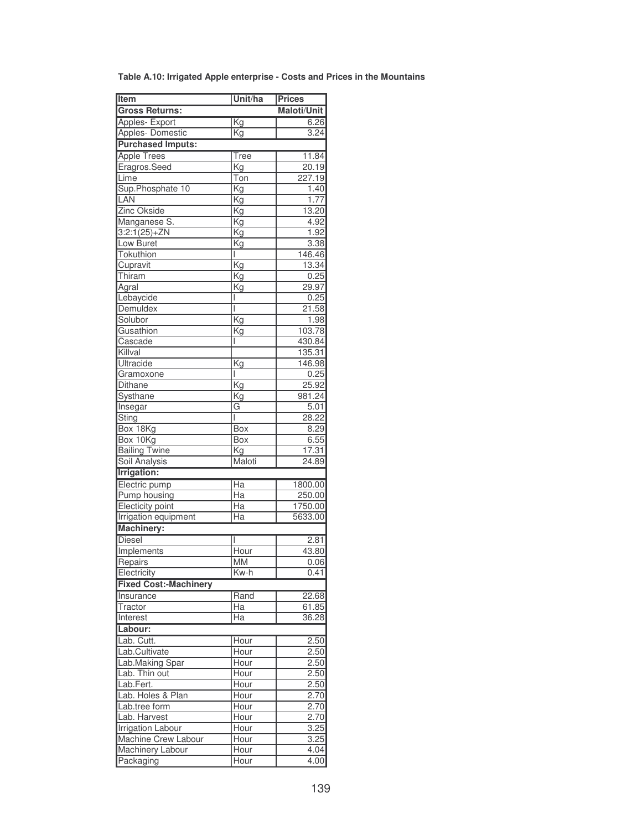| Item                         | Unit/ha                         | <b>Prices</b>      |
|------------------------------|---------------------------------|--------------------|
| <b>Gross Returns:</b>        |                                 | <b>Maloti/Unit</b> |
| Apples- Export               | $\overline{\text{Kg}}$          | 6.26               |
| <b>Apples- Domestic</b>      | Kg                              | 3.24               |
| <b>Purchased Imputs:</b>     |                                 |                    |
| <b>Apple Trees</b>           | $\overline{\mathsf{Tree}}$      | 11.84              |
| Eragros.Seed                 |                                 | 20.19              |
|                              | Kg                              |                    |
| Lime<br>Sup.Phosphate 10     | Ton<br>$\overline{\mathsf{Kg}}$ | 227.19             |
| LAN                          |                                 | 1.40               |
|                              | Κg                              | 1.77               |
| Zinc Okside                  | Kg                              | 13.20              |
| Manganese S.                 | $\overline{\text{Kg}}$          | 4.92               |
| $3:2:1(25)+ZN$               | Kg                              | 1.92               |
| Low Buret                    | Κg                              | 3.38               |
| Tokuthion                    | I                               | 146.46             |
| Cupravit                     | $\overline{\text{Kg}}$          | 13.34              |
| Thiram                       | Kg                              | 0.25               |
| Agral                        | Kg                              | 29.97              |
| Lebaycide                    |                                 | 0.25               |
| Demuldex                     |                                 | 21.58              |
| Solubor                      | $\overline{\mathrm{Kg}}$        | 1.98               |
| Gusathion                    | Kg                              | 103.78             |
| Cascade                      |                                 | 430.84             |
| Killval                      |                                 | 135.31             |
| Ultracide                    | Kg                              | 146.98             |
| Gramoxone                    | I                               | 0.25               |
| <b>Dithane</b>               | Kg                              | 25.92              |
| Systhane                     | Kg                              | 981.24             |
| Insegar                      | G                               | 5.01               |
| Sting                        | T                               | 28.22              |
| Box 18Kg                     | Box                             | 8.29               |
| Box 10Kg                     | Box                             | 6.55               |
| <b>Bailing Twine</b>         | Kg                              | 17.31              |
| <b>Soil Analysis</b>         | Maloti                          | 24.89              |
| Irrigation:                  |                                 |                    |
| Electric pump                | Ha                              | 1800.00            |
| <b>Pump housing</b>          | $\overline{Ha}$                 | 250.00             |
| <b>Electicity point</b>      | Ha                              | 1750.00            |
| <b>Irrigation equipment</b>  | Ha                              | 5633.00            |
| <b>Machinery:</b>            |                                 |                    |
| <b>Diesel</b>                |                                 | 2.81               |
| Implements                   | Hour                            | 43.80              |
| Repairs                      | MM                              | 0.06               |
| Electricity                  | Kw-h                            | 0.41               |
|                              |                                 |                    |
| <b>Fixed Cost:-Machinery</b> |                                 |                    |
| Insurance                    | Rand                            | 22.68              |
| Tractor                      | Нa                              | 61.85              |
| Interest                     | Ha                              | 36.28              |
| Labour:                      |                                 |                    |
| Lab. Cutt.                   | Hour                            | 2.50               |
| Lab.Cultivate                | Hour                            | 2.50               |
| Lab.Making Spar              | Hour                            | 2.50               |
| Lab. Thin out                | Hour                            | 2.50               |
| Lab.Fert.                    | Hour                            | 2.50               |
| Lab. Holes & Plan            | <b>Hour</b>                     | 2.70               |
| Lab.tree form                | Hour                            | 2.70               |
| Lab. Harvest                 | Hour                            | 2.70               |
| <b>Irrigation Labour</b>     | Hour                            | 3.25               |
| Machine Crew Labour          | Hour                            | 3.25               |
| <b>Machinery Labour</b>      | Hour                            | 4.04               |
| Packaging                    | Hour                            | 4.00               |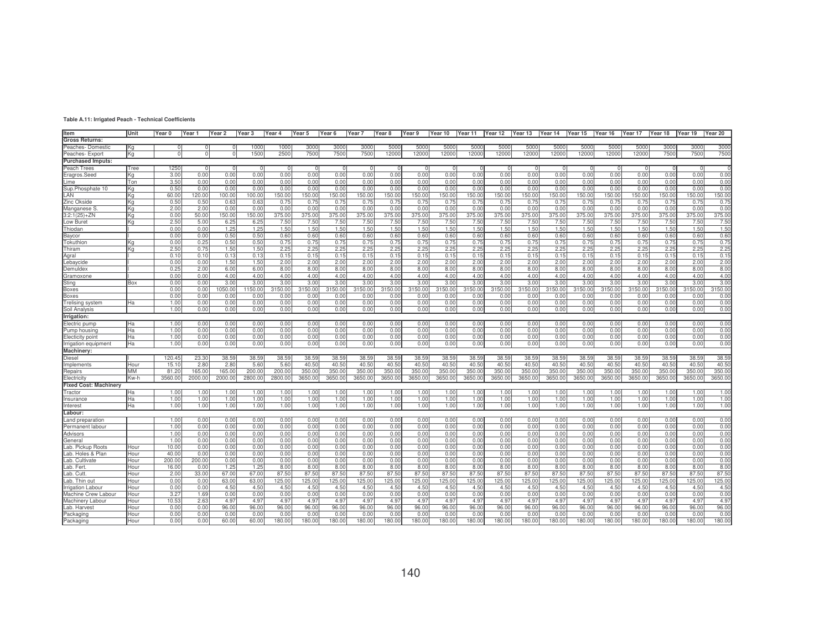| ltem                     | Unit       | Year 0 | Year 1  | Year 2     | Year 3  | Year 4  | Year 5  | Year 6  | Year <sub>7</sub> | Year 8  | Year 9   | Year 10  | Year 11 | Year 12          | Year 13 Year 14 Year 15 |         |         | Year 16 | Year 17 | Year 18 | Year 19 | Year 20 |
|--------------------------|------------|--------|---------|------------|---------|---------|---------|---------|-------------------|---------|----------|----------|---------|------------------|-------------------------|---------|---------|---------|---------|---------|---------|---------|
| <b>Gross Returns:</b>    |            |        |         |            |         |         |         |         |                   |         |          |          |         |                  |                         |         |         |         |         |         |         |         |
| Peaches-Domestic         | Kg         |        |         |            | 1000    | 1000    | 3000    | 3000    | 300C              | 500     | 5000     | 5000     | 500     | 5000             | 5000                    | 5000    | 5000    | 5000    | 5000    | 3000    | 3000    | 3000    |
| Peaches- Export          | Kg         |        |         | $^{\circ}$ | 1500    | 2500    | 7500    | 7500    | 7500              | 12000   | 12000    | 12000    | 12000   | 12000            | 12000                   | 12000   | 12000   | 12000   | 12000   | 7500    | 7500    | 7500    |
| <b>Purchased Imputs:</b> |            |        |         |            |         |         |         |         |                   |         |          |          |         |                  |                         |         |         |         |         |         |         |         |
| Peach Trees              | Tree       | 1250   |         |            |         |         |         |         |                   |         | $\Omega$ | $\Omega$ |         |                  |                         |         |         |         |         |         |         |         |
| Eragros.Seed             | Kg         | 3.00   | 0.00    | 0.00       | 0.00    | 0.00    | 0.00    | 0.00    | 0.00              | 0.00    | 0.00     | 0.00     | 0.00    | 0.00             | 0.00                    | 0.00    | 0.00    | 0.00    | 0.00    | 0.00    | 0.00    | 0.00    |
| Lime                     | <b>Ton</b> | 3.50   | 0.00    | 0.00       | 0.00    | 0.00    | 0.00    | 0.00    | 0.00              | 0.00    | 0.00     | 0.00     | 0.00    | 0.00             | 0.00                    | 0.00    | 0.00    | 0.00    | 0.00    | 0.00    | 0.00    | 0.00    |
| Sup.Phosphate 10         | Kg         | 0.50   | 0.00    | 0.00       | 0.00    | 0.00    | 0.00    | 0.00    | 0.00              | 0.00    | 0.00     | 0.00     | 0.00    | 0.00             | 0.00                    | 0.00    | 0.00    | 0.00    | 0.00    | 0.00    | 0.00    | 0.00    |
| LAN                      | Ka         | 60.0   | 20.00   | 100.0      | 100.00  | 150.00  | 150.00  | 150.00  | 150.00            | 150.00  | 150.00   | 50.00    | 150.00  | 150.00           | 150.00                  | 150.00  | 150.0   | 150.00  | 150.00  | 150.00  | 150.00  | 150.00  |
| Zinc Okside              | Kα         | 0.50   | 0.50    | 0.63       | 0.63    | 0.75    | 0.75    | 0.75    | 0.75              | 0.75    | 0.75     | 0.75     | 0.75    | 0.75             | 0.75                    | 0.75    | 0.75    | 0.75    | 0.75    | 0.75    | 0.75    | 0.75    |
| Manganese S              | Κq         | 2.00   | 2.00    | 0.00       | 0.00    | 0.00    | 0.00    | 0.00    | 0.00              | 0.00    | 0.00     | 0.00     | 0.00    | 0.00             | 0.00                    | 0.00    | 0.00    | 0.00    | 0.00    | 0.00    | 0.00    | 0.00    |
|                          |            | 0.00   | 50.00   | 150.00     | 150.00  | 375.00  | 375.00  | 375.00  | 375.00            | 375.00  | 375.00   | 375.00   | 375.00  | 375.00           | 375.00                  | 375.00  | 375.00  | 375.00  | 375.00  | 375.00  | 375.00  | 375.00  |
| 3:2:1(25)+ZN             | Κq         |        | 5.00    |            |         |         |         |         |                   |         |          |          |         |                  |                         |         |         |         |         |         |         |         |
| Low Buret                | Κq         | 2.50   |         | 6.25       | 6.25    | 7.50    | 7.50    | 7.50    | 7.50              | 7.50    | 7.50     | 7.50     | 7.50    | 7.5 <sub>0</sub> | 7.50                    | 7.50    | 7.50    | 7.50    | 7.50    | 7.50    | 7.50    | 7.50    |
| Thiodan                  |            | 0.00   | 0.00    | 1.25       | 1.25    | 1.50    | 1.50    | 1.50    | 1.50              | 1.50    | 1.50     | 1.50     | 1.50    | 1.50             | 1.50                    | 1.50    | 1.50    | 1.50    | 1.50    | 1.50    | 1.50    | 1.50    |
| Baycor                   |            | 0.00   | 0.00    | 0.50       | 0.50    | 0.60    | 0.60    | 0.60    | 0.60              | 0.60    | 0.60     | 0.60     | 0.60    | 0.60             | 0.60                    | 0.60    | 0.60    | 0.60    | 0.60    | 0.60    | 0.60    | 0.60    |
| Tokuthion                | Kα         | 0.00   | 0.25    | 0.50       | 0.50    | 0.75    | 0.75    | 0.75    | 0.75              | 0.75    | 0.75     | 0.75     | 0.75    | 0.75             | 0.75                    | 0.75    | 0.75    | 0.75    | 0.75    | 0.75    | 0.75    | 0.75    |
| Thiram                   | Kα         | 2.50   | 0.75    | 1.50       | 1.50    | 2.25    | 2.25    | 2.25    | 2.25              | 2.25    | 2.25     | 2.25     | 2.25    | 2.25             | 2.25                    | 2.25    | 2.25    | 2.25    | 2.25    | 2.25    | 2.25    | 2.25    |
| Agral                    |            | 0.10   | 0.10    | 0.13       | 0.13    | 0.15    | 0.15    | 0.15    | 0.15              | 0.15    | 0.15     | 0.15     | 0.15    | 0.15             | 0.15                    | 0.15    | 0.15    | 0.15    | 0.15    | 0.15    | 0.15    | 0.15    |
| ebaycide                 |            | 0.00   | 0.00    | 1.50       | 1.50    | 2.00    | 2.00    | 2.00    | 2.00              | 2.00    | 2.00     | 2.00     | 2.00    | 2.00             | 2.00                    | 2.00    | 2.00    | 2.00    | 2.00    | 2.00    | 2.00    | 2.00    |
| Demuldex                 |            | 0.25   | 2.00    | 6.00       | 6.00    | 8.00    | 8.00    | 8.00    | 8.00              | 8.00    | 8.00     | 8.00     | 8.00    | 8.00             | 8.00                    | 8.00    | 8.00    | 8.00    | 8.00    | 8.00    | 8.00    | 8.00    |
| Gramoxone                |            | 0.00   | 0.00    | 4.00       | 4.00    | 4.00    | 4.00    | 4.00    | 4.00              | 4.00    | 4.00     | 4.00     | 4.00    | 4.00             | 4.00                    | 4.00    | 4.00    | 4.00    | 4.00    | 4.00    | 4.00    | 4.00    |
| <b>Sting</b>             | Box        | 0.00   | 0.00    | 3.00       | 3.00    | 3.00    | 3.00    | 3.00    | 3.00              | 3.00    | 3.00     | 3.00     | 3.00    | 3.00             | 3.00                    | 3.00    | 3.00    | 3.00    | 3.00    | 3.00    | 3.00    | 3.00    |
| Boxes                    |            | 0.00   | 0.00    | 050.00     | 150.00  | 3150.00 | 3150.00 | 3150.00 | 3150.00           | 3150.00 | 3150.00  | 3150.00  | 3150.00 | 3150.00          | 3150.00                 | 3150.00 | 3150.00 | 3150.00 | 3150.00 | 3150.00 | 3150.00 | 3150.00 |
| Boxes                    |            | 0.01   | 0.00    | 0.00       | 0.00    | 0.00    | 0.00    | 0.00    | 0.00              | 0.00    | 0.00     | 0.00     | 0.00    | 0.00             | 0.00                    | 0.0(    | 0.0(    | 0.00    | 0.0(    | 0.0(    | 0.00    | 0.00    |
| relising system          | Ha         | 1.00   | 0.00    | 0.00       | 0.00    | 0.00    | 0.00    | 0.00    | 0.00              | 0.00    | 0.00     | 0.00     | 0.00    | 0.00             | 0.00                    | 0.00    | 0.00    | 0.00    | 0.00    | 0.00    | 0.00    | 0.00    |
| Soil Analysis            |            | 1.00   | 0.00    | 0.00       | 0.00    | 0.00    | 0.00    | 0.00    | 0.00              | 0.00    | 0.00     | 0.00     | 0.00    | 0.00             | 0.00                    | 0.00    | 0.00    | 0.00    | 0.00    | 0.00    | 0.00    | 0.00    |
| Irrigation:              |            |        |         |            |         |         |         |         |                   |         |          |          |         |                  |                         |         |         |         |         |         |         |         |
| Electric pump            | Ha.        | 1.00   | 0.00    | 0.00       | 0.00    | 0.00    | 0.00    | 0.00    | 0.00              | 0.00    | 0.00     | 0.00     | 0.00    | 0.00             | 0.00                    | 0.00    | 0.00    | 0.00    | 0.00    | 0.00    | 0.00    | 0.00    |
| Pump housina             | Ha         | 1.00   | 0.00    | 0.00       | 0.00    | 0.00    | 0.00    | 0.00    | 0.00              | 0.00    | 0.00     | 0.00     | 0.00    | 0.00             | 0.00                    | 0.00    | 0.00    | 0.00    | 0.00    | 0.00    | 0.00    | 0.00    |
| Electicity point         | Ha         | 1.00   | 0.00    | 0.00       | 0.00    | 0.00    | 0.00    | 0.00    | 0.00              | 0.00    | 0.00     | 0.00     | 0.00    | 0.00             | 0.00                    | 0.00    | 0.00    | 0.00    | 0.00    | 0.00    | 0.00    | 0.00    |
| Irrigation equipment     | Ha         | 1.00   | 0.00    | 0.00       | 0.00    | 0.00    | 0.00    | 0.00    | 0.00              | 0.00    | 0.00     | 0.00     | 0.00    | 0.00             | 0.00                    | 0.00    | 0.00    | 0.00    | 0.00    | 0.00    | 0.00    | 0.00    |
| Machinery:               |            |        |         |            |         |         |         |         |                   |         |          |          |         |                  |                         |         |         |         |         |         |         |         |
| Diesel                   |            | 120.45 | 23.30   | 38.59      | 38.59   | 38.59   | 38.59   | 38.59   | 38.59             | 38.59   | 38.59    | 38.59    | 38.59   | 38.59            | 38.59                   | 38.59   | 38.59   | 38.59   | 38.59   | 38.59   | 38.59   | 38.59   |
| Implements               | Hour       | 15.1   | 2.80    | 2.80       | 5.60    | 5.60    | 40.50   | 40.50   | 40.50             | 40.50   | 40.50    | 40.50    | 40.50   | 40.50            | 40.50                   | 40.50   | 40.50   | 40.50   | 40.50   | 40.50   | 40.50   | 40.50   |
| Repairs                  | MM         | 81.2   | 165.00  | 165.00     | 200.00  | 200.00  | 350.00  | 350.00  | 350.00            | 350.00  | 350.00   | 350.00   | 350.0   | 350.00           | 350.00                  | 350.0   | 350.00  | 350.00  | 350.00  | 350.00  | 350.00  | 350.00  |
| Electricity              | Kw-h       | 3560.0 | 2000.00 | 2000.0     | 2800.00 | 2800.00 | 3650.00 | 3650.00 | 3650.00           | 3650.00 | 3650.00  | 3650.00  | 3650.0  | 3650.00          | 3650.00                 | 3650.0  | 3650.0  | 3650.00 | 3650.00 | 3650.0  | 3650.00 | 3650.00 |
| Fixed Cost: Machinery    |            |        |         |            |         |         |         |         |                   |         |          |          |         |                  |                         |         |         |         |         |         |         |         |
|                          |            | 1.00   | 1.00    | 1.00       | 1.00    | 1.00    | 1.00    | 1.00    | 1.00              | 1.00    | 1.00     | 1.00     | 1.00    | 1.00             | 1.00                    | 1.00    | 1.00    | 1.00    | 1.00    | 1.00    | 1.00    | 1.00    |
| <b>Tractor</b>           | Ha.        | 1.00   |         |            |         |         |         | 1.00    |                   |         | 1.00     |          |         | 1.00             | 1.00                    |         |         |         | 1.00    |         | 1.00    | 1.00    |
| nsurance                 | Ha         | 1.00   | 1.00    | 1.00       | 1.00    | 1.00    | 1.00    |         | 1.00              | 1.00    |          | 1.00     | 1.00    |                  |                         | 1.00    | 1.00    | 1.00    |         | 1.00    | 1.00    |         |
| nterest                  | Ha         |        | 1.00    | 1.00       | 1.00    | 1.00    | 1.00    | 1.00    | 1.00              | 1.00    | 1.00     | 1.00     | 1.00    | 1.00             | 1.00                    | 1.00    | 1.00    | 1.00    | 1.00    | 1.00    |         | 1.00    |
| Labour:                  |            |        |         |            |         |         |         |         |                   |         |          |          |         |                  |                         |         |         |         |         |         |         |         |
| Land preparation         |            | 1.00   | 0.00    | 0.00       | 0.00    | 0.00    | 0.00    | 0.00    | 0.00              | 0.00    | 0.00     | 0.00     | 0.00    | 0.00             | 0.00                    | 0.00    | 0.00    | 0.00    | 0.00    | 0.00    | 0.00    | 0.00    |
| Permanent labour         |            | 1.00   | 0.00    | 0.00       | 0.00    | 0.00    | 0.00    | 0.00    | 0.00              | 0.00    | 0.00     | 0.00     | 0.00    | 0.00             | 0.00                    | 0.00    | 0.00    | 0.00    | 0.00    | 0.00    | 0.00    | 0.00    |
| Advisors                 |            | 1.00   | 0.00    | 0.00       | 0.00    | 0.00    | 0.00    | 0.00    | 0.00              | 0.00    | 0.00     | 0.00     | 0.00    | 0.00             | 0.00                    | 0.00    | 0.00    | 0.00    | 0.00    | 0.00    | 0.00    | 0.00    |
| General                  |            | 1.00   | 0.00    | 0.00       | 0.00    | 0.00    | 0.00    | 0.00    | 0.00              | 0.00    | 0.00     | 0.00     | 0.00    | 0.00             | 0.00                    | 0.00    | 0.00    | 0.00    | 0.00    | 0.00    | 0.00    | 0.00    |
| Lab. Pickup Roots        | Hour       | 10.00  | 0.00    | 0.00       | 0.00    | 0.00    | 0.00    | 0.00    | 0.00              | 0.00    | 0.00     | 0.00     | 0.00    | 0.00             | 0.00                    | 0.00    | 0.00    | 0.00    | 0.00    | 0.00    | 0.00    | 0.00    |
| ab. Holes & Plan         | Hour       | 40.00  | 0.00    | 0.00       | 0.00    | 0.00    | 0.00    | 0.00    | 0.00              | 0.00    | 0.00     | 0.00     | 0.00    | 0.00             | 0.00                    | 0.00    | 0.00    | 0.00    | 0.00    | 0.00    | 0.00    | 0.00    |
| Lab. Cultivate           | Hour       | 200.0  | 200.00  | 0.00       | 0.00    | 0.00    | 0.00    | 0.00    | 0.00              | 0.00    | 0.00     | 0.00     | 0.00    | 0.00             | 0.00                    | 0.00    | 0.00    | 0.00    | 0.00    | 0.00    | 0.00    | 0.00    |
| .ab. Fert                | Hour       | 16.00  | 0.00    | 1.25       | 1.25    | 8.00    | 8.00    | 8.00    | 8.00              | 8.00    | 8.00     | 8.00     | 8.00    | 8.00             | 8.00                    | 8.00    | 8.00    | 8.00    | 8.00    | 8.00    | 8.00    | 8.00    |
| .ab. Cutt                | Hour       | 2.00   | 33.00   | 67.00      | 67.00   | 87.50   | 87.50   | 87.50   | 87.50             | 87.50   | 87.50    | 87.50    | 87.50   | 87.50            | 87.50                   | 87.50   | 87.50   | 87.50   | 87.50   | 87.50   | 87.50   | 87.50   |
| .ab. Thin out            | Hour       | 0.00   | 0.00    | 63.00      | 63.00   | 125.00  | 125.00  | 125.00  | 125.00            | 125.00  | 125.00   | 125.00   | 125.00  | 125.00           | 125.00                  | 125.00  | 125.00  | 125.00  | 125.00  | 125.00  | 125.00  | 125.00  |
| <b>Irrigation Labour</b> | Hour       | 0.00   | 0.00    | 4.50       | 4.50    | 4.50    | 4.50    | 4.50    | 4.50              | 4.50    | 4.50     | 4.50     | 4.50    | 4.50             | 4.50                    | 4.50    | 4.50    | 4.50    | 4.50    | 4.50    | 4.50    | 4.50    |
| Machine Crew Labour      | Hour       | 3.27   | 1.69    | 0.00       | 0.00    | 0.00    | 0.00    | 0.00    | 0.00              | 0.00    | 0.00     | 0.00     | 0.00    | 0.00             | 0.00                    | 0.00    | 0.00    | 0.00    | 0.00    | 0.00    | 0.00    | 0.00    |
| Machinerv Labour         | Hour       | 10.53  | 2.63    | 4.97       | 4.97    | 4.97    | 4.97    | 4.97    | 4.97              | 4.97    | 4.97     | 4.97     | 4.97    | 4.97             | 4.97                    | 4.97    | 4.97    | 4.97    | 4.97    | 4.97    | 4.97    | 4.97    |
| .ab. Harvest             | Hour       | 0.00   | 0.00    | 96.00      | 96.00   | 96.00   | 96.00   | 96.00   | 96.00             | 96.00   | 96.00    | 96.00    | 96.00   | 96.00            | 96.00                   | 96.00   | 96.00   | 96.00   | 96.00   | 96.00   | 96.00   | 96.00   |
| Packaging                | Hour       | 0.00   | 0.00    | 0.00       | 0.00    | 0.00    | 0.00    | 0.00    | 0.00              | 0.00    | 0.00     | 0.00     | 0.00    | 0.00             | 0.00                    | 0.00    | 0.00    | 0.00    | 0.00    | 0.00    | 0.00    | 0.00    |
| Packaging                | Hour       | 0.00   | 0.00    | 60.00      | 60.00   | 180.00  | 180.00  | 180.00  | 180.00            | 180.00  | 180.00   | 180.00   | 180.0   | 180.00           | 180.00                  | 180.0   | 180.00  | 180.00  | 180.00  | 180.0   | 180.0   | 180.00  |
|                          |            |        |         |            |         |         |         |         |                   |         |          |          |         |                  |                         |         |         |         |         |         |         |         |

**Table A.11: Irrigated Peach - Technical Coefficients**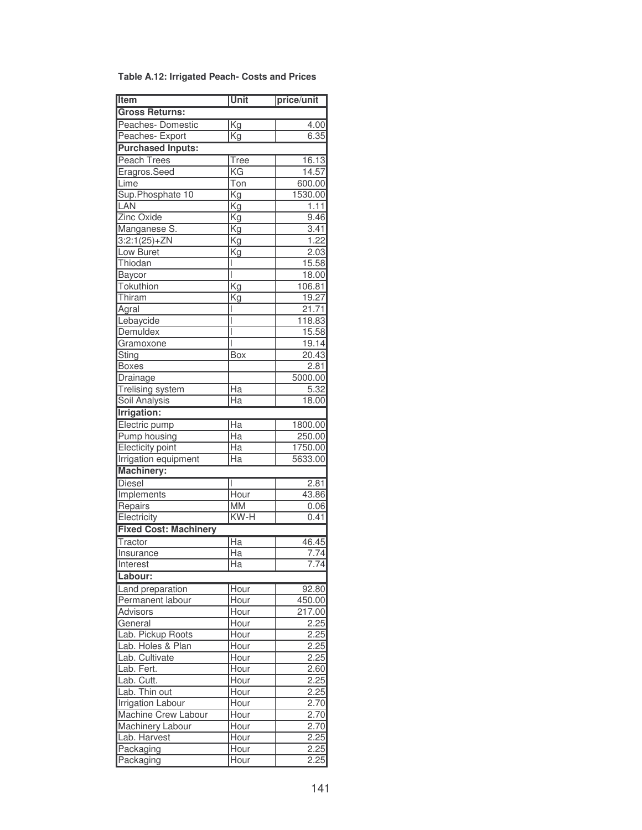| <b>Table A.12: Irrigated Peach- Costs and Prices</b> |  |  |  |
|------------------------------------------------------|--|--|--|
|------------------------------------------------------|--|--|--|

| Item                         | Unit                     | price/unit    |
|------------------------------|--------------------------|---------------|
| <b>Gross Returns:</b>        |                          |               |
| Peaches-Domestic             | Kg                       | 4.00          |
| Peaches- Export              | Kg                       | 6.35          |
| <b>Purchased Inputs:</b>     |                          |               |
| <b>Peach Trees</b>           | Tree                     | 16.13         |
| Eragros.Seed                 | KG                       | 14.57         |
| Lime                         | Ton                      | 600.00        |
| Sup.Phosphate 10             | $\overline{\text{Kg}}$   | 1530.00       |
| LAN                          | Kg                       | 1.11          |
| Zinc Oxide                   | Kg                       | 9.46          |
| Manganese S.                 | $\overline{\mathsf{Kg}}$ | 3.41          |
| $3:2:1(25)+ZN$               | Kg                       | 1.22          |
| Low Buret                    | Kg                       | 2.03          |
| Thiodan                      | I                        | 15.58         |
| Baycor                       | I                        | 18.00         |
| Tokuthion                    | Kg                       | 106.81        |
| Thiram                       | Κg                       | 19.27         |
| Agral                        | I                        | 21.71         |
| Lebaycide                    | I                        | 118.83        |
| Demuldex                     | I                        | 15.58         |
| Gramoxone                    | I                        | 19.14         |
| Sting                        | Box                      | 20.43         |
| <b>Boxes</b>                 |                          | 2.81          |
| Drainage                     |                          | 5000.00       |
| <b>Trelising system</b>      | $\overline{Ha}$          | 5.32          |
| <b>Soil Analysis</b>         | $\overline{Ha}$          | 18.00         |
| <b>Irrigation:</b>           |                          |               |
| Electric pump                | Ha                       | 1800.00       |
| <b>Pump housing</b>          | Ha                       | 250.00        |
| <b>Electicity point</b>      | Ha                       | 1750.00       |
| Irrigation equipment         | Ha                       | 5633.00       |
| <b>Machinery:</b>            |                          |               |
|                              |                          |               |
| <b>Diesel</b><br>Implements  | I<br>Hour                | 2.81<br>43.86 |
|                              | <b>MM</b>                |               |
| Repairs<br>Electricity       | KW-H                     | 0.06<br>0.41  |
| <b>Fixed Cost: Machinery</b> |                          |               |
|                              |                          |               |
| Tractor                      | $\overline{Ha}$          | 46.45         |
| Insurance                    | Ha                       | 7.74          |
| <b>Interest</b>              | $\overline{Ha}$          | 7.74          |
| Labour:                      |                          |               |
| Land preparation             | Hour                     | 92.80         |
| Permanent labour             | Hour                     | 450.00        |
| <b>Advisors</b>              | Hour                     | 217.00        |
| General                      | Hour                     | 2.25          |
| Lab. Pickup Roots            | Hour                     | 2.25          |
| Lab. Holes & Plan            | Hour                     | 2.25          |
| Lab. Cultivate               | Hour                     | 2.25          |
| Lab. Fert.                   | Hour                     | 2.60          |
| Lab. Cutt.                   | Hour                     | 2.25          |
| Lab. Thin out                | Hour                     | 2.25          |
| <b>Irrigation Labour</b>     | Hour                     | 2.70          |
| Machine Crew Labour          | Hour                     | 2.70          |
| Machinery Labour             | Hour                     | 2.70          |
| Lab. Harvest                 | Hour                     | 2.25          |
| Packaging                    | Hour                     | 2.25          |
| Packaging                    | Hour                     | 2.25          |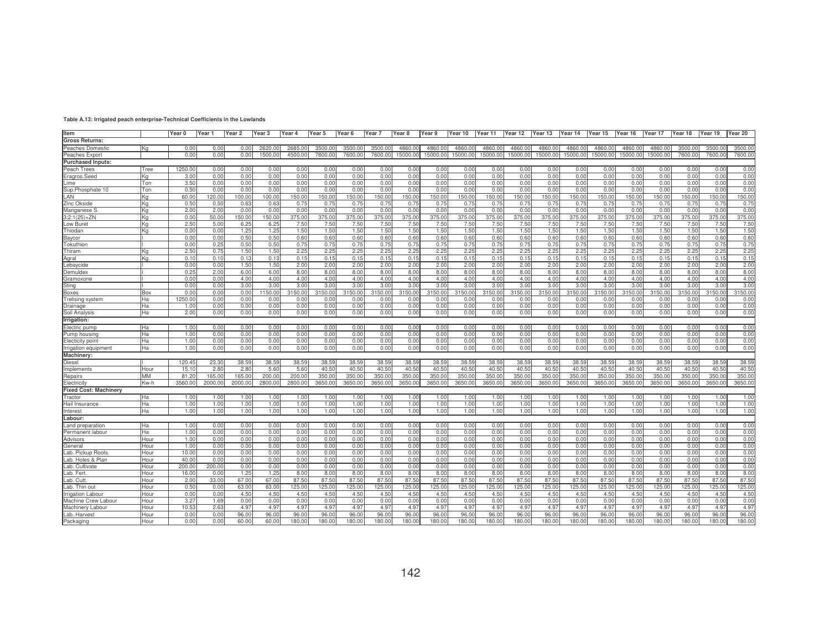| 1250.0<br>0.00<br>0.00<br>0.00<br>0.00<br>0.00<br>0.00<br>0.00<br>0.00<br>0.00<br>0.00<br>0.00<br>0.00<br>0.00<br>0.00<br>0.00<br>Tree<br>0.00<br>0.00<br>0.00<br>0.00<br>0.00<br>Eragros.Seed<br>0.00<br>0.00<br>0.00<br>0.00<br>3.00<br>0.00<br>0.00<br>0.00<br>0.00<br>0.00<br>0.00<br>0.00<br>0.00<br>0.00<br>0.00<br>0.00<br>0.00<br>0.00<br>0.00<br>Κa<br>0.00<br>0.00<br>3.50<br>0.00<br>0.00<br>0.00<br>0.00<br>0.00<br>0.00<br>0.00<br>0.00<br>0.00<br>0.00<br>0.00<br>0.00<br>0.00<br>0.00<br>0.00<br>0.00<br>Ton<br>0.00<br>0.00<br>0.00<br>0.00<br>Lime<br>Sup.Phosphate 10<br>0.00<br>0.00<br>Ton<br>0.50<br>0.00<br>0.00<br>0.00<br>0.00<br>0.00<br>0.00<br>0.00<br>0.00<br>0.00<br>0.00<br>0.00<br>0.00<br>0.00<br>0.00<br>0.00<br>0.00<br>0.00<br>0.00<br>60.0<br>150.00<br>120.00<br>100.00<br>100.00<br>150.00<br>150.00<br>150.00<br>150.00<br>150.00<br>150.00<br>150.00<br>150.00<br>150.00<br>150.00<br>150.00<br>150.00<br>150.00<br>150.00<br>150.00<br>150.00<br>IKa<br>lΚα<br>0.50<br>0.50<br>0.63<br>0.75<br>0.75<br>0.75<br>0.75<br>0.75<br>0.75<br>0.75<br>0.75<br>0.75<br>0.75<br>0.75<br>0.75<br>0.63<br>0.75<br>0.75<br>0.75<br>0.75<br>0.75<br>2.00<br>2.00<br>0.00<br>0.00<br>0.00<br>0.00<br>0.00<br>0.00<br>0.00<br>0.00<br>0.00<br>0.00<br>0.00<br>0.00<br>0.00<br>0.00<br>0.00<br>0.00<br>0.00<br>0.00<br>0.00<br>lΚα<br>$3:2:1(25)+ZN$<br>375.00<br>150.00<br>375.00<br>375.00<br>375.00<br>375.00<br>375.00<br>375.00<br>375.00<br>375.00<br>375.00<br>375.00<br>375.00<br>375.00<br>375.00<br>375.00<br>0.00<br>50.00<br>150.00<br>375.00<br>375.00<br>lKa<br>Low Buret<br>2.50<br>6.25<br>7.50<br>7.50<br>7.50<br>7.50<br>7.50<br>7.50<br>7.50<br>7.50<br>7.50<br>7.50<br>7.50<br>7.50<br>7.50<br>7.50<br>7.50<br>7.50<br>7.50<br>l Ka<br>5.00<br>6.25<br>1.50<br>1.50<br>l Ka<br>0.00<br>0.00<br>1.25<br>1.25<br>1.50<br>1.50<br>1.50<br>1.50<br>1.50<br>1.50<br>1.50<br>1.50<br>1.50<br>1.50<br>1.50<br>1.50<br>1.50<br>1.50<br>1.50<br>Baycor<br>0.60<br>0.60<br>0.00<br>0.00<br>0.50<br>0.50<br>0.60<br>0.60<br>0.60<br>0.60<br>0.60<br>0.60<br>0.60<br>0.60<br>0.60<br>0.60<br>0.60<br>0.60<br>0.60<br>0.60<br>0.60<br>Tokuthion<br>0.00<br>0.50<br>0.50<br>0.75<br>0.75<br>0.75<br>0.75<br>0.75<br>0.75<br>0.75<br>0.75<br>0.75<br>0.75<br>0.75<br>0.75<br>0.75<br>0.25<br>0.75<br>0.75<br>0.75<br>0.75<br>2.50<br>1.50<br>2.25<br>2.25<br>2.25<br>2.25<br>2.25<br>2.25<br>2.25<br>2.25<br>2.25<br>2.25<br>2.25<br>2.25<br>2.25<br>2.25<br>2.25<br>2.25<br>2.25<br><b>I</b> Ka<br>0.75<br>1.50<br>Agral<br>0.15<br>lKa<br>0.1(<br>0.10<br>0.13<br>0.13<br>0.15<br>0.15<br>0.15<br>0.15<br>0.15<br>0.15<br>0.15<br>0.15<br>0.15<br>0.15<br>0.15<br>0.15<br>0.15<br>0.15<br>0.15<br>0.15<br>2.00<br>0.00<br>2.00<br>2.00<br>2.00<br>0.00<br>1.50<br>1.50<br>2.00<br>2.00<br>2.00<br>2.00<br>2.00<br>2.00<br>2.00<br>2.00<br>2.00<br>2.00<br>2.00<br>2.00<br>2.00<br>Lebaycide<br>Demuldex<br>0.25<br>2.00<br>6.00<br>6.00<br>8.00<br>8.00<br>8.00<br>8.00<br>8.00<br>8.00<br>8.00<br>8.00<br>8.00<br>8.00<br>8.00<br>8.00<br>8.00<br>8.00<br>8.00<br>8.00<br>8.00<br>Gramoxone<br>0.00<br>4.00<br>4.00<br>4.00<br>4.00<br>4.00<br>4.00<br>4.00<br>4.00<br>4.00<br>4.00<br>4.00<br>0.00<br>4.00<br>4.00<br>4.00<br>4.00<br>4.00<br>4.00<br>4.00<br>4.00<br>3.00<br>3.00<br>3.00<br>3.00<br>3.00<br>0.00<br>0.00<br>3.00<br>3.00<br>3.00<br>3.00<br>3.00<br>3.00<br>3.00<br>3.00<br>3.00<br>3.00<br>3.00<br>3.00<br>3.00<br>3.00<br>3150.0<br><b>Boxes</b><br>0.00<br>1150.00<br>3150.00<br>3150.00<br>3150.00<br>3150.00<br>3150.00<br>3150.00<br>3150.00<br>3150.00<br>3150.00<br>3150.00<br>3150.00<br>3150.00<br>3150.00<br><b>Box</b><br>0.00<br>0.00<br>3150.00<br>3150.00<br>3150.00<br>Trelising system<br>1250.0<br>lНа<br>0.00<br>0.00<br>0.00<br>0.00<br>0.00<br>0.00<br>0.00<br>0.00<br>0.00<br>0.00<br>0.00<br>0.00<br>0.00<br>0.00<br>0.00<br>0.00<br>0.00<br>0.00<br>0.00<br>0.00<br>Drainage<br>lНа<br>1.00<br>0.00<br>0.00<br>0.00<br>0.00<br>0.00<br>0.00<br>0.00<br>0.00<br>0.00<br>0.00<br>0.00<br>0.00<br>0.00<br>0.00<br>0.00<br>0.00<br>0.00<br>0.00<br>0.00<br>0.00<br>Soil Analysis<br>lНа<br>2.00<br>0.00<br>0.00<br>0.00<br>0.00<br>0.00<br>0.00<br>0.00<br>0.00<br>0.00<br>0.00<br>0.00<br>0.00<br>0.00<br>0.00<br>0.00<br>0.00<br>0.00<br>0.00<br>0.00<br>0.00<br><b>Irrigation:</b><br>Electric pump<br>1.00<br>0.00<br>0.00<br>0.00<br>0.00<br>0.00<br>0.00<br>0.00<br>0.00<br>0.00<br>0.00<br>0.00<br>0.00<br>0.00<br>0.00<br>lНa<br>0.00<br>0.00<br>0.00<br>0.00<br>0.00<br>0.00<br>Pump housing<br>İНa<br>1.00<br>0.00<br>0.00<br>0.00<br>0.00<br>0.00<br>0.00<br>0.00<br>0.00<br>0.00<br>0.00<br>0.00<br>0.00<br>0.00<br>0.00<br>0.00<br>0.00<br>0.00<br>0.00<br>0.00<br>0.00<br>Electicity point<br>IНa<br>1.00<br>0.00<br>0.00<br>0.00<br>0.00<br>0.00<br>0.00<br>0.00<br>0.00<br>0.00<br>0.00<br>0.00<br>0.00<br>0.00<br>0.00<br>0.00<br>0.00<br>0.00<br>0.00<br>0.00<br>0.00<br>Irrigation equipment<br>0.00<br>0.00<br>0.00<br> Ha<br>1.00<br>0.00<br>0.00<br>0.00<br>0.00<br>0.00<br>0.00<br>0.00<br>0.00<br>0.00<br>0.00<br>0.00<br>0.00<br>0.00<br>0.00<br>0.00<br>0.00<br>0.00<br>Machinery:<br>Diesel<br>38.59<br>38.59<br>38.59<br>38.59<br>38.59<br>38.59<br>120.45<br>23.30<br>38.59<br>38.59<br>38.59<br>38.59<br>38.59<br>38.59<br>38.59<br>38.59<br>38.59<br>38.59<br>38.59<br>38.59<br>38.59<br>2.80<br>2.80<br>5.60<br>5.60<br>40.50<br>40.50<br>40.50<br>40.50<br>40.50<br>40.50<br>40.50<br>40.50<br>40.50<br>40.50<br>40.50<br>40.50<br>40.50<br>40.50<br>Hour<br>15.10<br>40.50<br>40.50<br>Implements<br>350.00<br>350.00<br>350.00<br>350.00<br>350.00<br>350.00<br>350.0<br>350.0<br>350.0<br>lмм<br>81.20<br>165.00<br>165.0<br>200.00<br>200.00<br>350.0<br>350.00<br>350.00<br>350.0<br>350.00<br>350.00<br>350.00<br>Repairs<br>Electricity<br>3650.00<br>3650.00<br>3650.00<br>3650.00<br>3650.00<br>3650.00<br>3650.00<br>3650.0<br>3560.0<br>2000.00<br>2000.00<br>2800.0<br>2800.00<br>3650.0<br>3650.00<br>3650.00<br>3650.00<br>3650.00<br>3650.00<br>3650.00<br>3650.00<br>Kw-h<br><b>Fixed Cost: Machinery</b><br>Tractor<br>1.00<br>1.00<br>1.00<br>1.00<br>1.00<br>1.00<br>1.00<br>1.00<br>1.00<br>1.00<br>1.00<br>1.00<br>00.1<br>1.00<br>1.00<br> Ha<br>1.00<br>1.00<br>1.00<br>1.00<br>1.00<br>1.00<br>1.00<br>1.00<br>l Ha<br>1.00<br>1.00<br>1.0(<br>1.00<br>1.00<br>1.00<br>1.00<br>1.00<br>1.00<br>1.00<br>1.00<br>1.00<br>1.00<br>1.00<br>1.00<br>1.00<br>1.00<br>1.00<br>1.00<br>Hail Insurance<br>IНa<br>1.00<br>1.00<br>1.00<br>1.00<br>1.00<br>1.00<br>1.00<br>1.00<br>1.00<br>1.00<br>1.00<br>1.00<br>1.00<br>1.00<br>1.00<br>1.00<br>1.00<br>1.00<br>1.00<br>1.00<br>1.00<br>Interest<br>Labour:<br>l Ha<br>1.00<br>0.00<br>0.00<br>0.00<br>0.00<br>0.00<br>0.00<br>0.00<br>0.00<br>0.00<br>0.00<br>0.00<br>0.00<br>0.00<br>0.00<br>0.00<br>0.00<br>0.00<br>0.00<br>0.00<br>0.00<br>Land preparation<br>Permanent labour<br>0.00<br>0.00<br>0.00<br>0.00<br>lHa.<br>1.00<br>0.00<br>0.00<br>0.00<br>0.00<br>0.00<br>0.00<br>0.00<br>0.00<br>0.00<br>0.00<br>0.00<br>0.00<br>0.00<br>0.00<br>0.00<br>0.00<br>Advisors<br>0.00<br>0.00<br>0.00<br><b>Hour</b><br>1.00<br>0.00<br>0.00<br>0.00<br>0.00<br>0.00<br>0.00<br>0.00<br>0.00<br>0.00<br>0.00<br>0.00<br>0.00<br>0.00<br>0.00<br>0.00<br>0.00<br>0.00<br>General<br>1.00<br>0.00<br>0.00<br>0.00<br>0.00<br>0.00<br>0.00<br>0.00<br>0.00<br>0.00<br>0.00<br>0.00<br>0.00<br>0.00<br>0.00<br>0.00<br>0.00<br>0.00<br>0.00<br>0.00<br>Hour<br>0.00<br>Lab. Pickup Roots<br>10.0<br>0.00<br>0.00<br>0.00<br>0.00<br>0.00<br>0.00<br>0.00<br>0.00<br>0.00<br>0.00<br>0.00<br>0.00<br>0.00<br>0.00<br>0.00<br>0.00<br>0.00<br>0.00<br>0.00<br>0.00<br>Hour<br>Lab. Holes & Plan<br>40.0<br>0.00<br>Hour<br>0.00<br>0.00<br>0.00<br>0.00<br>0.00<br>0.00<br>0.00<br>0.00<br>0.00<br>0.00<br>0.00<br>0.00<br>0.00<br>0.00<br>0.00<br>0.00<br>0.00<br>0.00<br>0.00<br>Lab. Cultivate<br>200.0<br>0.00<br>0.00<br>0.00<br>Hour<br>200.00<br>0.00<br>0.00<br>0.00<br>0.00<br>0.00<br>0.00<br>0.00<br>0.00<br>0.00<br>0.00<br>0.00<br>0.00<br>0.00<br>0.00<br>0.00<br>0.00<br>Lab. Fert<br>8.00<br>8.00<br>Hour<br>16.0<br>0.00<br>1.25<br>1.25<br>8.00<br>8.00<br>8.00<br>8.00<br>8.00<br>8.00<br>8.00<br>8.00<br>8.00<br>8.00<br>8.00<br>8.00<br>8.00<br>8.00<br>8.00<br>67.00<br>67.00<br>87.50<br>87.50<br>87.50<br>87.50<br>87.50<br>87.50<br>87.50<br>87.50<br>87.50<br>87.50<br>87.50<br>87.50<br>Hour<br>2.00<br>33.00<br>87.50<br>87.50<br>87.50<br>87.50<br>87.50<br>Lab. Cutt<br>125.00<br>125.00<br>125.00<br>125.00<br>125.00<br>125.00<br>125.00<br>125.00<br>125.00<br>125.00<br>125.00<br>125.00<br>125.00<br>Lab. Thin ou<br>l Hour<br>0.50<br>0.00<br>63.0<br>63.00<br>125.00<br>125.00<br>125.00<br>125.00<br>4.50<br>4.50<br>4.50<br>4.50<br>4.50<br>4.50<br>4.50<br>4.50<br>4.50<br>4.50<br>4.50<br>4.50<br>4.50<br>4.50<br>4.50<br>4.50<br>4.50<br><b>Irrigation Labour</b><br>Hour<br>0.00<br>0.00<br>4.5(<br>4.50<br>Machine Crew Labour<br>Hour<br>3.2<br>1.69<br>0.00<br>0.00<br>0.00<br>0.00<br>0.00<br>0.00<br>0.00<br>0.0(<br>0.00<br>0.00<br>0.00<br>0.00<br>0.00<br>0.00<br>0.00<br>0.00<br>0.00<br>0.00<br>0.00<br>Machinery Labou<br>4.97<br>Hour<br>10.53<br>2.63<br>4.97<br>4.97<br>4.97<br>4.97<br>4.97<br>4.97<br>4.97<br>4.97<br>4.97<br>4.97<br>4.97<br>4.97<br>4.97<br>4.97<br>4.97<br>4.97<br>4.97<br>4.97<br>Lab. Harvest<br>0.00<br>96.0<br>96.00<br>96.00<br>96.00<br>96.00<br>96.00<br>96.00<br>96.0<br>96.00<br>96.00<br>96.00<br>96.00<br>96.00<br>96.00<br>96.00<br>96.00<br>96.00<br>96.00<br>96.00<br>Hour<br>0.00<br>0.00<br>60.00<br>60.00<br>180.00<br>180.00<br>180.00<br>180.00<br>180.00<br>180.00<br>180.00<br>180.00<br>180.00<br>180.00<br>180.00<br>180.00<br>180.00<br>180.00<br>180.00<br><b>Hour</b><br>0.00<br>180.00<br>180.00 |              |  |  |  |  |  |  |  |  |  |  |  |
|--------------------------------------------------------------------------------------------------------------------------------------------------------------------------------------------------------------------------------------------------------------------------------------------------------------------------------------------------------------------------------------------------------------------------------------------------------------------------------------------------------------------------------------------------------------------------------------------------------------------------------------------------------------------------------------------------------------------------------------------------------------------------------------------------------------------------------------------------------------------------------------------------------------------------------------------------------------------------------------------------------------------------------------------------------------------------------------------------------------------------------------------------------------------------------------------------------------------------------------------------------------------------------------------------------------------------------------------------------------------------------------------------------------------------------------------------------------------------------------------------------------------------------------------------------------------------------------------------------------------------------------------------------------------------------------------------------------------------------------------------------------------------------------------------------------------------------------------------------------------------------------------------------------------------------------------------------------------------------------------------------------------------------------------------------------------------------------------------------------------------------------------------------------------------------------------------------------------------------------------------------------------------------------------------------------------------------------------------------------------------------------------------------------------------------------------------------------------------------------------------------------------------------------------------------------------------------------------------------------------------------------------------------------------------------------------------------------------------------------------------------------------------------------------------------------------------------------------------------------------------------------------------------------------------------------------------------------------------------------------------------------------------------------------------------------------------------------------------------------------------------------------------------------------------------------------------------------------------------------------------------------------------------------------------------------------------------------------------------------------------------------------------------------------------------------------------------------------------------------------------------------------------------------------------------------------------------------------------------------------------------------------------------------------------------------------------------------------------------------------------------------------------------------------------------------------------------------------------------------------------------------------------------------------------------------------------------------------------------------------------------------------------------------------------------------------------------------------------------------------------------------------------------------------------------------------------------------------------------------------------------------------------------------------------------------------------------------------------------------------------------------------------------------------------------------------------------------------------------------------------------------------------------------------------------------------------------------------------------------------------------------------------------------------------------------------------------------------------------------------------------------------------------------------------------------------------------------------------------------------------------------------------------------------------------------------------------------------------------------------------------------------------------------------------------------------------------------------------------------------------------------------------------------------------------------------------------------------------------------------------------------------------------------------------------------------------------------------------------------------------------------------------------------------------------------------------------------------------------------------------------------------------------------------------------------------------------------------------------------------------------------------------------------------------------------------------------------------------------------------------------------------------------------------------------------------------------------------------------------------------------------------------------------------------------------------------------------------------------------------------------------------------------------------------------------------------------------------------------------------------------------------------------------------------------------------------------------------------------------------------------------------------------------------------------------------------------------------------------------------------------------------------------------------------------------------------------------------------------------------------------------------------------------------------------------------------------------------------------------------------------------------------------------------------------------------------------------------------------------------------------------------------------------------------------------------------------------------------------------------------------------------------------------------------------------------------------------------------------------------------------------------------------------------------------------------------------------------------------------------------------------------------------------------------------------------------------------------------------------------------------------------------------------------------------------------------------------------------------------------------------------------------------------------------------------------------------------------------------------------------------------------------------------------------------------------------------------------------------------------------------------------------------------------------------------------------------------------------------------------------------------------------------------------------------------------------------------------------------------------------------------------------------------------------------------------------------------------------------------------------------------------------------------------------------------------------------------------------------------------------------------------------------------------------------------------------------------------------------------------------------------------------------------------------------------------------------------------------------------------------------------------------------------------------------------------------------------------------------------------------------------------------------------------------------------------------------------------------------------------------------------------------------------------------------------------------------------------------------------------------------------------------------------------------------------------------------------------------------------------------------------------------------------------------------------------------------------------------------------------------------------------------------------------------------------------------------------------------------------------------------------------------------------------------------------------------------------------------------------------------------------------------------------------------------------------------------------------------------------------------------------------------------------------------------------------------------------------------------------------------------------------------------------------------------------------------------------------------------------------------------------------------------------------------------------------------------------------------------------------------------------------------------------------------------------------------------------------------------------------------------|--------------|--|--|--|--|--|--|--|--|--|--|--|
|                                                                                                                                                                                                                                                                                                                                                                                                                                                                                                                                                                                                                                                                                                                                                                                                                                                                                                                                                                                                                                                                                                                                                                                                                                                                                                                                                                                                                                                                                                                                                                                                                                                                                                                                                                                                                                                                                                                                                                                                                                                                                                                                                                                                                                                                                                                                                                                                                                                                                                                                                                                                                                                                                                                                                                                                                                                                                                                                                                                                                                                                                                                                                                                                                                                                                                                                                                                                                                                                                                                                                                                                                                                                                                                                                                                                                                                                                                                                                                                                                                                                                                                                                                                                                                                                                                                                                                                                                                                                                                                                                                                                                                                                                                                                                                                                                                                                                                                                                                                                                                                                                                                                                                                                                                                                                                                                                                                                                                                                                                                                                                                                                                                                                                                                                                                                                                                                                                                                                                                                                                                                                                                                                                                                                                                                                                                                                                                                                                                                                                                                                                                                                                                                                                                                                                                                                                                                                                                                                                                                                                                                                                                                                                                                                                                                                                                                                                                                                                                                                                                                                                                                                                                                                                                                                                                                                                                                                                                                                                                                                                                                                                                                                                                                                                                                                                                                                                                                                                                                                                                                                                                                                                                                                                                                                                                                                                                                                                                                                                                                                                                                                                                                                                                                                                                                                                                                                                                                                                                                                                                                                                                                                                                                                                                                                                                                                                                                                | Peach Trees  |  |  |  |  |  |  |  |  |  |  |  |
|                                                                                                                                                                                                                                                                                                                                                                                                                                                                                                                                                                                                                                                                                                                                                                                                                                                                                                                                                                                                                                                                                                                                                                                                                                                                                                                                                                                                                                                                                                                                                                                                                                                                                                                                                                                                                                                                                                                                                                                                                                                                                                                                                                                                                                                                                                                                                                                                                                                                                                                                                                                                                                                                                                                                                                                                                                                                                                                                                                                                                                                                                                                                                                                                                                                                                                                                                                                                                                                                                                                                                                                                                                                                                                                                                                                                                                                                                                                                                                                                                                                                                                                                                                                                                                                                                                                                                                                                                                                                                                                                                                                                                                                                                                                                                                                                                                                                                                                                                                                                                                                                                                                                                                                                                                                                                                                                                                                                                                                                                                                                                                                                                                                                                                                                                                                                                                                                                                                                                                                                                                                                                                                                                                                                                                                                                                                                                                                                                                                                                                                                                                                                                                                                                                                                                                                                                                                                                                                                                                                                                                                                                                                                                                                                                                                                                                                                                                                                                                                                                                                                                                                                                                                                                                                                                                                                                                                                                                                                                                                                                                                                                                                                                                                                                                                                                                                                                                                                                                                                                                                                                                                                                                                                                                                                                                                                                                                                                                                                                                                                                                                                                                                                                                                                                                                                                                                                                                                                                                                                                                                                                                                                                                                                                                                                                                                                                                                                                |              |  |  |  |  |  |  |  |  |  |  |  |
|                                                                                                                                                                                                                                                                                                                                                                                                                                                                                                                                                                                                                                                                                                                                                                                                                                                                                                                                                                                                                                                                                                                                                                                                                                                                                                                                                                                                                                                                                                                                                                                                                                                                                                                                                                                                                                                                                                                                                                                                                                                                                                                                                                                                                                                                                                                                                                                                                                                                                                                                                                                                                                                                                                                                                                                                                                                                                                                                                                                                                                                                                                                                                                                                                                                                                                                                                                                                                                                                                                                                                                                                                                                                                                                                                                                                                                                                                                                                                                                                                                                                                                                                                                                                                                                                                                                                                                                                                                                                                                                                                                                                                                                                                                                                                                                                                                                                                                                                                                                                                                                                                                                                                                                                                                                                                                                                                                                                                                                                                                                                                                                                                                                                                                                                                                                                                                                                                                                                                                                                                                                                                                                                                                                                                                                                                                                                                                                                                                                                                                                                                                                                                                                                                                                                                                                                                                                                                                                                                                                                                                                                                                                                                                                                                                                                                                                                                                                                                                                                                                                                                                                                                                                                                                                                                                                                                                                                                                                                                                                                                                                                                                                                                                                                                                                                                                                                                                                                                                                                                                                                                                                                                                                                                                                                                                                                                                                                                                                                                                                                                                                                                                                                                                                                                                                                                                                                                                                                                                                                                                                                                                                                                                                                                                                                                                                                                                                                                |              |  |  |  |  |  |  |  |  |  |  |  |
|                                                                                                                                                                                                                                                                                                                                                                                                                                                                                                                                                                                                                                                                                                                                                                                                                                                                                                                                                                                                                                                                                                                                                                                                                                                                                                                                                                                                                                                                                                                                                                                                                                                                                                                                                                                                                                                                                                                                                                                                                                                                                                                                                                                                                                                                                                                                                                                                                                                                                                                                                                                                                                                                                                                                                                                                                                                                                                                                                                                                                                                                                                                                                                                                                                                                                                                                                                                                                                                                                                                                                                                                                                                                                                                                                                                                                                                                                                                                                                                                                                                                                                                                                                                                                                                                                                                                                                                                                                                                                                                                                                                                                                                                                                                                                                                                                                                                                                                                                                                                                                                                                                                                                                                                                                                                                                                                                                                                                                                                                                                                                                                                                                                                                                                                                                                                                                                                                                                                                                                                                                                                                                                                                                                                                                                                                                                                                                                                                                                                                                                                                                                                                                                                                                                                                                                                                                                                                                                                                                                                                                                                                                                                                                                                                                                                                                                                                                                                                                                                                                                                                                                                                                                                                                                                                                                                                                                                                                                                                                                                                                                                                                                                                                                                                                                                                                                                                                                                                                                                                                                                                                                                                                                                                                                                                                                                                                                                                                                                                                                                                                                                                                                                                                                                                                                                                                                                                                                                                                                                                                                                                                                                                                                                                                                                                                                                                                                                                |              |  |  |  |  |  |  |  |  |  |  |  |
|                                                                                                                                                                                                                                                                                                                                                                                                                                                                                                                                                                                                                                                                                                                                                                                                                                                                                                                                                                                                                                                                                                                                                                                                                                                                                                                                                                                                                                                                                                                                                                                                                                                                                                                                                                                                                                                                                                                                                                                                                                                                                                                                                                                                                                                                                                                                                                                                                                                                                                                                                                                                                                                                                                                                                                                                                                                                                                                                                                                                                                                                                                                                                                                                                                                                                                                                                                                                                                                                                                                                                                                                                                                                                                                                                                                                                                                                                                                                                                                                                                                                                                                                                                                                                                                                                                                                                                                                                                                                                                                                                                                                                                                                                                                                                                                                                                                                                                                                                                                                                                                                                                                                                                                                                                                                                                                                                                                                                                                                                                                                                                                                                                                                                                                                                                                                                                                                                                                                                                                                                                                                                                                                                                                                                                                                                                                                                                                                                                                                                                                                                                                                                                                                                                                                                                                                                                                                                                                                                                                                                                                                                                                                                                                                                                                                                                                                                                                                                                                                                                                                                                                                                                                                                                                                                                                                                                                                                                                                                                                                                                                                                                                                                                                                                                                                                                                                                                                                                                                                                                                                                                                                                                                                                                                                                                                                                                                                                                                                                                                                                                                                                                                                                                                                                                                                                                                                                                                                                                                                                                                                                                                                                                                                                                                                                                                                                                                                                | LAN          |  |  |  |  |  |  |  |  |  |  |  |
|                                                                                                                                                                                                                                                                                                                                                                                                                                                                                                                                                                                                                                                                                                                                                                                                                                                                                                                                                                                                                                                                                                                                                                                                                                                                                                                                                                                                                                                                                                                                                                                                                                                                                                                                                                                                                                                                                                                                                                                                                                                                                                                                                                                                                                                                                                                                                                                                                                                                                                                                                                                                                                                                                                                                                                                                                                                                                                                                                                                                                                                                                                                                                                                                                                                                                                                                                                                                                                                                                                                                                                                                                                                                                                                                                                                                                                                                                                                                                                                                                                                                                                                                                                                                                                                                                                                                                                                                                                                                                                                                                                                                                                                                                                                                                                                                                                                                                                                                                                                                                                                                                                                                                                                                                                                                                                                                                                                                                                                                                                                                                                                                                                                                                                                                                                                                                                                                                                                                                                                                                                                                                                                                                                                                                                                                                                                                                                                                                                                                                                                                                                                                                                                                                                                                                                                                                                                                                                                                                                                                                                                                                                                                                                                                                                                                                                                                                                                                                                                                                                                                                                                                                                                                                                                                                                                                                                                                                                                                                                                                                                                                                                                                                                                                                                                                                                                                                                                                                                                                                                                                                                                                                                                                                                                                                                                                                                                                                                                                                                                                                                                                                                                                                                                                                                                                                                                                                                                                                                                                                                                                                                                                                                                                                                                                                                                                                                                                                | Zinc Okside  |  |  |  |  |  |  |  |  |  |  |  |
|                                                                                                                                                                                                                                                                                                                                                                                                                                                                                                                                                                                                                                                                                                                                                                                                                                                                                                                                                                                                                                                                                                                                                                                                                                                                                                                                                                                                                                                                                                                                                                                                                                                                                                                                                                                                                                                                                                                                                                                                                                                                                                                                                                                                                                                                                                                                                                                                                                                                                                                                                                                                                                                                                                                                                                                                                                                                                                                                                                                                                                                                                                                                                                                                                                                                                                                                                                                                                                                                                                                                                                                                                                                                                                                                                                                                                                                                                                                                                                                                                                                                                                                                                                                                                                                                                                                                                                                                                                                                                                                                                                                                                                                                                                                                                                                                                                                                                                                                                                                                                                                                                                                                                                                                                                                                                                                                                                                                                                                                                                                                                                                                                                                                                                                                                                                                                                                                                                                                                                                                                                                                                                                                                                                                                                                                                                                                                                                                                                                                                                                                                                                                                                                                                                                                                                                                                                                                                                                                                                                                                                                                                                                                                                                                                                                                                                                                                                                                                                                                                                                                                                                                                                                                                                                                                                                                                                                                                                                                                                                                                                                                                                                                                                                                                                                                                                                                                                                                                                                                                                                                                                                                                                                                                                                                                                                                                                                                                                                                                                                                                                                                                                                                                                                                                                                                                                                                                                                                                                                                                                                                                                                                                                                                                                                                                                                                                                                                                | Manganese S. |  |  |  |  |  |  |  |  |  |  |  |
|                                                                                                                                                                                                                                                                                                                                                                                                                                                                                                                                                                                                                                                                                                                                                                                                                                                                                                                                                                                                                                                                                                                                                                                                                                                                                                                                                                                                                                                                                                                                                                                                                                                                                                                                                                                                                                                                                                                                                                                                                                                                                                                                                                                                                                                                                                                                                                                                                                                                                                                                                                                                                                                                                                                                                                                                                                                                                                                                                                                                                                                                                                                                                                                                                                                                                                                                                                                                                                                                                                                                                                                                                                                                                                                                                                                                                                                                                                                                                                                                                                                                                                                                                                                                                                                                                                                                                                                                                                                                                                                                                                                                                                                                                                                                                                                                                                                                                                                                                                                                                                                                                                                                                                                                                                                                                                                                                                                                                                                                                                                                                                                                                                                                                                                                                                                                                                                                                                                                                                                                                                                                                                                                                                                                                                                                                                                                                                                                                                                                                                                                                                                                                                                                                                                                                                                                                                                                                                                                                                                                                                                                                                                                                                                                                                                                                                                                                                                                                                                                                                                                                                                                                                                                                                                                                                                                                                                                                                                                                                                                                                                                                                                                                                                                                                                                                                                                                                                                                                                                                                                                                                                                                                                                                                                                                                                                                                                                                                                                                                                                                                                                                                                                                                                                                                                                                                                                                                                                                                                                                                                                                                                                                                                                                                                                                                                                                                                                                |              |  |  |  |  |  |  |  |  |  |  |  |
|                                                                                                                                                                                                                                                                                                                                                                                                                                                                                                                                                                                                                                                                                                                                                                                                                                                                                                                                                                                                                                                                                                                                                                                                                                                                                                                                                                                                                                                                                                                                                                                                                                                                                                                                                                                                                                                                                                                                                                                                                                                                                                                                                                                                                                                                                                                                                                                                                                                                                                                                                                                                                                                                                                                                                                                                                                                                                                                                                                                                                                                                                                                                                                                                                                                                                                                                                                                                                                                                                                                                                                                                                                                                                                                                                                                                                                                                                                                                                                                                                                                                                                                                                                                                                                                                                                                                                                                                                                                                                                                                                                                                                                                                                                                                                                                                                                                                                                                                                                                                                                                                                                                                                                                                                                                                                                                                                                                                                                                                                                                                                                                                                                                                                                                                                                                                                                                                                                                                                                                                                                                                                                                                                                                                                                                                                                                                                                                                                                                                                                                                                                                                                                                                                                                                                                                                                                                                                                                                                                                                                                                                                                                                                                                                                                                                                                                                                                                                                                                                                                                                                                                                                                                                                                                                                                                                                                                                                                                                                                                                                                                                                                                                                                                                                                                                                                                                                                                                                                                                                                                                                                                                                                                                                                                                                                                                                                                                                                                                                                                                                                                                                                                                                                                                                                                                                                                                                                                                                                                                                                                                                                                                                                                                                                                                                                                                                                                                                |              |  |  |  |  |  |  |  |  |  |  |  |
|                                                                                                                                                                                                                                                                                                                                                                                                                                                                                                                                                                                                                                                                                                                                                                                                                                                                                                                                                                                                                                                                                                                                                                                                                                                                                                                                                                                                                                                                                                                                                                                                                                                                                                                                                                                                                                                                                                                                                                                                                                                                                                                                                                                                                                                                                                                                                                                                                                                                                                                                                                                                                                                                                                                                                                                                                                                                                                                                                                                                                                                                                                                                                                                                                                                                                                                                                                                                                                                                                                                                                                                                                                                                                                                                                                                                                                                                                                                                                                                                                                                                                                                                                                                                                                                                                                                                                                                                                                                                                                                                                                                                                                                                                                                                                                                                                                                                                                                                                                                                                                                                                                                                                                                                                                                                                                                                                                                                                                                                                                                                                                                                                                                                                                                                                                                                                                                                                                                                                                                                                                                                                                                                                                                                                                                                                                                                                                                                                                                                                                                                                                                                                                                                                                                                                                                                                                                                                                                                                                                                                                                                                                                                                                                                                                                                                                                                                                                                                                                                                                                                                                                                                                                                                                                                                                                                                                                                                                                                                                                                                                                                                                                                                                                                                                                                                                                                                                                                                                                                                                                                                                                                                                                                                                                                                                                                                                                                                                                                                                                                                                                                                                                                                                                                                                                                                                                                                                                                                                                                                                                                                                                                                                                                                                                                                                                                                                                                                | Thiodan      |  |  |  |  |  |  |  |  |  |  |  |
|                                                                                                                                                                                                                                                                                                                                                                                                                                                                                                                                                                                                                                                                                                                                                                                                                                                                                                                                                                                                                                                                                                                                                                                                                                                                                                                                                                                                                                                                                                                                                                                                                                                                                                                                                                                                                                                                                                                                                                                                                                                                                                                                                                                                                                                                                                                                                                                                                                                                                                                                                                                                                                                                                                                                                                                                                                                                                                                                                                                                                                                                                                                                                                                                                                                                                                                                                                                                                                                                                                                                                                                                                                                                                                                                                                                                                                                                                                                                                                                                                                                                                                                                                                                                                                                                                                                                                                                                                                                                                                                                                                                                                                                                                                                                                                                                                                                                                                                                                                                                                                                                                                                                                                                                                                                                                                                                                                                                                                                                                                                                                                                                                                                                                                                                                                                                                                                                                                                                                                                                                                                                                                                                                                                                                                                                                                                                                                                                                                                                                                                                                                                                                                                                                                                                                                                                                                                                                                                                                                                                                                                                                                                                                                                                                                                                                                                                                                                                                                                                                                                                                                                                                                                                                                                                                                                                                                                                                                                                                                                                                                                                                                                                                                                                                                                                                                                                                                                                                                                                                                                                                                                                                                                                                                                                                                                                                                                                                                                                                                                                                                                                                                                                                                                                                                                                                                                                                                                                                                                                                                                                                                                                                                                                                                                                                                                                                                                                                |              |  |  |  |  |  |  |  |  |  |  |  |
|                                                                                                                                                                                                                                                                                                                                                                                                                                                                                                                                                                                                                                                                                                                                                                                                                                                                                                                                                                                                                                                                                                                                                                                                                                                                                                                                                                                                                                                                                                                                                                                                                                                                                                                                                                                                                                                                                                                                                                                                                                                                                                                                                                                                                                                                                                                                                                                                                                                                                                                                                                                                                                                                                                                                                                                                                                                                                                                                                                                                                                                                                                                                                                                                                                                                                                                                                                                                                                                                                                                                                                                                                                                                                                                                                                                                                                                                                                                                                                                                                                                                                                                                                                                                                                                                                                                                                                                                                                                                                                                                                                                                                                                                                                                                                                                                                                                                                                                                                                                                                                                                                                                                                                                                                                                                                                                                                                                                                                                                                                                                                                                                                                                                                                                                                                                                                                                                                                                                                                                                                                                                                                                                                                                                                                                                                                                                                                                                                                                                                                                                                                                                                                                                                                                                                                                                                                                                                                                                                                                                                                                                                                                                                                                                                                                                                                                                                                                                                                                                                                                                                                                                                                                                                                                                                                                                                                                                                                                                                                                                                                                                                                                                                                                                                                                                                                                                                                                                                                                                                                                                                                                                                                                                                                                                                                                                                                                                                                                                                                                                                                                                                                                                                                                                                                                                                                                                                                                                                                                                                                                                                                                                                                                                                                                                                                                                                                                                                |              |  |  |  |  |  |  |  |  |  |  |  |
|                                                                                                                                                                                                                                                                                                                                                                                                                                                                                                                                                                                                                                                                                                                                                                                                                                                                                                                                                                                                                                                                                                                                                                                                                                                                                                                                                                                                                                                                                                                                                                                                                                                                                                                                                                                                                                                                                                                                                                                                                                                                                                                                                                                                                                                                                                                                                                                                                                                                                                                                                                                                                                                                                                                                                                                                                                                                                                                                                                                                                                                                                                                                                                                                                                                                                                                                                                                                                                                                                                                                                                                                                                                                                                                                                                                                                                                                                                                                                                                                                                                                                                                                                                                                                                                                                                                                                                                                                                                                                                                                                                                                                                                                                                                                                                                                                                                                                                                                                                                                                                                                                                                                                                                                                                                                                                                                                                                                                                                                                                                                                                                                                                                                                                                                                                                                                                                                                                                                                                                                                                                                                                                                                                                                                                                                                                                                                                                                                                                                                                                                                                                                                                                                                                                                                                                                                                                                                                                                                                                                                                                                                                                                                                                                                                                                                                                                                                                                                                                                                                                                                                                                                                                                                                                                                                                                                                                                                                                                                                                                                                                                                                                                                                                                                                                                                                                                                                                                                                                                                                                                                                                                                                                                                                                                                                                                                                                                                                                                                                                                                                                                                                                                                                                                                                                                                                                                                                                                                                                                                                                                                                                                                                                                                                                                                                                                                                                                                | Thiram       |  |  |  |  |  |  |  |  |  |  |  |
|                                                                                                                                                                                                                                                                                                                                                                                                                                                                                                                                                                                                                                                                                                                                                                                                                                                                                                                                                                                                                                                                                                                                                                                                                                                                                                                                                                                                                                                                                                                                                                                                                                                                                                                                                                                                                                                                                                                                                                                                                                                                                                                                                                                                                                                                                                                                                                                                                                                                                                                                                                                                                                                                                                                                                                                                                                                                                                                                                                                                                                                                                                                                                                                                                                                                                                                                                                                                                                                                                                                                                                                                                                                                                                                                                                                                                                                                                                                                                                                                                                                                                                                                                                                                                                                                                                                                                                                                                                                                                                                                                                                                                                                                                                                                                                                                                                                                                                                                                                                                                                                                                                                                                                                                                                                                                                                                                                                                                                                                                                                                                                                                                                                                                                                                                                                                                                                                                                                                                                                                                                                                                                                                                                                                                                                                                                                                                                                                                                                                                                                                                                                                                                                                                                                                                                                                                                                                                                                                                                                                                                                                                                                                                                                                                                                                                                                                                                                                                                                                                                                                                                                                                                                                                                                                                                                                                                                                                                                                                                                                                                                                                                                                                                                                                                                                                                                                                                                                                                                                                                                                                                                                                                                                                                                                                                                                                                                                                                                                                                                                                                                                                                                                                                                                                                                                                                                                                                                                                                                                                                                                                                                                                                                                                                                                                                                                                                                                                |              |  |  |  |  |  |  |  |  |  |  |  |
|                                                                                                                                                                                                                                                                                                                                                                                                                                                                                                                                                                                                                                                                                                                                                                                                                                                                                                                                                                                                                                                                                                                                                                                                                                                                                                                                                                                                                                                                                                                                                                                                                                                                                                                                                                                                                                                                                                                                                                                                                                                                                                                                                                                                                                                                                                                                                                                                                                                                                                                                                                                                                                                                                                                                                                                                                                                                                                                                                                                                                                                                                                                                                                                                                                                                                                                                                                                                                                                                                                                                                                                                                                                                                                                                                                                                                                                                                                                                                                                                                                                                                                                                                                                                                                                                                                                                                                                                                                                                                                                                                                                                                                                                                                                                                                                                                                                                                                                                                                                                                                                                                                                                                                                                                                                                                                                                                                                                                                                                                                                                                                                                                                                                                                                                                                                                                                                                                                                                                                                                                                                                                                                                                                                                                                                                                                                                                                                                                                                                                                                                                                                                                                                                                                                                                                                                                                                                                                                                                                                                                                                                                                                                                                                                                                                                                                                                                                                                                                                                                                                                                                                                                                                                                                                                                                                                                                                                                                                                                                                                                                                                                                                                                                                                                                                                                                                                                                                                                                                                                                                                                                                                                                                                                                                                                                                                                                                                                                                                                                                                                                                                                                                                                                                                                                                                                                                                                                                                                                                                                                                                                                                                                                                                                                                                                                                                                                                                                |              |  |  |  |  |  |  |  |  |  |  |  |
|                                                                                                                                                                                                                                                                                                                                                                                                                                                                                                                                                                                                                                                                                                                                                                                                                                                                                                                                                                                                                                                                                                                                                                                                                                                                                                                                                                                                                                                                                                                                                                                                                                                                                                                                                                                                                                                                                                                                                                                                                                                                                                                                                                                                                                                                                                                                                                                                                                                                                                                                                                                                                                                                                                                                                                                                                                                                                                                                                                                                                                                                                                                                                                                                                                                                                                                                                                                                                                                                                                                                                                                                                                                                                                                                                                                                                                                                                                                                                                                                                                                                                                                                                                                                                                                                                                                                                                                                                                                                                                                                                                                                                                                                                                                                                                                                                                                                                                                                                                                                                                                                                                                                                                                                                                                                                                                                                                                                                                                                                                                                                                                                                                                                                                                                                                                                                                                                                                                                                                                                                                                                                                                                                                                                                                                                                                                                                                                                                                                                                                                                                                                                                                                                                                                                                                                                                                                                                                                                                                                                                                                                                                                                                                                                                                                                                                                                                                                                                                                                                                                                                                                                                                                                                                                                                                                                                                                                                                                                                                                                                                                                                                                                                                                                                                                                                                                                                                                                                                                                                                                                                                                                                                                                                                                                                                                                                                                                                                                                                                                                                                                                                                                                                                                                                                                                                                                                                                                                                                                                                                                                                                                                                                                                                                                                                                                                                                                                                |              |  |  |  |  |  |  |  |  |  |  |  |
|                                                                                                                                                                                                                                                                                                                                                                                                                                                                                                                                                                                                                                                                                                                                                                                                                                                                                                                                                                                                                                                                                                                                                                                                                                                                                                                                                                                                                                                                                                                                                                                                                                                                                                                                                                                                                                                                                                                                                                                                                                                                                                                                                                                                                                                                                                                                                                                                                                                                                                                                                                                                                                                                                                                                                                                                                                                                                                                                                                                                                                                                                                                                                                                                                                                                                                                                                                                                                                                                                                                                                                                                                                                                                                                                                                                                                                                                                                                                                                                                                                                                                                                                                                                                                                                                                                                                                                                                                                                                                                                                                                                                                                                                                                                                                                                                                                                                                                                                                                                                                                                                                                                                                                                                                                                                                                                                                                                                                                                                                                                                                                                                                                                                                                                                                                                                                                                                                                                                                                                                                                                                                                                                                                                                                                                                                                                                                                                                                                                                                                                                                                                                                                                                                                                                                                                                                                                                                                                                                                                                                                                                                                                                                                                                                                                                                                                                                                                                                                                                                                                                                                                                                                                                                                                                                                                                                                                                                                                                                                                                                                                                                                                                                                                                                                                                                                                                                                                                                                                                                                                                                                                                                                                                                                                                                                                                                                                                                                                                                                                                                                                                                                                                                                                                                                                                                                                                                                                                                                                                                                                                                                                                                                                                                                                                                                                                                                                                                |              |  |  |  |  |  |  |  |  |  |  |  |
|                                                                                                                                                                                                                                                                                                                                                                                                                                                                                                                                                                                                                                                                                                                                                                                                                                                                                                                                                                                                                                                                                                                                                                                                                                                                                                                                                                                                                                                                                                                                                                                                                                                                                                                                                                                                                                                                                                                                                                                                                                                                                                                                                                                                                                                                                                                                                                                                                                                                                                                                                                                                                                                                                                                                                                                                                                                                                                                                                                                                                                                                                                                                                                                                                                                                                                                                                                                                                                                                                                                                                                                                                                                                                                                                                                                                                                                                                                                                                                                                                                                                                                                                                                                                                                                                                                                                                                                                                                                                                                                                                                                                                                                                                                                                                                                                                                                                                                                                                                                                                                                                                                                                                                                                                                                                                                                                                                                                                                                                                                                                                                                                                                                                                                                                                                                                                                                                                                                                                                                                                                                                                                                                                                                                                                                                                                                                                                                                                                                                                                                                                                                                                                                                                                                                                                                                                                                                                                                                                                                                                                                                                                                                                                                                                                                                                                                                                                                                                                                                                                                                                                                                                                                                                                                                                                                                                                                                                                                                                                                                                                                                                                                                                                                                                                                                                                                                                                                                                                                                                                                                                                                                                                                                                                                                                                                                                                                                                                                                                                                                                                                                                                                                                                                                                                                                                                                                                                                                                                                                                                                                                                                                                                                                                                                                                                                                                                                                                | Sting        |  |  |  |  |  |  |  |  |  |  |  |
|                                                                                                                                                                                                                                                                                                                                                                                                                                                                                                                                                                                                                                                                                                                                                                                                                                                                                                                                                                                                                                                                                                                                                                                                                                                                                                                                                                                                                                                                                                                                                                                                                                                                                                                                                                                                                                                                                                                                                                                                                                                                                                                                                                                                                                                                                                                                                                                                                                                                                                                                                                                                                                                                                                                                                                                                                                                                                                                                                                                                                                                                                                                                                                                                                                                                                                                                                                                                                                                                                                                                                                                                                                                                                                                                                                                                                                                                                                                                                                                                                                                                                                                                                                                                                                                                                                                                                                                                                                                                                                                                                                                                                                                                                                                                                                                                                                                                                                                                                                                                                                                                                                                                                                                                                                                                                                                                                                                                                                                                                                                                                                                                                                                                                                                                                                                                                                                                                                                                                                                                                                                                                                                                                                                                                                                                                                                                                                                                                                                                                                                                                                                                                                                                                                                                                                                                                                                                                                                                                                                                                                                                                                                                                                                                                                                                                                                                                                                                                                                                                                                                                                                                                                                                                                                                                                                                                                                                                                                                                                                                                                                                                                                                                                                                                                                                                                                                                                                                                                                                                                                                                                                                                                                                                                                                                                                                                                                                                                                                                                                                                                                                                                                                                                                                                                                                                                                                                                                                                                                                                                                                                                                                                                                                                                                                                                                                                                                                                |              |  |  |  |  |  |  |  |  |  |  |  |
|                                                                                                                                                                                                                                                                                                                                                                                                                                                                                                                                                                                                                                                                                                                                                                                                                                                                                                                                                                                                                                                                                                                                                                                                                                                                                                                                                                                                                                                                                                                                                                                                                                                                                                                                                                                                                                                                                                                                                                                                                                                                                                                                                                                                                                                                                                                                                                                                                                                                                                                                                                                                                                                                                                                                                                                                                                                                                                                                                                                                                                                                                                                                                                                                                                                                                                                                                                                                                                                                                                                                                                                                                                                                                                                                                                                                                                                                                                                                                                                                                                                                                                                                                                                                                                                                                                                                                                                                                                                                                                                                                                                                                                                                                                                                                                                                                                                                                                                                                                                                                                                                                                                                                                                                                                                                                                                                                                                                                                                                                                                                                                                                                                                                                                                                                                                                                                                                                                                                                                                                                                                                                                                                                                                                                                                                                                                                                                                                                                                                                                                                                                                                                                                                                                                                                                                                                                                                                                                                                                                                                                                                                                                                                                                                                                                                                                                                                                                                                                                                                                                                                                                                                                                                                                                                                                                                                                                                                                                                                                                                                                                                                                                                                                                                                                                                                                                                                                                                                                                                                                                                                                                                                                                                                                                                                                                                                                                                                                                                                                                                                                                                                                                                                                                                                                                                                                                                                                                                                                                                                                                                                                                                                                                                                                                                                                                                                                                                                |              |  |  |  |  |  |  |  |  |  |  |  |
|                                                                                                                                                                                                                                                                                                                                                                                                                                                                                                                                                                                                                                                                                                                                                                                                                                                                                                                                                                                                                                                                                                                                                                                                                                                                                                                                                                                                                                                                                                                                                                                                                                                                                                                                                                                                                                                                                                                                                                                                                                                                                                                                                                                                                                                                                                                                                                                                                                                                                                                                                                                                                                                                                                                                                                                                                                                                                                                                                                                                                                                                                                                                                                                                                                                                                                                                                                                                                                                                                                                                                                                                                                                                                                                                                                                                                                                                                                                                                                                                                                                                                                                                                                                                                                                                                                                                                                                                                                                                                                                                                                                                                                                                                                                                                                                                                                                                                                                                                                                                                                                                                                                                                                                                                                                                                                                                                                                                                                                                                                                                                                                                                                                                                                                                                                                                                                                                                                                                                                                                                                                                                                                                                                                                                                                                                                                                                                                                                                                                                                                                                                                                                                                                                                                                                                                                                                                                                                                                                                                                                                                                                                                                                                                                                                                                                                                                                                                                                                                                                                                                                                                                                                                                                                                                                                                                                                                                                                                                                                                                                                                                                                                                                                                                                                                                                                                                                                                                                                                                                                                                                                                                                                                                                                                                                                                                                                                                                                                                                                                                                                                                                                                                                                                                                                                                                                                                                                                                                                                                                                                                                                                                                                                                                                                                                                                                                                                                                |              |  |  |  |  |  |  |  |  |  |  |  |
|                                                                                                                                                                                                                                                                                                                                                                                                                                                                                                                                                                                                                                                                                                                                                                                                                                                                                                                                                                                                                                                                                                                                                                                                                                                                                                                                                                                                                                                                                                                                                                                                                                                                                                                                                                                                                                                                                                                                                                                                                                                                                                                                                                                                                                                                                                                                                                                                                                                                                                                                                                                                                                                                                                                                                                                                                                                                                                                                                                                                                                                                                                                                                                                                                                                                                                                                                                                                                                                                                                                                                                                                                                                                                                                                                                                                                                                                                                                                                                                                                                                                                                                                                                                                                                                                                                                                                                                                                                                                                                                                                                                                                                                                                                                                                                                                                                                                                                                                                                                                                                                                                                                                                                                                                                                                                                                                                                                                                                                                                                                                                                                                                                                                                                                                                                                                                                                                                                                                                                                                                                                                                                                                                                                                                                                                                                                                                                                                                                                                                                                                                                                                                                                                                                                                                                                                                                                                                                                                                                                                                                                                                                                                                                                                                                                                                                                                                                                                                                                                                                                                                                                                                                                                                                                                                                                                                                                                                                                                                                                                                                                                                                                                                                                                                                                                                                                                                                                                                                                                                                                                                                                                                                                                                                                                                                                                                                                                                                                                                                                                                                                                                                                                                                                                                                                                                                                                                                                                                                                                                                                                                                                                                                                                                                                                                                                                                                                                                |              |  |  |  |  |  |  |  |  |  |  |  |
|                                                                                                                                                                                                                                                                                                                                                                                                                                                                                                                                                                                                                                                                                                                                                                                                                                                                                                                                                                                                                                                                                                                                                                                                                                                                                                                                                                                                                                                                                                                                                                                                                                                                                                                                                                                                                                                                                                                                                                                                                                                                                                                                                                                                                                                                                                                                                                                                                                                                                                                                                                                                                                                                                                                                                                                                                                                                                                                                                                                                                                                                                                                                                                                                                                                                                                                                                                                                                                                                                                                                                                                                                                                                                                                                                                                                                                                                                                                                                                                                                                                                                                                                                                                                                                                                                                                                                                                                                                                                                                                                                                                                                                                                                                                                                                                                                                                                                                                                                                                                                                                                                                                                                                                                                                                                                                                                                                                                                                                                                                                                                                                                                                                                                                                                                                                                                                                                                                                                                                                                                                                                                                                                                                                                                                                                                                                                                                                                                                                                                                                                                                                                                                                                                                                                                                                                                                                                                                                                                                                                                                                                                                                                                                                                                                                                                                                                                                                                                                                                                                                                                                                                                                                                                                                                                                                                                                                                                                                                                                                                                                                                                                                                                                                                                                                                                                                                                                                                                                                                                                                                                                                                                                                                                                                                                                                                                                                                                                                                                                                                                                                                                                                                                                                                                                                                                                                                                                                                                                                                                                                                                                                                                                                                                                                                                                                                                                                                                |              |  |  |  |  |  |  |  |  |  |  |  |
|                                                                                                                                                                                                                                                                                                                                                                                                                                                                                                                                                                                                                                                                                                                                                                                                                                                                                                                                                                                                                                                                                                                                                                                                                                                                                                                                                                                                                                                                                                                                                                                                                                                                                                                                                                                                                                                                                                                                                                                                                                                                                                                                                                                                                                                                                                                                                                                                                                                                                                                                                                                                                                                                                                                                                                                                                                                                                                                                                                                                                                                                                                                                                                                                                                                                                                                                                                                                                                                                                                                                                                                                                                                                                                                                                                                                                                                                                                                                                                                                                                                                                                                                                                                                                                                                                                                                                                                                                                                                                                                                                                                                                                                                                                                                                                                                                                                                                                                                                                                                                                                                                                                                                                                                                                                                                                                                                                                                                                                                                                                                                                                                                                                                                                                                                                                                                                                                                                                                                                                                                                                                                                                                                                                                                                                                                                                                                                                                                                                                                                                                                                                                                                                                                                                                                                                                                                                                                                                                                                                                                                                                                                                                                                                                                                                                                                                                                                                                                                                                                                                                                                                                                                                                                                                                                                                                                                                                                                                                                                                                                                                                                                                                                                                                                                                                                                                                                                                                                                                                                                                                                                                                                                                                                                                                                                                                                                                                                                                                                                                                                                                                                                                                                                                                                                                                                                                                                                                                                                                                                                                                                                                                                                                                                                                                                                                                                                                                                |              |  |  |  |  |  |  |  |  |  |  |  |
|                                                                                                                                                                                                                                                                                                                                                                                                                                                                                                                                                                                                                                                                                                                                                                                                                                                                                                                                                                                                                                                                                                                                                                                                                                                                                                                                                                                                                                                                                                                                                                                                                                                                                                                                                                                                                                                                                                                                                                                                                                                                                                                                                                                                                                                                                                                                                                                                                                                                                                                                                                                                                                                                                                                                                                                                                                                                                                                                                                                                                                                                                                                                                                                                                                                                                                                                                                                                                                                                                                                                                                                                                                                                                                                                                                                                                                                                                                                                                                                                                                                                                                                                                                                                                                                                                                                                                                                                                                                                                                                                                                                                                                                                                                                                                                                                                                                                                                                                                                                                                                                                                                                                                                                                                                                                                                                                                                                                                                                                                                                                                                                                                                                                                                                                                                                                                                                                                                                                                                                                                                                                                                                                                                                                                                                                                                                                                                                                                                                                                                                                                                                                                                                                                                                                                                                                                                                                                                                                                                                                                                                                                                                                                                                                                                                                                                                                                                                                                                                                                                                                                                                                                                                                                                                                                                                                                                                                                                                                                                                                                                                                                                                                                                                                                                                                                                                                                                                                                                                                                                                                                                                                                                                                                                                                                                                                                                                                                                                                                                                                                                                                                                                                                                                                                                                                                                                                                                                                                                                                                                                                                                                                                                                                                                                                                                                                                                                                                |              |  |  |  |  |  |  |  |  |  |  |  |
|                                                                                                                                                                                                                                                                                                                                                                                                                                                                                                                                                                                                                                                                                                                                                                                                                                                                                                                                                                                                                                                                                                                                                                                                                                                                                                                                                                                                                                                                                                                                                                                                                                                                                                                                                                                                                                                                                                                                                                                                                                                                                                                                                                                                                                                                                                                                                                                                                                                                                                                                                                                                                                                                                                                                                                                                                                                                                                                                                                                                                                                                                                                                                                                                                                                                                                                                                                                                                                                                                                                                                                                                                                                                                                                                                                                                                                                                                                                                                                                                                                                                                                                                                                                                                                                                                                                                                                                                                                                                                                                                                                                                                                                                                                                                                                                                                                                                                                                                                                                                                                                                                                                                                                                                                                                                                                                                                                                                                                                                                                                                                                                                                                                                                                                                                                                                                                                                                                                                                                                                                                                                                                                                                                                                                                                                                                                                                                                                                                                                                                                                                                                                                                                                                                                                                                                                                                                                                                                                                                                                                                                                                                                                                                                                                                                                                                                                                                                                                                                                                                                                                                                                                                                                                                                                                                                                                                                                                                                                                                                                                                                                                                                                                                                                                                                                                                                                                                                                                                                                                                                                                                                                                                                                                                                                                                                                                                                                                                                                                                                                                                                                                                                                                                                                                                                                                                                                                                                                                                                                                                                                                                                                                                                                                                                                                                                                                                                                                |              |  |  |  |  |  |  |  |  |  |  |  |
|                                                                                                                                                                                                                                                                                                                                                                                                                                                                                                                                                                                                                                                                                                                                                                                                                                                                                                                                                                                                                                                                                                                                                                                                                                                                                                                                                                                                                                                                                                                                                                                                                                                                                                                                                                                                                                                                                                                                                                                                                                                                                                                                                                                                                                                                                                                                                                                                                                                                                                                                                                                                                                                                                                                                                                                                                                                                                                                                                                                                                                                                                                                                                                                                                                                                                                                                                                                                                                                                                                                                                                                                                                                                                                                                                                                                                                                                                                                                                                                                                                                                                                                                                                                                                                                                                                                                                                                                                                                                                                                                                                                                                                                                                                                                                                                                                                                                                                                                                                                                                                                                                                                                                                                                                                                                                                                                                                                                                                                                                                                                                                                                                                                                                                                                                                                                                                                                                                                                                                                                                                                                                                                                                                                                                                                                                                                                                                                                                                                                                                                                                                                                                                                                                                                                                                                                                                                                                                                                                                                                                                                                                                                                                                                                                                                                                                                                                                                                                                                                                                                                                                                                                                                                                                                                                                                                                                                                                                                                                                                                                                                                                                                                                                                                                                                                                                                                                                                                                                                                                                                                                                                                                                                                                                                                                                                                                                                                                                                                                                                                                                                                                                                                                                                                                                                                                                                                                                                                                                                                                                                                                                                                                                                                                                                                                                                                                                                                                |              |  |  |  |  |  |  |  |  |  |  |  |
|                                                                                                                                                                                                                                                                                                                                                                                                                                                                                                                                                                                                                                                                                                                                                                                                                                                                                                                                                                                                                                                                                                                                                                                                                                                                                                                                                                                                                                                                                                                                                                                                                                                                                                                                                                                                                                                                                                                                                                                                                                                                                                                                                                                                                                                                                                                                                                                                                                                                                                                                                                                                                                                                                                                                                                                                                                                                                                                                                                                                                                                                                                                                                                                                                                                                                                                                                                                                                                                                                                                                                                                                                                                                                                                                                                                                                                                                                                                                                                                                                                                                                                                                                                                                                                                                                                                                                                                                                                                                                                                                                                                                                                                                                                                                                                                                                                                                                                                                                                                                                                                                                                                                                                                                                                                                                                                                                                                                                                                                                                                                                                                                                                                                                                                                                                                                                                                                                                                                                                                                                                                                                                                                                                                                                                                                                                                                                                                                                                                                                                                                                                                                                                                                                                                                                                                                                                                                                                                                                                                                                                                                                                                                                                                                                                                                                                                                                                                                                                                                                                                                                                                                                                                                                                                                                                                                                                                                                                                                                                                                                                                                                                                                                                                                                                                                                                                                                                                                                                                                                                                                                                                                                                                                                                                                                                                                                                                                                                                                                                                                                                                                                                                                                                                                                                                                                                                                                                                                                                                                                                                                                                                                                                                                                                                                                                                                                                                                                |              |  |  |  |  |  |  |  |  |  |  |  |
|                                                                                                                                                                                                                                                                                                                                                                                                                                                                                                                                                                                                                                                                                                                                                                                                                                                                                                                                                                                                                                                                                                                                                                                                                                                                                                                                                                                                                                                                                                                                                                                                                                                                                                                                                                                                                                                                                                                                                                                                                                                                                                                                                                                                                                                                                                                                                                                                                                                                                                                                                                                                                                                                                                                                                                                                                                                                                                                                                                                                                                                                                                                                                                                                                                                                                                                                                                                                                                                                                                                                                                                                                                                                                                                                                                                                                                                                                                                                                                                                                                                                                                                                                                                                                                                                                                                                                                                                                                                                                                                                                                                                                                                                                                                                                                                                                                                                                                                                                                                                                                                                                                                                                                                                                                                                                                                                                                                                                                                                                                                                                                                                                                                                                                                                                                                                                                                                                                                                                                                                                                                                                                                                                                                                                                                                                                                                                                                                                                                                                                                                                                                                                                                                                                                                                                                                                                                                                                                                                                                                                                                                                                                                                                                                                                                                                                                                                                                                                                                                                                                                                                                                                                                                                                                                                                                                                                                                                                                                                                                                                                                                                                                                                                                                                                                                                                                                                                                                                                                                                                                                                                                                                                                                                                                                                                                                                                                                                                                                                                                                                                                                                                                                                                                                                                                                                                                                                                                                                                                                                                                                                                                                                                                                                                                                                                                                                                                                                |              |  |  |  |  |  |  |  |  |  |  |  |
|                                                                                                                                                                                                                                                                                                                                                                                                                                                                                                                                                                                                                                                                                                                                                                                                                                                                                                                                                                                                                                                                                                                                                                                                                                                                                                                                                                                                                                                                                                                                                                                                                                                                                                                                                                                                                                                                                                                                                                                                                                                                                                                                                                                                                                                                                                                                                                                                                                                                                                                                                                                                                                                                                                                                                                                                                                                                                                                                                                                                                                                                                                                                                                                                                                                                                                                                                                                                                                                                                                                                                                                                                                                                                                                                                                                                                                                                                                                                                                                                                                                                                                                                                                                                                                                                                                                                                                                                                                                                                                                                                                                                                                                                                                                                                                                                                                                                                                                                                                                                                                                                                                                                                                                                                                                                                                                                                                                                                                                                                                                                                                                                                                                                                                                                                                                                                                                                                                                                                                                                                                                                                                                                                                                                                                                                                                                                                                                                                                                                                                                                                                                                                                                                                                                                                                                                                                                                                                                                                                                                                                                                                                                                                                                                                                                                                                                                                                                                                                                                                                                                                                                                                                                                                                                                                                                                                                                                                                                                                                                                                                                                                                                                                                                                                                                                                                                                                                                                                                                                                                                                                                                                                                                                                                                                                                                                                                                                                                                                                                                                                                                                                                                                                                                                                                                                                                                                                                                                                                                                                                                                                                                                                                                                                                                                                                                                                                                                                |              |  |  |  |  |  |  |  |  |  |  |  |
|                                                                                                                                                                                                                                                                                                                                                                                                                                                                                                                                                                                                                                                                                                                                                                                                                                                                                                                                                                                                                                                                                                                                                                                                                                                                                                                                                                                                                                                                                                                                                                                                                                                                                                                                                                                                                                                                                                                                                                                                                                                                                                                                                                                                                                                                                                                                                                                                                                                                                                                                                                                                                                                                                                                                                                                                                                                                                                                                                                                                                                                                                                                                                                                                                                                                                                                                                                                                                                                                                                                                                                                                                                                                                                                                                                                                                                                                                                                                                                                                                                                                                                                                                                                                                                                                                                                                                                                                                                                                                                                                                                                                                                                                                                                                                                                                                                                                                                                                                                                                                                                                                                                                                                                                                                                                                                                                                                                                                                                                                                                                                                                                                                                                                                                                                                                                                                                                                                                                                                                                                                                                                                                                                                                                                                                                                                                                                                                                                                                                                                                                                                                                                                                                                                                                                                                                                                                                                                                                                                                                                                                                                                                                                                                                                                                                                                                                                                                                                                                                                                                                                                                                                                                                                                                                                                                                                                                                                                                                                                                                                                                                                                                                                                                                                                                                                                                                                                                                                                                                                                                                                                                                                                                                                                                                                                                                                                                                                                                                                                                                                                                                                                                                                                                                                                                                                                                                                                                                                                                                                                                                                                                                                                                                                                                                                                                                                                                                                |              |  |  |  |  |  |  |  |  |  |  |  |
|                                                                                                                                                                                                                                                                                                                                                                                                                                                                                                                                                                                                                                                                                                                                                                                                                                                                                                                                                                                                                                                                                                                                                                                                                                                                                                                                                                                                                                                                                                                                                                                                                                                                                                                                                                                                                                                                                                                                                                                                                                                                                                                                                                                                                                                                                                                                                                                                                                                                                                                                                                                                                                                                                                                                                                                                                                                                                                                                                                                                                                                                                                                                                                                                                                                                                                                                                                                                                                                                                                                                                                                                                                                                                                                                                                                                                                                                                                                                                                                                                                                                                                                                                                                                                                                                                                                                                                                                                                                                                                                                                                                                                                                                                                                                                                                                                                                                                                                                                                                                                                                                                                                                                                                                                                                                                                                                                                                                                                                                                                                                                                                                                                                                                                                                                                                                                                                                                                                                                                                                                                                                                                                                                                                                                                                                                                                                                                                                                                                                                                                                                                                                                                                                                                                                                                                                                                                                                                                                                                                                                                                                                                                                                                                                                                                                                                                                                                                                                                                                                                                                                                                                                                                                                                                                                                                                                                                                                                                                                                                                                                                                                                                                                                                                                                                                                                                                                                                                                                                                                                                                                                                                                                                                                                                                                                                                                                                                                                                                                                                                                                                                                                                                                                                                                                                                                                                                                                                                                                                                                                                                                                                                                                                                                                                                                                                                                                                                                |              |  |  |  |  |  |  |  |  |  |  |  |
|                                                                                                                                                                                                                                                                                                                                                                                                                                                                                                                                                                                                                                                                                                                                                                                                                                                                                                                                                                                                                                                                                                                                                                                                                                                                                                                                                                                                                                                                                                                                                                                                                                                                                                                                                                                                                                                                                                                                                                                                                                                                                                                                                                                                                                                                                                                                                                                                                                                                                                                                                                                                                                                                                                                                                                                                                                                                                                                                                                                                                                                                                                                                                                                                                                                                                                                                                                                                                                                                                                                                                                                                                                                                                                                                                                                                                                                                                                                                                                                                                                                                                                                                                                                                                                                                                                                                                                                                                                                                                                                                                                                                                                                                                                                                                                                                                                                                                                                                                                                                                                                                                                                                                                                                                                                                                                                                                                                                                                                                                                                                                                                                                                                                                                                                                                                                                                                                                                                                                                                                                                                                                                                                                                                                                                                                                                                                                                                                                                                                                                                                                                                                                                                                                                                                                                                                                                                                                                                                                                                                                                                                                                                                                                                                                                                                                                                                                                                                                                                                                                                                                                                                                                                                                                                                                                                                                                                                                                                                                                                                                                                                                                                                                                                                                                                                                                                                                                                                                                                                                                                                                                                                                                                                                                                                                                                                                                                                                                                                                                                                                                                                                                                                                                                                                                                                                                                                                                                                                                                                                                                                                                                                                                                                                                                                                                                                                                                                                |              |  |  |  |  |  |  |  |  |  |  |  |
|                                                                                                                                                                                                                                                                                                                                                                                                                                                                                                                                                                                                                                                                                                                                                                                                                                                                                                                                                                                                                                                                                                                                                                                                                                                                                                                                                                                                                                                                                                                                                                                                                                                                                                                                                                                                                                                                                                                                                                                                                                                                                                                                                                                                                                                                                                                                                                                                                                                                                                                                                                                                                                                                                                                                                                                                                                                                                                                                                                                                                                                                                                                                                                                                                                                                                                                                                                                                                                                                                                                                                                                                                                                                                                                                                                                                                                                                                                                                                                                                                                                                                                                                                                                                                                                                                                                                                                                                                                                                                                                                                                                                                                                                                                                                                                                                                                                                                                                                                                                                                                                                                                                                                                                                                                                                                                                                                                                                                                                                                                                                                                                                                                                                                                                                                                                                                                                                                                                                                                                                                                                                                                                                                                                                                                                                                                                                                                                                                                                                                                                                                                                                                                                                                                                                                                                                                                                                                                                                                                                                                                                                                                                                                                                                                                                                                                                                                                                                                                                                                                                                                                                                                                                                                                                                                                                                                                                                                                                                                                                                                                                                                                                                                                                                                                                                                                                                                                                                                                                                                                                                                                                                                                                                                                                                                                                                                                                                                                                                                                                                                                                                                                                                                                                                                                                                                                                                                                                                                                                                                                                                                                                                                                                                                                                                                                                                                                                                                |              |  |  |  |  |  |  |  |  |  |  |  |
|                                                                                                                                                                                                                                                                                                                                                                                                                                                                                                                                                                                                                                                                                                                                                                                                                                                                                                                                                                                                                                                                                                                                                                                                                                                                                                                                                                                                                                                                                                                                                                                                                                                                                                                                                                                                                                                                                                                                                                                                                                                                                                                                                                                                                                                                                                                                                                                                                                                                                                                                                                                                                                                                                                                                                                                                                                                                                                                                                                                                                                                                                                                                                                                                                                                                                                                                                                                                                                                                                                                                                                                                                                                                                                                                                                                                                                                                                                                                                                                                                                                                                                                                                                                                                                                                                                                                                                                                                                                                                                                                                                                                                                                                                                                                                                                                                                                                                                                                                                                                                                                                                                                                                                                                                                                                                                                                                                                                                                                                                                                                                                                                                                                                                                                                                                                                                                                                                                                                                                                                                                                                                                                                                                                                                                                                                                                                                                                                                                                                                                                                                                                                                                                                                                                                                                                                                                                                                                                                                                                                                                                                                                                                                                                                                                                                                                                                                                                                                                                                                                                                                                                                                                                                                                                                                                                                                                                                                                                                                                                                                                                                                                                                                                                                                                                                                                                                                                                                                                                                                                                                                                                                                                                                                                                                                                                                                                                                                                                                                                                                                                                                                                                                                                                                                                                                                                                                                                                                                                                                                                                                                                                                                                                                                                                                                                                                                                                                                |              |  |  |  |  |  |  |  |  |  |  |  |
|                                                                                                                                                                                                                                                                                                                                                                                                                                                                                                                                                                                                                                                                                                                                                                                                                                                                                                                                                                                                                                                                                                                                                                                                                                                                                                                                                                                                                                                                                                                                                                                                                                                                                                                                                                                                                                                                                                                                                                                                                                                                                                                                                                                                                                                                                                                                                                                                                                                                                                                                                                                                                                                                                                                                                                                                                                                                                                                                                                                                                                                                                                                                                                                                                                                                                                                                                                                                                                                                                                                                                                                                                                                                                                                                                                                                                                                                                                                                                                                                                                                                                                                                                                                                                                                                                                                                                                                                                                                                                                                                                                                                                                                                                                                                                                                                                                                                                                                                                                                                                                                                                                                                                                                                                                                                                                                                                                                                                                                                                                                                                                                                                                                                                                                                                                                                                                                                                                                                                                                                                                                                                                                                                                                                                                                                                                                                                                                                                                                                                                                                                                                                                                                                                                                                                                                                                                                                                                                                                                                                                                                                                                                                                                                                                                                                                                                                                                                                                                                                                                                                                                                                                                                                                                                                                                                                                                                                                                                                                                                                                                                                                                                                                                                                                                                                                                                                                                                                                                                                                                                                                                                                                                                                                                                                                                                                                                                                                                                                                                                                                                                                                                                                                                                                                                                                                                                                                                                                                                                                                                                                                                                                                                                                                                                                                                                                                                                                                |              |  |  |  |  |  |  |  |  |  |  |  |
|                                                                                                                                                                                                                                                                                                                                                                                                                                                                                                                                                                                                                                                                                                                                                                                                                                                                                                                                                                                                                                                                                                                                                                                                                                                                                                                                                                                                                                                                                                                                                                                                                                                                                                                                                                                                                                                                                                                                                                                                                                                                                                                                                                                                                                                                                                                                                                                                                                                                                                                                                                                                                                                                                                                                                                                                                                                                                                                                                                                                                                                                                                                                                                                                                                                                                                                                                                                                                                                                                                                                                                                                                                                                                                                                                                                                                                                                                                                                                                                                                                                                                                                                                                                                                                                                                                                                                                                                                                                                                                                                                                                                                                                                                                                                                                                                                                                                                                                                                                                                                                                                                                                                                                                                                                                                                                                                                                                                                                                                                                                                                                                                                                                                                                                                                                                                                                                                                                                                                                                                                                                                                                                                                                                                                                                                                                                                                                                                                                                                                                                                                                                                                                                                                                                                                                                                                                                                                                                                                                                                                                                                                                                                                                                                                                                                                                                                                                                                                                                                                                                                                                                                                                                                                                                                                                                                                                                                                                                                                                                                                                                                                                                                                                                                                                                                                                                                                                                                                                                                                                                                                                                                                                                                                                                                                                                                                                                                                                                                                                                                                                                                                                                                                                                                                                                                                                                                                                                                                                                                                                                                                                                                                                                                                                                                                                                                                                                                                |              |  |  |  |  |  |  |  |  |  |  |  |
|                                                                                                                                                                                                                                                                                                                                                                                                                                                                                                                                                                                                                                                                                                                                                                                                                                                                                                                                                                                                                                                                                                                                                                                                                                                                                                                                                                                                                                                                                                                                                                                                                                                                                                                                                                                                                                                                                                                                                                                                                                                                                                                                                                                                                                                                                                                                                                                                                                                                                                                                                                                                                                                                                                                                                                                                                                                                                                                                                                                                                                                                                                                                                                                                                                                                                                                                                                                                                                                                                                                                                                                                                                                                                                                                                                                                                                                                                                                                                                                                                                                                                                                                                                                                                                                                                                                                                                                                                                                                                                                                                                                                                                                                                                                                                                                                                                                                                                                                                                                                                                                                                                                                                                                                                                                                                                                                                                                                                                                                                                                                                                                                                                                                                                                                                                                                                                                                                                                                                                                                                                                                                                                                                                                                                                                                                                                                                                                                                                                                                                                                                                                                                                                                                                                                                                                                                                                                                                                                                                                                                                                                                                                                                                                                                                                                                                                                                                                                                                                                                                                                                                                                                                                                                                                                                                                                                                                                                                                                                                                                                                                                                                                                                                                                                                                                                                                                                                                                                                                                                                                                                                                                                                                                                                                                                                                                                                                                                                                                                                                                                                                                                                                                                                                                                                                                                                                                                                                                                                                                                                                                                                                                                                                                                                                                                                                                                                                                                |              |  |  |  |  |  |  |  |  |  |  |  |
|                                                                                                                                                                                                                                                                                                                                                                                                                                                                                                                                                                                                                                                                                                                                                                                                                                                                                                                                                                                                                                                                                                                                                                                                                                                                                                                                                                                                                                                                                                                                                                                                                                                                                                                                                                                                                                                                                                                                                                                                                                                                                                                                                                                                                                                                                                                                                                                                                                                                                                                                                                                                                                                                                                                                                                                                                                                                                                                                                                                                                                                                                                                                                                                                                                                                                                                                                                                                                                                                                                                                                                                                                                                                                                                                                                                                                                                                                                                                                                                                                                                                                                                                                                                                                                                                                                                                                                                                                                                                                                                                                                                                                                                                                                                                                                                                                                                                                                                                                                                                                                                                                                                                                                                                                                                                                                                                                                                                                                                                                                                                                                                                                                                                                                                                                                                                                                                                                                                                                                                                                                                                                                                                                                                                                                                                                                                                                                                                                                                                                                                                                                                                                                                                                                                                                                                                                                                                                                                                                                                                                                                                                                                                                                                                                                                                                                                                                                                                                                                                                                                                                                                                                                                                                                                                                                                                                                                                                                                                                                                                                                                                                                                                                                                                                                                                                                                                                                                                                                                                                                                                                                                                                                                                                                                                                                                                                                                                                                                                                                                                                                                                                                                                                                                                                                                                                                                                                                                                                                                                                                                                                                                                                                                                                                                                                                                                                                                                                |              |  |  |  |  |  |  |  |  |  |  |  |
|                                                                                                                                                                                                                                                                                                                                                                                                                                                                                                                                                                                                                                                                                                                                                                                                                                                                                                                                                                                                                                                                                                                                                                                                                                                                                                                                                                                                                                                                                                                                                                                                                                                                                                                                                                                                                                                                                                                                                                                                                                                                                                                                                                                                                                                                                                                                                                                                                                                                                                                                                                                                                                                                                                                                                                                                                                                                                                                                                                                                                                                                                                                                                                                                                                                                                                                                                                                                                                                                                                                                                                                                                                                                                                                                                                                                                                                                                                                                                                                                                                                                                                                                                                                                                                                                                                                                                                                                                                                                                                                                                                                                                                                                                                                                                                                                                                                                                                                                                                                                                                                                                                                                                                                                                                                                                                                                                                                                                                                                                                                                                                                                                                                                                                                                                                                                                                                                                                                                                                                                                                                                                                                                                                                                                                                                                                                                                                                                                                                                                                                                                                                                                                                                                                                                                                                                                                                                                                                                                                                                                                                                                                                                                                                                                                                                                                                                                                                                                                                                                                                                                                                                                                                                                                                                                                                                                                                                                                                                                                                                                                                                                                                                                                                                                                                                                                                                                                                                                                                                                                                                                                                                                                                                                                                                                                                                                                                                                                                                                                                                                                                                                                                                                                                                                                                                                                                                                                                                                                                                                                                                                                                                                                                                                                                                                                                                                                                                                |              |  |  |  |  |  |  |  |  |  |  |  |
|                                                                                                                                                                                                                                                                                                                                                                                                                                                                                                                                                                                                                                                                                                                                                                                                                                                                                                                                                                                                                                                                                                                                                                                                                                                                                                                                                                                                                                                                                                                                                                                                                                                                                                                                                                                                                                                                                                                                                                                                                                                                                                                                                                                                                                                                                                                                                                                                                                                                                                                                                                                                                                                                                                                                                                                                                                                                                                                                                                                                                                                                                                                                                                                                                                                                                                                                                                                                                                                                                                                                                                                                                                                                                                                                                                                                                                                                                                                                                                                                                                                                                                                                                                                                                                                                                                                                                                                                                                                                                                                                                                                                                                                                                                                                                                                                                                                                                                                                                                                                                                                                                                                                                                                                                                                                                                                                                                                                                                                                                                                                                                                                                                                                                                                                                                                                                                                                                                                                                                                                                                                                                                                                                                                                                                                                                                                                                                                                                                                                                                                                                                                                                                                                                                                                                                                                                                                                                                                                                                                                                                                                                                                                                                                                                                                                                                                                                                                                                                                                                                                                                                                                                                                                                                                                                                                                                                                                                                                                                                                                                                                                                                                                                                                                                                                                                                                                                                                                                                                                                                                                                                                                                                                                                                                                                                                                                                                                                                                                                                                                                                                                                                                                                                                                                                                                                                                                                                                                                                                                                                                                                                                                                                                                                                                                                                                                                                                                                |              |  |  |  |  |  |  |  |  |  |  |  |
|                                                                                                                                                                                                                                                                                                                                                                                                                                                                                                                                                                                                                                                                                                                                                                                                                                                                                                                                                                                                                                                                                                                                                                                                                                                                                                                                                                                                                                                                                                                                                                                                                                                                                                                                                                                                                                                                                                                                                                                                                                                                                                                                                                                                                                                                                                                                                                                                                                                                                                                                                                                                                                                                                                                                                                                                                                                                                                                                                                                                                                                                                                                                                                                                                                                                                                                                                                                                                                                                                                                                                                                                                                                                                                                                                                                                                                                                                                                                                                                                                                                                                                                                                                                                                                                                                                                                                                                                                                                                                                                                                                                                                                                                                                                                                                                                                                                                                                                                                                                                                                                                                                                                                                                                                                                                                                                                                                                                                                                                                                                                                                                                                                                                                                                                                                                                                                                                                                                                                                                                                                                                                                                                                                                                                                                                                                                                                                                                                                                                                                                                                                                                                                                                                                                                                                                                                                                                                                                                                                                                                                                                                                                                                                                                                                                                                                                                                                                                                                                                                                                                                                                                                                                                                                                                                                                                                                                                                                                                                                                                                                                                                                                                                                                                                                                                                                                                                                                                                                                                                                                                                                                                                                                                                                                                                                                                                                                                                                                                                                                                                                                                                                                                                                                                                                                                                                                                                                                                                                                                                                                                                                                                                                                                                                                                                                                                                                                                                |              |  |  |  |  |  |  |  |  |  |  |  |
|                                                                                                                                                                                                                                                                                                                                                                                                                                                                                                                                                                                                                                                                                                                                                                                                                                                                                                                                                                                                                                                                                                                                                                                                                                                                                                                                                                                                                                                                                                                                                                                                                                                                                                                                                                                                                                                                                                                                                                                                                                                                                                                                                                                                                                                                                                                                                                                                                                                                                                                                                                                                                                                                                                                                                                                                                                                                                                                                                                                                                                                                                                                                                                                                                                                                                                                                                                                                                                                                                                                                                                                                                                                                                                                                                                                                                                                                                                                                                                                                                                                                                                                                                                                                                                                                                                                                                                                                                                                                                                                                                                                                                                                                                                                                                                                                                                                                                                                                                                                                                                                                                                                                                                                                                                                                                                                                                                                                                                                                                                                                                                                                                                                                                                                                                                                                                                                                                                                                                                                                                                                                                                                                                                                                                                                                                                                                                                                                                                                                                                                                                                                                                                                                                                                                                                                                                                                                                                                                                                                                                                                                                                                                                                                                                                                                                                                                                                                                                                                                                                                                                                                                                                                                                                                                                                                                                                                                                                                                                                                                                                                                                                                                                                                                                                                                                                                                                                                                                                                                                                                                                                                                                                                                                                                                                                                                                                                                                                                                                                                                                                                                                                                                                                                                                                                                                                                                                                                                                                                                                                                                                                                                                                                                                                                                                                                                                                                                                |              |  |  |  |  |  |  |  |  |  |  |  |
|                                                                                                                                                                                                                                                                                                                                                                                                                                                                                                                                                                                                                                                                                                                                                                                                                                                                                                                                                                                                                                                                                                                                                                                                                                                                                                                                                                                                                                                                                                                                                                                                                                                                                                                                                                                                                                                                                                                                                                                                                                                                                                                                                                                                                                                                                                                                                                                                                                                                                                                                                                                                                                                                                                                                                                                                                                                                                                                                                                                                                                                                                                                                                                                                                                                                                                                                                                                                                                                                                                                                                                                                                                                                                                                                                                                                                                                                                                                                                                                                                                                                                                                                                                                                                                                                                                                                                                                                                                                                                                                                                                                                                                                                                                                                                                                                                                                                                                                                                                                                                                                                                                                                                                                                                                                                                                                                                                                                                                                                                                                                                                                                                                                                                                                                                                                                                                                                                                                                                                                                                                                                                                                                                                                                                                                                                                                                                                                                                                                                                                                                                                                                                                                                                                                                                                                                                                                                                                                                                                                                                                                                                                                                                                                                                                                                                                                                                                                                                                                                                                                                                                                                                                                                                                                                                                                                                                                                                                                                                                                                                                                                                                                                                                                                                                                                                                                                                                                                                                                                                                                                                                                                                                                                                                                                                                                                                                                                                                                                                                                                                                                                                                                                                                                                                                                                                                                                                                                                                                                                                                                                                                                                                                                                                                                                                                                                                                                                                |              |  |  |  |  |  |  |  |  |  |  |  |
|                                                                                                                                                                                                                                                                                                                                                                                                                                                                                                                                                                                                                                                                                                                                                                                                                                                                                                                                                                                                                                                                                                                                                                                                                                                                                                                                                                                                                                                                                                                                                                                                                                                                                                                                                                                                                                                                                                                                                                                                                                                                                                                                                                                                                                                                                                                                                                                                                                                                                                                                                                                                                                                                                                                                                                                                                                                                                                                                                                                                                                                                                                                                                                                                                                                                                                                                                                                                                                                                                                                                                                                                                                                                                                                                                                                                                                                                                                                                                                                                                                                                                                                                                                                                                                                                                                                                                                                                                                                                                                                                                                                                                                                                                                                                                                                                                                                                                                                                                                                                                                                                                                                                                                                                                                                                                                                                                                                                                                                                                                                                                                                                                                                                                                                                                                                                                                                                                                                                                                                                                                                                                                                                                                                                                                                                                                                                                                                                                                                                                                                                                                                                                                                                                                                                                                                                                                                                                                                                                                                                                                                                                                                                                                                                                                                                                                                                                                                                                                                                                                                                                                                                                                                                                                                                                                                                                                                                                                                                                                                                                                                                                                                                                                                                                                                                                                                                                                                                                                                                                                                                                                                                                                                                                                                                                                                                                                                                                                                                                                                                                                                                                                                                                                                                                                                                                                                                                                                                                                                                                                                                                                                                                                                                                                                                                                                                                                                                                |              |  |  |  |  |  |  |  |  |  |  |  |
|                                                                                                                                                                                                                                                                                                                                                                                                                                                                                                                                                                                                                                                                                                                                                                                                                                                                                                                                                                                                                                                                                                                                                                                                                                                                                                                                                                                                                                                                                                                                                                                                                                                                                                                                                                                                                                                                                                                                                                                                                                                                                                                                                                                                                                                                                                                                                                                                                                                                                                                                                                                                                                                                                                                                                                                                                                                                                                                                                                                                                                                                                                                                                                                                                                                                                                                                                                                                                                                                                                                                                                                                                                                                                                                                                                                                                                                                                                                                                                                                                                                                                                                                                                                                                                                                                                                                                                                                                                                                                                                                                                                                                                                                                                                                                                                                                                                                                                                                                                                                                                                                                                                                                                                                                                                                                                                                                                                                                                                                                                                                                                                                                                                                                                                                                                                                                                                                                                                                                                                                                                                                                                                                                                                                                                                                                                                                                                                                                                                                                                                                                                                                                                                                                                                                                                                                                                                                                                                                                                                                                                                                                                                                                                                                                                                                                                                                                                                                                                                                                                                                                                                                                                                                                                                                                                                                                                                                                                                                                                                                                                                                                                                                                                                                                                                                                                                                                                                                                                                                                                                                                                                                                                                                                                                                                                                                                                                                                                                                                                                                                                                                                                                                                                                                                                                                                                                                                                                                                                                                                                                                                                                                                                                                                                                                                                                                                                                                                |              |  |  |  |  |  |  |  |  |  |  |  |
|                                                                                                                                                                                                                                                                                                                                                                                                                                                                                                                                                                                                                                                                                                                                                                                                                                                                                                                                                                                                                                                                                                                                                                                                                                                                                                                                                                                                                                                                                                                                                                                                                                                                                                                                                                                                                                                                                                                                                                                                                                                                                                                                                                                                                                                                                                                                                                                                                                                                                                                                                                                                                                                                                                                                                                                                                                                                                                                                                                                                                                                                                                                                                                                                                                                                                                                                                                                                                                                                                                                                                                                                                                                                                                                                                                                                                                                                                                                                                                                                                                                                                                                                                                                                                                                                                                                                                                                                                                                                                                                                                                                                                                                                                                                                                                                                                                                                                                                                                                                                                                                                                                                                                                                                                                                                                                                                                                                                                                                                                                                                                                                                                                                                                                                                                                                                                                                                                                                                                                                                                                                                                                                                                                                                                                                                                                                                                                                                                                                                                                                                                                                                                                                                                                                                                                                                                                                                                                                                                                                                                                                                                                                                                                                                                                                                                                                                                                                                                                                                                                                                                                                                                                                                                                                                                                                                                                                                                                                                                                                                                                                                                                                                                                                                                                                                                                                                                                                                                                                                                                                                                                                                                                                                                                                                                                                                                                                                                                                                                                                                                                                                                                                                                                                                                                                                                                                                                                                                                                                                                                                                                                                                                                                                                                                                                                                                                                                                                |              |  |  |  |  |  |  |  |  |  |  |  |
|                                                                                                                                                                                                                                                                                                                                                                                                                                                                                                                                                                                                                                                                                                                                                                                                                                                                                                                                                                                                                                                                                                                                                                                                                                                                                                                                                                                                                                                                                                                                                                                                                                                                                                                                                                                                                                                                                                                                                                                                                                                                                                                                                                                                                                                                                                                                                                                                                                                                                                                                                                                                                                                                                                                                                                                                                                                                                                                                                                                                                                                                                                                                                                                                                                                                                                                                                                                                                                                                                                                                                                                                                                                                                                                                                                                                                                                                                                                                                                                                                                                                                                                                                                                                                                                                                                                                                                                                                                                                                                                                                                                                                                                                                                                                                                                                                                                                                                                                                                                                                                                                                                                                                                                                                                                                                                                                                                                                                                                                                                                                                                                                                                                                                                                                                                                                                                                                                                                                                                                                                                                                                                                                                                                                                                                                                                                                                                                                                                                                                                                                                                                                                                                                                                                                                                                                                                                                                                                                                                                                                                                                                                                                                                                                                                                                                                                                                                                                                                                                                                                                                                                                                                                                                                                                                                                                                                                                                                                                                                                                                                                                                                                                                                                                                                                                                                                                                                                                                                                                                                                                                                                                                                                                                                                                                                                                                                                                                                                                                                                                                                                                                                                                                                                                                                                                                                                                                                                                                                                                                                                                                                                                                                                                                                                                                                                                                                                                                |              |  |  |  |  |  |  |  |  |  |  |  |
|                                                                                                                                                                                                                                                                                                                                                                                                                                                                                                                                                                                                                                                                                                                                                                                                                                                                                                                                                                                                                                                                                                                                                                                                                                                                                                                                                                                                                                                                                                                                                                                                                                                                                                                                                                                                                                                                                                                                                                                                                                                                                                                                                                                                                                                                                                                                                                                                                                                                                                                                                                                                                                                                                                                                                                                                                                                                                                                                                                                                                                                                                                                                                                                                                                                                                                                                                                                                                                                                                                                                                                                                                                                                                                                                                                                                                                                                                                                                                                                                                                                                                                                                                                                                                                                                                                                                                                                                                                                                                                                                                                                                                                                                                                                                                                                                                                                                                                                                                                                                                                                                                                                                                                                                                                                                                                                                                                                                                                                                                                                                                                                                                                                                                                                                                                                                                                                                                                                                                                                                                                                                                                                                                                                                                                                                                                                                                                                                                                                                                                                                                                                                                                                                                                                                                                                                                                                                                                                                                                                                                                                                                                                                                                                                                                                                                                                                                                                                                                                                                                                                                                                                                                                                                                                                                                                                                                                                                                                                                                                                                                                                                                                                                                                                                                                                                                                                                                                                                                                                                                                                                                                                                                                                                                                                                                                                                                                                                                                                                                                                                                                                                                                                                                                                                                                                                                                                                                                                                                                                                                                                                                                                                                                                                                                                                                                                                                                                                |              |  |  |  |  |  |  |  |  |  |  |  |
|                                                                                                                                                                                                                                                                                                                                                                                                                                                                                                                                                                                                                                                                                                                                                                                                                                                                                                                                                                                                                                                                                                                                                                                                                                                                                                                                                                                                                                                                                                                                                                                                                                                                                                                                                                                                                                                                                                                                                                                                                                                                                                                                                                                                                                                                                                                                                                                                                                                                                                                                                                                                                                                                                                                                                                                                                                                                                                                                                                                                                                                                                                                                                                                                                                                                                                                                                                                                                                                                                                                                                                                                                                                                                                                                                                                                                                                                                                                                                                                                                                                                                                                                                                                                                                                                                                                                                                                                                                                                                                                                                                                                                                                                                                                                                                                                                                                                                                                                                                                                                                                                                                                                                                                                                                                                                                                                                                                                                                                                                                                                                                                                                                                                                                                                                                                                                                                                                                                                                                                                                                                                                                                                                                                                                                                                                                                                                                                                                                                                                                                                                                                                                                                                                                                                                                                                                                                                                                                                                                                                                                                                                                                                                                                                                                                                                                                                                                                                                                                                                                                                                                                                                                                                                                                                                                                                                                                                                                                                                                                                                                                                                                                                                                                                                                                                                                                                                                                                                                                                                                                                                                                                                                                                                                                                                                                                                                                                                                                                                                                                                                                                                                                                                                                                                                                                                                                                                                                                                                                                                                                                                                                                                                                                                                                                                                                                                                                                                |              |  |  |  |  |  |  |  |  |  |  |  |
|                                                                                                                                                                                                                                                                                                                                                                                                                                                                                                                                                                                                                                                                                                                                                                                                                                                                                                                                                                                                                                                                                                                                                                                                                                                                                                                                                                                                                                                                                                                                                                                                                                                                                                                                                                                                                                                                                                                                                                                                                                                                                                                                                                                                                                                                                                                                                                                                                                                                                                                                                                                                                                                                                                                                                                                                                                                                                                                                                                                                                                                                                                                                                                                                                                                                                                                                                                                                                                                                                                                                                                                                                                                                                                                                                                                                                                                                                                                                                                                                                                                                                                                                                                                                                                                                                                                                                                                                                                                                                                                                                                                                                                                                                                                                                                                                                                                                                                                                                                                                                                                                                                                                                                                                                                                                                                                                                                                                                                                                                                                                                                                                                                                                                                                                                                                                                                                                                                                                                                                                                                                                                                                                                                                                                                                                                                                                                                                                                                                                                                                                                                                                                                                                                                                                                                                                                                                                                                                                                                                                                                                                                                                                                                                                                                                                                                                                                                                                                                                                                                                                                                                                                                                                                                                                                                                                                                                                                                                                                                                                                                                                                                                                                                                                                                                                                                                                                                                                                                                                                                                                                                                                                                                                                                                                                                                                                                                                                                                                                                                                                                                                                                                                                                                                                                                                                                                                                                                                                                                                                                                                                                                                                                                                                                                                                                                                                                                                                |              |  |  |  |  |  |  |  |  |  |  |  |
|                                                                                                                                                                                                                                                                                                                                                                                                                                                                                                                                                                                                                                                                                                                                                                                                                                                                                                                                                                                                                                                                                                                                                                                                                                                                                                                                                                                                                                                                                                                                                                                                                                                                                                                                                                                                                                                                                                                                                                                                                                                                                                                                                                                                                                                                                                                                                                                                                                                                                                                                                                                                                                                                                                                                                                                                                                                                                                                                                                                                                                                                                                                                                                                                                                                                                                                                                                                                                                                                                                                                                                                                                                                                                                                                                                                                                                                                                                                                                                                                                                                                                                                                                                                                                                                                                                                                                                                                                                                                                                                                                                                                                                                                                                                                                                                                                                                                                                                                                                                                                                                                                                                                                                                                                                                                                                                                                                                                                                                                                                                                                                                                                                                                                                                                                                                                                                                                                                                                                                                                                                                                                                                                                                                                                                                                                                                                                                                                                                                                                                                                                                                                                                                                                                                                                                                                                                                                                                                                                                                                                                                                                                                                                                                                                                                                                                                                                                                                                                                                                                                                                                                                                                                                                                                                                                                                                                                                                                                                                                                                                                                                                                                                                                                                                                                                                                                                                                                                                                                                                                                                                                                                                                                                                                                                                                                                                                                                                                                                                                                                                                                                                                                                                                                                                                                                                                                                                                                                                                                                                                                                                                                                                                                                                                                                                                                                                                                                                | Packaging    |  |  |  |  |  |  |  |  |  |  |  |

Domestic Kg 0.00 0.00 0.00 2620.00 2685.00 3500.00 3500.00 3500.00 4860.00 4860.00 4860.00 4860.00 4860.00 4860.00 4860.00 4860.00 4860.00 4860.00 3500.00 3500.00 3500.00 Export 0.00 0.00 0.00 1500.00 4500.00 7600.00 7600.00 7600.00 15000.00 15000.00 15000.00 15000.00 15000.00 15000.00 15000.00 15000.00 15000.00 15000.00 7600.00 7600.00 7600.00

Year 0 | Year 1 | Year 2 | Year 3 | Year 4 | Year 5 | Year 6 | Year 7 | Year 8 | Year 10 | Year 11 | Year 13 | Year 13 | Year 15 | Year 17 | Year 18 | Year 19 | Year 20 | Year 20 | Year 20 | Year 20 | Year 20 | Year 20 | Y

**Table A.13: Irrigated peach enterprise-Technical Coefficients in the Lowlands**

**Item**

**Gross Returns:** Peaches Domestic

eaches Export **Purchased Inputs:**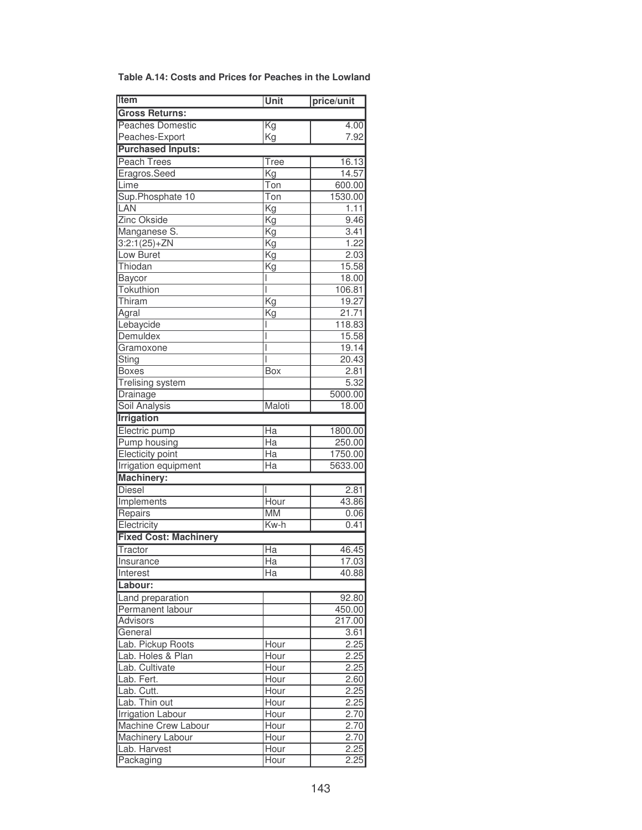| <b>Item</b>                  | Unit                     | price/unit     |
|------------------------------|--------------------------|----------------|
| <b>Gross Returns:</b>        |                          |                |
| <b>Peaches Domestic</b>      | $\overline{\text{Kg}}$   | 4.00           |
| Peaches-Export               | Kg                       | 7.92           |
| <b>Purchased Inputs:</b>     |                          |                |
| <b>Peach Trees</b>           | Tree                     | 16.13          |
| Eragros.Seed                 | <b>Kg</b>                | 14.57          |
| Lime                         | Ton                      | 600.00         |
| Sup.Phosphate 10             | Ton                      | 1530.00        |
| LAN                          | $\overline{\mathrm{Kg}}$ | 1.11           |
| <b>Zinc Okside</b>           | Kg                       | 9.46           |
| Manganese S.                 | Kg                       | 3.41           |
| $3:2:1(25)+ZN$               | Kg                       | 1.22           |
| Low Buret                    | Kg                       | 2.03           |
| Thiodan                      | Kg                       | 15.58          |
| Baycor                       |                          | 18.00          |
| <b>Tokuthion</b>             | I                        | 106.81         |
| Thiram                       | Κg                       | 19.27          |
| Agral                        | Kg                       | 21.71          |
| Lebaycide                    |                          | 118.83         |
| Demuldex                     |                          | 15.58          |
| Gramoxone                    |                          | 19.14          |
| Sting                        | I                        | 20.43          |
| <b>Boxes</b>                 | <b>Box</b>               | 2.81           |
| Trelising system             |                          | 5.32           |
| Drainage                     |                          | 5000.00        |
| <b>Soil Analysis</b>         | Maloti                   | 18.00          |
| <b>Irrigation</b>            |                          |                |
| Electric pump                | Ha                       | 1800.00        |
| <b>Pump housing</b>          | Ha                       | 250.00         |
| Electicity point             | Ha                       | 1750.00        |
| Irrigation equipment         | Ha                       | 5633.00        |
| <b>Machinery:</b>            |                          |                |
| <b>Diesel</b>                | I                        | 2.81           |
| Implements                   | Hour                     | 43.86          |
| Repairs                      | <b>MM</b>                | 0.06           |
| Electricity                  | Kw-h                     | 0.41           |
| <b>Fixed Cost: Machinery</b> |                          |                |
| Tractor                      | Ha                       |                |
|                              | $\overline{Ha}$          | 46.45<br>17.03 |
| Insurance<br>Interest        | Ha                       | 40.88          |
|                              |                          |                |
| Labour:                      |                          |                |
| Land preparation             |                          | 92.80          |
| Permanent labour             |                          | 450.00         |
| Advisors                     |                          | 217.00         |
| General                      |                          | 3.61           |
| Lab. Pickup Roots            | Hour                     | 2.25           |
| Lab. Holes & Plan            | Hour                     | 2.25           |
| Lab. Cultivate               | Hour                     | 2.25           |
| Lab. Fert.                   | Hour                     | 2.60           |
| Lab. Cutt.                   | Hour                     | 2.25           |
| Lab. Thin out                | Hour                     | 2.25           |
| Irrigation Labour            | Hour                     | 2.70           |
| Machine Crew Labour          | Hour                     | 2.70           |
| Machinery Labour             | Hour                     | 2.70           |
| Lab. Harvest                 | Hour                     | 2.25           |
| Packaging                    | Hour                     | 2.25           |

| Table A.14: Costs and Prices for Peaches in the Lowland |  |  |
|---------------------------------------------------------|--|--|
|---------------------------------------------------------|--|--|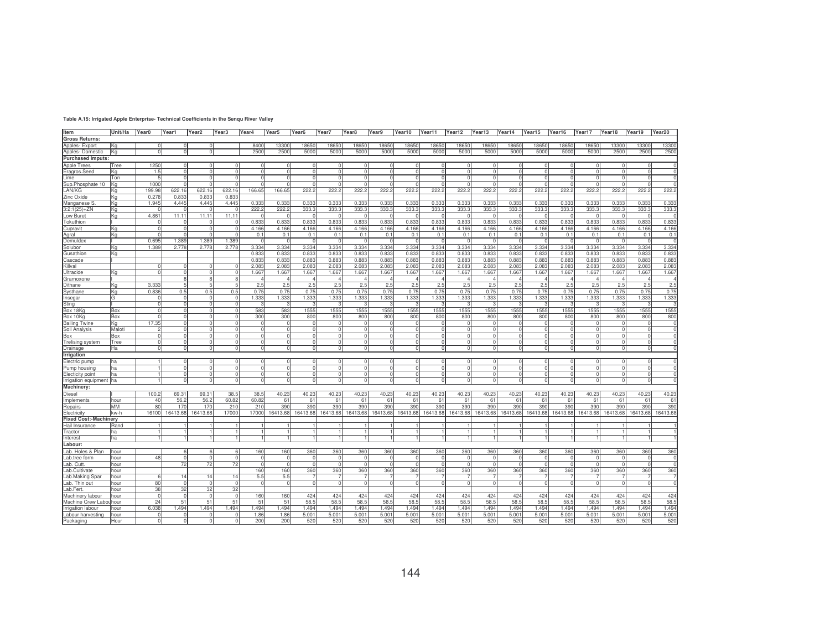| Item                          | Unit/Ha     | Year <sub>0</sub> | Year1                  | Year2                | Year <sub>3</sub> | Year4                    | Year <sub>5</sub> | Year <sub>6</sub> | Year7                | Year <sub>8</sub> | Year9             | Year10               | Year11         | Year12            | Year13        | Year14             | Year15               | Year16            | Year17            | Year18         | Year19   | Year20        |
|-------------------------------|-------------|-------------------|------------------------|----------------------|-------------------|--------------------------|-------------------|-------------------|----------------------|-------------------|-------------------|----------------------|----------------|-------------------|---------------|--------------------|----------------------|-------------------|-------------------|----------------|----------|---------------|
| <b>Gross Returns:</b>         |             |                   |                        |                      |                   |                          |                   |                   |                      |                   |                   |                      |                |                   |               |                    |                      |                   |                   |                |          |               |
| Apples-Export                 | Kg          | ΩI                | $\Omega$               | $\Omega$             |                   | 8400<br>2500             | 13300<br>2500     | 18650             | 18650                | 18650             | 18650<br>5000     | 18650                | 18650          | 18650             | 18650         | 18650              | 18650                | 18650             | 18650             | 13300<br>2500  | 13300    | 13300<br>2500 |
| Apples-Domestic               | Kg          |                   | $\circ$                |                      | $\circ$           |                          |                   | 5000              | 5000                 | 5000              |                   | 5000                 | 5000           | 5000              | 5000          | 5000               | 5000                 | 5000              | 5000              |                | 2500     |               |
| <b>Purchased Imputs:</b>      |             |                   |                        |                      |                   |                          |                   |                   |                      |                   |                   |                      |                |                   |               |                    |                      |                   |                   |                |          |               |
| <b>Apple Trees</b>            | Tree        | 1250<br>1.5       | $^{\circ}$<br>$\Omega$ | $\Omega$             |                   | <sup>n</sup>             |                   | $\Omega$<br>n     | -0                   |                   |                   |                      |                |                   |               | $\Omega$           | $\Omega$<br>$\Omega$ |                   |                   | <sup>n</sup>   |          |               |
| Eragros.Seed<br>Lime          | Κq<br>Ton   | 5                 | $\Omega$               | $\Omega$             |                   | U                        |                   | n                 |                      |                   |                   | $\Omega$             | $\Omega$       |                   |               | $\Omega$           |                      |                   |                   | $\Omega$       |          |               |
| Sup.Phosphate 10              | Ka          | 1000              | $\Omega$               | $\Omega$             |                   |                          |                   | $\Omega$          |                      |                   |                   |                      |                |                   |               | $\Omega$           | $\Omega$             |                   |                   |                |          |               |
| LAN/KG                        | Κq          | 199.98            | 622.16                 | 622.16               | 622.16            | 166.65                   | 166.65            | 222.2             | 222.2                | 222.2             | 222.2             | 222.2                | 222.2          | 222.2             | 222.2         | 222.2              | 222.2                | 222.2             | 222.2             | 222.2          | 222.2    | 222.2         |
| Zinc Oxide                    | Ka          | 0.278             | 0.83                   | 0.83                 | 0.83              |                          |                   |                   |                      |                   |                   |                      |                |                   |               |                    |                      |                   |                   |                |          |               |
| Manganese S                   | Kg          | 1.945             | 4.445                  | 4.445                | 4.445             | 0.333                    | 0.333             | 0.333             | 0.333                | 0.333             | 0.333             | 0.33                 | 0.333          | 0.333             | 0.333         | 0.333              | 0.333                | 0.333             | 0.333             | 0.333          | 0.335    | 0.333         |
| $3:2:1(25)+ZN$                | Kα          |                   |                        |                      |                   | 222.2                    | 222.2             | 333.              | 333.                 | 333.              | 333.              | 333.                 | 333.           | 333.              | 333.          | 333.3              | 333.3                | 333.              | 333.              | 333.           | 333.     | 333.          |
| Low Buret                     | Kg          | 4.861             | 11.11                  | 11.11                | 11.11             |                          |                   |                   |                      |                   |                   |                      |                |                   |               |                    |                      |                   |                   |                |          |               |
| Tokuthion                     |             |                   |                        |                      |                   | 0.833                    | 0.833             | 0.833             | 0.833                | 0.833             | 0.833             | 0.833                | 0.833          | 0.833             | 0.833         | 0.833              | 0.833                | 0.833             | 0.833             | 0.833          | 0.833    | 0.833         |
| Cupravit                      | Ka          |                   | $\Omega$               |                      |                   | 4.166                    | 4.166             | 4.166             | 4.166                | 4.166             | 4.166             | 4.166                | 4.166          | 4.166             | 4.166         | 4.166              | 4.166                | 4.166             | 4.166             | 4.166          | 4.166    | 4.166         |
| Agral                         | Κq          |                   |                        |                      |                   | 0.1                      | 0.1               | 0.1               | 0.1                  | 0.1               | 0.1               | 0.1                  | 0.1            | 0.1               | 0.1           | 0.1                | 0.1                  | 0.1               | 0.1               | 0.1            | 0.1      | 0.1           |
| Demuldex                      |             | 0.695             | 1.389                  | 1.389                | .389              | $\Omega$                 | ſ                 |                   |                      |                   |                   |                      |                |                   | n             |                    | - 0                  |                   |                   |                |          |               |
| Solubor                       | Kα          | 1.389             | 2.778                  | 2.778                | 2.778             | 3.334                    | 3.334             | 3.334             | 3.334                | 3.334             | 3.334             | 3.334                | 3.334          | 3.334             | 3.334         | 3.334              | 3.334                | 3.334             | 3.334             | 3.334          | 3.334    | 3.334         |
| Gusathion                     | Kα          |                   |                        |                      |                   | 0.833                    | 0.833             | 0.833             | 0.83                 | 0.833             | 0.833             | 0.833                | 0.83           | 0.833             | 0.833         | 0.833              | 0.833                | 0.83              | 0.833             | 0.833          | 0.833    | 0.833         |
| Cascade                       |             |                   |                        |                      |                   | 0.833                    | 0.833             | 0.883             | 0.883                | 0.883             | 0.883             | 0.883                | 0.883          | 0.883             | 0.883         | 0.883              | 0.883                | 0.883             | 0.883             | 0.883          | 0.883    | 0.883         |
| Killval                       |             |                   |                        |                      |                   | 2.083                    | 2.083             | 2.083             | 2.083                | 2.083             | 2.083             | 2.08                 | 2.08           | 2.083             | 2.083         | 2.083              | 2.083                | 2.08              | 2.083             | 2.083          | 2.08     | 2.083         |
| Ultracide                     | Кg          |                   | $\Omega$               | $\Omega$             |                   | 1.667                    | 1.667             | 1.667             | 1.667                | 1.667             | 1.667             | 1.667                | 1.667          | 1.667             | 1.667         | 1.667              | 1.667                | 1.667             | 1.667             | 1.667          | 1.667    | 1.667         |
| Gramoxone                     |             |                   | 8                      | 8                    |                   |                          | $\overline{4}$    |                   |                      |                   |                   |                      |                |                   |               | $\overline{4}$     |                      |                   |                   |                |          |               |
| Dithane                       | Kg          | 3.333             | 5                      | $\overline{5}$       |                   | 2.5                      | 2.5               | 2.5               | 2.5                  | 2.5               | 2.5               | 2.5                  | 2.5            | 2.5               | 2.5           | 2.5                | 2.5                  | 2.5               | 2.5               | 2.5            | 2.5      | 2.5           |
| Systhane                      | Kg          | 0.836             | 0.5                    | 0.5                  | 0.5               | 0.75                     | 0.75              | 0.75              | 0.75                 | 0.75              | 0.75              | 0.75                 | 0.75           | 0.75              | 0.75          | 0.75               | 0.75                 | 0.75              | 0.75              | 0.75           | 0.75     | 0.75          |
| Insegar                       | lG.         |                   |                        | $\Omega$             |                   | 1.333                    | 1.333             | 1.333             | 1.333                | 1.333             | 1.333             | 1.333                | 1.333          | 1.333             | 1.333         | 1.333              | 1.333                | 1.333             | 1.333             | 1.333          | 1.333    | 1.333         |
| Sting                         |             |                   |                        | $\Omega$             |                   |                          |                   |                   |                      |                   |                   |                      |                |                   |               |                    |                      |                   |                   |                |          |               |
| Box 18Ko                      | Box         |                   | $\Omega$               | $\Omega$             |                   | 583                      | 583               | 1555              | 1555                 | 1555              | 1555              | 1555                 | 1555           | 1555              | 1555          | 1555               | 1555                 | 1555              | 1555              | 1555           | 1555     | 1555          |
| Box 10Kg                      | Box         |                   | $\cap$                 | $\Omega$             |                   | 300                      | 300               | 800               | 800                  | 800               | 800               | 800                  | 800            | 800               | 800           | 800                | 800                  | 800               | 800               | 800            | 800      | 800           |
| <b>Bailing Twine</b>          | Kg          | 17.35             | $\Omega$               | $\Omega$             |                   | $\Omega$                 |                   | $\mathbf{C}$      |                      |                   |                   |                      |                |                   |               | $\Omega$           |                      |                   |                   | n              |          |               |
| Soil Analysis                 | Maloti      |                   | $\Omega$<br>$\cap$     | $\Omega$<br>$\Omega$ |                   | <sup>n</sup><br>$\Omega$ |                   | n<br>$\Omega$     | $\Omega$             |                   |                   | $\Omega$             | $\Omega$       | $\Omega$          | C<br>$\Omega$ | $\Omega$<br>$\cap$ | $\Omega$<br>$\Omega$ |                   |                   | ΩI             |          |               |
| Box<br>Trelising system       | Box<br>Tree |                   | $\Omega$               | $\Omega$             |                   | $\Omega$                 |                   | $\Omega$          |                      |                   |                   |                      | $\Omega$       |                   |               | $\Omega$           | $\Omega$             |                   |                   | $\Omega$       |          |               |
| Drainage                      | Ha          | ΩI                | $\Omega$               | $\Omega$             |                   | $\Omega$                 |                   | $\Omega$          |                      |                   |                   | $\Omega$             | $\Omega$       |                   | 0             | $\Omega$           |                      |                   |                   | $\Omega$       |          |               |
|                               |             |                   |                        |                      |                   |                          |                   |                   |                      |                   |                   |                      |                |                   |               |                    |                      |                   |                   |                |          |               |
| Irrigation                    |             |                   |                        | $\Omega$             |                   | $\Omega$                 |                   | $\Omega$          |                      |                   |                   | U                    | Ω              |                   | 0             | $\Omega$           | $\Omega$             |                   | $\Omega$          | $\Omega$       |          |               |
| Electric pump<br>Pump housing | ha<br>ha    |                   | $\Omega$               | $\overline{0}$       |                   | $\cap$<br>$\Omega$       |                   | $\Omega$          | $\Omega$<br>$\cap$   |                   |                   | $\Omega$<br>$\Omega$ | $\Omega$       | $\Omega$          | $\Omega$      | $\Omega$           | $\Omega$             |                   | $\cap$            | $\Omega$       |          |               |
| Electicity point              | ha          |                   | $\mathbf 0$            | $\circ$              |                   | $\cap$<br>$\circ$        |                   | $\circ$           | $\Omega$<br>$\Omega$ | C                 |                   | $\circ$<br>ΩI        | $\circ$        | $\Omega$          | $\Omega$      | $\circ$            | $\overline{0}$       |                   | $\Omega$          | $\circ$        | $\Omega$ |               |
| Irrigation equipment          | lha         |                   | $\Omega$               | $\Omega$             |                   | $\Omega$                 |                   | $\Omega$          |                      |                   |                   | $\Omega$             | $\Omega$       |                   | $\Omega$      | $\Omega$           | $\Omega$             |                   |                   | $\Omega$       |          |               |
| Machinery:                    |             |                   |                        |                      |                   |                          |                   |                   |                      |                   |                   |                      |                |                   |               |                    |                      |                   |                   |                |          |               |
| Diesel                        |             | 100.2             | 69.31                  | 69.31                | 38.5              | 38.5                     | 40.23             | 40.23             | 40.23                | 40.23             | 40.23             | 40.23                | 40.23          | 40.23             | 40.23         | 40.23              | 40.23                | 40.23             | 40.23             | 40.23          | 40.23    | 40.23         |
| Implements                    | hour        | 40                | 56.2                   | 56.2                 | 60.82             | 60.82                    | 61                | 61                | 61                   | $6^{\circ}$       | 61                | 61                   | 61             | 61                | 61            | 61                 | 61                   | 61                | 61                | 61             | 61       | 61            |
| Repairs                       | MM          | 80                | 170                    | 170                  | 210               | 210                      | 390               | 390               | 390                  | 390               | 390               | 390                  | 390            | 390               | 390           | 390                | 390                  | 390               | 390               | 390            | 390      | 390           |
| Electricity                   | kw-h        | 16100             | 16413.68               | 16413.68             | 17000             | 17000                    | 16413.68          | 16413.68          | 16413.68             | 16413.68          | 16413.68          | 16413.68             | 16413.68       | 16413.68          | 16413.68      | 16413.68           | 16413.68             | 16413.68          | 16413.68          | 16413.68       | 16413.68 | 16413.68      |
| <b>Fixed Cost:-Machinery</b>  |             |                   |                        |                      |                   |                          |                   |                   |                      |                   |                   |                      |                |                   |               |                    |                      |                   |                   |                |          |               |
| Hail Insurance                | Rand        |                   |                        |                      |                   |                          |                   |                   |                      |                   |                   |                      |                |                   |               |                    |                      |                   |                   |                |          |               |
| Tractor                       | ha          |                   |                        |                      |                   | $\mathbf{1}$             |                   | 1                 |                      |                   |                   |                      |                |                   |               |                    |                      |                   |                   |                |          |               |
| Interest                      | ha          |                   |                        |                      |                   |                          |                   |                   |                      |                   |                   |                      |                |                   |               |                    |                      |                   |                   |                |          |               |
| Labour:                       |             |                   |                        |                      |                   |                          |                   |                   |                      |                   |                   |                      |                |                   |               |                    |                      |                   |                   |                |          |               |
| Lab. Holes & Plan             | hour        |                   | 6                      | 6                    |                   | 160                      | 160               | 360               | 360                  | 360               | 360               | 360                  | 360            | 360               | 360           | 360                | 360                  | 360               | 360               | 360            | 360      | 360           |
| Lab.tree form                 | hour        | 48                | $\Omega$               | $\Omega$             |                   | $\Omega$                 |                   | $\Omega$          | $\Omega$<br>c        |                   |                   |                      | C              |                   | $\Omega$      | $\Omega$           | $\cap$               |                   | $\cap$            | n              |          |               |
| Lab. Cutt.                    | hour        |                   | 72                     | 72                   | 72                | ΩI                       |                   | $\Omega$          | $\Omega$<br>$\Omega$ | $\Omega$          | $\Omega$          | $\Omega$             | $\Omega$       | $\Omega$          | - Ol          | $\Omega$           | $\Omega$             |                   | $\Omega$          | $\Omega$       |          | $\sqrt{ }$    |
| Lab.Cultivate                 | hour        |                   |                        |                      |                   | 160                      | 160               | 360               | 360                  | 360               | 360               | 360                  | 360            | 360               | 360           | 360                | 360                  | 360               | 360               | 360            | 360      | 360           |
| Lab.Making Spar               | hour        |                   | 14                     | 14                   | 14                | 5.5                      | 5.5               |                   |                      |                   |                   |                      |                |                   |               |                    |                      |                   |                   |                |          |               |
| Lab. Thin out                 | hour        | 80                | $\cap$                 | $\Omega$             |                   | $\Omega$                 |                   | $\Omega$          |                      |                   | $\Omega$          |                      | $\Omega$       | $\Omega$          | - Ol          | $\Omega$           | $\Omega$             |                   |                   | $\Omega$       |          |               |
| Lab.Fert                      | hour        | 38                | 32                     | 32                   | 32                |                          |                   |                   |                      |                   |                   |                      |                |                   |               |                    |                      |                   |                   |                |          |               |
| Machinery labour              | hour        |                   | $\Omega$               | $\Omega$             |                   | 160                      | 160               | 424               | 424                  | 424               | 424               | 424                  | 424            | 424               | 424           | 424                | 424                  | 424               | 424               | 424            | 424      | 424           |
| Machine Crew Labo             | hour        | 24                | 51                     | 51                   | 51                | 51                       | 51                | 58.5              | 58.5                 | 58.               | 58.5              | 58.                  | 58.5           | 58.5              | 58.5          | 58.5               | 58.5                 | 58.               | 58.5              | 58.5           | 58.      | 58.5          |
| Irrigation labour             | hour        | 6.038             | 1.494                  | 1.494                | 1.494             | 1.494                    | 1.494             | 1.494             | 1.494                | 1.494             | 1.494             | 1.494                | 1.494          | 1.494             | 1.494         | 1.494              | 1.494                | 1.494             | 1.494             | 1.494          | 1.494    | 1.494         |
| Labour harvesting             | hour        |                   |                        |                      |                   | 1.86                     | 1.86              | 5.00              | 5.00 <sup>1</sup>    | 5.00              | 5.00 <sup>1</sup> | 5.00 <sup>1</sup>    | $5.00^{\circ}$ | 5.00 <sup>1</sup> | 5.001         | 5.001              | 5.00                 | 5.00 <sup>°</sup> | 5.00 <sup>1</sup> | $5.00^{\circ}$ | 5.00     | 5.001         |
| Packaging                     | Hour        |                   |                        |                      |                   | 200                      | 200               | 520               | 520                  | 520               | 520               | 520                  | 520            | 520               | 520           | 520                | 520                  | 520               | 520               | 520            | 520      | 520           |

**Table A.15: Irrigated Apple Enterprise- Technical Coefficients in the Senqu River Valley**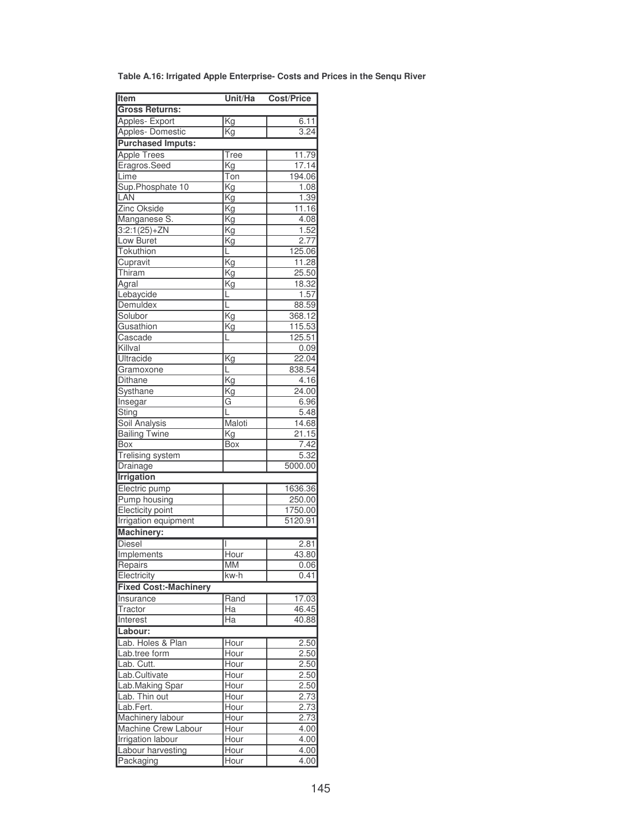| Table A.16: Irrigated Apple Enterprise- Costs and Prices in the Senqu River |  |  |
|-----------------------------------------------------------------------------|--|--|
|                                                                             |  |  |

| Item                          | Unit/Ha                  | <b>Cost/Price</b> |
|-------------------------------|--------------------------|-------------------|
| <b>Gross Returns:</b>         |                          |                   |
| Apples- Export                | <b>Kg</b>                | 6.11              |
| Apples-Domestic               | Kg                       | 3.24              |
| <b>Purchased Imputs:</b>      |                          |                   |
| <b>Apple Trees</b>            | Tree                     | 11.79             |
| Eragros.Seed                  | <u>Kg</u>                | 17.14             |
| Lime                          | Ton                      | 194.06            |
| Sup.Phosphate 10              | Kg                       | 1.08              |
| LAN                           | Kg                       | 1.39              |
| <b>Zinc Okside</b>            | Kg                       | 11.16             |
| Manganese S.                  | $\overline{\mathsf{Kg}}$ | 4.08              |
| $3:2:1(25)+ZN$                | Kg                       | 1.52              |
| Low Buret                     | <u>Kg</u>                | 2.77              |
| Tokuthion                     | L                        | 125.06            |
| Cupravit                      | Kg                       | 11.28             |
| Thiram                        | Κg                       | 25.50             |
| Agral                         | $\overline{\mathrm{Kg}}$ | 18.32             |
| Lebaycide                     | ī.                       | 1.57              |
| Demuldex                      | L                        | 88.59             |
| Solubor                       | $\overline{\text{Kg}}$   | 368.12            |
| Gusathion                     | Kg                       | 115.53            |
| Cascade                       | L                        | 125.51            |
| Killval                       |                          | 0.09              |
| Ultracide                     | Kg                       | 22.04             |
| Gramoxone                     | Ē                        | 838.54            |
| <b>Dithane</b>                | Kg                       | 4.16              |
| Systhane                      | Kg                       | 24.00             |
| <b>Insegar</b>                | G                        | 6.96              |
| Sting                         | L                        | 5.48              |
| <b>Soil Analysis</b>          | Maloti                   | 14.68             |
| <b>Bailing Twine</b>          | Kg                       | 21.15             |
| Box                           | <b>Box</b>               | 7.42              |
| <b>Trelising system</b>       |                          | 5.32              |
| Drainage                      |                          | 5000.00           |
| <b>Irrigation</b>             |                          |                   |
| Electric pump                 |                          | 1636.36           |
| Pump housing                  |                          | 250.00            |
| Electicity point              |                          | 1750.00           |
| <b>Irrigation equipment</b>   |                          | 5120.91           |
| <b>Machinery:</b>             |                          |                   |
| <b>Diesel</b>                 |                          | 2.81              |
| Implements                    | Hour                     | 43.80             |
| Repairs                       | MM                       | 0.06              |
| Electricity                   | kw-h                     | 0.41              |
| <b>Fixed Cost:-Machinery</b>  |                          |                   |
| Insurance                     | Rand                     | 17.03             |
| Tractor                       | Ha                       | 46.45             |
| Interest                      | Ha                       | 40.88             |
| Labour:                       |                          |                   |
| Lab. Holes & Plan             | Hour                     |                   |
| Lab.tree form                 |                          | 2.50<br>2.50      |
| Lab. Cutt.                    | Hour<br>Hour             |                   |
| Lab.Cultivate                 | Hour                     | 2.50              |
| Lab.Making Spar               | Hour                     | 2.50<br>2.50      |
| Lab. Thin out                 |                          |                   |
|                               | Hour                     | 2.73              |
| Lab.Fert.<br>Machinery labour | <b>Hour</b><br>Hour      | 2.73<br>2.73      |
| Machine Crew Labour           | Hour                     | 4.00              |
| Irrigation labour             | Hour                     | 4.00              |
| Labour harvesting             | Hour                     | 4.00              |
| Packaging                     | Hour                     | 4.00              |
|                               |                          |                   |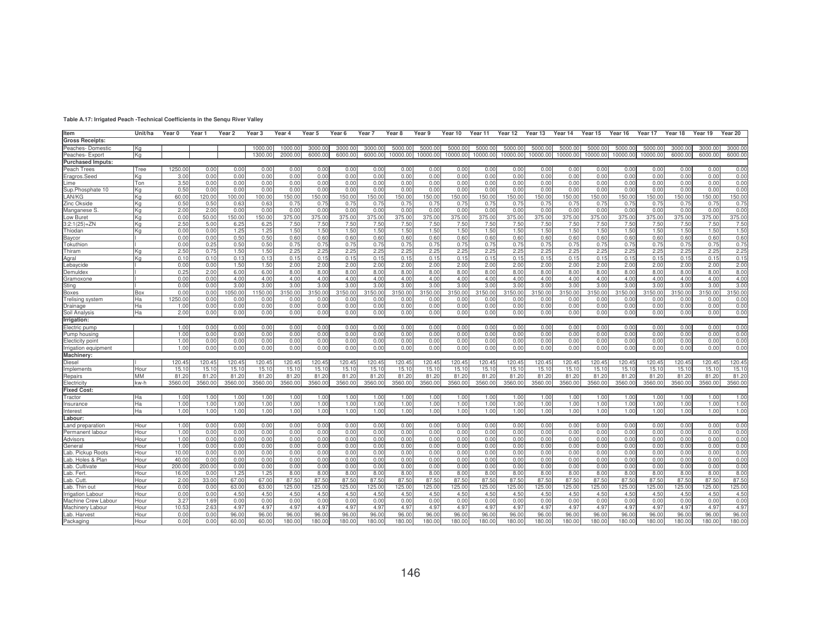| Unit/ha<br>Year <sub>7</sub><br>Year 20<br>Item<br>Year 0<br>Year 1<br>Year 2<br>Year 3<br>Year 4<br>Year 5<br>Year 6<br>Year <sub>8</sub><br>Year 9<br>Year 10<br>Year 11<br>Year 12<br>Year 13<br>Year 14<br>Year 15<br>Year 16<br>Year 17<br>Year 18<br>Year 19<br><b>Gross Receipts:</b><br>5000.00<br>5000.<br>3000.00<br>1000.00<br>1000.00<br>3000.00<br>3000.00<br>3000.00<br>5000.00<br>5000.00<br>5000.00<br>5000.00<br>5000.00<br>5000.0<br>5000.0<br>5000.00<br>3000.00<br>3000.00<br>Peaches-Domestic<br>Kg<br>Peaches- Expor<br>1300.0<br>2000.00<br>6000.00<br>6000.00<br>6000.00<br>6000.00<br>10000.00<br>10000.00<br>10000.00<br>10000.00<br>10000.0<br>10000.00<br>10000.0<br>10000.00<br>10000.00<br>10000.0<br>6000.00<br>6000.00<br>Kg<br><b>Purchased Imputs:</b><br>Peach Trees<br>1250.00<br>0.00<br>0.00<br>0.00<br>0.00<br>0.00<br>0.00<br>0.00<br>0.00<br>0.00<br>0.00<br>0.00<br>0.00<br>0.00<br>0.00<br>0.00<br>0.00<br>0.00<br>0.00<br>0.00<br>Tree<br>0.00<br>Eragros.Seed<br>0.00<br>3.00<br>0.00<br>0.00<br>0.00<br>0.00<br>0.00<br>0.00<br>0.00<br>0.00<br>0.00<br>0.00<br>Κa<br>0.00<br>0.00<br>0.00<br>0.00<br>0.00<br>0.00<br>0.00<br>0.00<br>0.00<br>0.00<br>3.5C<br>0.00<br>0.00<br>0.00<br>0.00<br>0.00<br>0.00<br>0.00<br>0.00<br>0.00<br>0.00<br>0.00<br>0.00<br>Lime<br>Ton<br>0.00<br>0.00<br>0.00<br>0.00<br>0.00<br>0.00<br>0.00<br>Sup.Phosphate 10<br>0.50<br>0.00<br>0.00<br>0.00<br>0.00<br>0.00<br>0.00<br>0.00<br>0.00<br>0.00<br>0.00<br>0.00<br>0.00<br>0.00<br>0.00<br>0.00<br>0.00<br>0.00<br>0.00<br>0.00<br>0.00<br>Κa<br>LAN/KG<br>60.00<br>00.00<br>150.00<br>150.00<br>150.00<br>150.00<br>150.00<br>150.00<br>Ka<br>120.00<br>100.00<br>50.00<br>150.00<br>150.00<br>150.00<br>150.00<br>150.00<br>150.00<br>150.00<br>150.00<br>150.00<br>50.00<br>Zinc Okside<br>0.50<br>0.50<br>0.75<br>0.75<br>0.75<br>0.75<br>Kg<br>0.63<br>0.63<br>0.75<br>0.75<br>0.75<br>0.75<br>0.75<br>0.75<br>0.75<br>0.75<br>0.75<br>0.75<br>0.75<br>0.75<br>0.75<br>2.00<br>2.00<br>0.00<br>0.00<br>0.00<br>0.00<br>0.00<br>0.00<br>0.00<br>0.00<br>0.00<br>0.00<br>0.0<br>0.00<br>0.00<br>0.00<br>0.00<br>0.00<br>Manganese S.<br>Kg<br>0.00<br>0.00<br>0.00<br>375.00<br>375.00<br>Low Buret<br>Kg<br>0.00<br>50.00<br>50.00<br>150.00<br>375.00<br>375.00<br>375.00<br>375.00<br>375.00<br>375.00<br>375.00<br>375.00<br>375.00<br>375.00<br>375.00<br>375.00<br>375.00<br>375.00<br>375.00<br>2.5C<br>7.50<br>$3:2:1(25)+ZN$<br>Kg<br>5.00<br>6.25<br>6.25<br>7.50<br>7.50<br>7.50<br>7.50<br>7.50<br>7.50<br>7.5 <sub>0</sub><br>7.50<br>7.5 <sub>0</sub><br>7.50<br>7.50<br>7.50<br>7.50<br>7.5 <sub>0</sub><br>7.50<br>7.50<br>1.50<br>0.00<br>1.25<br>1.25<br>1.50<br>1.50<br>1.50<br>1.50<br>1.50<br>1.50<br>1.50<br>1.50<br>1.50<br>1.50<br>1.50<br>1.50<br>1.50<br>1.50<br>1.50<br>1.50<br>Thiodan<br>Κa<br>0.00<br>0.00<br>0.50<br>0.50<br>0.60<br>0.60<br>0.60<br>0.60<br>Baycor<br>0.00<br>0.60<br>0.60<br>0.60<br>0.60<br>0.60<br>0.60<br>0.60<br>0.60<br>0.60<br>0.60<br>0.60<br>0.60<br>0.60<br>0.75<br>0.00<br>0.50<br>Tokuthior<br>0.25<br>0.50<br>0.75<br>0.75<br>0.75<br>0.75<br>0.75<br>0.75<br>0.75<br>0.75<br>0.75<br>0.75<br>0.75<br>0.75<br>0.75<br>0.75<br>0.75<br>0.75<br>2.50<br>2.25<br>Thiram<br>1.50<br>2.25<br>2.25<br>2.25<br>2.25<br>2.25<br>2.25<br>2.25<br>2.25<br>2.25<br>2.25<br>2.25<br>2.25<br>2.25<br>2.25<br>2.25<br>2.25<br>0.75<br>1.50<br>Κa<br>0.15<br>0.13<br>0.15<br>Agral<br>Κa<br>0.10<br>0.10<br>0.13<br>0.15<br>0.15<br>0.15<br>0.15<br>0.15<br>0.15<br>0.15<br>0.15<br>0.15<br>0.15<br>0.15<br>0.15<br>0.15<br>0.15<br>0.15<br>2.00<br>0.00<br>1.50<br>1.50<br>2.00<br>2.00<br>2.00<br>2.00<br>2.00<br>2.00<br>2.00<br>2.00<br>2.00<br>2.00<br>2.00<br>2.00<br>2.00<br>2.00<br>2.00<br>2.00<br>Lebaycide<br>0.00<br>8.00<br>0.25<br>2.00<br>6.00<br>6.00<br>8.00<br>8.00<br>8.00<br>8.00<br>8.00<br>8.00<br>8.00<br>8.00<br>8.00<br>8.00<br>8.00<br>8.00<br>8.00<br>8.00<br>8.00<br>Demuldex<br>8.00<br>4.00<br>4.00<br>4.00<br>4.00<br>4.00<br>4.00<br>4.00<br>4.00<br>4.00<br>4.00<br>4.00<br>4.00<br>Gramoxone<br>0.00<br>0.00<br>4.00<br>4.00<br>4.00<br>4.00<br>4.00<br>4.00<br>4.00<br>3.00<br>Sting<br>0.00<br>0.00<br>3.00<br>3.00<br>3.00<br>3.00<br>3.00<br>3.00<br>3.00<br>3.00<br>3.00<br>3.00<br>3.00<br>3.00<br>3.00<br>3.00<br>3.00<br>3.00<br>3.00<br>3.00<br>0.00<br>050.00<br>1150.00<br>3150.00<br>3150.00<br>3150.00<br>3150.00<br>3150.00<br>3150.00<br>3150.00<br>150.00<br>150.00<br>3150.00<br>3150.00<br>3150.00<br>3150.00<br>3150.00<br>150.00<br>3150.00<br>Boxes<br>Box<br>0.00<br>3150.00<br>Trelising system<br>Ha<br>1250.00<br>0.00<br>0.00<br>0.00<br>0.00<br>0.00<br>0.00<br>0.00<br>0.00<br>0.00<br>0.00<br>0.00<br>0.00<br>0.00<br>0.00<br>0.00<br>0.00<br>0.00<br>0.00<br>0.00<br>0.00<br>0.00<br>0.00<br>0.00<br>Drainage<br>Ha<br>0.00<br>0.00<br>0.00<br>0.00<br>0.00<br>0.00<br>0.00<br>0.00<br>0.00<br>0.00<br>0.00<br>0.00<br>0.00<br>0.00<br>0.00<br>0.00<br>1.00<br>0.00<br>2.00<br>0.00<br>Soil Analysis<br>0.00<br>0.00<br>0.00<br>0.00<br>0.00<br>0.00<br>0.00<br>0.00<br>0.00<br>0.00<br>0.00<br>0.00<br>0.00<br>0.00<br>0.00<br>0.00<br>0.00<br>0.00<br>0.00<br>Ha<br>Irrigation:<br>Electric pump<br>1.00<br>0.00<br>0.00<br>0.00<br>0.00<br>0.00<br>0.00<br>0.00<br>0.00<br>0.00<br>0.00<br>0.00<br>0.00<br>0.00<br>0.00<br>0.00<br>0.00<br>0.00<br>0.00<br>0.00<br>0.00<br>1.00<br>0.00<br>Pump housing<br>0.00<br>0.00<br>0.00<br>0.00<br>0.00<br>0.00<br>0.00<br>0.00<br>0.00<br>0.00<br>0.00<br>0.00<br>0.00<br>0.00<br>0.00<br>0.00<br>0.00<br>0.00<br>0.00<br>0.00<br>Electicity point<br>1.00<br>0.00<br>0.00<br>0.00<br>0.00<br>0.00<br>0.00<br>0.00<br>0.00<br>0.00<br>0.00<br>0.00<br>0.00<br>0.00<br>0.00<br>0.00<br>0.00<br>0.00<br>0.00<br>0.00<br>0.00<br>1.00<br>0.00<br>0.00<br>0.00<br>0.00<br>Irrigation equipment<br>0.00<br>0.00<br>0.00<br>0.00<br>0.00<br>0.00<br>0.00<br>0.00<br>0.00<br>0.00<br>0.00<br>0.00<br>0.00<br>0.00<br>0.00<br><b>Machinery:</b><br>120.45<br>Diesel<br>120.45<br>120.45<br>120.45<br>120.45<br>120.45<br>120.45<br>120.45<br>120.45<br>120.45<br>120.45<br>120.45<br>120.45<br>120.45<br>120.45<br>120.45<br>120.45<br>120.45<br>120.45<br>120.45<br>120.45<br>15.10<br>15.10<br>15.10<br>Implements<br>Hour<br>15.1<br>15.10<br>15.10<br>15.10<br>15.10<br>15.10<br>15.10<br>15.10<br>15.10<br>15.10<br>15.1<br>15.1<br>15.10<br>15.10<br>15.10<br>15.10<br>15.10<br>15.10<br><b>MM</b><br>81.20<br>81.20<br>81.20<br>81.20<br>81.20<br>81.20<br>81.20<br>81.20<br>81.20<br>81.20<br>81.20<br>81.20<br>81.20<br>81.20<br>81.20<br>81.20<br>81.20<br>81.20<br>81.20<br>81.20<br>81.20<br>Repairs<br>Electricity<br>3560.00<br>3560.00<br>3560.00<br>kw-h<br>3560.00<br>3560.00<br>3560.00<br>3560.00<br>3560.00<br>3560.00<br>3560.00<br>3560.00<br>3560.00<br>3560.00<br>3560.00<br>3560.00<br>3560.00<br>3560.00<br>3560.00<br>3560.00<br>3560.00<br>3560.00<br><b>Fixed Cost</b><br>Ha<br>1.00<br>1.00<br>1.00<br>1.00<br>1.00<br>1.00<br>1.00<br>1.00<br>1.00<br>1.00<br>1.00<br>Tractor<br>1.00<br>1.00<br>1.00<br>1.00<br>1.00<br>1.00<br>1.00<br>1.00<br>1.00<br>1.00<br>1.00<br>1.00<br>1.00<br>Ha<br>1.00<br>1.00<br>1.00<br>1.00<br>1.00<br>1.00<br>1.00<br>1.00<br>1.00<br>1.00<br>1.00<br>1.00<br>1.00<br>1.00<br>1.00<br>1.00<br>1.00<br>1.00<br>Insurance<br>1.00<br>1.00<br>1.00<br>1.00<br>1.00<br>1.00<br>1.00<br>1.00<br>Ha<br>1.00<br>1.00<br>1.00<br>1.00<br>1.00<br>1.00<br>1.00<br>1.00<br>1.00<br>1.00<br>1.00<br>1.00<br>1.00<br>Interest<br>Labour:<br>1.00<br>0.00<br>0.00<br>0.00<br>0.00<br>0.00<br>Land preparation<br>Hour<br>0.00<br>0.00<br>0.00<br>0.00<br>0.00<br>0.00<br>0.00<br>0.00<br>0.00<br>0.00<br>0.00<br>0.00<br>0.00<br>0.00<br>0.00<br>0.00<br>Permanent labour<br>Hour<br>1.00<br>0.00<br>0.00<br>0.00<br>0.00<br>0.00<br>0.00<br>0.00<br>0.00<br>0.00<br>0.00<br>0.00<br>0.00<br>0.00<br>0.00<br>0.00<br>0.00<br>0.00<br>0.00<br>0.00<br>0.00<br>Advisors<br>Hour<br>1.00<br>0.00<br>0.00<br>0.00<br>0.00<br>0.00<br>0.00<br>0.00<br>0.00<br>0.00<br>0.00<br>0.00<br>0.00<br>0.00<br>0.00<br>0.00<br>0.00<br>0.00<br>0.00<br>0.00<br>1.00<br>0.00<br>0.00<br>0.00<br>0.00<br>0.00<br>General<br>Hour<br>0.00<br>0.00<br>0.00<br>0.00<br>0.00<br>0.00<br>0.00<br>0.00<br>0.00<br>0.00<br>0.00<br>0.00<br>0.00<br>0.00<br>0.00<br>10.00<br>0.00<br>Lab. Pickup Roots<br>Hour<br>0.00<br>0.00<br>0.00<br>0.00<br>0.00<br>0.00<br>0.00<br>0.00<br>0.00<br>0.00<br>0.00<br>0.00<br>0.00<br>0.00<br>0.00<br>0.00<br>0.00<br>0.00<br>0.00<br>Hour<br>40.00<br>0.00<br>0.00<br>0.00<br>0.00<br>0.00<br>0.00<br>0.00<br>0.00<br>0.00<br>0.00<br>0.00<br>0.00<br>0.00<br>0.00<br>0.00<br>0.00<br>0.00<br>0.00<br>0.00<br>Lab. Holes & Plan<br>0.00<br>200.00<br>200.00<br>0.00<br>0.00<br>0.00<br>0.00<br>0.00<br>Hour<br>0.00<br>0.00<br>0.00<br>0.00<br>0.00<br>0.00<br>0.00<br>0.00<br>0.00<br>0.00<br>0.00<br>0.00<br>0.00<br>0.00<br>Lab. Cultivate |
|--------------------------------------------------------------------------------------------------------------------------------------------------------------------------------------------------------------------------------------------------------------------------------------------------------------------------------------------------------------------------------------------------------------------------------------------------------------------------------------------------------------------------------------------------------------------------------------------------------------------------------------------------------------------------------------------------------------------------------------------------------------------------------------------------------------------------------------------------------------------------------------------------------------------------------------------------------------------------------------------------------------------------------------------------------------------------------------------------------------------------------------------------------------------------------------------------------------------------------------------------------------------------------------------------------------------------------------------------------------------------------------------------------------------------------------------------------------------------------------------------------------------------------------------------------------------------------------------------------------------------------------------------------------------------------------------------------------------------------------------------------------------------------------------------------------------------------------------------------------------------------------------------------------------------------------------------------------------------------------------------------------------------------------------------------------------------------------------------------------------------------------------------------------------------------------------------------------------------------------------------------------------------------------------------------------------------------------------------------------------------------------------------------------------------------------------------------------------------------------------------------------------------------------------------------------------------------------------------------------------------------------------------------------------------------------------------------------------------------------------------------------------------------------------------------------------------------------------------------------------------------------------------------------------------------------------------------------------------------------------------------------------------------------------------------------------------------------------------------------------------------------------------------------------------------------------------------------------------------------------------------------------------------------------------------------------------------------------------------------------------------------------------------------------------------------------------------------------------------------------------------------------------------------------------------------------------------------------------------------------------------------------------------------------------------------------------------------------------------------------------------------------------------------------------------------------------------------------------------------------------------------------------------------------------------------------------------------------------------------------------------------------------------------------------------------------------------------------------------------------------------------------------------------------------------------------------------------------------------------------------------------------------------------------------------------------------------------------------------------------------------------------------------------------------------------------------------------------------------------------------------------------------------------------------------------------------------------------------------------------------------------------------------------------------------------------------------------------------------------------------------------------------------------------------------------------------------------------------------------------------------------------------------------------------------------------------------------------------------------------------------------------------------------------------------------------------------------------------------------------------------------------------------------------------------------------------------------------------------------------------------------------------------------------------------------------------------------------------------------------------------------------------------------------------------------------------------------------------------------------------------------------------------------------------------------------------------------------------------------------------------------------------------------------------------------------------------------------------------------------------------------------------------------------------------------------------------------------------------------------------------------------------------------------------------------------------------------------------------------------------------------------------------------------------------------------------------------------------------------------------------------------------------------------------------------------------------------------------------------------------------------------------------------------------------------------------------------------------------------------------------------------------------------------------------------------------------------------------------------------------------------------------------------------------------------------------------------------------------------------------------------------------------------------------------------------------------------------------------------------------------------------------------------------------------------------------------------------------------------------------------------------------------------------------------------------------------------------------------------------------------------------------------------------------------------------------------------------------------------------------------------------------------------------------------------------------------------------------------------------------------------------------------------------------------------------------------------------------------------------------------------------------------------------------------------------------------------------------------------------------------------------------------------------------------------------------------------------------------------------------------------------------------------------------------------------------------------------------------------------------------------------------------------------------------------------------------------------------------------------------------------------------------------------------------------------------------------------------------------------------------------------------------------------------------------------------------------------------------------------------------------------------------------------------------------------------------------------------------------------------------------------------------------------------------------------------------------------------------------------------------------------------------------------------------------------------------------------------------------------------------------------------------------------------------------------------------------------------------------------------------------------------------------------------------------------------------------------------------------------------------------------------------------------------------------------------------------------------------------------------------------------------------------------------------------------------------------------------------------------------------|
|                                                                                                                                                                                                                                                                                                                                                                                                                                                                                                                                                                                                                                                                                                                                                                                                                                                                                                                                                                                                                                                                                                                                                                                                                                                                                                                                                                                                                                                                                                                                                                                                                                                                                                                                                                                                                                                                                                                                                                                                                                                                                                                                                                                                                                                                                                                                                                                                                                                                                                                                                                                                                                                                                                                                                                                                                                                                                                                                                                                                                                                                                                                                                                                                                                                                                                                                                                                                                                                                                                                                                                                                                                                                                                                                                                                                                                                                                                                                                                                                                                                                                                                                                                                                                                                                                                                                                                                                                                                                                                                                                                                                                                                                                                                                                                                                                                                                                                                                                                                                                                                                                                                                                                                                                                                                                                                                                                                                                                                                                                                                                                                                                                                                                                                                                                                                                                                                                                                                                                                                                                                                                                                                                                                                                                                                                                                                                                                                                                                                                                                                                                                                                                                                                                                                                                                                                                                                                                                                                                                                                                                                                                                                                                                                                                                                                                                                                                                                                                                                                                                                                                                                                                                                                                                                                                                                                                                                                                                                                                                                                                                                                                                                                                                                                                                                                                                                                                                                                                                                                                                                                                                                                                                                                                                                                                                                                                                                                                                                                                                                        |
|                                                                                                                                                                                                                                                                                                                                                                                                                                                                                                                                                                                                                                                                                                                                                                                                                                                                                                                                                                                                                                                                                                                                                                                                                                                                                                                                                                                                                                                                                                                                                                                                                                                                                                                                                                                                                                                                                                                                                                                                                                                                                                                                                                                                                                                                                                                                                                                                                                                                                                                                                                                                                                                                                                                                                                                                                                                                                                                                                                                                                                                                                                                                                                                                                                                                                                                                                                                                                                                                                                                                                                                                                                                                                                                                                                                                                                                                                                                                                                                                                                                                                                                                                                                                                                                                                                                                                                                                                                                                                                                                                                                                                                                                                                                                                                                                                                                                                                                                                                                                                                                                                                                                                                                                                                                                                                                                                                                                                                                                                                                                                                                                                                                                                                                                                                                                                                                                                                                                                                                                                                                                                                                                                                                                                                                                                                                                                                                                                                                                                                                                                                                                                                                                                                                                                                                                                                                                                                                                                                                                                                                                                                                                                                                                                                                                                                                                                                                                                                                                                                                                                                                                                                                                                                                                                                                                                                                                                                                                                                                                                                                                                                                                                                                                                                                                                                                                                                                                                                                                                                                                                                                                                                                                                                                                                                                                                                                                                                                                                                                                        |
|                                                                                                                                                                                                                                                                                                                                                                                                                                                                                                                                                                                                                                                                                                                                                                                                                                                                                                                                                                                                                                                                                                                                                                                                                                                                                                                                                                                                                                                                                                                                                                                                                                                                                                                                                                                                                                                                                                                                                                                                                                                                                                                                                                                                                                                                                                                                                                                                                                                                                                                                                                                                                                                                                                                                                                                                                                                                                                                                                                                                                                                                                                                                                                                                                                                                                                                                                                                                                                                                                                                                                                                                                                                                                                                                                                                                                                                                                                                                                                                                                                                                                                                                                                                                                                                                                                                                                                                                                                                                                                                                                                                                                                                                                                                                                                                                                                                                                                                                                                                                                                                                                                                                                                                                                                                                                                                                                                                                                                                                                                                                                                                                                                                                                                                                                                                                                                                                                                                                                                                                                                                                                                                                                                                                                                                                                                                                                                                                                                                                                                                                                                                                                                                                                                                                                                                                                                                                                                                                                                                                                                                                                                                                                                                                                                                                                                                                                                                                                                                                                                                                                                                                                                                                                                                                                                                                                                                                                                                                                                                                                                                                                                                                                                                                                                                                                                                                                                                                                                                                                                                                                                                                                                                                                                                                                                                                                                                                                                                                                                                                        |
|                                                                                                                                                                                                                                                                                                                                                                                                                                                                                                                                                                                                                                                                                                                                                                                                                                                                                                                                                                                                                                                                                                                                                                                                                                                                                                                                                                                                                                                                                                                                                                                                                                                                                                                                                                                                                                                                                                                                                                                                                                                                                                                                                                                                                                                                                                                                                                                                                                                                                                                                                                                                                                                                                                                                                                                                                                                                                                                                                                                                                                                                                                                                                                                                                                                                                                                                                                                                                                                                                                                                                                                                                                                                                                                                                                                                                                                                                                                                                                                                                                                                                                                                                                                                                                                                                                                                                                                                                                                                                                                                                                                                                                                                                                                                                                                                                                                                                                                                                                                                                                                                                                                                                                                                                                                                                                                                                                                                                                                                                                                                                                                                                                                                                                                                                                                                                                                                                                                                                                                                                                                                                                                                                                                                                                                                                                                                                                                                                                                                                                                                                                                                                                                                                                                                                                                                                                                                                                                                                                                                                                                                                                                                                                                                                                                                                                                                                                                                                                                                                                                                                                                                                                                                                                                                                                                                                                                                                                                                                                                                                                                                                                                                                                                                                                                                                                                                                                                                                                                                                                                                                                                                                                                                                                                                                                                                                                                                                                                                                                                                        |
|                                                                                                                                                                                                                                                                                                                                                                                                                                                                                                                                                                                                                                                                                                                                                                                                                                                                                                                                                                                                                                                                                                                                                                                                                                                                                                                                                                                                                                                                                                                                                                                                                                                                                                                                                                                                                                                                                                                                                                                                                                                                                                                                                                                                                                                                                                                                                                                                                                                                                                                                                                                                                                                                                                                                                                                                                                                                                                                                                                                                                                                                                                                                                                                                                                                                                                                                                                                                                                                                                                                                                                                                                                                                                                                                                                                                                                                                                                                                                                                                                                                                                                                                                                                                                                                                                                                                                                                                                                                                                                                                                                                                                                                                                                                                                                                                                                                                                                                                                                                                                                                                                                                                                                                                                                                                                                                                                                                                                                                                                                                                                                                                                                                                                                                                                                                                                                                                                                                                                                                                                                                                                                                                                                                                                                                                                                                                                                                                                                                                                                                                                                                                                                                                                                                                                                                                                                                                                                                                                                                                                                                                                                                                                                                                                                                                                                                                                                                                                                                                                                                                                                                                                                                                                                                                                                                                                                                                                                                                                                                                                                                                                                                                                                                                                                                                                                                                                                                                                                                                                                                                                                                                                                                                                                                                                                                                                                                                                                                                                                                                        |
|                                                                                                                                                                                                                                                                                                                                                                                                                                                                                                                                                                                                                                                                                                                                                                                                                                                                                                                                                                                                                                                                                                                                                                                                                                                                                                                                                                                                                                                                                                                                                                                                                                                                                                                                                                                                                                                                                                                                                                                                                                                                                                                                                                                                                                                                                                                                                                                                                                                                                                                                                                                                                                                                                                                                                                                                                                                                                                                                                                                                                                                                                                                                                                                                                                                                                                                                                                                                                                                                                                                                                                                                                                                                                                                                                                                                                                                                                                                                                                                                                                                                                                                                                                                                                                                                                                                                                                                                                                                                                                                                                                                                                                                                                                                                                                                                                                                                                                                                                                                                                                                                                                                                                                                                                                                                                                                                                                                                                                                                                                                                                                                                                                                                                                                                                                                                                                                                                                                                                                                                                                                                                                                                                                                                                                                                                                                                                                                                                                                                                                                                                                                                                                                                                                                                                                                                                                                                                                                                                                                                                                                                                                                                                                                                                                                                                                                                                                                                                                                                                                                                                                                                                                                                                                                                                                                                                                                                                                                                                                                                                                                                                                                                                                                                                                                                                                                                                                                                                                                                                                                                                                                                                                                                                                                                                                                                                                                                                                                                                                                                        |
|                                                                                                                                                                                                                                                                                                                                                                                                                                                                                                                                                                                                                                                                                                                                                                                                                                                                                                                                                                                                                                                                                                                                                                                                                                                                                                                                                                                                                                                                                                                                                                                                                                                                                                                                                                                                                                                                                                                                                                                                                                                                                                                                                                                                                                                                                                                                                                                                                                                                                                                                                                                                                                                                                                                                                                                                                                                                                                                                                                                                                                                                                                                                                                                                                                                                                                                                                                                                                                                                                                                                                                                                                                                                                                                                                                                                                                                                                                                                                                                                                                                                                                                                                                                                                                                                                                                                                                                                                                                                                                                                                                                                                                                                                                                                                                                                                                                                                                                                                                                                                                                                                                                                                                                                                                                                                                                                                                                                                                                                                                                                                                                                                                                                                                                                                                                                                                                                                                                                                                                                                                                                                                                                                                                                                                                                                                                                                                                                                                                                                                                                                                                                                                                                                                                                                                                                                                                                                                                                                                                                                                                                                                                                                                                                                                                                                                                                                                                                                                                                                                                                                                                                                                                                                                                                                                                                                                                                                                                                                                                                                                                                                                                                                                                                                                                                                                                                                                                                                                                                                                                                                                                                                                                                                                                                                                                                                                                                                                                                                                                                        |
|                                                                                                                                                                                                                                                                                                                                                                                                                                                                                                                                                                                                                                                                                                                                                                                                                                                                                                                                                                                                                                                                                                                                                                                                                                                                                                                                                                                                                                                                                                                                                                                                                                                                                                                                                                                                                                                                                                                                                                                                                                                                                                                                                                                                                                                                                                                                                                                                                                                                                                                                                                                                                                                                                                                                                                                                                                                                                                                                                                                                                                                                                                                                                                                                                                                                                                                                                                                                                                                                                                                                                                                                                                                                                                                                                                                                                                                                                                                                                                                                                                                                                                                                                                                                                                                                                                                                                                                                                                                                                                                                                                                                                                                                                                                                                                                                                                                                                                                                                                                                                                                                                                                                                                                                                                                                                                                                                                                                                                                                                                                                                                                                                                                                                                                                                                                                                                                                                                                                                                                                                                                                                                                                                                                                                                                                                                                                                                                                                                                                                                                                                                                                                                                                                                                                                                                                                                                                                                                                                                                                                                                                                                                                                                                                                                                                                                                                                                                                                                                                                                                                                                                                                                                                                                                                                                                                                                                                                                                                                                                                                                                                                                                                                                                                                                                                                                                                                                                                                                                                                                                                                                                                                                                                                                                                                                                                                                                                                                                                                                                                        |
|                                                                                                                                                                                                                                                                                                                                                                                                                                                                                                                                                                                                                                                                                                                                                                                                                                                                                                                                                                                                                                                                                                                                                                                                                                                                                                                                                                                                                                                                                                                                                                                                                                                                                                                                                                                                                                                                                                                                                                                                                                                                                                                                                                                                                                                                                                                                                                                                                                                                                                                                                                                                                                                                                                                                                                                                                                                                                                                                                                                                                                                                                                                                                                                                                                                                                                                                                                                                                                                                                                                                                                                                                                                                                                                                                                                                                                                                                                                                                                                                                                                                                                                                                                                                                                                                                                                                                                                                                                                                                                                                                                                                                                                                                                                                                                                                                                                                                                                                                                                                                                                                                                                                                                                                                                                                                                                                                                                                                                                                                                                                                                                                                                                                                                                                                                                                                                                                                                                                                                                                                                                                                                                                                                                                                                                                                                                                                                                                                                                                                                                                                                                                                                                                                                                                                                                                                                                                                                                                                                                                                                                                                                                                                                                                                                                                                                                                                                                                                                                                                                                                                                                                                                                                                                                                                                                                                                                                                                                                                                                                                                                                                                                                                                                                                                                                                                                                                                                                                                                                                                                                                                                                                                                                                                                                                                                                                                                                                                                                                                                                        |
|                                                                                                                                                                                                                                                                                                                                                                                                                                                                                                                                                                                                                                                                                                                                                                                                                                                                                                                                                                                                                                                                                                                                                                                                                                                                                                                                                                                                                                                                                                                                                                                                                                                                                                                                                                                                                                                                                                                                                                                                                                                                                                                                                                                                                                                                                                                                                                                                                                                                                                                                                                                                                                                                                                                                                                                                                                                                                                                                                                                                                                                                                                                                                                                                                                                                                                                                                                                                                                                                                                                                                                                                                                                                                                                                                                                                                                                                                                                                                                                                                                                                                                                                                                                                                                                                                                                                                                                                                                                                                                                                                                                                                                                                                                                                                                                                                                                                                                                                                                                                                                                                                                                                                                                                                                                                                                                                                                                                                                                                                                                                                                                                                                                                                                                                                                                                                                                                                                                                                                                                                                                                                                                                                                                                                                                                                                                                                                                                                                                                                                                                                                                                                                                                                                                                                                                                                                                                                                                                                                                                                                                                                                                                                                                                                                                                                                                                                                                                                                                                                                                                                                                                                                                                                                                                                                                                                                                                                                                                                                                                                                                                                                                                                                                                                                                                                                                                                                                                                                                                                                                                                                                                                                                                                                                                                                                                                                                                                                                                                                                                        |
|                                                                                                                                                                                                                                                                                                                                                                                                                                                                                                                                                                                                                                                                                                                                                                                                                                                                                                                                                                                                                                                                                                                                                                                                                                                                                                                                                                                                                                                                                                                                                                                                                                                                                                                                                                                                                                                                                                                                                                                                                                                                                                                                                                                                                                                                                                                                                                                                                                                                                                                                                                                                                                                                                                                                                                                                                                                                                                                                                                                                                                                                                                                                                                                                                                                                                                                                                                                                                                                                                                                                                                                                                                                                                                                                                                                                                                                                                                                                                                                                                                                                                                                                                                                                                                                                                                                                                                                                                                                                                                                                                                                                                                                                                                                                                                                                                                                                                                                                                                                                                                                                                                                                                                                                                                                                                                                                                                                                                                                                                                                                                                                                                                                                                                                                                                                                                                                                                                                                                                                                                                                                                                                                                                                                                                                                                                                                                                                                                                                                                                                                                                                                                                                                                                                                                                                                                                                                                                                                                                                                                                                                                                                                                                                                                                                                                                                                                                                                                                                                                                                                                                                                                                                                                                                                                                                                                                                                                                                                                                                                                                                                                                                                                                                                                                                                                                                                                                                                                                                                                                                                                                                                                                                                                                                                                                                                                                                                                                                                                                                                        |
|                                                                                                                                                                                                                                                                                                                                                                                                                                                                                                                                                                                                                                                                                                                                                                                                                                                                                                                                                                                                                                                                                                                                                                                                                                                                                                                                                                                                                                                                                                                                                                                                                                                                                                                                                                                                                                                                                                                                                                                                                                                                                                                                                                                                                                                                                                                                                                                                                                                                                                                                                                                                                                                                                                                                                                                                                                                                                                                                                                                                                                                                                                                                                                                                                                                                                                                                                                                                                                                                                                                                                                                                                                                                                                                                                                                                                                                                                                                                                                                                                                                                                                                                                                                                                                                                                                                                                                                                                                                                                                                                                                                                                                                                                                                                                                                                                                                                                                                                                                                                                                                                                                                                                                                                                                                                                                                                                                                                                                                                                                                                                                                                                                                                                                                                                                                                                                                                                                                                                                                                                                                                                                                                                                                                                                                                                                                                                                                                                                                                                                                                                                                                                                                                                                                                                                                                                                                                                                                                                                                                                                                                                                                                                                                                                                                                                                                                                                                                                                                                                                                                                                                                                                                                                                                                                                                                                                                                                                                                                                                                                                                                                                                                                                                                                                                                                                                                                                                                                                                                                                                                                                                                                                                                                                                                                                                                                                                                                                                                                                                                        |
|                                                                                                                                                                                                                                                                                                                                                                                                                                                                                                                                                                                                                                                                                                                                                                                                                                                                                                                                                                                                                                                                                                                                                                                                                                                                                                                                                                                                                                                                                                                                                                                                                                                                                                                                                                                                                                                                                                                                                                                                                                                                                                                                                                                                                                                                                                                                                                                                                                                                                                                                                                                                                                                                                                                                                                                                                                                                                                                                                                                                                                                                                                                                                                                                                                                                                                                                                                                                                                                                                                                                                                                                                                                                                                                                                                                                                                                                                                                                                                                                                                                                                                                                                                                                                                                                                                                                                                                                                                                                                                                                                                                                                                                                                                                                                                                                                                                                                                                                                                                                                                                                                                                                                                                                                                                                                                                                                                                                                                                                                                                                                                                                                                                                                                                                                                                                                                                                                                                                                                                                                                                                                                                                                                                                                                                                                                                                                                                                                                                                                                                                                                                                                                                                                                                                                                                                                                                                                                                                                                                                                                                                                                                                                                                                                                                                                                                                                                                                                                                                                                                                                                                                                                                                                                                                                                                                                                                                                                                                                                                                                                                                                                                                                                                                                                                                                                                                                                                                                                                                                                                                                                                                                                                                                                                                                                                                                                                                                                                                                                                                        |
|                                                                                                                                                                                                                                                                                                                                                                                                                                                                                                                                                                                                                                                                                                                                                                                                                                                                                                                                                                                                                                                                                                                                                                                                                                                                                                                                                                                                                                                                                                                                                                                                                                                                                                                                                                                                                                                                                                                                                                                                                                                                                                                                                                                                                                                                                                                                                                                                                                                                                                                                                                                                                                                                                                                                                                                                                                                                                                                                                                                                                                                                                                                                                                                                                                                                                                                                                                                                                                                                                                                                                                                                                                                                                                                                                                                                                                                                                                                                                                                                                                                                                                                                                                                                                                                                                                                                                                                                                                                                                                                                                                                                                                                                                                                                                                                                                                                                                                                                                                                                                                                                                                                                                                                                                                                                                                                                                                                                                                                                                                                                                                                                                                                                                                                                                                                                                                                                                                                                                                                                                                                                                                                                                                                                                                                                                                                                                                                                                                                                                                                                                                                                                                                                                                                                                                                                                                                                                                                                                                                                                                                                                                                                                                                                                                                                                                                                                                                                                                                                                                                                                                                                                                                                                                                                                                                                                                                                                                                                                                                                                                                                                                                                                                                                                                                                                                                                                                                                                                                                                                                                                                                                                                                                                                                                                                                                                                                                                                                                                                                                        |
|                                                                                                                                                                                                                                                                                                                                                                                                                                                                                                                                                                                                                                                                                                                                                                                                                                                                                                                                                                                                                                                                                                                                                                                                                                                                                                                                                                                                                                                                                                                                                                                                                                                                                                                                                                                                                                                                                                                                                                                                                                                                                                                                                                                                                                                                                                                                                                                                                                                                                                                                                                                                                                                                                                                                                                                                                                                                                                                                                                                                                                                                                                                                                                                                                                                                                                                                                                                                                                                                                                                                                                                                                                                                                                                                                                                                                                                                                                                                                                                                                                                                                                                                                                                                                                                                                                                                                                                                                                                                                                                                                                                                                                                                                                                                                                                                                                                                                                                                                                                                                                                                                                                                                                                                                                                                                                                                                                                                                                                                                                                                                                                                                                                                                                                                                                                                                                                                                                                                                                                                                                                                                                                                                                                                                                                                                                                                                                                                                                                                                                                                                                                                                                                                                                                                                                                                                                                                                                                                                                                                                                                                                                                                                                                                                                                                                                                                                                                                                                                                                                                                                                                                                                                                                                                                                                                                                                                                                                                                                                                                                                                                                                                                                                                                                                                                                                                                                                                                                                                                                                                                                                                                                                                                                                                                                                                                                                                                                                                                                                                                        |
|                                                                                                                                                                                                                                                                                                                                                                                                                                                                                                                                                                                                                                                                                                                                                                                                                                                                                                                                                                                                                                                                                                                                                                                                                                                                                                                                                                                                                                                                                                                                                                                                                                                                                                                                                                                                                                                                                                                                                                                                                                                                                                                                                                                                                                                                                                                                                                                                                                                                                                                                                                                                                                                                                                                                                                                                                                                                                                                                                                                                                                                                                                                                                                                                                                                                                                                                                                                                                                                                                                                                                                                                                                                                                                                                                                                                                                                                                                                                                                                                                                                                                                                                                                                                                                                                                                                                                                                                                                                                                                                                                                                                                                                                                                                                                                                                                                                                                                                                                                                                                                                                                                                                                                                                                                                                                                                                                                                                                                                                                                                                                                                                                                                                                                                                                                                                                                                                                                                                                                                                                                                                                                                                                                                                                                                                                                                                                                                                                                                                                                                                                                                                                                                                                                                                                                                                                                                                                                                                                                                                                                                                                                                                                                                                                                                                                                                                                                                                                                                                                                                                                                                                                                                                                                                                                                                                                                                                                                                                                                                                                                                                                                                                                                                                                                                                                                                                                                                                                                                                                                                                                                                                                                                                                                                                                                                                                                                                                                                                                                                                        |
|                                                                                                                                                                                                                                                                                                                                                                                                                                                                                                                                                                                                                                                                                                                                                                                                                                                                                                                                                                                                                                                                                                                                                                                                                                                                                                                                                                                                                                                                                                                                                                                                                                                                                                                                                                                                                                                                                                                                                                                                                                                                                                                                                                                                                                                                                                                                                                                                                                                                                                                                                                                                                                                                                                                                                                                                                                                                                                                                                                                                                                                                                                                                                                                                                                                                                                                                                                                                                                                                                                                                                                                                                                                                                                                                                                                                                                                                                                                                                                                                                                                                                                                                                                                                                                                                                                                                                                                                                                                                                                                                                                                                                                                                                                                                                                                                                                                                                                                                                                                                                                                                                                                                                                                                                                                                                                                                                                                                                                                                                                                                                                                                                                                                                                                                                                                                                                                                                                                                                                                                                                                                                                                                                                                                                                                                                                                                                                                                                                                                                                                                                                                                                                                                                                                                                                                                                                                                                                                                                                                                                                                                                                                                                                                                                                                                                                                                                                                                                                                                                                                                                                                                                                                                                                                                                                                                                                                                                                                                                                                                                                                                                                                                                                                                                                                                                                                                                                                                                                                                                                                                                                                                                                                                                                                                                                                                                                                                                                                                                                                                        |
|                                                                                                                                                                                                                                                                                                                                                                                                                                                                                                                                                                                                                                                                                                                                                                                                                                                                                                                                                                                                                                                                                                                                                                                                                                                                                                                                                                                                                                                                                                                                                                                                                                                                                                                                                                                                                                                                                                                                                                                                                                                                                                                                                                                                                                                                                                                                                                                                                                                                                                                                                                                                                                                                                                                                                                                                                                                                                                                                                                                                                                                                                                                                                                                                                                                                                                                                                                                                                                                                                                                                                                                                                                                                                                                                                                                                                                                                                                                                                                                                                                                                                                                                                                                                                                                                                                                                                                                                                                                                                                                                                                                                                                                                                                                                                                                                                                                                                                                                                                                                                                                                                                                                                                                                                                                                                                                                                                                                                                                                                                                                                                                                                                                                                                                                                                                                                                                                                                                                                                                                                                                                                                                                                                                                                                                                                                                                                                                                                                                                                                                                                                                                                                                                                                                                                                                                                                                                                                                                                                                                                                                                                                                                                                                                                                                                                                                                                                                                                                                                                                                                                                                                                                                                                                                                                                                                                                                                                                                                                                                                                                                                                                                                                                                                                                                                                                                                                                                                                                                                                                                                                                                                                                                                                                                                                                                                                                                                                                                                                                                                        |
|                                                                                                                                                                                                                                                                                                                                                                                                                                                                                                                                                                                                                                                                                                                                                                                                                                                                                                                                                                                                                                                                                                                                                                                                                                                                                                                                                                                                                                                                                                                                                                                                                                                                                                                                                                                                                                                                                                                                                                                                                                                                                                                                                                                                                                                                                                                                                                                                                                                                                                                                                                                                                                                                                                                                                                                                                                                                                                                                                                                                                                                                                                                                                                                                                                                                                                                                                                                                                                                                                                                                                                                                                                                                                                                                                                                                                                                                                                                                                                                                                                                                                                                                                                                                                                                                                                                                                                                                                                                                                                                                                                                                                                                                                                                                                                                                                                                                                                                                                                                                                                                                                                                                                                                                                                                                                                                                                                                                                                                                                                                                                                                                                                                                                                                                                                                                                                                                                                                                                                                                                                                                                                                                                                                                                                                                                                                                                                                                                                                                                                                                                                                                                                                                                                                                                                                                                                                                                                                                                                                                                                                                                                                                                                                                                                                                                                                                                                                                                                                                                                                                                                                                                                                                                                                                                                                                                                                                                                                                                                                                                                                                                                                                                                                                                                                                                                                                                                                                                                                                                                                                                                                                                                                                                                                                                                                                                                                                                                                                                                                                        |
|                                                                                                                                                                                                                                                                                                                                                                                                                                                                                                                                                                                                                                                                                                                                                                                                                                                                                                                                                                                                                                                                                                                                                                                                                                                                                                                                                                                                                                                                                                                                                                                                                                                                                                                                                                                                                                                                                                                                                                                                                                                                                                                                                                                                                                                                                                                                                                                                                                                                                                                                                                                                                                                                                                                                                                                                                                                                                                                                                                                                                                                                                                                                                                                                                                                                                                                                                                                                                                                                                                                                                                                                                                                                                                                                                                                                                                                                                                                                                                                                                                                                                                                                                                                                                                                                                                                                                                                                                                                                                                                                                                                                                                                                                                                                                                                                                                                                                                                                                                                                                                                                                                                                                                                                                                                                                                                                                                                                                                                                                                                                                                                                                                                                                                                                                                                                                                                                                                                                                                                                                                                                                                                                                                                                                                                                                                                                                                                                                                                                                                                                                                                                                                                                                                                                                                                                                                                                                                                                                                                                                                                                                                                                                                                                                                                                                                                                                                                                                                                                                                                                                                                                                                                                                                                                                                                                                                                                                                                                                                                                                                                                                                                                                                                                                                                                                                                                                                                                                                                                                                                                                                                                                                                                                                                                                                                                                                                                                                                                                                                                        |
|                                                                                                                                                                                                                                                                                                                                                                                                                                                                                                                                                                                                                                                                                                                                                                                                                                                                                                                                                                                                                                                                                                                                                                                                                                                                                                                                                                                                                                                                                                                                                                                                                                                                                                                                                                                                                                                                                                                                                                                                                                                                                                                                                                                                                                                                                                                                                                                                                                                                                                                                                                                                                                                                                                                                                                                                                                                                                                                                                                                                                                                                                                                                                                                                                                                                                                                                                                                                                                                                                                                                                                                                                                                                                                                                                                                                                                                                                                                                                                                                                                                                                                                                                                                                                                                                                                                                                                                                                                                                                                                                                                                                                                                                                                                                                                                                                                                                                                                                                                                                                                                                                                                                                                                                                                                                                                                                                                                                                                                                                                                                                                                                                                                                                                                                                                                                                                                                                                                                                                                                                                                                                                                                                                                                                                                                                                                                                                                                                                                                                                                                                                                                                                                                                                                                                                                                                                                                                                                                                                                                                                                                                                                                                                                                                                                                                                                                                                                                                                                                                                                                                                                                                                                                                                                                                                                                                                                                                                                                                                                                                                                                                                                                                                                                                                                                                                                                                                                                                                                                                                                                                                                                                                                                                                                                                                                                                                                                                                                                                                                                        |
|                                                                                                                                                                                                                                                                                                                                                                                                                                                                                                                                                                                                                                                                                                                                                                                                                                                                                                                                                                                                                                                                                                                                                                                                                                                                                                                                                                                                                                                                                                                                                                                                                                                                                                                                                                                                                                                                                                                                                                                                                                                                                                                                                                                                                                                                                                                                                                                                                                                                                                                                                                                                                                                                                                                                                                                                                                                                                                                                                                                                                                                                                                                                                                                                                                                                                                                                                                                                                                                                                                                                                                                                                                                                                                                                                                                                                                                                                                                                                                                                                                                                                                                                                                                                                                                                                                                                                                                                                                                                                                                                                                                                                                                                                                                                                                                                                                                                                                                                                                                                                                                                                                                                                                                                                                                                                                                                                                                                                                                                                                                                                                                                                                                                                                                                                                                                                                                                                                                                                                                                                                                                                                                                                                                                                                                                                                                                                                                                                                                                                                                                                                                                                                                                                                                                                                                                                                                                                                                                                                                                                                                                                                                                                                                                                                                                                                                                                                                                                                                                                                                                                                                                                                                                                                                                                                                                                                                                                                                                                                                                                                                                                                                                                                                                                                                                                                                                                                                                                                                                                                                                                                                                                                                                                                                                                                                                                                                                                                                                                                                                        |
|                                                                                                                                                                                                                                                                                                                                                                                                                                                                                                                                                                                                                                                                                                                                                                                                                                                                                                                                                                                                                                                                                                                                                                                                                                                                                                                                                                                                                                                                                                                                                                                                                                                                                                                                                                                                                                                                                                                                                                                                                                                                                                                                                                                                                                                                                                                                                                                                                                                                                                                                                                                                                                                                                                                                                                                                                                                                                                                                                                                                                                                                                                                                                                                                                                                                                                                                                                                                                                                                                                                                                                                                                                                                                                                                                                                                                                                                                                                                                                                                                                                                                                                                                                                                                                                                                                                                                                                                                                                                                                                                                                                                                                                                                                                                                                                                                                                                                                                                                                                                                                                                                                                                                                                                                                                                                                                                                                                                                                                                                                                                                                                                                                                                                                                                                                                                                                                                                                                                                                                                                                                                                                                                                                                                                                                                                                                                                                                                                                                                                                                                                                                                                                                                                                                                                                                                                                                                                                                                                                                                                                                                                                                                                                                                                                                                                                                                                                                                                                                                                                                                                                                                                                                                                                                                                                                                                                                                                                                                                                                                                                                                                                                                                                                                                                                                                                                                                                                                                                                                                                                                                                                                                                                                                                                                                                                                                                                                                                                                                                                                        |
|                                                                                                                                                                                                                                                                                                                                                                                                                                                                                                                                                                                                                                                                                                                                                                                                                                                                                                                                                                                                                                                                                                                                                                                                                                                                                                                                                                                                                                                                                                                                                                                                                                                                                                                                                                                                                                                                                                                                                                                                                                                                                                                                                                                                                                                                                                                                                                                                                                                                                                                                                                                                                                                                                                                                                                                                                                                                                                                                                                                                                                                                                                                                                                                                                                                                                                                                                                                                                                                                                                                                                                                                                                                                                                                                                                                                                                                                                                                                                                                                                                                                                                                                                                                                                                                                                                                                                                                                                                                                                                                                                                                                                                                                                                                                                                                                                                                                                                                                                                                                                                                                                                                                                                                                                                                                                                                                                                                                                                                                                                                                                                                                                                                                                                                                                                                                                                                                                                                                                                                                                                                                                                                                                                                                                                                                                                                                                                                                                                                                                                                                                                                                                                                                                                                                                                                                                                                                                                                                                                                                                                                                                                                                                                                                                                                                                                                                                                                                                                                                                                                                                                                                                                                                                                                                                                                                                                                                                                                                                                                                                                                                                                                                                                                                                                                                                                                                                                                                                                                                                                                                                                                                                                                                                                                                                                                                                                                                                                                                                                                                        |
|                                                                                                                                                                                                                                                                                                                                                                                                                                                                                                                                                                                                                                                                                                                                                                                                                                                                                                                                                                                                                                                                                                                                                                                                                                                                                                                                                                                                                                                                                                                                                                                                                                                                                                                                                                                                                                                                                                                                                                                                                                                                                                                                                                                                                                                                                                                                                                                                                                                                                                                                                                                                                                                                                                                                                                                                                                                                                                                                                                                                                                                                                                                                                                                                                                                                                                                                                                                                                                                                                                                                                                                                                                                                                                                                                                                                                                                                                                                                                                                                                                                                                                                                                                                                                                                                                                                                                                                                                                                                                                                                                                                                                                                                                                                                                                                                                                                                                                                                                                                                                                                                                                                                                                                                                                                                                                                                                                                                                                                                                                                                                                                                                                                                                                                                                                                                                                                                                                                                                                                                                                                                                                                                                                                                                                                                                                                                                                                                                                                                                                                                                                                                                                                                                                                                                                                                                                                                                                                                                                                                                                                                                                                                                                                                                                                                                                                                                                                                                                                                                                                                                                                                                                                                                                                                                                                                                                                                                                                                                                                                                                                                                                                                                                                                                                                                                                                                                                                                                                                                                                                                                                                                                                                                                                                                                                                                                                                                                                                                                                                                        |
|                                                                                                                                                                                                                                                                                                                                                                                                                                                                                                                                                                                                                                                                                                                                                                                                                                                                                                                                                                                                                                                                                                                                                                                                                                                                                                                                                                                                                                                                                                                                                                                                                                                                                                                                                                                                                                                                                                                                                                                                                                                                                                                                                                                                                                                                                                                                                                                                                                                                                                                                                                                                                                                                                                                                                                                                                                                                                                                                                                                                                                                                                                                                                                                                                                                                                                                                                                                                                                                                                                                                                                                                                                                                                                                                                                                                                                                                                                                                                                                                                                                                                                                                                                                                                                                                                                                                                                                                                                                                                                                                                                                                                                                                                                                                                                                                                                                                                                                                                                                                                                                                                                                                                                                                                                                                                                                                                                                                                                                                                                                                                                                                                                                                                                                                                                                                                                                                                                                                                                                                                                                                                                                                                                                                                                                                                                                                                                                                                                                                                                                                                                                                                                                                                                                                                                                                                                                                                                                                                                                                                                                                                                                                                                                                                                                                                                                                                                                                                                                                                                                                                                                                                                                                                                                                                                                                                                                                                                                                                                                                                                                                                                                                                                                                                                                                                                                                                                                                                                                                                                                                                                                                                                                                                                                                                                                                                                                                                                                                                                                                        |
|                                                                                                                                                                                                                                                                                                                                                                                                                                                                                                                                                                                                                                                                                                                                                                                                                                                                                                                                                                                                                                                                                                                                                                                                                                                                                                                                                                                                                                                                                                                                                                                                                                                                                                                                                                                                                                                                                                                                                                                                                                                                                                                                                                                                                                                                                                                                                                                                                                                                                                                                                                                                                                                                                                                                                                                                                                                                                                                                                                                                                                                                                                                                                                                                                                                                                                                                                                                                                                                                                                                                                                                                                                                                                                                                                                                                                                                                                                                                                                                                                                                                                                                                                                                                                                                                                                                                                                                                                                                                                                                                                                                                                                                                                                                                                                                                                                                                                                                                                                                                                                                                                                                                                                                                                                                                                                                                                                                                                                                                                                                                                                                                                                                                                                                                                                                                                                                                                                                                                                                                                                                                                                                                                                                                                                                                                                                                                                                                                                                                                                                                                                                                                                                                                                                                                                                                                                                                                                                                                                                                                                                                                                                                                                                                                                                                                                                                                                                                                                                                                                                                                                                                                                                                                                                                                                                                                                                                                                                                                                                                                                                                                                                                                                                                                                                                                                                                                                                                                                                                                                                                                                                                                                                                                                                                                                                                                                                                                                                                                                                                        |
|                                                                                                                                                                                                                                                                                                                                                                                                                                                                                                                                                                                                                                                                                                                                                                                                                                                                                                                                                                                                                                                                                                                                                                                                                                                                                                                                                                                                                                                                                                                                                                                                                                                                                                                                                                                                                                                                                                                                                                                                                                                                                                                                                                                                                                                                                                                                                                                                                                                                                                                                                                                                                                                                                                                                                                                                                                                                                                                                                                                                                                                                                                                                                                                                                                                                                                                                                                                                                                                                                                                                                                                                                                                                                                                                                                                                                                                                                                                                                                                                                                                                                                                                                                                                                                                                                                                                                                                                                                                                                                                                                                                                                                                                                                                                                                                                                                                                                                                                                                                                                                                                                                                                                                                                                                                                                                                                                                                                                                                                                                                                                                                                                                                                                                                                                                                                                                                                                                                                                                                                                                                                                                                                                                                                                                                                                                                                                                                                                                                                                                                                                                                                                                                                                                                                                                                                                                                                                                                                                                                                                                                                                                                                                                                                                                                                                                                                                                                                                                                                                                                                                                                                                                                                                                                                                                                                                                                                                                                                                                                                                                                                                                                                                                                                                                                                                                                                                                                                                                                                                                                                                                                                                                                                                                                                                                                                                                                                                                                                                                                                        |
|                                                                                                                                                                                                                                                                                                                                                                                                                                                                                                                                                                                                                                                                                                                                                                                                                                                                                                                                                                                                                                                                                                                                                                                                                                                                                                                                                                                                                                                                                                                                                                                                                                                                                                                                                                                                                                                                                                                                                                                                                                                                                                                                                                                                                                                                                                                                                                                                                                                                                                                                                                                                                                                                                                                                                                                                                                                                                                                                                                                                                                                                                                                                                                                                                                                                                                                                                                                                                                                                                                                                                                                                                                                                                                                                                                                                                                                                                                                                                                                                                                                                                                                                                                                                                                                                                                                                                                                                                                                                                                                                                                                                                                                                                                                                                                                                                                                                                                                                                                                                                                                                                                                                                                                                                                                                                                                                                                                                                                                                                                                                                                                                                                                                                                                                                                                                                                                                                                                                                                                                                                                                                                                                                                                                                                                                                                                                                                                                                                                                                                                                                                                                                                                                                                                                                                                                                                                                                                                                                                                                                                                                                                                                                                                                                                                                                                                                                                                                                                                                                                                                                                                                                                                                                                                                                                                                                                                                                                                                                                                                                                                                                                                                                                                                                                                                                                                                                                                                                                                                                                                                                                                                                                                                                                                                                                                                                                                                                                                                                                                                        |
|                                                                                                                                                                                                                                                                                                                                                                                                                                                                                                                                                                                                                                                                                                                                                                                                                                                                                                                                                                                                                                                                                                                                                                                                                                                                                                                                                                                                                                                                                                                                                                                                                                                                                                                                                                                                                                                                                                                                                                                                                                                                                                                                                                                                                                                                                                                                                                                                                                                                                                                                                                                                                                                                                                                                                                                                                                                                                                                                                                                                                                                                                                                                                                                                                                                                                                                                                                                                                                                                                                                                                                                                                                                                                                                                                                                                                                                                                                                                                                                                                                                                                                                                                                                                                                                                                                                                                                                                                                                                                                                                                                                                                                                                                                                                                                                                                                                                                                                                                                                                                                                                                                                                                                                                                                                                                                                                                                                                                                                                                                                                                                                                                                                                                                                                                                                                                                                                                                                                                                                                                                                                                                                                                                                                                                                                                                                                                                                                                                                                                                                                                                                                                                                                                                                                                                                                                                                                                                                                                                                                                                                                                                                                                                                                                                                                                                                                                                                                                                                                                                                                                                                                                                                                                                                                                                                                                                                                                                                                                                                                                                                                                                                                                                                                                                                                                                                                                                                                                                                                                                                                                                                                                                                                                                                                                                                                                                                                                                                                                                                                        |
|                                                                                                                                                                                                                                                                                                                                                                                                                                                                                                                                                                                                                                                                                                                                                                                                                                                                                                                                                                                                                                                                                                                                                                                                                                                                                                                                                                                                                                                                                                                                                                                                                                                                                                                                                                                                                                                                                                                                                                                                                                                                                                                                                                                                                                                                                                                                                                                                                                                                                                                                                                                                                                                                                                                                                                                                                                                                                                                                                                                                                                                                                                                                                                                                                                                                                                                                                                                                                                                                                                                                                                                                                                                                                                                                                                                                                                                                                                                                                                                                                                                                                                                                                                                                                                                                                                                                                                                                                                                                                                                                                                                                                                                                                                                                                                                                                                                                                                                                                                                                                                                                                                                                                                                                                                                                                                                                                                                                                                                                                                                                                                                                                                                                                                                                                                                                                                                                                                                                                                                                                                                                                                                                                                                                                                                                                                                                                                                                                                                                                                                                                                                                                                                                                                                                                                                                                                                                                                                                                                                                                                                                                                                                                                                                                                                                                                                                                                                                                                                                                                                                                                                                                                                                                                                                                                                                                                                                                                                                                                                                                                                                                                                                                                                                                                                                                                                                                                                                                                                                                                                                                                                                                                                                                                                                                                                                                                                                                                                                                                                                        |
|                                                                                                                                                                                                                                                                                                                                                                                                                                                                                                                                                                                                                                                                                                                                                                                                                                                                                                                                                                                                                                                                                                                                                                                                                                                                                                                                                                                                                                                                                                                                                                                                                                                                                                                                                                                                                                                                                                                                                                                                                                                                                                                                                                                                                                                                                                                                                                                                                                                                                                                                                                                                                                                                                                                                                                                                                                                                                                                                                                                                                                                                                                                                                                                                                                                                                                                                                                                                                                                                                                                                                                                                                                                                                                                                                                                                                                                                                                                                                                                                                                                                                                                                                                                                                                                                                                                                                                                                                                                                                                                                                                                                                                                                                                                                                                                                                                                                                                                                                                                                                                                                                                                                                                                                                                                                                                                                                                                                                                                                                                                                                                                                                                                                                                                                                                                                                                                                                                                                                                                                                                                                                                                                                                                                                                                                                                                                                                                                                                                                                                                                                                                                                                                                                                                                                                                                                                                                                                                                                                                                                                                                                                                                                                                                                                                                                                                                                                                                                                                                                                                                                                                                                                                                                                                                                                                                                                                                                                                                                                                                                                                                                                                                                                                                                                                                                                                                                                                                                                                                                                                                                                                                                                                                                                                                                                                                                                                                                                                                                                                                        |
|                                                                                                                                                                                                                                                                                                                                                                                                                                                                                                                                                                                                                                                                                                                                                                                                                                                                                                                                                                                                                                                                                                                                                                                                                                                                                                                                                                                                                                                                                                                                                                                                                                                                                                                                                                                                                                                                                                                                                                                                                                                                                                                                                                                                                                                                                                                                                                                                                                                                                                                                                                                                                                                                                                                                                                                                                                                                                                                                                                                                                                                                                                                                                                                                                                                                                                                                                                                                                                                                                                                                                                                                                                                                                                                                                                                                                                                                                                                                                                                                                                                                                                                                                                                                                                                                                                                                                                                                                                                                                                                                                                                                                                                                                                                                                                                                                                                                                                                                                                                                                                                                                                                                                                                                                                                                                                                                                                                                                                                                                                                                                                                                                                                                                                                                                                                                                                                                                                                                                                                                                                                                                                                                                                                                                                                                                                                                                                                                                                                                                                                                                                                                                                                                                                                                                                                                                                                                                                                                                                                                                                                                                                                                                                                                                                                                                                                                                                                                                                                                                                                                                                                                                                                                                                                                                                                                                                                                                                                                                                                                                                                                                                                                                                                                                                                                                                                                                                                                                                                                                                                                                                                                                                                                                                                                                                                                                                                                                                                                                                                                        |
|                                                                                                                                                                                                                                                                                                                                                                                                                                                                                                                                                                                                                                                                                                                                                                                                                                                                                                                                                                                                                                                                                                                                                                                                                                                                                                                                                                                                                                                                                                                                                                                                                                                                                                                                                                                                                                                                                                                                                                                                                                                                                                                                                                                                                                                                                                                                                                                                                                                                                                                                                                                                                                                                                                                                                                                                                                                                                                                                                                                                                                                                                                                                                                                                                                                                                                                                                                                                                                                                                                                                                                                                                                                                                                                                                                                                                                                                                                                                                                                                                                                                                                                                                                                                                                                                                                                                                                                                                                                                                                                                                                                                                                                                                                                                                                                                                                                                                                                                                                                                                                                                                                                                                                                                                                                                                                                                                                                                                                                                                                                                                                                                                                                                                                                                                                                                                                                                                                                                                                                                                                                                                                                                                                                                                                                                                                                                                                                                                                                                                                                                                                                                                                                                                                                                                                                                                                                                                                                                                                                                                                                                                                                                                                                                                                                                                                                                                                                                                                                                                                                                                                                                                                                                                                                                                                                                                                                                                                                                                                                                                                                                                                                                                                                                                                                                                                                                                                                                                                                                                                                                                                                                                                                                                                                                                                                                                                                                                                                                                                                                        |
|                                                                                                                                                                                                                                                                                                                                                                                                                                                                                                                                                                                                                                                                                                                                                                                                                                                                                                                                                                                                                                                                                                                                                                                                                                                                                                                                                                                                                                                                                                                                                                                                                                                                                                                                                                                                                                                                                                                                                                                                                                                                                                                                                                                                                                                                                                                                                                                                                                                                                                                                                                                                                                                                                                                                                                                                                                                                                                                                                                                                                                                                                                                                                                                                                                                                                                                                                                                                                                                                                                                                                                                                                                                                                                                                                                                                                                                                                                                                                                                                                                                                                                                                                                                                                                                                                                                                                                                                                                                                                                                                                                                                                                                                                                                                                                                                                                                                                                                                                                                                                                                                                                                                                                                                                                                                                                                                                                                                                                                                                                                                                                                                                                                                                                                                                                                                                                                                                                                                                                                                                                                                                                                                                                                                                                                                                                                                                                                                                                                                                                                                                                                                                                                                                                                                                                                                                                                                                                                                                                                                                                                                                                                                                                                                                                                                                                                                                                                                                                                                                                                                                                                                                                                                                                                                                                                                                                                                                                                                                                                                                                                                                                                                                                                                                                                                                                                                                                                                                                                                                                                                                                                                                                                                                                                                                                                                                                                                                                                                                                                                        |
|                                                                                                                                                                                                                                                                                                                                                                                                                                                                                                                                                                                                                                                                                                                                                                                                                                                                                                                                                                                                                                                                                                                                                                                                                                                                                                                                                                                                                                                                                                                                                                                                                                                                                                                                                                                                                                                                                                                                                                                                                                                                                                                                                                                                                                                                                                                                                                                                                                                                                                                                                                                                                                                                                                                                                                                                                                                                                                                                                                                                                                                                                                                                                                                                                                                                                                                                                                                                                                                                                                                                                                                                                                                                                                                                                                                                                                                                                                                                                                                                                                                                                                                                                                                                                                                                                                                                                                                                                                                                                                                                                                                                                                                                                                                                                                                                                                                                                                                                                                                                                                                                                                                                                                                                                                                                                                                                                                                                                                                                                                                                                                                                                                                                                                                                                                                                                                                                                                                                                                                                                                                                                                                                                                                                                                                                                                                                                                                                                                                                                                                                                                                                                                                                                                                                                                                                                                                                                                                                                                                                                                                                                                                                                                                                                                                                                                                                                                                                                                                                                                                                                                                                                                                                                                                                                                                                                                                                                                                                                                                                                                                                                                                                                                                                                                                                                                                                                                                                                                                                                                                                                                                                                                                                                                                                                                                                                                                                                                                                                                                                        |
|                                                                                                                                                                                                                                                                                                                                                                                                                                                                                                                                                                                                                                                                                                                                                                                                                                                                                                                                                                                                                                                                                                                                                                                                                                                                                                                                                                                                                                                                                                                                                                                                                                                                                                                                                                                                                                                                                                                                                                                                                                                                                                                                                                                                                                                                                                                                                                                                                                                                                                                                                                                                                                                                                                                                                                                                                                                                                                                                                                                                                                                                                                                                                                                                                                                                                                                                                                                                                                                                                                                                                                                                                                                                                                                                                                                                                                                                                                                                                                                                                                                                                                                                                                                                                                                                                                                                                                                                                                                                                                                                                                                                                                                                                                                                                                                                                                                                                                                                                                                                                                                                                                                                                                                                                                                                                                                                                                                                                                                                                                                                                                                                                                                                                                                                                                                                                                                                                                                                                                                                                                                                                                                                                                                                                                                                                                                                                                                                                                                                                                                                                                                                                                                                                                                                                                                                                                                                                                                                                                                                                                                                                                                                                                                                                                                                                                                                                                                                                                                                                                                                                                                                                                                                                                                                                                                                                                                                                                                                                                                                                                                                                                                                                                                                                                                                                                                                                                                                                                                                                                                                                                                                                                                                                                                                                                                                                                                                                                                                                                                                        |
|                                                                                                                                                                                                                                                                                                                                                                                                                                                                                                                                                                                                                                                                                                                                                                                                                                                                                                                                                                                                                                                                                                                                                                                                                                                                                                                                                                                                                                                                                                                                                                                                                                                                                                                                                                                                                                                                                                                                                                                                                                                                                                                                                                                                                                                                                                                                                                                                                                                                                                                                                                                                                                                                                                                                                                                                                                                                                                                                                                                                                                                                                                                                                                                                                                                                                                                                                                                                                                                                                                                                                                                                                                                                                                                                                                                                                                                                                                                                                                                                                                                                                                                                                                                                                                                                                                                                                                                                                                                                                                                                                                                                                                                                                                                                                                                                                                                                                                                                                                                                                                                                                                                                                                                                                                                                                                                                                                                                                                                                                                                                                                                                                                                                                                                                                                                                                                                                                                                                                                                                                                                                                                                                                                                                                                                                                                                                                                                                                                                                                                                                                                                                                                                                                                                                                                                                                                                                                                                                                                                                                                                                                                                                                                                                                                                                                                                                                                                                                                                                                                                                                                                                                                                                                                                                                                                                                                                                                                                                                                                                                                                                                                                                                                                                                                                                                                                                                                                                                                                                                                                                                                                                                                                                                                                                                                                                                                                                                                                                                                                                        |
|                                                                                                                                                                                                                                                                                                                                                                                                                                                                                                                                                                                                                                                                                                                                                                                                                                                                                                                                                                                                                                                                                                                                                                                                                                                                                                                                                                                                                                                                                                                                                                                                                                                                                                                                                                                                                                                                                                                                                                                                                                                                                                                                                                                                                                                                                                                                                                                                                                                                                                                                                                                                                                                                                                                                                                                                                                                                                                                                                                                                                                                                                                                                                                                                                                                                                                                                                                                                                                                                                                                                                                                                                                                                                                                                                                                                                                                                                                                                                                                                                                                                                                                                                                                                                                                                                                                                                                                                                                                                                                                                                                                                                                                                                                                                                                                                                                                                                                                                                                                                                                                                                                                                                                                                                                                                                                                                                                                                                                                                                                                                                                                                                                                                                                                                                                                                                                                                                                                                                                                                                                                                                                                                                                                                                                                                                                                                                                                                                                                                                                                                                                                                                                                                                                                                                                                                                                                                                                                                                                                                                                                                                                                                                                                                                                                                                                                                                                                                                                                                                                                                                                                                                                                                                                                                                                                                                                                                                                                                                                                                                                                                                                                                                                                                                                                                                                                                                                                                                                                                                                                                                                                                                                                                                                                                                                                                                                                                                                                                                                                                        |
|                                                                                                                                                                                                                                                                                                                                                                                                                                                                                                                                                                                                                                                                                                                                                                                                                                                                                                                                                                                                                                                                                                                                                                                                                                                                                                                                                                                                                                                                                                                                                                                                                                                                                                                                                                                                                                                                                                                                                                                                                                                                                                                                                                                                                                                                                                                                                                                                                                                                                                                                                                                                                                                                                                                                                                                                                                                                                                                                                                                                                                                                                                                                                                                                                                                                                                                                                                                                                                                                                                                                                                                                                                                                                                                                                                                                                                                                                                                                                                                                                                                                                                                                                                                                                                                                                                                                                                                                                                                                                                                                                                                                                                                                                                                                                                                                                                                                                                                                                                                                                                                                                                                                                                                                                                                                                                                                                                                                                                                                                                                                                                                                                                                                                                                                                                                                                                                                                                                                                                                                                                                                                                                                                                                                                                                                                                                                                                                                                                                                                                                                                                                                                                                                                                                                                                                                                                                                                                                                                                                                                                                                                                                                                                                                                                                                                                                                                                                                                                                                                                                                                                                                                                                                                                                                                                                                                                                                                                                                                                                                                                                                                                                                                                                                                                                                                                                                                                                                                                                                                                                                                                                                                                                                                                                                                                                                                                                                                                                                                                                                        |
|                                                                                                                                                                                                                                                                                                                                                                                                                                                                                                                                                                                                                                                                                                                                                                                                                                                                                                                                                                                                                                                                                                                                                                                                                                                                                                                                                                                                                                                                                                                                                                                                                                                                                                                                                                                                                                                                                                                                                                                                                                                                                                                                                                                                                                                                                                                                                                                                                                                                                                                                                                                                                                                                                                                                                                                                                                                                                                                                                                                                                                                                                                                                                                                                                                                                                                                                                                                                                                                                                                                                                                                                                                                                                                                                                                                                                                                                                                                                                                                                                                                                                                                                                                                                                                                                                                                                                                                                                                                                                                                                                                                                                                                                                                                                                                                                                                                                                                                                                                                                                                                                                                                                                                                                                                                                                                                                                                                                                                                                                                                                                                                                                                                                                                                                                                                                                                                                                                                                                                                                                                                                                                                                                                                                                                                                                                                                                                                                                                                                                                                                                                                                                                                                                                                                                                                                                                                                                                                                                                                                                                                                                                                                                                                                                                                                                                                                                                                                                                                                                                                                                                                                                                                                                                                                                                                                                                                                                                                                                                                                                                                                                                                                                                                                                                                                                                                                                                                                                                                                                                                                                                                                                                                                                                                                                                                                                                                                                                                                                                                                        |
|                                                                                                                                                                                                                                                                                                                                                                                                                                                                                                                                                                                                                                                                                                                                                                                                                                                                                                                                                                                                                                                                                                                                                                                                                                                                                                                                                                                                                                                                                                                                                                                                                                                                                                                                                                                                                                                                                                                                                                                                                                                                                                                                                                                                                                                                                                                                                                                                                                                                                                                                                                                                                                                                                                                                                                                                                                                                                                                                                                                                                                                                                                                                                                                                                                                                                                                                                                                                                                                                                                                                                                                                                                                                                                                                                                                                                                                                                                                                                                                                                                                                                                                                                                                                                                                                                                                                                                                                                                                                                                                                                                                                                                                                                                                                                                                                                                                                                                                                                                                                                                                                                                                                                                                                                                                                                                                                                                                                                                                                                                                                                                                                                                                                                                                                                                                                                                                                                                                                                                                                                                                                                                                                                                                                                                                                                                                                                                                                                                                                                                                                                                                                                                                                                                                                                                                                                                                                                                                                                                                                                                                                                                                                                                                                                                                                                                                                                                                                                                                                                                                                                                                                                                                                                                                                                                                                                                                                                                                                                                                                                                                                                                                                                                                                                                                                                                                                                                                                                                                                                                                                                                                                                                                                                                                                                                                                                                                                                                                                                                                                        |
|                                                                                                                                                                                                                                                                                                                                                                                                                                                                                                                                                                                                                                                                                                                                                                                                                                                                                                                                                                                                                                                                                                                                                                                                                                                                                                                                                                                                                                                                                                                                                                                                                                                                                                                                                                                                                                                                                                                                                                                                                                                                                                                                                                                                                                                                                                                                                                                                                                                                                                                                                                                                                                                                                                                                                                                                                                                                                                                                                                                                                                                                                                                                                                                                                                                                                                                                                                                                                                                                                                                                                                                                                                                                                                                                                                                                                                                                                                                                                                                                                                                                                                                                                                                                                                                                                                                                                                                                                                                                                                                                                                                                                                                                                                                                                                                                                                                                                                                                                                                                                                                                                                                                                                                                                                                                                                                                                                                                                                                                                                                                                                                                                                                                                                                                                                                                                                                                                                                                                                                                                                                                                                                                                                                                                                                                                                                                                                                                                                                                                                                                                                                                                                                                                                                                                                                                                                                                                                                                                                                                                                                                                                                                                                                                                                                                                                                                                                                                                                                                                                                                                                                                                                                                                                                                                                                                                                                                                                                                                                                                                                                                                                                                                                                                                                                                                                                                                                                                                                                                                                                                                                                                                                                                                                                                                                                                                                                                                                                                                                                                        |
|                                                                                                                                                                                                                                                                                                                                                                                                                                                                                                                                                                                                                                                                                                                                                                                                                                                                                                                                                                                                                                                                                                                                                                                                                                                                                                                                                                                                                                                                                                                                                                                                                                                                                                                                                                                                                                                                                                                                                                                                                                                                                                                                                                                                                                                                                                                                                                                                                                                                                                                                                                                                                                                                                                                                                                                                                                                                                                                                                                                                                                                                                                                                                                                                                                                                                                                                                                                                                                                                                                                                                                                                                                                                                                                                                                                                                                                                                                                                                                                                                                                                                                                                                                                                                                                                                                                                                                                                                                                                                                                                                                                                                                                                                                                                                                                                                                                                                                                                                                                                                                                                                                                                                                                                                                                                                                                                                                                                                                                                                                                                                                                                                                                                                                                                                                                                                                                                                                                                                                                                                                                                                                                                                                                                                                                                                                                                                                                                                                                                                                                                                                                                                                                                                                                                                                                                                                                                                                                                                                                                                                                                                                                                                                                                                                                                                                                                                                                                                                                                                                                                                                                                                                                                                                                                                                                                                                                                                                                                                                                                                                                                                                                                                                                                                                                                                                                                                                                                                                                                                                                                                                                                                                                                                                                                                                                                                                                                                                                                                                                                        |
|                                                                                                                                                                                                                                                                                                                                                                                                                                                                                                                                                                                                                                                                                                                                                                                                                                                                                                                                                                                                                                                                                                                                                                                                                                                                                                                                                                                                                                                                                                                                                                                                                                                                                                                                                                                                                                                                                                                                                                                                                                                                                                                                                                                                                                                                                                                                                                                                                                                                                                                                                                                                                                                                                                                                                                                                                                                                                                                                                                                                                                                                                                                                                                                                                                                                                                                                                                                                                                                                                                                                                                                                                                                                                                                                                                                                                                                                                                                                                                                                                                                                                                                                                                                                                                                                                                                                                                                                                                                                                                                                                                                                                                                                                                                                                                                                                                                                                                                                                                                                                                                                                                                                                                                                                                                                                                                                                                                                                                                                                                                                                                                                                                                                                                                                                                                                                                                                                                                                                                                                                                                                                                                                                                                                                                                                                                                                                                                                                                                                                                                                                                                                                                                                                                                                                                                                                                                                                                                                                                                                                                                                                                                                                                                                                                                                                                                                                                                                                                                                                                                                                                                                                                                                                                                                                                                                                                                                                                                                                                                                                                                                                                                                                                                                                                                                                                                                                                                                                                                                                                                                                                                                                                                                                                                                                                                                                                                                                                                                                                                                        |
|                                                                                                                                                                                                                                                                                                                                                                                                                                                                                                                                                                                                                                                                                                                                                                                                                                                                                                                                                                                                                                                                                                                                                                                                                                                                                                                                                                                                                                                                                                                                                                                                                                                                                                                                                                                                                                                                                                                                                                                                                                                                                                                                                                                                                                                                                                                                                                                                                                                                                                                                                                                                                                                                                                                                                                                                                                                                                                                                                                                                                                                                                                                                                                                                                                                                                                                                                                                                                                                                                                                                                                                                                                                                                                                                                                                                                                                                                                                                                                                                                                                                                                                                                                                                                                                                                                                                                                                                                                                                                                                                                                                                                                                                                                                                                                                                                                                                                                                                                                                                                                                                                                                                                                                                                                                                                                                                                                                                                                                                                                                                                                                                                                                                                                                                                                                                                                                                                                                                                                                                                                                                                                                                                                                                                                                                                                                                                                                                                                                                                                                                                                                                                                                                                                                                                                                                                                                                                                                                                                                                                                                                                                                                                                                                                                                                                                                                                                                                                                                                                                                                                                                                                                                                                                                                                                                                                                                                                                                                                                                                                                                                                                                                                                                                                                                                                                                                                                                                                                                                                                                                                                                                                                                                                                                                                                                                                                                                                                                                                                                                        |
|                                                                                                                                                                                                                                                                                                                                                                                                                                                                                                                                                                                                                                                                                                                                                                                                                                                                                                                                                                                                                                                                                                                                                                                                                                                                                                                                                                                                                                                                                                                                                                                                                                                                                                                                                                                                                                                                                                                                                                                                                                                                                                                                                                                                                                                                                                                                                                                                                                                                                                                                                                                                                                                                                                                                                                                                                                                                                                                                                                                                                                                                                                                                                                                                                                                                                                                                                                                                                                                                                                                                                                                                                                                                                                                                                                                                                                                                                                                                                                                                                                                                                                                                                                                                                                                                                                                                                                                                                                                                                                                                                                                                                                                                                                                                                                                                                                                                                                                                                                                                                                                                                                                                                                                                                                                                                                                                                                                                                                                                                                                                                                                                                                                                                                                                                                                                                                                                                                                                                                                                                                                                                                                                                                                                                                                                                                                                                                                                                                                                                                                                                                                                                                                                                                                                                                                                                                                                                                                                                                                                                                                                                                                                                                                                                                                                                                                                                                                                                                                                                                                                                                                                                                                                                                                                                                                                                                                                                                                                                                                                                                                                                                                                                                                                                                                                                                                                                                                                                                                                                                                                                                                                                                                                                                                                                                                                                                                                                                                                                                                                        |
| 16.00<br>1.25<br>1.25<br>8.00<br>8.00<br>8.00<br>8.00<br>8.00<br>8.00<br>8.00<br>8.00<br>8.00<br>8.00<br>8.00<br>Hour<br>8.00<br>8.00<br>8.00<br>8.00<br>8.00<br>8.00<br>Lab. Fert<br>0.00                                                                                                                                                                                                                                                                                                                                                                                                                                                                                                                                                                                                                                                                                                                                                                                                                                                                                                                                                                                                                                                                                                                                                                                                                                                                                                                                                                                                                                                                                                                                                                                                                                                                                                                                                                                                                                                                                                                                                                                                                                                                                                                                                                                                                                                                                                                                                                                                                                                                                                                                                                                                                                                                                                                                                                                                                                                                                                                                                                                                                                                                                                                                                                                                                                                                                                                                                                                                                                                                                                                                                                                                                                                                                                                                                                                                                                                                                                                                                                                                                                                                                                                                                                                                                                                                                                                                                                                                                                                                                                                                                                                                                                                                                                                                                                                                                                                                                                                                                                                                                                                                                                                                                                                                                                                                                                                                                                                                                                                                                                                                                                                                                                                                                                                                                                                                                                                                                                                                                                                                                                                                                                                                                                                                                                                                                                                                                                                                                                                                                                                                                                                                                                                                                                                                                                                                                                                                                                                                                                                                                                                                                                                                                                                                                                                                                                                                                                                                                                                                                                                                                                                                                                                                                                                                                                                                                                                                                                                                                                                                                                                                                                                                                                                                                                                                                                                                                                                                                                                                                                                                                                                                                                                                                                                                                                                                             |
| 67.00<br>67.00<br>87.50<br>87.50<br>87.50<br>2.00<br>33.00<br>87.50<br>87.50<br>87.50<br>87.50<br>87.50<br>87.50<br>87.50<br>87.50<br>87.50<br>87.50<br>87.50<br>87.50<br>87.50<br>87.50<br>Lab. Cutt<br>Hour                                                                                                                                                                                                                                                                                                                                                                                                                                                                                                                                                                                                                                                                                                                                                                                                                                                                                                                                                                                                                                                                                                                                                                                                                                                                                                                                                                                                                                                                                                                                                                                                                                                                                                                                                                                                                                                                                                                                                                                                                                                                                                                                                                                                                                                                                                                                                                                                                                                                                                                                                                                                                                                                                                                                                                                                                                                                                                                                                                                                                                                                                                                                                                                                                                                                                                                                                                                                                                                                                                                                                                                                                                                                                                                                                                                                                                                                                                                                                                                                                                                                                                                                                                                                                                                                                                                                                                                                                                                                                                                                                                                                                                                                                                                                                                                                                                                                                                                                                                                                                                                                                                                                                                                                                                                                                                                                                                                                                                                                                                                                                                                                                                                                                                                                                                                                                                                                                                                                                                                                                                                                                                                                                                                                                                                                                                                                                                                                                                                                                                                                                                                                                                                                                                                                                                                                                                                                                                                                                                                                                                                                                                                                                                                                                                                                                                                                                                                                                                                                                                                                                                                                                                                                                                                                                                                                                                                                                                                                                                                                                                                                                                                                                                                                                                                                                                                                                                                                                                                                                                                                                                                                                                                                                                                                                                                          |
| 125.00<br>0.00<br>63.00<br>125.00<br>125.00<br>125.00<br>125.00<br>125.00<br>125.00<br>125.00<br>125.00<br>125.00<br>125.00<br>125.00<br>125.00<br>125.00<br>125.00<br>125.00<br>125.00<br>Lab. Thin out<br>Hour<br>0.00<br>63.00                                                                                                                                                                                                                                                                                                                                                                                                                                                                                                                                                                                                                                                                                                                                                                                                                                                                                                                                                                                                                                                                                                                                                                                                                                                                                                                                                                                                                                                                                                                                                                                                                                                                                                                                                                                                                                                                                                                                                                                                                                                                                                                                                                                                                                                                                                                                                                                                                                                                                                                                                                                                                                                                                                                                                                                                                                                                                                                                                                                                                                                                                                                                                                                                                                                                                                                                                                                                                                                                                                                                                                                                                                                                                                                                                                                                                                                                                                                                                                                                                                                                                                                                                                                                                                                                                                                                                                                                                                                                                                                                                                                                                                                                                                                                                                                                                                                                                                                                                                                                                                                                                                                                                                                                                                                                                                                                                                                                                                                                                                                                                                                                                                                                                                                                                                                                                                                                                                                                                                                                                                                                                                                                                                                                                                                                                                                                                                                                                                                                                                                                                                                                                                                                                                                                                                                                                                                                                                                                                                                                                                                                                                                                                                                                                                                                                                                                                                                                                                                                                                                                                                                                                                                                                                                                                                                                                                                                                                                                                                                                                                                                                                                                                                                                                                                                                                                                                                                                                                                                                                                                                                                                                                                                                                                                                                      |
| 4.50<br>0.00<br>4.50<br>4.50<br>4.50<br>4.50<br>4.50<br>4.50<br>4.50<br>4.50<br>Hour<br>0.00<br>4.5 <sub>0</sub><br>4.50<br>4.5 <sub>0</sub><br>4.50<br>4.50<br>4.50<br>4.50<br>4.50<br>4.50<br>4.50<br>Irrigation Labour                                                                                                                                                                                                                                                                                                                                                                                                                                                                                                                                                                                                                                                                                                                                                                                                                                                                                                                                                                                                                                                                                                                                                                                                                                                                                                                                                                                                                                                                                                                                                                                                                                                                                                                                                                                                                                                                                                                                                                                                                                                                                                                                                                                                                                                                                                                                                                                                                                                                                                                                                                                                                                                                                                                                                                                                                                                                                                                                                                                                                                                                                                                                                                                                                                                                                                                                                                                                                                                                                                                                                                                                                                                                                                                                                                                                                                                                                                                                                                                                                                                                                                                                                                                                                                                                                                                                                                                                                                                                                                                                                                                                                                                                                                                                                                                                                                                                                                                                                                                                                                                                                                                                                                                                                                                                                                                                                                                                                                                                                                                                                                                                                                                                                                                                                                                                                                                                                                                                                                                                                                                                                                                                                                                                                                                                                                                                                                                                                                                                                                                                                                                                                                                                                                                                                                                                                                                                                                                                                                                                                                                                                                                                                                                                                                                                                                                                                                                                                                                                                                                                                                                                                                                                                                                                                                                                                                                                                                                                                                                                                                                                                                                                                                                                                                                                                                                                                                                                                                                                                                                                                                                                                                                                                                                                                                              |
| 0.00<br>3.27<br>0.00<br>0.00<br>0.00<br>0.00<br>0.00<br>0.00<br>0.00<br>0.00<br>0.00<br>0.00<br>0.00<br>0.00<br>0.00<br>0.00<br>0.00<br>0.00<br>Machine Crew Labour<br>Hour<br>1.69<br>0.00<br>0.00                                                                                                                                                                                                                                                                                                                                                                                                                                                                                                                                                                                                                                                                                                                                                                                                                                                                                                                                                                                                                                                                                                                                                                                                                                                                                                                                                                                                                                                                                                                                                                                                                                                                                                                                                                                                                                                                                                                                                                                                                                                                                                                                                                                                                                                                                                                                                                                                                                                                                                                                                                                                                                                                                                                                                                                                                                                                                                                                                                                                                                                                                                                                                                                                                                                                                                                                                                                                                                                                                                                                                                                                                                                                                                                                                                                                                                                                                                                                                                                                                                                                                                                                                                                                                                                                                                                                                                                                                                                                                                                                                                                                                                                                                                                                                                                                                                                                                                                                                                                                                                                                                                                                                                                                                                                                                                                                                                                                                                                                                                                                                                                                                                                                                                                                                                                                                                                                                                                                                                                                                                                                                                                                                                                                                                                                                                                                                                                                                                                                                                                                                                                                                                                                                                                                                                                                                                                                                                                                                                                                                                                                                                                                                                                                                                                                                                                                                                                                                                                                                                                                                                                                                                                                                                                                                                                                                                                                                                                                                                                                                                                                                                                                                                                                                                                                                                                                                                                                                                                                                                                                                                                                                                                                                                                                                                                                    |
| 4.97<br>Machinery Labour<br>Hour<br>10.53<br>2.63<br>4.97<br>4.97<br>4.97<br>4.97<br>4.97<br>4.97<br>4.97<br>4.97<br>4.97<br>4.97<br>4.97<br>4.97<br>4.97<br>4.97<br>4.97<br>4.97<br>4.97<br>4.97                                                                                                                                                                                                                                                                                                                                                                                                                                                                                                                                                                                                                                                                                                                                                                                                                                                                                                                                                                                                                                                                                                                                                                                                                                                                                                                                                                                                                                                                                                                                                                                                                                                                                                                                                                                                                                                                                                                                                                                                                                                                                                                                                                                                                                                                                                                                                                                                                                                                                                                                                                                                                                                                                                                                                                                                                                                                                                                                                                                                                                                                                                                                                                                                                                                                                                                                                                                                                                                                                                                                                                                                                                                                                                                                                                                                                                                                                                                                                                                                                                                                                                                                                                                                                                                                                                                                                                                                                                                                                                                                                                                                                                                                                                                                                                                                                                                                                                                                                                                                                                                                                                                                                                                                                                                                                                                                                                                                                                                                                                                                                                                                                                                                                                                                                                                                                                                                                                                                                                                                                                                                                                                                                                                                                                                                                                                                                                                                                                                                                                                                                                                                                                                                                                                                                                                                                                                                                                                                                                                                                                                                                                                                                                                                                                                                                                                                                                                                                                                                                                                                                                                                                                                                                                                                                                                                                                                                                                                                                                                                                                                                                                                                                                                                                                                                                                                                                                                                                                                                                                                                                                                                                                                                                                                                                                                                      |
|                                                                                                                                                                                                                                                                                                                                                                                                                                                                                                                                                                                                                                                                                                                                                                                                                                                                                                                                                                                                                                                                                                                                                                                                                                                                                                                                                                                                                                                                                                                                                                                                                                                                                                                                                                                                                                                                                                                                                                                                                                                                                                                                                                                                                                                                                                                                                                                                                                                                                                                                                                                                                                                                                                                                                                                                                                                                                                                                                                                                                                                                                                                                                                                                                                                                                                                                                                                                                                                                                                                                                                                                                                                                                                                                                                                                                                                                                                                                                                                                                                                                                                                                                                                                                                                                                                                                                                                                                                                                                                                                                                                                                                                                                                                                                                                                                                                                                                                                                                                                                                                                                                                                                                                                                                                                                                                                                                                                                                                                                                                                                                                                                                                                                                                                                                                                                                                                                                                                                                                                                                                                                                                                                                                                                                                                                                                                                                                                                                                                                                                                                                                                                                                                                                                                                                                                                                                                                                                                                                                                                                                                                                                                                                                                                                                                                                                                                                                                                                                                                                                                                                                                                                                                                                                                                                                                                                                                                                                                                                                                                                                                                                                                                                                                                                                                                                                                                                                                                                                                                                                                                                                                                                                                                                                                                                                                                                                                                                                                                                                                        |
| 96.00<br>96.00<br>96.00<br>96.00<br>96.00<br>96.00<br>96.00<br>96.00<br>96.00<br>Lab. Harvest<br>Hour<br>0.00<br>0.00<br>96.00<br>96.00<br>96.00<br>96.00<br>96.00<br>96.00<br>96.00<br>96.00<br>96.00<br>96.00<br>60.00<br>180.00<br>180.00<br>180.00<br>180.00                                                                                                                                                                                                                                                                                                                                                                                                                                                                                                                                                                                                                                                                                                                                                                                                                                                                                                                                                                                                                                                                                                                                                                                                                                                                                                                                                                                                                                                                                                                                                                                                                                                                                                                                                                                                                                                                                                                                                                                                                                                                                                                                                                                                                                                                                                                                                                                                                                                                                                                                                                                                                                                                                                                                                                                                                                                                                                                                                                                                                                                                                                                                                                                                                                                                                                                                                                                                                                                                                                                                                                                                                                                                                                                                                                                                                                                                                                                                                                                                                                                                                                                                                                                                                                                                                                                                                                                                                                                                                                                                                                                                                                                                                                                                                                                                                                                                                                                                                                                                                                                                                                                                                                                                                                                                                                                                                                                                                                                                                                                                                                                                                                                                                                                                                                                                                                                                                                                                                                                                                                                                                                                                                                                                                                                                                                                                                                                                                                                                                                                                                                                                                                                                                                                                                                                                                                                                                                                                                                                                                                                                                                                                                                                                                                                                                                                                                                                                                                                                                                                                                                                                                                                                                                                                                                                                                                                                                                                                                                                                                                                                                                                                                                                                                                                                                                                                                                                                                                                                                                                                                                                                                                                                                                                                       |

**Table A.17: Irrigated Peach -Technical Coefficients in the Senqu River Valley**

**Item**